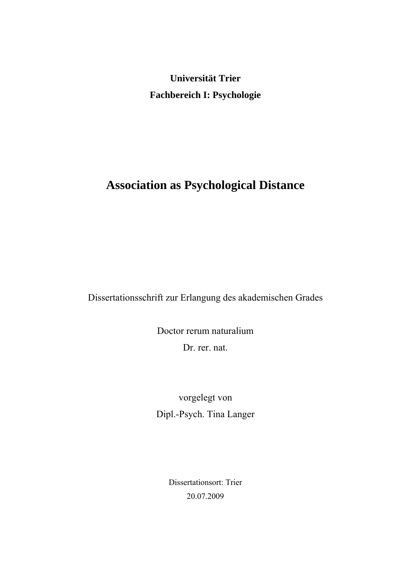**Universität Trier Fachbereich I: Psychologie** 

# **Association as Psychological Distance**

Dissertationsschrift zur Erlangung des akademischen Grades

Doctor rerum naturalium Dr. rer. nat.

vorgelegt von Dipl.-Psych. Tina Langer

> Dissertationsort: Trier 20.07.2009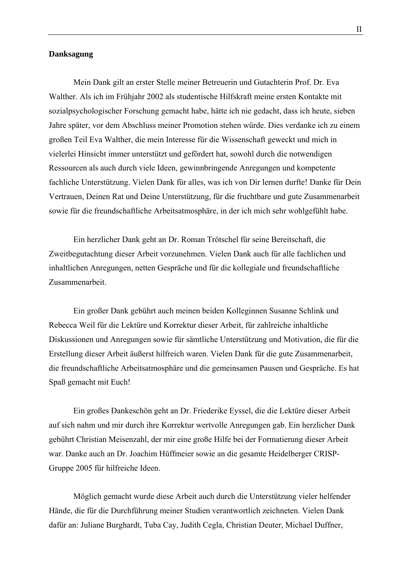## **Danksagung**

Mein Dank gilt an erster Stelle meiner Betreuerin und Gutachterin Prof. Dr. Eva Walther. Als ich im Frühjahr 2002 als studentische Hilfskraft meine ersten Kontakte mit sozialpsychologischer Forschung gemacht habe, hätte ich nie gedacht, dass ich heute, sieben Jahre später, vor dem Abschluss meiner Promotion stehen würde. Dies verdanke ich zu einem großen Teil Eva Walther, die mein Interesse für die Wissenschaft geweckt und mich in vielerlei Hinsicht immer unterstützt und gefördert hat, sowohl durch die notwendigen Ressourcen als auch durch viele Ideen, gewinnbringende Anregungen und kompetente fachliche Unterstützung. Vielen Dank für alles, was ich von Dir lernen durfte! Danke für Dein Vertrauen, Deinen Rat und Deine Unterstützung, für die fruchtbare und gute Zusammenarbeit sowie für die freundschaftliche Arbeitsatmosphäre, in der ich mich sehr wohlgefühlt habe.

Ein herzlicher Dank geht an Dr. Roman Trötschel für seine Bereitschaft, die Zweitbegutachtung dieser Arbeit vorzunehmen. Vielen Dank auch für alle fachlichen und inhaltlichen Anregungen, netten Gespräche und für die kollegiale und freundschaftliche Zusammenarbeit.

Ein großer Dank gebührt auch meinen beiden Kolleginnen Susanne Schlink und Rebecca Weil für die Lektüre und Korrektur dieser Arbeit, für zahlreiche inhaltliche Diskussionen und Anregungen sowie für sämtliche Unterstützung und Motivation, die für die Erstellung dieser Arbeit äußerst hilfreich waren. Vielen Dank für die gute Zusammenarbeit, die freundschaftliche Arbeitsatmosphäre und die gemeinsamen Pausen und Gespräche. Es hat Spaß gemacht mit Euch!

Ein großes Dankeschön geht an Dr. Friederike Eyssel, die die Lektüre dieser Arbeit auf sich nahm und mir durch ihre Korrektur wertvolle Anregungen gab. Ein herzlicher Dank gebührt Christian Meisenzahl, der mir eine große Hilfe bei der Formatierung dieser Arbeit war. Danke auch an Dr. Joachim Hüffmeier sowie an die gesamte Heidelberger CRISP-Gruppe 2005 für hilfreiche Ideen.

Möglich gemacht wurde diese Arbeit auch durch die Unterstützung vieler helfender Hände, die für die Durchführung meiner Studien verantwortlich zeichneten. Vielen Dank dafür an: Juliane Burghardt, Tuba Cay, Judith Cegla, Christian Deuter, Michael Duffner,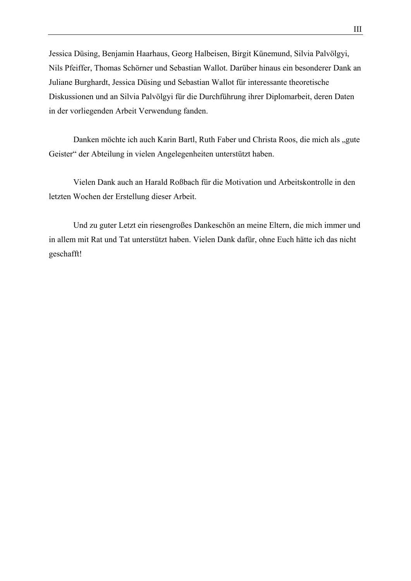Jessica Düsing, Benjamin Haarhaus, Georg Halbeisen, Birgit Künemund, Silvia Palvölgyi, Nils Pfeiffer, Thomas Schörner und Sebastian Wallot. Darüber hinaus ein besonderer Dank an Juliane Burghardt, Jessica Düsing und Sebastian Wallot für interessante theoretische Diskussionen und an Silvia Palvölgyi für die Durchführung ihrer Diplomarbeit, deren Daten in der vorliegenden Arbeit Verwendung fanden.

Danken möchte ich auch Karin Bartl, Ruth Faber und Christa Roos, die mich als "gute Geister" der Abteilung in vielen Angelegenheiten unterstützt haben.

Vielen Dank auch an Harald Roßbach für die Motivation und Arbeitskontrolle in den letzten Wochen der Erstellung dieser Arbeit.

Und zu guter Letzt ein riesengroßes Dankeschön an meine Eltern, die mich immer und in allem mit Rat und Tat unterstützt haben. Vielen Dank dafür, ohne Euch hätte ich das nicht geschafft!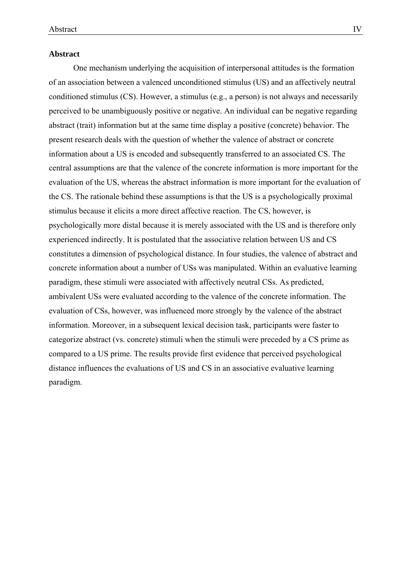#### **Abstract**

One mechanism underlying the acquisition of interpersonal attitudes is the formation of an association between a valenced unconditioned stimulus (US) and an affectively neutral conditioned stimulus (CS). However, a stimulus (e.g., a person) is not always and necessarily perceived to be unambiguously positive or negative. An individual can be negative regarding abstract (trait) information but at the same time display a positive (concrete) behavior. The present research deals with the question of whether the valence of abstract or concrete information about a US is encoded and subsequently transferred to an associated CS. The central assumptions are that the valence of the concrete information is more important for the evaluation of the US, whereas the abstract information is more important for the evaluation of the CS. The rationale behind these assumptions is that the US is a psychologically proximal stimulus because it elicits a more direct affective reaction. The CS, however, is psychologically more distal because it is merely associated with the US and is therefore only experienced indirectly. It is postulated that the associative relation between US and CS constitutes a dimension of psychological distance. In four studies, the valence of abstract and concrete information about a number of USs was manipulated. Within an evaluative learning paradigm, these stimuli were associated with affectively neutral CSs. As predicted, ambivalent USs were evaluated according to the valence of the concrete information. The evaluation of CSs, however, was influenced more strongly by the valence of the abstract information. Moreover, in a subsequent lexical decision task, participants were faster to categorize abstract (vs. concrete) stimuli when the stimuli were preceded by a CS prime as compared to a US prime. The results provide first evidence that perceived psychological distance influences the evaluations of US and CS in an associative evaluative learning paradigm.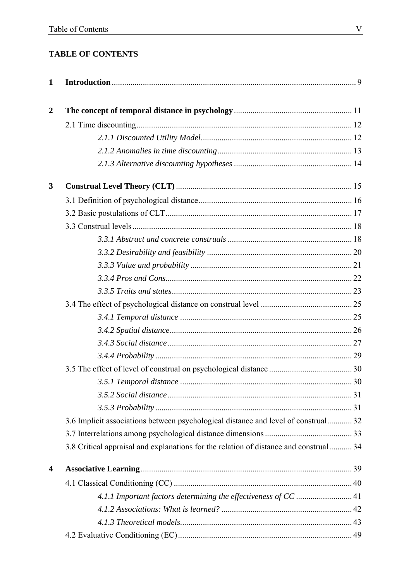## **TABLE OF CONTENTS**

| $\mathbf{1}$   |                                                                                       |  |
|----------------|---------------------------------------------------------------------------------------|--|
| $\overline{2}$ |                                                                                       |  |
|                |                                                                                       |  |
|                |                                                                                       |  |
|                |                                                                                       |  |
|                |                                                                                       |  |
| 3              |                                                                                       |  |
|                |                                                                                       |  |
|                |                                                                                       |  |
|                |                                                                                       |  |
|                |                                                                                       |  |
|                |                                                                                       |  |
|                |                                                                                       |  |
|                |                                                                                       |  |
|                |                                                                                       |  |
|                |                                                                                       |  |
|                |                                                                                       |  |
|                |                                                                                       |  |
|                |                                                                                       |  |
|                |                                                                                       |  |
|                |                                                                                       |  |
|                |                                                                                       |  |
|                |                                                                                       |  |
|                |                                                                                       |  |
|                | 3.6 Implicit associations between psychological distance and level of construal 32    |  |
|                |                                                                                       |  |
|                | 3.8 Critical appraisal and explanations for the relation of distance and construal 34 |  |
| 4              |                                                                                       |  |
|                |                                                                                       |  |
|                |                                                                                       |  |
|                |                                                                                       |  |
|                |                                                                                       |  |
|                |                                                                                       |  |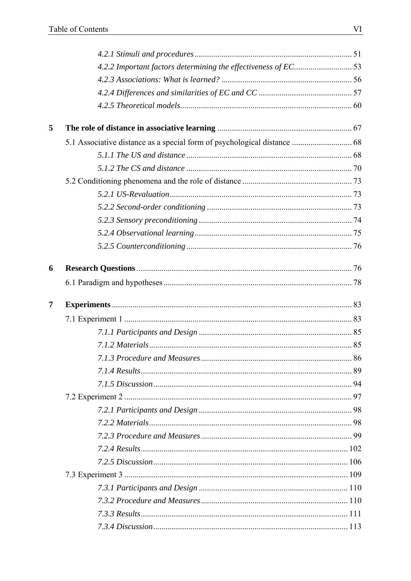| 4.2.2 Important factors determining the effectiveness of EC53 |
|---------------------------------------------------------------|
|                                                               |
|                                                               |
|                                                               |
|                                                               |
|                                                               |
|                                                               |
|                                                               |
|                                                               |
|                                                               |
|                                                               |
|                                                               |
|                                                               |
|                                                               |
|                                                               |
|                                                               |
|                                                               |
|                                                               |
|                                                               |
|                                                               |
|                                                               |
|                                                               |
|                                                               |
|                                                               |
|                                                               |
|                                                               |
|                                                               |
|                                                               |
|                                                               |
|                                                               |
|                                                               |
|                                                               |
|                                                               |
|                                                               |
|                                                               |
|                                                               |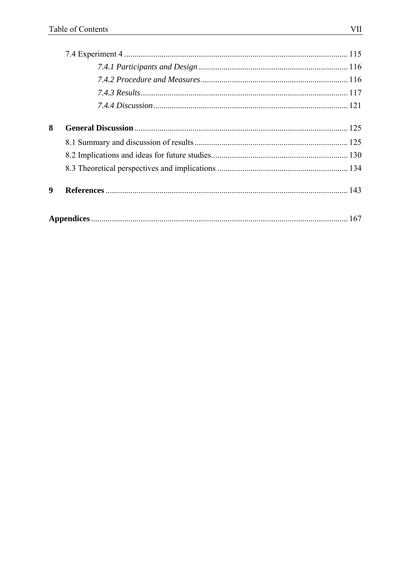| 8 |  |  |
|---|--|--|
|   |  |  |
|   |  |  |
|   |  |  |
| 9 |  |  |
|   |  |  |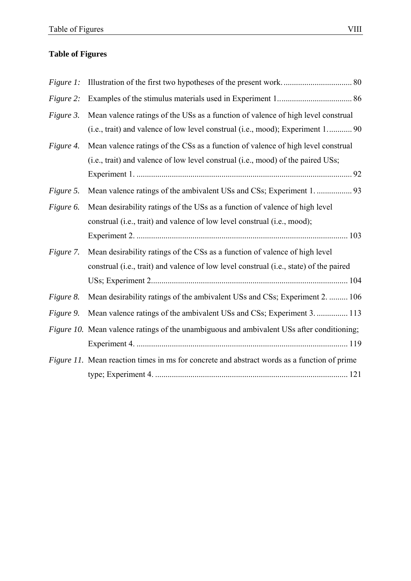## **Table of Figures**

| Figure 1: |                                                                                             |  |
|-----------|---------------------------------------------------------------------------------------------|--|
| Figure 2: |                                                                                             |  |
| Figure 3. | Mean valence ratings of the USs as a function of valence of high level construal            |  |
|           | (i.e., trait) and valence of low level construal (i.e., mood); Experiment 1 90              |  |
| Figure 4. | Mean valence ratings of the CSs as a function of valence of high level construal            |  |
|           | (i.e., trait) and valence of low level construal (i.e., mood) of the paired USs;            |  |
|           |                                                                                             |  |
| Figure 5. |                                                                                             |  |
| Figure 6. | Mean desirability ratings of the USs as a function of valence of high level                 |  |
|           | construal (i.e., trait) and valence of low level construal (i.e., mood);                    |  |
|           |                                                                                             |  |
| Figure 7. | Mean desirability ratings of the CSs as a function of valence of high level                 |  |
|           | construal (i.e., trait) and valence of low level construal (i.e., state) of the paired      |  |
|           |                                                                                             |  |
| Figure 8. | Mean desirability ratings of the ambivalent USs and CSs; Experiment 2.  106                 |  |
| Figure 9. | Mean valence ratings of the ambivalent USs and CSs; Experiment 3.  113                      |  |
|           | Figure 10. Mean valence ratings of the unambiguous and ambivalent USs after conditioning;   |  |
|           |                                                                                             |  |
|           | Figure 11. Mean reaction times in ms for concrete and abstract words as a function of prime |  |
|           |                                                                                             |  |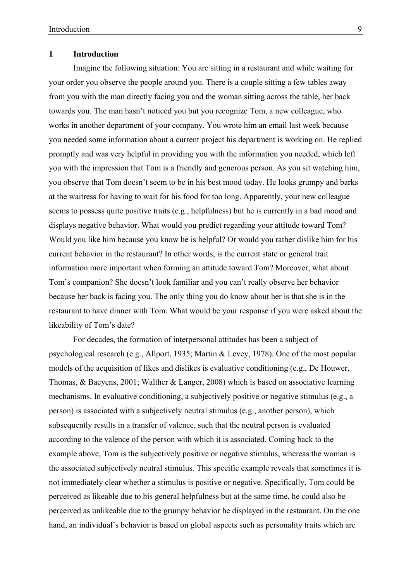## **1 Introduction**

Imagine the following situation: You are sitting in a restaurant and while waiting for your order you observe the people around you. There is a couple sitting a few tables away from you with the man directly facing you and the woman sitting across the table, her back towards you. The man hasn't noticed you but you recognize Tom, a new colleague, who works in another department of your company. You wrote him an email last week because you needed some information about a current project his department is working on. He replied promptly and was very helpful in providing you with the information you needed, which left you with the impression that Tom is a friendly and generous person. As you sit watching him, you observe that Tom doesn't seem to be in his best mood today. He looks grumpy and barks at the waitress for having to wait for his food for too long. Apparently, your new colleague seems to possess quite positive traits (e.g., helpfulness) but he is currently in a bad mood and displays negative behavior. What would you predict regarding your attitude toward Tom? Would you like him because you know he is helpful? Or would you rather dislike him for his current behavior in the restaurant? In other words, is the current state or general trait information more important when forming an attitude toward Tom? Moreover, what about Tom's companion? She doesn't look familiar and you can't really observe her behavior because her back is facing you. The only thing you do know about her is that she is in the restaurant to have dinner with Tom. What would be your response if you were asked about the likeability of Tom's date?

For decades, the formation of interpersonal attitudes has been a subject of psychological research (e.g., Allport, 1935; Martin & Levey, 1978). One of the most popular models of the acquisition of likes and dislikes is evaluative conditioning (e.g., De Houwer, Thomas, & Baeyens, 2001; Walther & Langer, 2008) which is based on associative learning mechanisms. In evaluative conditioning, a subjectively positive or negative stimulus (e.g., a person) is associated with a subjectively neutral stimulus (e.g., another person), which subsequently results in a transfer of valence, such that the neutral person is evaluated according to the valence of the person with which it is associated. Coming back to the example above, Tom is the subjectively positive or negative stimulus, whereas the woman is the associated subjectively neutral stimulus. This specific example reveals that sometimes it is not immediately clear whether a stimulus is positive or negative. Specifically, Tom could be perceived as likeable due to his general helpfulness but at the same time, he could also be perceived as unlikeable due to the grumpy behavior he displayed in the restaurant. On the one hand, an individual's behavior is based on global aspects such as personality traits which are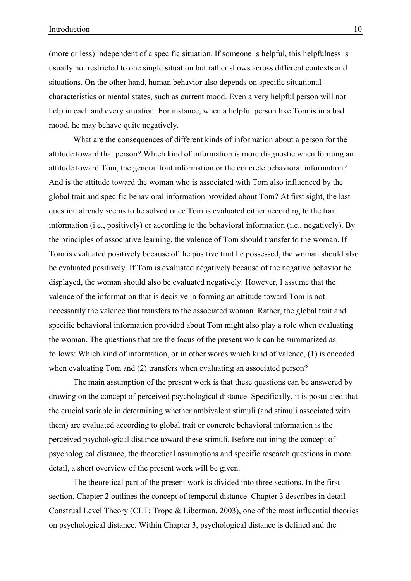(more or less) independent of a specific situation. If someone is helpful, this helpfulness is usually not restricted to one single situation but rather shows across different contexts and situations. On the other hand, human behavior also depends on specific situational characteristics or mental states, such as current mood. Even a very helpful person will not help in each and every situation. For instance, when a helpful person like Tom is in a bad mood, he may behave quite negatively.

What are the consequences of different kinds of information about a person for the attitude toward that person? Which kind of information is more diagnostic when forming an attitude toward Tom, the general trait information or the concrete behavioral information? And is the attitude toward the woman who is associated with Tom also influenced by the global trait and specific behavioral information provided about Tom? At first sight, the last question already seems to be solved once Tom is evaluated either according to the trait information (i.e., positively) or according to the behavioral information (i.e., negatively). By the principles of associative learning, the valence of Tom should transfer to the woman. If Tom is evaluated positively because of the positive trait he possessed, the woman should also be evaluated positively. If Tom is evaluated negatively because of the negative behavior he displayed, the woman should also be evaluated negatively. However, I assume that the valence of the information that is decisive in forming an attitude toward Tom is not necessarily the valence that transfers to the associated woman. Rather, the global trait and specific behavioral information provided about Tom might also play a role when evaluating the woman. The questions that are the focus of the present work can be summarized as follows: Which kind of information, or in other words which kind of valence, (1) is encoded when evaluating Tom and (2) transfers when evaluating an associated person?

The main assumption of the present work is that these questions can be answered by drawing on the concept of perceived psychological distance. Specifically, it is postulated that the crucial variable in determining whether ambivalent stimuli (and stimuli associated with them) are evaluated according to global trait or concrete behavioral information is the perceived psychological distance toward these stimuli. Before outlining the concept of psychological distance, the theoretical assumptions and specific research questions in more detail, a short overview of the present work will be given.

The theoretical part of the present work is divided into three sections. In the first section, Chapter 2 outlines the concept of temporal distance. Chapter 3 describes in detail Construal Level Theory (CLT; Trope & Liberman, 2003), one of the most influential theories on psychological distance. Within Chapter 3, psychological distance is defined and the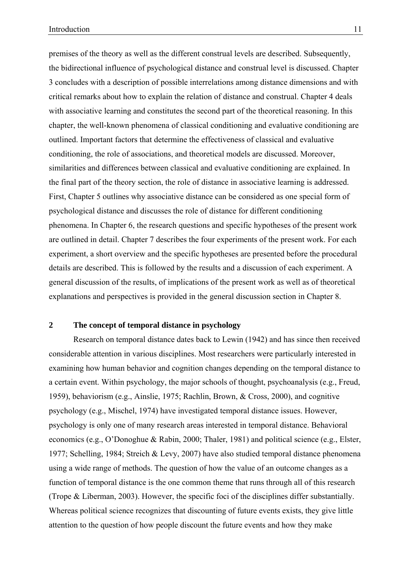premises of the theory as well as the different construal levels are described. Subsequently, the bidirectional influence of psychological distance and construal level is discussed. Chapter 3 concludes with a description of possible interrelations among distance dimensions and with critical remarks about how to explain the relation of distance and construal. Chapter 4 deals with associative learning and constitutes the second part of the theoretical reasoning. In this chapter, the well-known phenomena of classical conditioning and evaluative conditioning are outlined. Important factors that determine the effectiveness of classical and evaluative conditioning, the role of associations, and theoretical models are discussed. Moreover, similarities and differences between classical and evaluative conditioning are explained. In the final part of the theory section, the role of distance in associative learning is addressed. First, Chapter 5 outlines why associative distance can be considered as one special form of psychological distance and discusses the role of distance for different conditioning phenomena. In Chapter 6, the research questions and specific hypotheses of the present work are outlined in detail. Chapter 7 describes the four experiments of the present work. For each experiment, a short overview and the specific hypotheses are presented before the procedural details are described. This is followed by the results and a discussion of each experiment. A general discussion of the results, of implications of the present work as well as of theoretical explanations and perspectives is provided in the general discussion section in Chapter 8.

## **2 The concept of temporal distance in psychology**

Research on temporal distance dates back to Lewin (1942) and has since then received considerable attention in various disciplines. Most researchers were particularly interested in examining how human behavior and cognition changes depending on the temporal distance to a certain event. Within psychology, the major schools of thought, psychoanalysis (e.g., Freud, 1959), behaviorism (e.g., Ainslie, 1975; Rachlin, Brown, & Cross, 2000), and cognitive psychology (e.g., Mischel, 1974) have investigated temporal distance issues. However, psychology is only one of many research areas interested in temporal distance. Behavioral economics (e.g., O'Donoghue & Rabin, 2000; Thaler, 1981) and political science (e.g., Elster, 1977; Schelling, 1984; Streich & Levy, 2007) have also studied temporal distance phenomena using a wide range of methods. The question of how the value of an outcome changes as a function of temporal distance is the one common theme that runs through all of this research (Trope & Liberman, 2003). However, the specific foci of the disciplines differ substantially. Whereas political science recognizes that discounting of future events exists, they give little attention to the question of how people discount the future events and how they make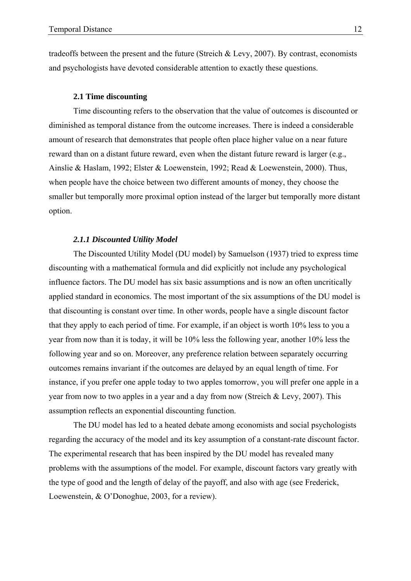tradeoffs between the present and the future (Streich & Levy, 2007). By contrast, economists and psychologists have devoted considerable attention to exactly these questions.

## **2.1 Time discounting**

Time discounting refers to the observation that the value of outcomes is discounted or diminished as temporal distance from the outcome increases. There is indeed a considerable amount of research that demonstrates that people often place higher value on a near future reward than on a distant future reward, even when the distant future reward is larger (e.g., Ainslie & Haslam, 1992; Elster & Loewenstein, 1992; Read & Loewenstein, 2000). Thus, when people have the choice between two different amounts of money, they choose the smaller but temporally more proximal option instead of the larger but temporally more distant option.

## *2.1.1 Discounted Utility Model*

The Discounted Utility Model (DU model) by Samuelson (1937) tried to express time discounting with a mathematical formula and did explicitly not include any psychological influence factors. The DU model has six basic assumptions and is now an often uncritically applied standard in economics. The most important of the six assumptions of the DU model is that discounting is constant over time. In other words, people have a single discount factor that they apply to each period of time. For example, if an object is worth 10% less to you a year from now than it is today, it will be 10% less the following year, another 10% less the following year and so on. Moreover, any preference relation between separately occurring outcomes remains invariant if the outcomes are delayed by an equal length of time. For instance, if you prefer one apple today to two apples tomorrow, you will prefer one apple in a year from now to two apples in a year and a day from now (Streich & Levy, 2007). This assumption reflects an exponential discounting function.

The DU model has led to a heated debate among economists and social psychologists regarding the accuracy of the model and its key assumption of a constant-rate discount factor. The experimental research that has been inspired by the DU model has revealed many problems with the assumptions of the model. For example, discount factors vary greatly with the type of good and the length of delay of the payoff, and also with age (see Frederick, Loewenstein, & O'Donoghue, 2003, for a review).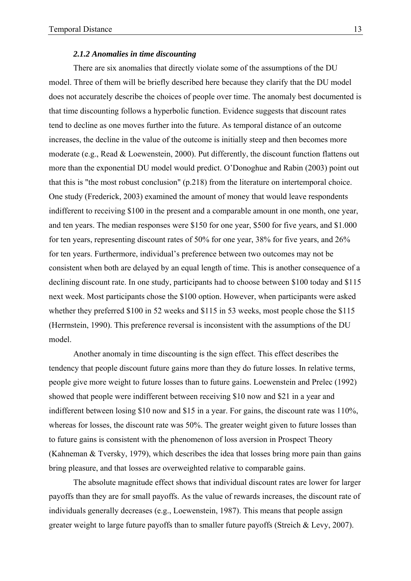#### *2.1.2 Anomalies in time discounting*

There are six anomalies that directly violate some of the assumptions of the DU model. Three of them will be briefly described here because they clarify that the DU model does not accurately describe the choices of people over time. The anomaly best documented is that time discounting follows a hyperbolic function. Evidence suggests that discount rates tend to decline as one moves further into the future. As temporal distance of an outcome increases, the decline in the value of the outcome is initially steep and then becomes more moderate (e.g., Read & Loewenstein, 2000). Put differently, the discount function flattens out more than the exponential DU model would predict. O'Donoghue and Rabin (2003) point out that this is "the most robust conclusion" (p.218) from the literature on intertemporal choice. One study (Frederick, 2003) examined the amount of money that would leave respondents indifferent to receiving \$100 in the present and a comparable amount in one month, one year, and ten years. The median responses were \$150 for one year, \$500 for five years, and \$1.000 for ten years, representing discount rates of 50% for one year, 38% for five years, and 26% for ten years. Furthermore, individual's preference between two outcomes may not be consistent when both are delayed by an equal length of time. This is another consequence of a declining discount rate. In one study, participants had to choose between \$100 today and \$115 next week. Most participants chose the \$100 option. However, when participants were asked whether they preferred \$100 in 52 weeks and \$115 in 53 weeks, most people chose the \$115 (Herrnstein, 1990). This preference reversal is inconsistent with the assumptions of the DU model.

Another anomaly in time discounting is the sign effect. This effect describes the tendency that people discount future gains more than they do future losses. In relative terms, people give more weight to future losses than to future gains. Loewenstein and Prelec (1992) showed that people were indifferent between receiving \$10 now and \$21 in a year and indifferent between losing \$10 now and \$15 in a year. For gains, the discount rate was 110%, whereas for losses, the discount rate was 50%. The greater weight given to future losses than to future gains is consistent with the phenomenon of loss aversion in Prospect Theory (Kahneman & Tversky, 1979), which describes the idea that losses bring more pain than gains bring pleasure, and that losses are overweighted relative to comparable gains.

The absolute magnitude effect shows that individual discount rates are lower for larger payoffs than they are for small payoffs. As the value of rewards increases, the discount rate of individuals generally decreases (e.g., Loewenstein, 1987). This means that people assign greater weight to large future payoffs than to smaller future payoffs (Streich & Levy, 2007).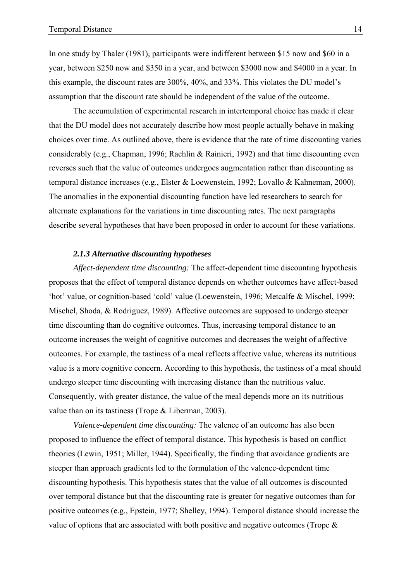In one study by Thaler (1981), participants were indifferent between \$15 now and \$60 in a year, between \$250 now and \$350 in a year, and between \$3000 now and \$4000 in a year. In this example, the discount rates are 300%, 40%, and 33%. This violates the DU model's assumption that the discount rate should be independent of the value of the outcome.

The accumulation of experimental research in intertemporal choice has made it clear that the DU model does not accurately describe how most people actually behave in making choices over time. As outlined above, there is evidence that the rate of time discounting varies considerably (e.g., Chapman, 1996; Rachlin & Rainieri, 1992) and that time discounting even reverses such that the value of outcomes undergoes augmentation rather than discounting as temporal distance increases (e.g., Elster & Loewenstein, 1992; Lovallo & Kahneman, 2000). The anomalies in the exponential discounting function have led researchers to search for alternate explanations for the variations in time discounting rates. The next paragraphs describe several hypotheses that have been proposed in order to account for these variations.

## *2.1.3 Alternative discounting hypotheses*

*Affect-dependent time discounting:* The affect-dependent time discounting hypothesis proposes that the effect of temporal distance depends on whether outcomes have affect-based 'hot' value, or cognition-based 'cold' value (Loewenstein, 1996; Metcalfe & Mischel, 1999; Mischel, Shoda, & Rodriguez, 1989). Affective outcomes are supposed to undergo steeper time discounting than do cognitive outcomes. Thus, increasing temporal distance to an outcome increases the weight of cognitive outcomes and decreases the weight of affective outcomes. For example, the tastiness of a meal reflects affective value, whereas its nutritious value is a more cognitive concern. According to this hypothesis, the tastiness of a meal should undergo steeper time discounting with increasing distance than the nutritious value. Consequently, with greater distance, the value of the meal depends more on its nutritious value than on its tastiness (Trope & Liberman, 2003).

*Valence-dependent time discounting:* The valence of an outcome has also been proposed to influence the effect of temporal distance. This hypothesis is based on conflict theories (Lewin, 1951; Miller, 1944). Specifically, the finding that avoidance gradients are steeper than approach gradients led to the formulation of the valence-dependent time discounting hypothesis. This hypothesis states that the value of all outcomes is discounted over temporal distance but that the discounting rate is greater for negative outcomes than for positive outcomes (e.g., Epstein, 1977; Shelley, 1994). Temporal distance should increase the value of options that are associated with both positive and negative outcomes (Trope &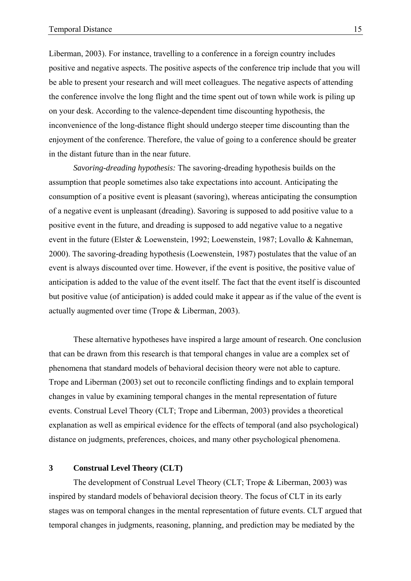Liberman, 2003). For instance, travelling to a conference in a foreign country includes positive and negative aspects. The positive aspects of the conference trip include that you will be able to present your research and will meet colleagues. The negative aspects of attending the conference involve the long flight and the time spent out of town while work is piling up on your desk. According to the valence-dependent time discounting hypothesis, the inconvenience of the long-distance flight should undergo steeper time discounting than the enjoyment of the conference. Therefore, the value of going to a conference should be greater in the distant future than in the near future.

*Savoring-dreading hypothesis:* The savoring-dreading hypothesis builds on the assumption that people sometimes also take expectations into account. Anticipating the consumption of a positive event is pleasant (savoring), whereas anticipating the consumption of a negative event is unpleasant (dreading). Savoring is supposed to add positive value to a positive event in the future, and dreading is supposed to add negative value to a negative event in the future (Elster & Loewenstein, 1992; Loewenstein, 1987; Lovallo & Kahneman, 2000). The savoring-dreading hypothesis (Loewenstein, 1987) postulates that the value of an event is always discounted over time. However, if the event is positive, the positive value of anticipation is added to the value of the event itself. The fact that the event itself is discounted but positive value (of anticipation) is added could make it appear as if the value of the event is actually augmented over time (Trope & Liberman, 2003).

These alternative hypotheses have inspired a large amount of research. One conclusion that can be drawn from this research is that temporal changes in value are a complex set of phenomena that standard models of behavioral decision theory were not able to capture. Trope and Liberman (2003) set out to reconcile conflicting findings and to explain temporal changes in value by examining temporal changes in the mental representation of future events. Construal Level Theory (CLT; Trope and Liberman, 2003) provides a theoretical explanation as well as empirical evidence for the effects of temporal (and also psychological) distance on judgments, preferences, choices, and many other psychological phenomena.

## **3 Construal Level Theory (CLT)**

The development of Construal Level Theory (CLT; Trope & Liberman, 2003) was inspired by standard models of behavioral decision theory. The focus of CLT in its early stages was on temporal changes in the mental representation of future events. CLT argued that temporal changes in judgments, reasoning, planning, and prediction may be mediated by the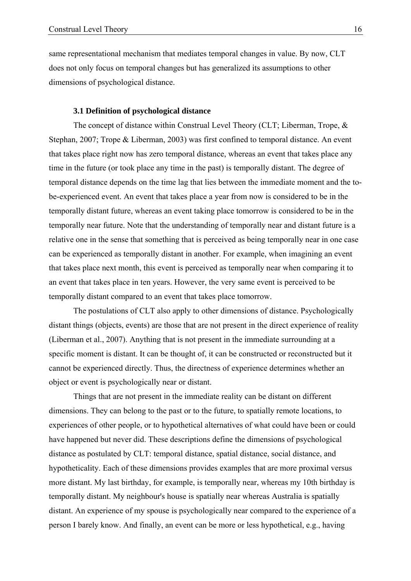same representational mechanism that mediates temporal changes in value. By now, CLT does not only focus on temporal changes but has generalized its assumptions to other dimensions of psychological distance.

## **3.1 Definition of psychological distance**

The concept of distance within Construal Level Theory (CLT: Liberman, Trope, & Stephan, 2007; Trope & Liberman, 2003) was first confined to temporal distance. An event that takes place right now has zero temporal distance, whereas an event that takes place any time in the future (or took place any time in the past) is temporally distant. The degree of temporal distance depends on the time lag that lies between the immediate moment and the tobe-experienced event. An event that takes place a year from now is considered to be in the temporally distant future, whereas an event taking place tomorrow is considered to be in the temporally near future. Note that the understanding of temporally near and distant future is a relative one in the sense that something that is perceived as being temporally near in one case can be experienced as temporally distant in another. For example, when imagining an event that takes place next month, this event is perceived as temporally near when comparing it to an event that takes place in ten years. However, the very same event is perceived to be temporally distant compared to an event that takes place tomorrow.

The postulations of CLT also apply to other dimensions of distance. Psychologically distant things (objects, events) are those that are not present in the direct experience of reality (Liberman et al., 2007). Anything that is not present in the immediate surrounding at a specific moment is distant. It can be thought of, it can be constructed or reconstructed but it cannot be experienced directly. Thus, the directness of experience determines whether an object or event is psychologically near or distant.

Things that are not present in the immediate reality can be distant on different dimensions. They can belong to the past or to the future, to spatially remote locations, to experiences of other people, or to hypothetical alternatives of what could have been or could have happened but never did. These descriptions define the dimensions of psychological distance as postulated by CLT: temporal distance, spatial distance, social distance, and hypotheticality. Each of these dimensions provides examples that are more proximal versus more distant. My last birthday, for example, is temporally near, whereas my 10th birthday is temporally distant. My neighbour's house is spatially near whereas Australia is spatially distant. An experience of my spouse is psychologically near compared to the experience of a person I barely know. And finally, an event can be more or less hypothetical, e.g., having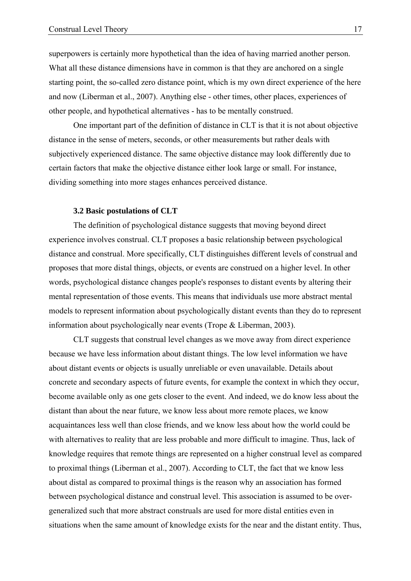superpowers is certainly more hypothetical than the idea of having married another person. What all these distance dimensions have in common is that they are anchored on a single starting point, the so-called zero distance point, which is my own direct experience of the here and now (Liberman et al., 2007). Anything else - other times, other places, experiences of other people, and hypothetical alternatives - has to be mentally construed.

One important part of the definition of distance in CLT is that it is not about objective distance in the sense of meters, seconds, or other measurements but rather deals with subjectively experienced distance. The same objective distance may look differently due to certain factors that make the objective distance either look large or small. For instance, dividing something into more stages enhances perceived distance.

## **3.2 Basic postulations of CLT**

The definition of psychological distance suggests that moving beyond direct experience involves construal. CLT proposes a basic relationship between psychological distance and construal. More specifically, CLT distinguishes different levels of construal and proposes that more distal things, objects, or events are construed on a higher level. In other words, psychological distance changes people's responses to distant events by altering their mental representation of those events. This means that individuals use more abstract mental models to represent information about psychologically distant events than they do to represent information about psychologically near events (Trope & Liberman, 2003).

CLT suggests that construal level changes as we move away from direct experience because we have less information about distant things. The low level information we have about distant events or objects is usually unreliable or even unavailable. Details about concrete and secondary aspects of future events, for example the context in which they occur, become available only as one gets closer to the event. And indeed, we do know less about the distant than about the near future, we know less about more remote places, we know acquaintances less well than close friends, and we know less about how the world could be with alternatives to reality that are less probable and more difficult to imagine. Thus, lack of knowledge requires that remote things are represented on a higher construal level as compared to proximal things (Liberman et al., 2007). According to CLT, the fact that we know less about distal as compared to proximal things is the reason why an association has formed between psychological distance and construal level. This association is assumed to be overgeneralized such that more abstract construals are used for more distal entities even in situations when the same amount of knowledge exists for the near and the distant entity. Thus,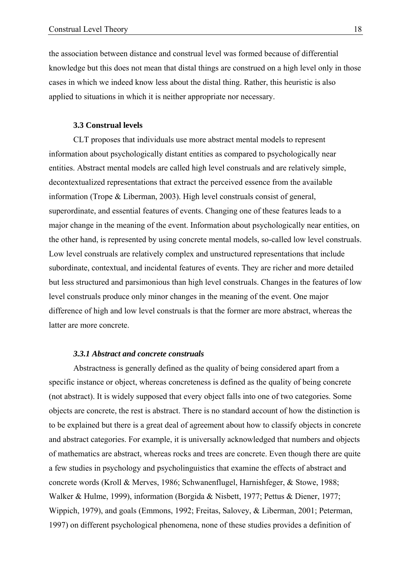the association between distance and construal level was formed because of differential knowledge but this does not mean that distal things are construed on a high level only in those cases in which we indeed know less about the distal thing. Rather, this heuristic is also applied to situations in which it is neither appropriate nor necessary.

## **3.3 Construal levels**

CLT proposes that individuals use more abstract mental models to represent information about psychologically distant entities as compared to psychologically near entities. Abstract mental models are called high level construals and are relatively simple, decontextualized representations that extract the perceived essence from the available information (Trope & Liberman, 2003). High level construals consist of general, superordinate, and essential features of events. Changing one of these features leads to a major change in the meaning of the event. Information about psychologically near entities, on the other hand, is represented by using concrete mental models, so-called low level construals. Low level construals are relatively complex and unstructured representations that include subordinate, contextual, and incidental features of events. They are richer and more detailed but less structured and parsimonious than high level construals. Changes in the features of low level construals produce only minor changes in the meaning of the event. One major difference of high and low level construals is that the former are more abstract, whereas the latter are more concrete.

## *3.3.1 Abstract and concrete construals*

Abstractness is generally defined as the quality of being considered apart from a specific instance or object, whereas concreteness is defined as the quality of being concrete (not abstract). It is widely supposed that every object falls into one of two categories. Some objects are concrete, the rest is abstract. There is no standard account of how the distinction is to be explained but there is a great deal of agreement about how to classify objects in concrete and abstract categories. For example, it is universally acknowledged that numbers and objects of mathematics are abstract, whereas rocks and trees are concrete. Even though there are quite a few studies in psychology and psycholinguistics that examine the effects of abstract and concrete words (Kroll & Merves, 1986; Schwanenflugel, Harnishfeger, & Stowe, 1988; Walker & Hulme, 1999), information (Borgida & Nisbett, 1977; Pettus & Diener, 1977; Wippich, 1979), and goals (Emmons, 1992; Freitas, Salovey, & Liberman, 2001; Peterman, 1997) on different psychological phenomena, none of these studies provides a definition of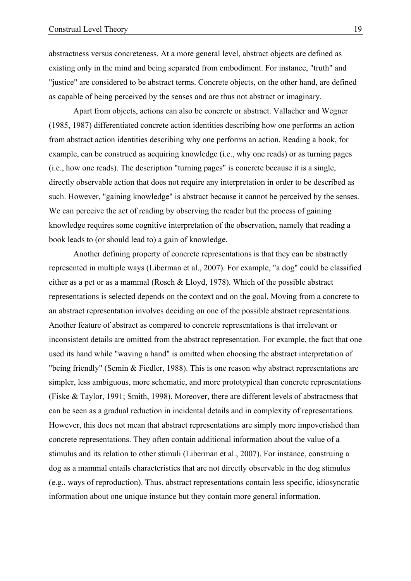abstractness versus concreteness. At a more general level, abstract objects are defined as existing only in the mind and being separated from embodiment. For instance, "truth" and "justice" are considered to be abstract terms. Concrete objects, on the other hand, are defined as capable of being perceived by the senses and are thus not abstract or imaginary.

Apart from objects, actions can also be concrete or abstract. Vallacher and Wegner (1985, 1987) differentiated concrete action identities describing how one performs an action from abstract action identities describing why one performs an action. Reading a book, for example, can be construed as acquiring knowledge (i.e., why one reads) or as turning pages (i.e., how one reads). The description "turning pages" is concrete because it is a single, directly observable action that does not require any interpretation in order to be described as such. However, "gaining knowledge" is abstract because it cannot be perceived by the senses. We can perceive the act of reading by observing the reader but the process of gaining knowledge requires some cognitive interpretation of the observation, namely that reading a book leads to (or should lead to) a gain of knowledge.

Another defining property of concrete representations is that they can be abstractly represented in multiple ways (Liberman et al., 2007). For example, "a dog" could be classified either as a pet or as a mammal (Rosch & Lloyd, 1978). Which of the possible abstract representations is selected depends on the context and on the goal. Moving from a concrete to an abstract representation involves deciding on one of the possible abstract representations. Another feature of abstract as compared to concrete representations is that irrelevant or inconsistent details are omitted from the abstract representation. For example, the fact that one used its hand while "waving a hand" is omitted when choosing the abstract interpretation of "being friendly" (Semin & Fiedler, 1988). This is one reason why abstract representations are simpler, less ambiguous, more schematic, and more prototypical than concrete representations (Fiske & Taylor, 1991; Smith, 1998). Moreover, there are different levels of abstractness that can be seen as a gradual reduction in incidental details and in complexity of representations. However, this does not mean that abstract representations are simply more impoverished than concrete representations. They often contain additional information about the value of a stimulus and its relation to other stimuli (Liberman et al., 2007). For instance, construing a dog as a mammal entails characteristics that are not directly observable in the dog stimulus (e.g., ways of reproduction). Thus, abstract representations contain less specific, idiosyncratic information about one unique instance but they contain more general information.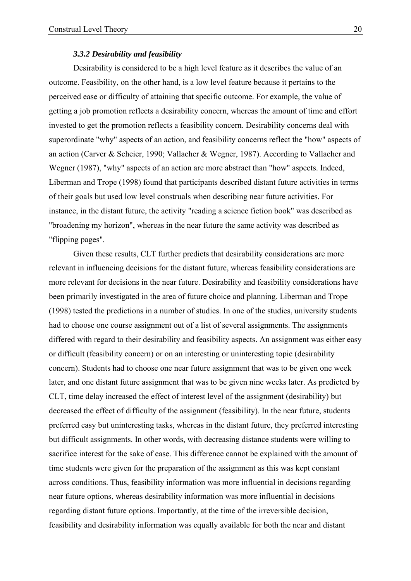#### *3.3.2 Desirability and feasibility*

Desirability is considered to be a high level feature as it describes the value of an outcome. Feasibility, on the other hand, is a low level feature because it pertains to the perceived ease or difficulty of attaining that specific outcome. For example, the value of getting a job promotion reflects a desirability concern, whereas the amount of time and effort invested to get the promotion reflects a feasibility concern. Desirability concerns deal with superordinate "why" aspects of an action, and feasibility concerns reflect the "how" aspects of an action (Carver & Scheier, 1990; Vallacher & Wegner, 1987). According to Vallacher and Wegner (1987), "why" aspects of an action are more abstract than "how" aspects. Indeed, Liberman and Trope (1998) found that participants described distant future activities in terms of their goals but used low level construals when describing near future activities. For instance, in the distant future, the activity "reading a science fiction book" was described as "broadening my horizon", whereas in the near future the same activity was described as "flipping pages".

Given these results, CLT further predicts that desirability considerations are more relevant in influencing decisions for the distant future, whereas feasibility considerations are more relevant for decisions in the near future. Desirability and feasibility considerations have been primarily investigated in the area of future choice and planning. Liberman and Trope (1998) tested the predictions in a number of studies. In one of the studies, university students had to choose one course assignment out of a list of several assignments. The assignments differed with regard to their desirability and feasibility aspects. An assignment was either easy or difficult (feasibility concern) or on an interesting or uninteresting topic (desirability concern). Students had to choose one near future assignment that was to be given one week later, and one distant future assignment that was to be given nine weeks later. As predicted by CLT, time delay increased the effect of interest level of the assignment (desirability) but decreased the effect of difficulty of the assignment (feasibility). In the near future, students preferred easy but uninteresting tasks, whereas in the distant future, they preferred interesting but difficult assignments. In other words, with decreasing distance students were willing to sacrifice interest for the sake of ease. This difference cannot be explained with the amount of time students were given for the preparation of the assignment as this was kept constant across conditions. Thus, feasibility information was more influential in decisions regarding near future options, whereas desirability information was more influential in decisions regarding distant future options. Importantly, at the time of the irreversible decision, feasibility and desirability information was equally available for both the near and distant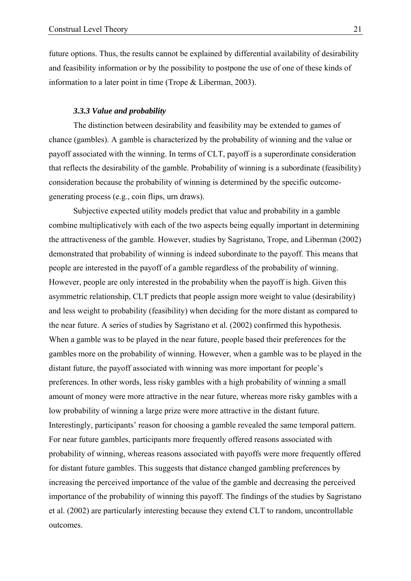future options. Thus, the results cannot be explained by differential availability of desirability and feasibility information or by the possibility to postpone the use of one of these kinds of information to a later point in time (Trope & Liberman, 2003).

## *3.3.3 Value and probability*

The distinction between desirability and feasibility may be extended to games of chance (gambles). A gamble is characterized by the probability of winning and the value or payoff associated with the winning. In terms of CLT, payoff is a superordinate consideration that reflects the desirability of the gamble. Probability of winning is a subordinate (feasibility) consideration because the probability of winning is determined by the specific outcomegenerating process (e.g., coin flips, urn draws).

Subjective expected utility models predict that value and probability in a gamble combine multiplicatively with each of the two aspects being equally important in determining the attractiveness of the gamble. However, studies by Sagristano, Trope, and Liberman (2002) demonstrated that probability of winning is indeed subordinate to the payoff. This means that people are interested in the payoff of a gamble regardless of the probability of winning. However, people are only interested in the probability when the payoff is high. Given this asymmetric relationship, CLT predicts that people assign more weight to value (desirability) and less weight to probability (feasibility) when deciding for the more distant as compared to the near future. A series of studies by Sagristano et al. (2002) confirmed this hypothesis. When a gamble was to be played in the near future, people based their preferences for the gambles more on the probability of winning. However, when a gamble was to be played in the distant future, the payoff associated with winning was more important for people's preferences. In other words, less risky gambles with a high probability of winning a small amount of money were more attractive in the near future, whereas more risky gambles with a low probability of winning a large prize were more attractive in the distant future. Interestingly, participants' reason for choosing a gamble revealed the same temporal pattern. For near future gambles, participants more frequently offered reasons associated with probability of winning, whereas reasons associated with payoffs were more frequently offered for distant future gambles. This suggests that distance changed gambling preferences by increasing the perceived importance of the value of the gamble and decreasing the perceived importance of the probability of winning this payoff. The findings of the studies by Sagristano et al. (2002) are particularly interesting because they extend CLT to random, uncontrollable outcomes.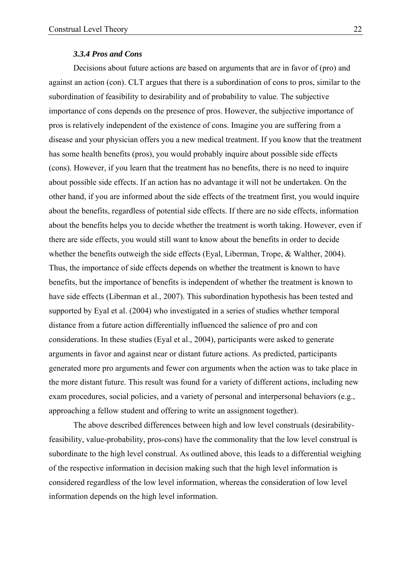#### *3.3.4 Pros and Cons*

Decisions about future actions are based on arguments that are in favor of (pro) and against an action (con). CLT argues that there is a subordination of cons to pros, similar to the subordination of feasibility to desirability and of probability to value. The subjective importance of cons depends on the presence of pros. However, the subjective importance of pros is relatively independent of the existence of cons. Imagine you are suffering from a disease and your physician offers you a new medical treatment. If you know that the treatment has some health benefits (pros), you would probably inquire about possible side effects (cons). However, if you learn that the treatment has no benefits, there is no need to inquire about possible side effects. If an action has no advantage it will not be undertaken. On the other hand, if you are informed about the side effects of the treatment first, you would inquire about the benefits, regardless of potential side effects. If there are no side effects, information about the benefits helps you to decide whether the treatment is worth taking. However, even if there are side effects, you would still want to know about the benefits in order to decide whether the benefits outweigh the side effects (Eyal, Liberman, Trope, & Walther, 2004). Thus, the importance of side effects depends on whether the treatment is known to have benefits, but the importance of benefits is independent of whether the treatment is known to have side effects (Liberman et al., 2007). This subordination hypothesis has been tested and supported by Eyal et al. (2004) who investigated in a series of studies whether temporal distance from a future action differentially influenced the salience of pro and con considerations. In these studies (Eyal et al., 2004), participants were asked to generate arguments in favor and against near or distant future actions. As predicted, participants generated more pro arguments and fewer con arguments when the action was to take place in the more distant future. This result was found for a variety of different actions, including new exam procedures, social policies, and a variety of personal and interpersonal behaviors (e.g., approaching a fellow student and offering to write an assignment together).

The above described differences between high and low level construals (desirabilityfeasibility, value-probability, pros-cons) have the commonality that the low level construal is subordinate to the high level construal. As outlined above, this leads to a differential weighing of the respective information in decision making such that the high level information is considered regardless of the low level information, whereas the consideration of low level information depends on the high level information.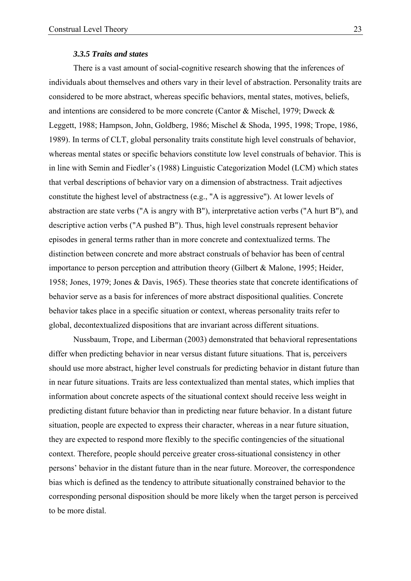#### *3.3.5 Traits and states*

There is a vast amount of social-cognitive research showing that the inferences of individuals about themselves and others vary in their level of abstraction. Personality traits are considered to be more abstract, whereas specific behaviors, mental states, motives, beliefs, and intentions are considered to be more concrete (Cantor & Mischel, 1979; Dweck & Leggett, 1988; Hampson, John, Goldberg, 1986; Mischel & Shoda, 1995, 1998; Trope, 1986, 1989). In terms of CLT, global personality traits constitute high level construals of behavior, whereas mental states or specific behaviors constitute low level construals of behavior. This is in line with Semin and Fiedler's (1988) Linguistic Categorization Model (LCM) which states that verbal descriptions of behavior vary on a dimension of abstractness. Trait adjectives constitute the highest level of abstractness (e.g., "A is aggressive"). At lower levels of abstraction are state verbs ("A is angry with B"), interpretative action verbs ("A hurt B"), and descriptive action verbs ("A pushed B"). Thus, high level construals represent behavior episodes in general terms rather than in more concrete and contextualized terms. The distinction between concrete and more abstract construals of behavior has been of central importance to person perception and attribution theory (Gilbert & Malone, 1995; Heider, 1958; Jones, 1979; Jones & Davis, 1965). These theories state that concrete identifications of behavior serve as a basis for inferences of more abstract dispositional qualities. Concrete behavior takes place in a specific situation or context, whereas personality traits refer to global, decontextualized dispositions that are invariant across different situations.

Nussbaum, Trope, and Liberman (2003) demonstrated that behavioral representations differ when predicting behavior in near versus distant future situations. That is, perceivers should use more abstract, higher level construals for predicting behavior in distant future than in near future situations. Traits are less contextualized than mental states, which implies that information about concrete aspects of the situational context should receive less weight in predicting distant future behavior than in predicting near future behavior. In a distant future situation, people are expected to express their character, whereas in a near future situation, they are expected to respond more flexibly to the specific contingencies of the situational context. Therefore, people should perceive greater cross-situational consistency in other persons' behavior in the distant future than in the near future. Moreover, the correspondence bias which is defined as the tendency to attribute situationally constrained behavior to the corresponding personal disposition should be more likely when the target person is perceived to be more distal.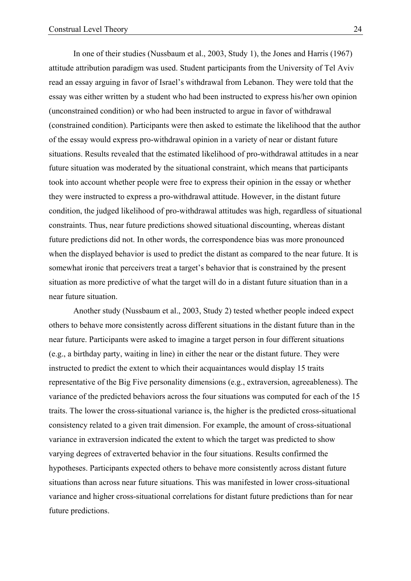In one of their studies (Nussbaum et al., 2003, Study 1), the Jones and Harris (1967) attitude attribution paradigm was used. Student participants from the University of Tel Aviv read an essay arguing in favor of Israel's withdrawal from Lebanon. They were told that the essay was either written by a student who had been instructed to express his/her own opinion (unconstrained condition) or who had been instructed to argue in favor of withdrawal (constrained condition). Participants were then asked to estimate the likelihood that the author of the essay would express pro-withdrawal opinion in a variety of near or distant future situations. Results revealed that the estimated likelihood of pro-withdrawal attitudes in a near future situation was moderated by the situational constraint, which means that participants took into account whether people were free to express their opinion in the essay or whether they were instructed to express a pro-withdrawal attitude. However, in the distant future condition, the judged likelihood of pro-withdrawal attitudes was high, regardless of situational constraints. Thus, near future predictions showed situational discounting, whereas distant future predictions did not. In other words, the correspondence bias was more pronounced when the displayed behavior is used to predict the distant as compared to the near future. It is somewhat ironic that perceivers treat a target's behavior that is constrained by the present situation as more predictive of what the target will do in a distant future situation than in a near future situation.

Another study (Nussbaum et al., 2003, Study 2) tested whether people indeed expect others to behave more consistently across different situations in the distant future than in the near future. Participants were asked to imagine a target person in four different situations (e.g., a birthday party, waiting in line) in either the near or the distant future. They were instructed to predict the extent to which their acquaintances would display 15 traits representative of the Big Five personality dimensions (e.g., extraversion, agreeableness). The variance of the predicted behaviors across the four situations was computed for each of the 15 traits. The lower the cross-situational variance is, the higher is the predicted cross-situational consistency related to a given trait dimension. For example, the amount of cross-situational variance in extraversion indicated the extent to which the target was predicted to show varying degrees of extraverted behavior in the four situations. Results confirmed the hypotheses. Participants expected others to behave more consistently across distant future situations than across near future situations. This was manifested in lower cross-situational variance and higher cross-situational correlations for distant future predictions than for near future predictions.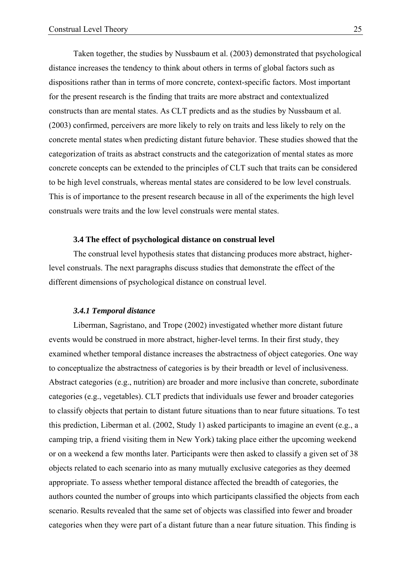Taken together, the studies by Nussbaum et al. (2003) demonstrated that psychological distance increases the tendency to think about others in terms of global factors such as dispositions rather than in terms of more concrete, context-specific factors. Most important for the present research is the finding that traits are more abstract and contextualized constructs than are mental states. As CLT predicts and as the studies by Nussbaum et al. (2003) confirmed, perceivers are more likely to rely on traits and less likely to rely on the concrete mental states when predicting distant future behavior. These studies showed that the categorization of traits as abstract constructs and the categorization of mental states as more concrete concepts can be extended to the principles of CLT such that traits can be considered to be high level construals, whereas mental states are considered to be low level construals. This is of importance to the present research because in all of the experiments the high level construals were traits and the low level construals were mental states.

## **3.4 The effect of psychological distance on construal level**

 The construal level hypothesis states that distancing produces more abstract, higherlevel construals. The next paragraphs discuss studies that demonstrate the effect of the different dimensions of psychological distance on construal level.

#### *3.4.1 Temporal distance*

 Liberman, Sagristano, and Trope (2002) investigated whether more distant future events would be construed in more abstract, higher-level terms. In their first study, they examined whether temporal distance increases the abstractness of object categories. One way to conceptualize the abstractness of categories is by their breadth or level of inclusiveness. Abstract categories (e.g., nutrition) are broader and more inclusive than concrete, subordinate categories (e.g., vegetables). CLT predicts that individuals use fewer and broader categories to classify objects that pertain to distant future situations than to near future situations. To test this prediction, Liberman et al. (2002, Study 1) asked participants to imagine an event (e.g., a camping trip, a friend visiting them in New York) taking place either the upcoming weekend or on a weekend a few months later. Participants were then asked to classify a given set of 38 objects related to each scenario into as many mutually exclusive categories as they deemed appropriate. To assess whether temporal distance affected the breadth of categories, the authors counted the number of groups into which participants classified the objects from each scenario. Results revealed that the same set of objects was classified into fewer and broader categories when they were part of a distant future than a near future situation. This finding is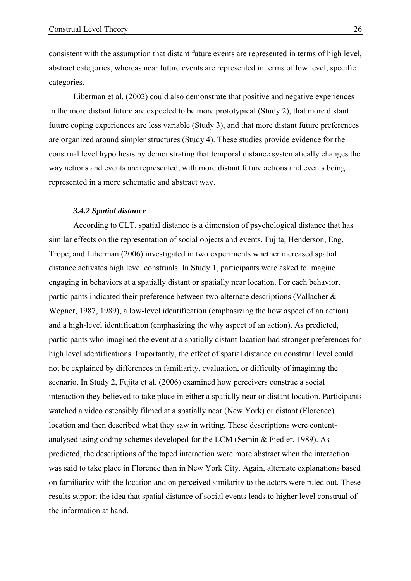consistent with the assumption that distant future events are represented in terms of high level, abstract categories, whereas near future events are represented in terms of low level, specific categories.

 Liberman et al. (2002) could also demonstrate that positive and negative experiences in the more distant future are expected to be more prototypical (Study 2), that more distant future coping experiences are less variable (Study 3), and that more distant future preferences are organized around simpler structures (Study 4). These studies provide evidence for the construal level hypothesis by demonstrating that temporal distance systematically changes the way actions and events are represented, with more distant future actions and events being represented in a more schematic and abstract way.

#### *3.4.2 Spatial distance*

 According to CLT, spatial distance is a dimension of psychological distance that has similar effects on the representation of social objects and events. Fujita, Henderson, Eng, Trope, and Liberman (2006) investigated in two experiments whether increased spatial distance activates high level construals. In Study 1, participants were asked to imagine engaging in behaviors at a spatially distant or spatially near location. For each behavior, participants indicated their preference between two alternate descriptions (Vallacher & Wegner, 1987, 1989), a low-level identification (emphasizing the how aspect of an action) and a high-level identification (emphasizing the why aspect of an action). As predicted, participants who imagined the event at a spatially distant location had stronger preferences for high level identifications. Importantly, the effect of spatial distance on construal level could not be explained by differences in familiarity, evaluation, or difficulty of imagining the scenario. In Study 2, Fujita et al. (2006) examined how perceivers construe a social interaction they believed to take place in either a spatially near or distant location. Participants watched a video ostensibly filmed at a spatially near (New York) or distant (Florence) location and then described what they saw in writing. These descriptions were contentanalysed using coding schemes developed for the LCM (Semin & Fiedler, 1989). As predicted, the descriptions of the taped interaction were more abstract when the interaction was said to take place in Florence than in New York City. Again, alternate explanations based on familiarity with the location and on perceived similarity to the actors were ruled out. These results support the idea that spatial distance of social events leads to higher level construal of the information at hand.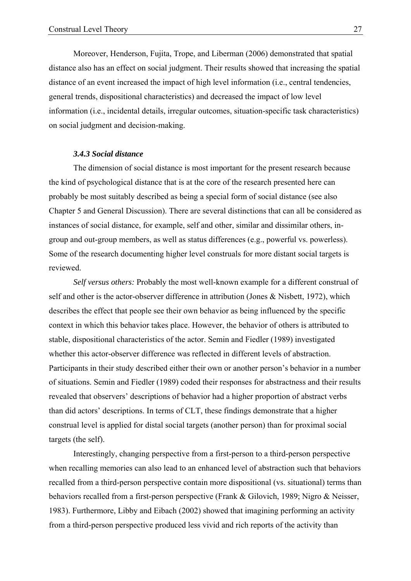Moreover, Henderson, Fujita, Trope, and Liberman (2006) demonstrated that spatial distance also has an effect on social judgment. Their results showed that increasing the spatial distance of an event increased the impact of high level information (i.e., central tendencies, general trends, dispositional characteristics) and decreased the impact of low level information (i.e., incidental details, irregular outcomes, situation-specific task characteristics) on social judgment and decision-making.

## *3.4.3 Social distance*

 The dimension of social distance is most important for the present research because the kind of psychological distance that is at the core of the research presented here can probably be most suitably described as being a special form of social distance (see also Chapter 5 and General Discussion). There are several distinctions that can all be considered as instances of social distance, for example, self and other, similar and dissimilar others, ingroup and out-group members, as well as status differences (e.g., powerful vs. powerless). Some of the research documenting higher level construals for more distant social targets is reviewed.

*Self versus others:* Probably the most well-known example for a different construal of self and other is the actor-observer difference in attribution (Jones & Nisbett, 1972), which describes the effect that people see their own behavior as being influenced by the specific context in which this behavior takes place. However, the behavior of others is attributed to stable, dispositional characteristics of the actor. Semin and Fiedler (1989) investigated whether this actor-observer difference was reflected in different levels of abstraction. Participants in their study described either their own or another person's behavior in a number of situations. Semin and Fiedler (1989) coded their responses for abstractness and their results revealed that observers' descriptions of behavior had a higher proportion of abstract verbs than did actors' descriptions. In terms of CLT, these findings demonstrate that a higher construal level is applied for distal social targets (another person) than for proximal social targets (the self).

 Interestingly, changing perspective from a first-person to a third-person perspective when recalling memories can also lead to an enhanced level of abstraction such that behaviors recalled from a third-person perspective contain more dispositional (vs. situational) terms than behaviors recalled from a first-person perspective (Frank & Gilovich, 1989; Nigro & Neisser, 1983). Furthermore, Libby and Eibach (2002) showed that imagining performing an activity from a third-person perspective produced less vivid and rich reports of the activity than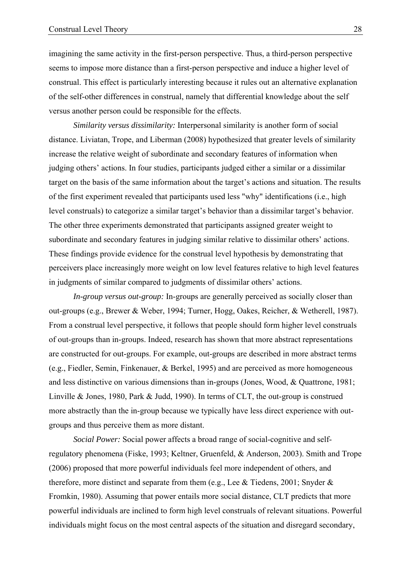imagining the same activity in the first-person perspective. Thus, a third-person perspective seems to impose more distance than a first-person perspective and induce a higher level of construal. This effect is particularly interesting because it rules out an alternative explanation of the self-other differences in construal, namely that differential knowledge about the self versus another person could be responsible for the effects.

*Similarity versus dissimilarity:* Interpersonal similarity is another form of social distance. Liviatan, Trope, and Liberman (2008) hypothesized that greater levels of similarity increase the relative weight of subordinate and secondary features of information when judging others' actions. In four studies, participants judged either a similar or a dissimilar target on the basis of the same information about the target's actions and situation. The results of the first experiment revealed that participants used less "why" identifications (i.e., high level construals) to categorize a similar target's behavior than a dissimilar target's behavior. The other three experiments demonstrated that participants assigned greater weight to subordinate and secondary features in judging similar relative to dissimilar others' actions. These findings provide evidence for the construal level hypothesis by demonstrating that perceivers place increasingly more weight on low level features relative to high level features in judgments of similar compared to judgments of dissimilar others' actions.

*In-group versus out-group:* In-groups are generally perceived as socially closer than out-groups (e.g., Brewer & Weber, 1994; Turner, Hogg, Oakes, Reicher, & Wetherell, 1987). From a construal level perspective, it follows that people should form higher level construals of out-groups than in-groups. Indeed, research has shown that more abstract representations are constructed for out-groups. For example, out-groups are described in more abstract terms (e.g., Fiedler, Semin, Finkenauer, & Berkel, 1995) and are perceived as more homogeneous and less distinctive on various dimensions than in-groups (Jones, Wood, & Quattrone, 1981; Linville & Jones, 1980, Park & Judd, 1990). In terms of CLT, the out-group is construed more abstractly than the in-group because we typically have less direct experience with outgroups and thus perceive them as more distant.

*Social Power:* Social power affects a broad range of social-cognitive and selfregulatory phenomena (Fiske, 1993; Keltner, Gruenfeld, & Anderson, 2003). Smith and Trope (2006) proposed that more powerful individuals feel more independent of others, and therefore, more distinct and separate from them (e.g., Lee & Tiedens, 2001; Snyder & Fromkin, 1980). Assuming that power entails more social distance, CLT predicts that more powerful individuals are inclined to form high level construals of relevant situations. Powerful individuals might focus on the most central aspects of the situation and disregard secondary,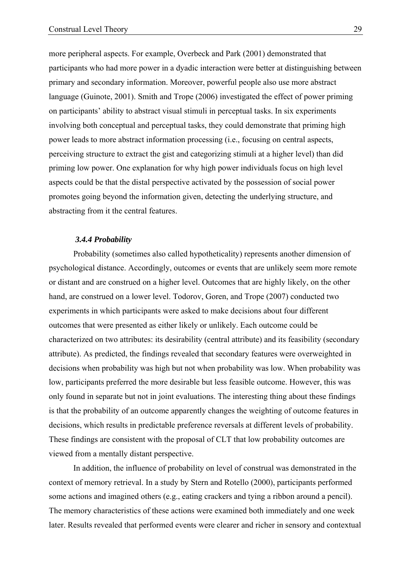more peripheral aspects. For example, Overbeck and Park (2001) demonstrated that participants who had more power in a dyadic interaction were better at distinguishing between primary and secondary information. Moreover, powerful people also use more abstract language (Guinote, 2001). Smith and Trope (2006) investigated the effect of power priming on participants' ability to abstract visual stimuli in perceptual tasks. In six experiments involving both conceptual and perceptual tasks, they could demonstrate that priming high power leads to more abstract information processing (i.e., focusing on central aspects, perceiving structure to extract the gist and categorizing stimuli at a higher level) than did priming low power. One explanation for why high power individuals focus on high level aspects could be that the distal perspective activated by the possession of social power promotes going beyond the information given, detecting the underlying structure, and abstracting from it the central features.

## *3.4.4 Probability*

Probability (sometimes also called hypotheticality) represents another dimension of psychological distance. Accordingly, outcomes or events that are unlikely seem more remote or distant and are construed on a higher level. Outcomes that are highly likely, on the other hand, are construed on a lower level. Todorov, Goren, and Trope (2007) conducted two experiments in which participants were asked to make decisions about four different outcomes that were presented as either likely or unlikely. Each outcome could be characterized on two attributes: its desirability (central attribute) and its feasibility (secondary attribute). As predicted, the findings revealed that secondary features were overweighted in decisions when probability was high but not when probability was low. When probability was low, participants preferred the more desirable but less feasible outcome. However, this was only found in separate but not in joint evaluations. The interesting thing about these findings is that the probability of an outcome apparently changes the weighting of outcome features in decisions, which results in predictable preference reversals at different levels of probability. These findings are consistent with the proposal of CLT that low probability outcomes are viewed from a mentally distant perspective.

In addition, the influence of probability on level of construal was demonstrated in the context of memory retrieval. In a study by Stern and Rotello (2000), participants performed some actions and imagined others (e.g., eating crackers and tying a ribbon around a pencil). The memory characteristics of these actions were examined both immediately and one week later. Results revealed that performed events were clearer and richer in sensory and contextual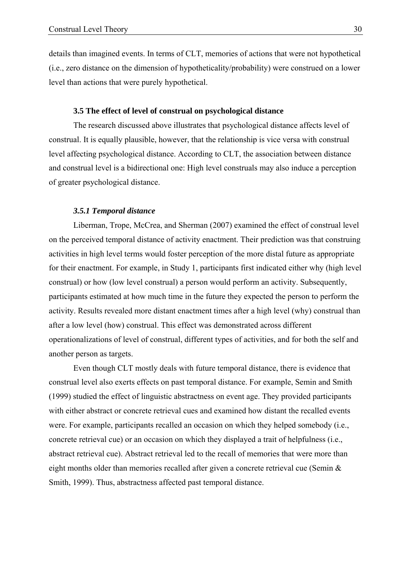details than imagined events. In terms of CLT, memories of actions that were not hypothetical (i.e., zero distance on the dimension of hypotheticality/probability) were construed on a lower level than actions that were purely hypothetical.

## **3.5 The effect of level of construal on psychological distance**

 The research discussed above illustrates that psychological distance affects level of construal. It is equally plausible, however, that the relationship is vice versa with construal level affecting psychological distance. According to CLT, the association between distance and construal level is a bidirectional one: High level construals may also induce a perception of greater psychological distance.

#### *3.5.1 Temporal distance*

 Liberman, Trope, McCrea, and Sherman (2007) examined the effect of construal level on the perceived temporal distance of activity enactment. Their prediction was that construing activities in high level terms would foster perception of the more distal future as appropriate for their enactment. For example, in Study 1, participants first indicated either why (high level construal) or how (low level construal) a person would perform an activity. Subsequently, participants estimated at how much time in the future they expected the person to perform the activity. Results revealed more distant enactment times after a high level (why) construal than after a low level (how) construal. This effect was demonstrated across different operationalizations of level of construal, different types of activities, and for both the self and another person as targets.

 Even though CLT mostly deals with future temporal distance, there is evidence that construal level also exerts effects on past temporal distance. For example, Semin and Smith (1999) studied the effect of linguistic abstractness on event age. They provided participants with either abstract or concrete retrieval cues and examined how distant the recalled events were. For example, participants recalled an occasion on which they helped somebody (i.e., concrete retrieval cue) or an occasion on which they displayed a trait of helpfulness (i.e., abstract retrieval cue). Abstract retrieval led to the recall of memories that were more than eight months older than memories recalled after given a concrete retrieval cue (Semin & Smith, 1999). Thus, abstractness affected past temporal distance.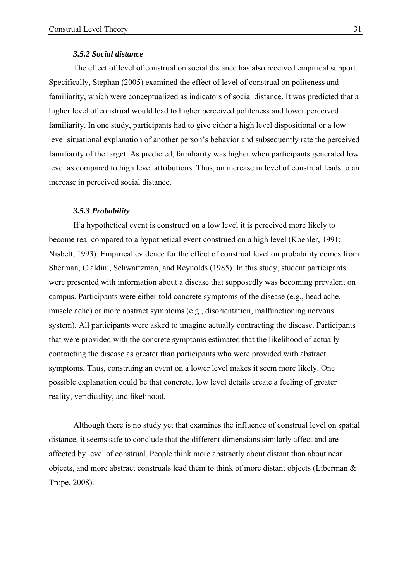## *3.5.2 Social distance*

The effect of level of construal on social distance has also received empirical support. Specifically, Stephan (2005) examined the effect of level of construal on politeness and familiarity, which were conceptualized as indicators of social distance. It was predicted that a higher level of construal would lead to higher perceived politeness and lower perceived familiarity. In one study, participants had to give either a high level dispositional or a low level situational explanation of another person's behavior and subsequently rate the perceived familiarity of the target. As predicted, familiarity was higher when participants generated low level as compared to high level attributions. Thus, an increase in level of construal leads to an increase in perceived social distance.

#### *3.5.3 Probability*

If a hypothetical event is construed on a low level it is perceived more likely to become real compared to a hypothetical event construed on a high level (Koehler, 1991; Nisbett, 1993). Empirical evidence for the effect of construal level on probability comes from Sherman, Cialdini, Schwartzman, and Reynolds (1985). In this study, student participants were presented with information about a disease that supposedly was becoming prevalent on campus. Participants were either told concrete symptoms of the disease (e.g., head ache, muscle ache) or more abstract symptoms (e.g., disorientation, malfunctioning nervous system). All participants were asked to imagine actually contracting the disease. Participants that were provided with the concrete symptoms estimated that the likelihood of actually contracting the disease as greater than participants who were provided with abstract symptoms. Thus, construing an event on a lower level makes it seem more likely. One possible explanation could be that concrete, low level details create a feeling of greater reality, veridicality, and likelihood.

Although there is no study yet that examines the influence of construal level on spatial distance, it seems safe to conclude that the different dimensions similarly affect and are affected by level of construal. People think more abstractly about distant than about near objects, and more abstract construals lead them to think of more distant objects (Liberman & Trope, 2008).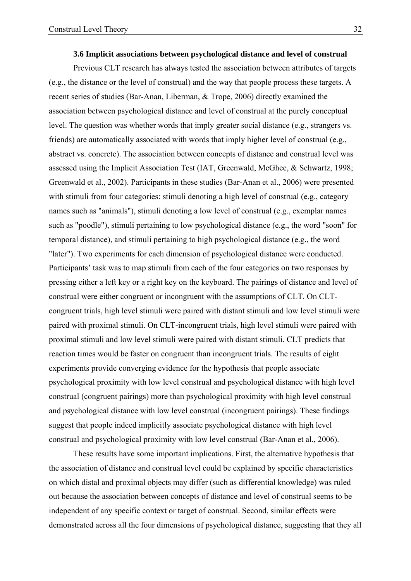#### **3.6 Implicit associations between psychological distance and level of construal**

Previous CLT research has always tested the association between attributes of targets (e.g., the distance or the level of construal) and the way that people process these targets. A recent series of studies (Bar-Anan, Liberman, & Trope, 2006) directly examined the association between psychological distance and level of construal at the purely conceptual level. The question was whether words that imply greater social distance (e.g., strangers vs. friends) are automatically associated with words that imply higher level of construal (e.g., abstract vs. concrete). The association between concepts of distance and construal level was assessed using the Implicit Association Test (IAT, Greenwald, McGhee, & Schwartz, 1998; Greenwald et al., 2002). Participants in these studies (Bar-Anan et al., 2006) were presented with stimuli from four categories: stimuli denoting a high level of construal (e.g., category names such as "animals"), stimuli denoting a low level of construal (e.g., exemplar names such as "poodle"), stimuli pertaining to low psychological distance (e.g., the word "soon" for temporal distance), and stimuli pertaining to high psychological distance (e.g., the word "later"). Two experiments for each dimension of psychological distance were conducted. Participants' task was to map stimuli from each of the four categories on two responses by pressing either a left key or a right key on the keyboard. The pairings of distance and level of construal were either congruent or incongruent with the assumptions of CLT. On CLTcongruent trials, high level stimuli were paired with distant stimuli and low level stimuli were paired with proximal stimuli. On CLT-incongruent trials, high level stimuli were paired with proximal stimuli and low level stimuli were paired with distant stimuli. CLT predicts that reaction times would be faster on congruent than incongruent trials. The results of eight experiments provide converging evidence for the hypothesis that people associate psychological proximity with low level construal and psychological distance with high level construal (congruent pairings) more than psychological proximity with high level construal and psychological distance with low level construal (incongruent pairings). These findings suggest that people indeed implicitly associate psychological distance with high level construal and psychological proximity with low level construal (Bar-Anan et al., 2006).

These results have some important implications. First, the alternative hypothesis that the association of distance and construal level could be explained by specific characteristics on which distal and proximal objects may differ (such as differential knowledge) was ruled out because the association between concepts of distance and level of construal seems to be independent of any specific context or target of construal. Second, similar effects were demonstrated across all the four dimensions of psychological distance, suggesting that they all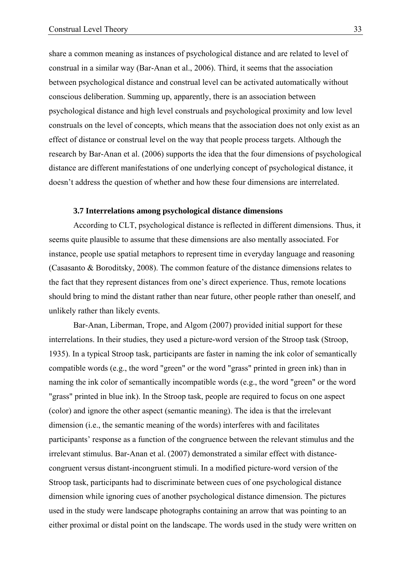share a common meaning as instances of psychological distance and are related to level of construal in a similar way (Bar-Anan et al., 2006). Third, it seems that the association between psychological distance and construal level can be activated automatically without conscious deliberation. Summing up, apparently, there is an association between psychological distance and high level construals and psychological proximity and low level construals on the level of concepts, which means that the association does not only exist as an effect of distance or construal level on the way that people process targets. Although the research by Bar-Anan et al. (2006) supports the idea that the four dimensions of psychological distance are different manifestations of one underlying concept of psychological distance, it doesn't address the question of whether and how these four dimensions are interrelated.

#### **3.7 Interrelations among psychological distance dimensions**

 According to CLT, psychological distance is reflected in different dimensions. Thus, it seems quite plausible to assume that these dimensions are also mentally associated. For instance, people use spatial metaphors to represent time in everyday language and reasoning (Casasanto & Boroditsky, 2008). The common feature of the distance dimensions relates to the fact that they represent distances from one's direct experience. Thus, remote locations should bring to mind the distant rather than near future, other people rather than oneself, and unlikely rather than likely events.

Bar-Anan, Liberman, Trope, and Algom (2007) provided initial support for these interrelations. In their studies, they used a picture-word version of the Stroop task (Stroop, 1935). In a typical Stroop task, participants are faster in naming the ink color of semantically compatible words (e.g., the word "green" or the word "grass" printed in green ink) than in naming the ink color of semantically incompatible words (e.g., the word "green" or the word "grass" printed in blue ink). In the Stroop task, people are required to focus on one aspect (color) and ignore the other aspect (semantic meaning). The idea is that the irrelevant dimension (i.e., the semantic meaning of the words) interferes with and facilitates participants' response as a function of the congruence between the relevant stimulus and the irrelevant stimulus. Bar-Anan et al. (2007) demonstrated a similar effect with distancecongruent versus distant-incongruent stimuli. In a modified picture-word version of the Stroop task, participants had to discriminate between cues of one psychological distance dimension while ignoring cues of another psychological distance dimension. The pictures used in the study were landscape photographs containing an arrow that was pointing to an either proximal or distal point on the landscape. The words used in the study were written on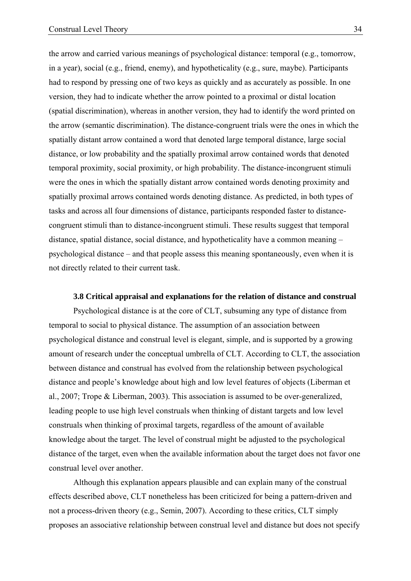the arrow and carried various meanings of psychological distance: temporal (e.g., tomorrow, in a year), social (e.g., friend, enemy), and hypotheticality (e.g., sure, maybe). Participants had to respond by pressing one of two keys as quickly and as accurately as possible. In one version, they had to indicate whether the arrow pointed to a proximal or distal location (spatial discrimination), whereas in another version, they had to identify the word printed on the arrow (semantic discrimination). The distance-congruent trials were the ones in which the spatially distant arrow contained a word that denoted large temporal distance, large social distance, or low probability and the spatially proximal arrow contained words that denoted temporal proximity, social proximity, or high probability. The distance-incongruent stimuli were the ones in which the spatially distant arrow contained words denoting proximity and spatially proximal arrows contained words denoting distance. As predicted, in both types of tasks and across all four dimensions of distance, participants responded faster to distancecongruent stimuli than to distance-incongruent stimuli. These results suggest that temporal distance, spatial distance, social distance, and hypotheticality have a common meaning – psychological distance – and that people assess this meaning spontaneously, even when it is not directly related to their current task.

#### **3.8 Critical appraisal and explanations for the relation of distance and construal**

Psychological distance is at the core of CLT, subsuming any type of distance from temporal to social to physical distance. The assumption of an association between psychological distance and construal level is elegant, simple, and is supported by a growing amount of research under the conceptual umbrella of CLT. According to CLT, the association between distance and construal has evolved from the relationship between psychological distance and people's knowledge about high and low level features of objects (Liberman et al., 2007; Trope & Liberman, 2003). This association is assumed to be over-generalized, leading people to use high level construals when thinking of distant targets and low level construals when thinking of proximal targets, regardless of the amount of available knowledge about the target. The level of construal might be adjusted to the psychological distance of the target, even when the available information about the target does not favor one construal level over another.

Although this explanation appears plausible and can explain many of the construal effects described above, CLT nonetheless has been criticized for being a pattern-driven and not a process-driven theory (e.g., Semin, 2007). According to these critics, CLT simply proposes an associative relationship between construal level and distance but does not specify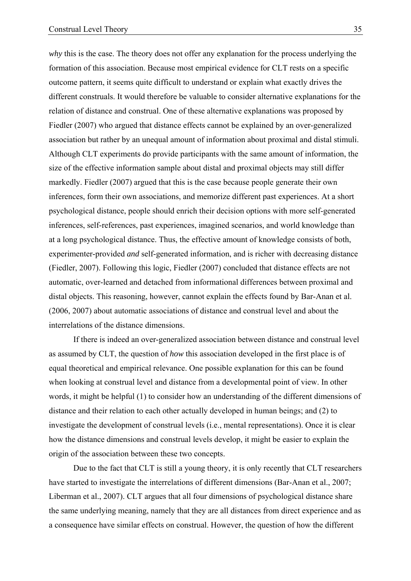*why* this is the case. The theory does not offer any explanation for the process underlying the formation of this association. Because most empirical evidence for CLT rests on a specific outcome pattern, it seems quite difficult to understand or explain what exactly drives the different construals. It would therefore be valuable to consider alternative explanations for the relation of distance and construal. One of these alternative explanations was proposed by Fiedler (2007) who argued that distance effects cannot be explained by an over-generalized association but rather by an unequal amount of information about proximal and distal stimuli. Although CLT experiments do provide participants with the same amount of information, the size of the effective information sample about distal and proximal objects may still differ markedly. Fiedler (2007) argued that this is the case because people generate their own inferences, form their own associations, and memorize different past experiences. At a short psychological distance, people should enrich their decision options with more self-generated inferences, self-references, past experiences, imagined scenarios, and world knowledge than at a long psychological distance. Thus, the effective amount of knowledge consists of both, experimenter-provided *and* self-generated information, and is richer with decreasing distance (Fiedler, 2007). Following this logic, Fiedler (2007) concluded that distance effects are not automatic, over-learned and detached from informational differences between proximal and distal objects. This reasoning, however, cannot explain the effects found by Bar-Anan et al. (2006, 2007) about automatic associations of distance and construal level and about the interrelations of the distance dimensions.

If there is indeed an over-generalized association between distance and construal level as assumed by CLT, the question of *how* this association developed in the first place is of equal theoretical and empirical relevance. One possible explanation for this can be found when looking at construal level and distance from a developmental point of view. In other words, it might be helpful (1) to consider how an understanding of the different dimensions of distance and their relation to each other actually developed in human beings; and (2) to investigate the development of construal levels (i.e., mental representations). Once it is clear how the distance dimensions and construal levels develop, it might be easier to explain the origin of the association between these two concepts.

Due to the fact that CLT is still a young theory, it is only recently that CLT researchers have started to investigate the interrelations of different dimensions (Bar-Anan et al., 2007; Liberman et al., 2007). CLT argues that all four dimensions of psychological distance share the same underlying meaning, namely that they are all distances from direct experience and as a consequence have similar effects on construal. However, the question of how the different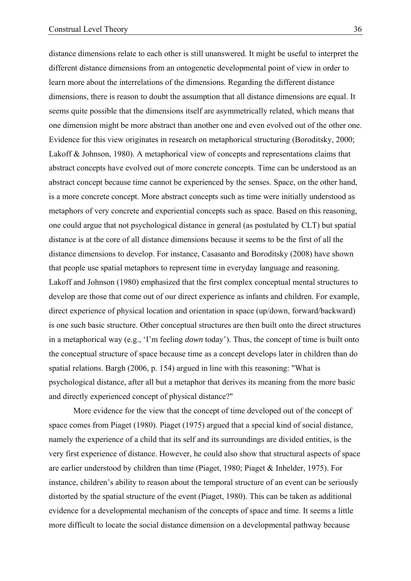distance dimensions relate to each other is still unanswered. It might be useful to interpret the different distance dimensions from an ontogenetic developmental point of view in order to learn more about the interrelations of the dimensions. Regarding the different distance dimensions, there is reason to doubt the assumption that all distance dimensions are equal. It seems quite possible that the dimensions itself are asymmetrically related, which means that one dimension might be more abstract than another one and even evolved out of the other one. Evidence for this view originates in research on metaphorical structuring (Boroditsky, 2000; Lakoff & Johnson, 1980). A metaphorical view of concepts and representations claims that abstract concepts have evolved out of more concrete concepts. Time can be understood as an abstract concept because time cannot be experienced by the senses. Space, on the other hand, is a more concrete concept. More abstract concepts such as time were initially understood as

metaphors of very concrete and experiential concepts such as space. Based on this reasoning, one could argue that not psychological distance in general (as postulated by CLT) but spatial distance is at the core of all distance dimensions because it seems to be the first of all the distance dimensions to develop. For instance, Casasanto and Boroditsky (2008) have shown that people use spatial metaphors to represent time in everyday language and reasoning. Lakoff and Johnson (1980) emphasized that the first complex conceptual mental structures to develop are those that come out of our direct experience as infants and children. For example, direct experience of physical location and orientation in space (up/down, forward/backward) is one such basic structure. Other conceptual structures are then built onto the direct structures in a metaphorical way (e.g., 'I'm feeling *down* today'). Thus, the concept of time is built onto the conceptual structure of space because time as a concept develops later in children than do spatial relations. Bargh (2006, p. 154) argued in line with this reasoning: "What is psychological distance, after all but a metaphor that derives its meaning from the more basic and directly experienced concept of physical distance?"

More evidence for the view that the concept of time developed out of the concept of space comes from Piaget (1980). Piaget (1975) argued that a special kind of social distance, namely the experience of a child that its self and its surroundings are divided entities, is the very first experience of distance. However, he could also show that structural aspects of space are earlier understood by children than time (Piaget, 1980; Piaget & Inhelder, 1975). For instance, children's ability to reason about the temporal structure of an event can be seriously distorted by the spatial structure of the event (Piaget, 1980). This can be taken as additional evidence for a developmental mechanism of the concepts of space and time. It seems a little more difficult to locate the social distance dimension on a developmental pathway because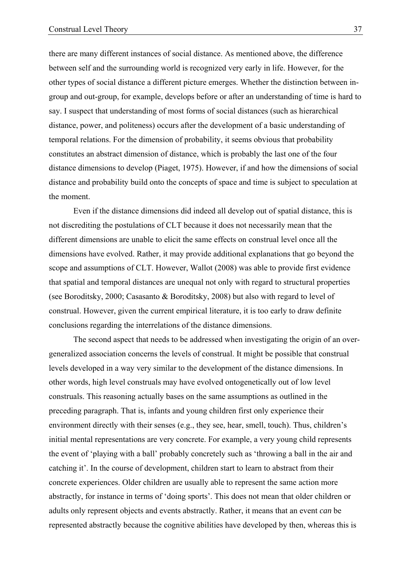there are many different instances of social distance. As mentioned above, the difference between self and the surrounding world is recognized very early in life. However, for the other types of social distance a different picture emerges. Whether the distinction between ingroup and out-group, for example, develops before or after an understanding of time is hard to say. I suspect that understanding of most forms of social distances (such as hierarchical distance, power, and politeness) occurs after the development of a basic understanding of temporal relations. For the dimension of probability, it seems obvious that probability constitutes an abstract dimension of distance, which is probably the last one of the four distance dimensions to develop (Piaget, 1975). However, if and how the dimensions of social distance and probability build onto the concepts of space and time is subject to speculation at the moment.

Even if the distance dimensions did indeed all develop out of spatial distance, this is not discrediting the postulations of CLT because it does not necessarily mean that the different dimensions are unable to elicit the same effects on construal level once all the dimensions have evolved. Rather, it may provide additional explanations that go beyond the scope and assumptions of CLT. However, Wallot (2008) was able to provide first evidence that spatial and temporal distances are unequal not only with regard to structural properties (see Boroditsky, 2000; Casasanto & Boroditsky, 2008) but also with regard to level of construal. However, given the current empirical literature, it is too early to draw definite conclusions regarding the interrelations of the distance dimensions.

The second aspect that needs to be addressed when investigating the origin of an overgeneralized association concerns the levels of construal. It might be possible that construal levels developed in a way very similar to the development of the distance dimensions. In other words, high level construals may have evolved ontogenetically out of low level construals. This reasoning actually bases on the same assumptions as outlined in the preceding paragraph. That is, infants and young children first only experience their environment directly with their senses (e.g., they see, hear, smell, touch). Thus, children's initial mental representations are very concrete. For example, a very young child represents the event of 'playing with a ball' probably concretely such as 'throwing a ball in the air and catching it'. In the course of development, children start to learn to abstract from their concrete experiences. Older children are usually able to represent the same action more abstractly, for instance in terms of 'doing sports'. This does not mean that older children or adults only represent objects and events abstractly. Rather, it means that an event *can* be represented abstractly because the cognitive abilities have developed by then, whereas this is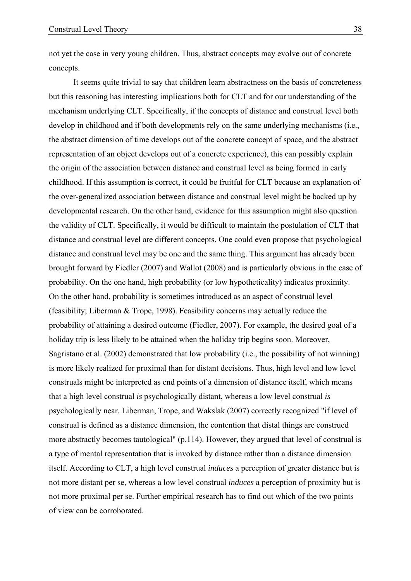not yet the case in very young children. Thus, abstract concepts may evolve out of concrete concepts.

It seems quite trivial to say that children learn abstractness on the basis of concreteness but this reasoning has interesting implications both for CLT and for our understanding of the mechanism underlying CLT. Specifically, if the concepts of distance and construal level both develop in childhood and if both developments rely on the same underlying mechanisms (i.e., the abstract dimension of time develops out of the concrete concept of space, and the abstract representation of an object develops out of a concrete experience), this can possibly explain the origin of the association between distance and construal level as being formed in early childhood. If this assumption is correct, it could be fruitful for CLT because an explanation of the over-generalized association between distance and construal level might be backed up by developmental research. On the other hand, evidence for this assumption might also question the validity of CLT. Specifically, it would be difficult to maintain the postulation of CLT that distance and construal level are different concepts. One could even propose that psychological distance and construal level may be one and the same thing. This argument has already been brought forward by Fiedler (2007) and Wallot (2008) and is particularly obvious in the case of probability. On the one hand, high probability (or low hypotheticality) indicates proximity. On the other hand, probability is sometimes introduced as an aspect of construal level (feasibility; Liberman & Trope, 1998). Feasibility concerns may actually reduce the probability of attaining a desired outcome (Fiedler, 2007). For example, the desired goal of a holiday trip is less likely to be attained when the holiday trip begins soon. Moreover, Sagristano et al. (2002) demonstrated that low probability (i.e., the possibility of not winning) is more likely realized for proximal than for distant decisions. Thus, high level and low level construals might be interpreted as end points of a dimension of distance itself, which means that a high level construal *is* psychologically distant, whereas a low level construal *is* psychologically near. Liberman, Trope, and Wakslak (2007) correctly recognized "if level of construal is defined as a distance dimension, the contention that distal things are construed more abstractly becomes tautological" (p.114). However, they argued that level of construal is a type of mental representation that is invoked by distance rather than a distance dimension itself. According to CLT, a high level construal *induces* a perception of greater distance but is not more distant per se, whereas a low level construal *induces* a perception of proximity but is not more proximal per se. Further empirical research has to find out which of the two points of view can be corroborated.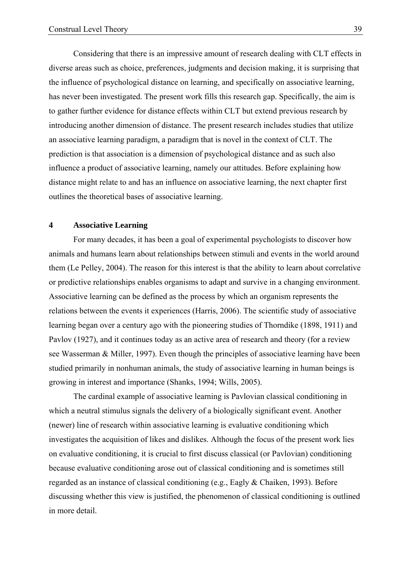Considering that there is an impressive amount of research dealing with CLT effects in diverse areas such as choice, preferences, judgments and decision making, it is surprising that the influence of psychological distance on learning, and specifically on associative learning, has never been investigated. The present work fills this research gap. Specifically, the aim is to gather further evidence for distance effects within CLT but extend previous research by introducing another dimension of distance. The present research includes studies that utilize an associative learning paradigm, a paradigm that is novel in the context of CLT. The prediction is that association is a dimension of psychological distance and as such also influence a product of associative learning, namely our attitudes. Before explaining how distance might relate to and has an influence on associative learning, the next chapter first outlines the theoretical bases of associative learning.

# **4 Associative Learning**

 For many decades, it has been a goal of experimental psychologists to discover how animals and humans learn about relationships between stimuli and events in the world around them (Le Pelley, 2004). The reason for this interest is that the ability to learn about correlative or predictive relationships enables organisms to adapt and survive in a changing environment. Associative learning can be defined as the process by which an organism represents the relations between the events it experiences (Harris, 2006). The scientific study of associative learning began over a century ago with the pioneering studies of Thorndike (1898, 1911) and Pavlov (1927), and it continues today as an active area of research and theory (for a review see Wasserman & Miller, 1997). Even though the principles of associative learning have been studied primarily in nonhuman animals, the study of associative learning in human beings is growing in interest and importance (Shanks, 1994; Wills, 2005).

 The cardinal example of associative learning is Pavlovian classical conditioning in which a neutral stimulus signals the delivery of a biologically significant event. Another (newer) line of research within associative learning is evaluative conditioning which investigates the acquisition of likes and dislikes. Although the focus of the present work lies on evaluative conditioning, it is crucial to first discuss classical (or Pavlovian) conditioning because evaluative conditioning arose out of classical conditioning and is sometimes still regarded as an instance of classical conditioning (e.g., Eagly & Chaiken, 1993). Before discussing whether this view is justified, the phenomenon of classical conditioning is outlined in more detail.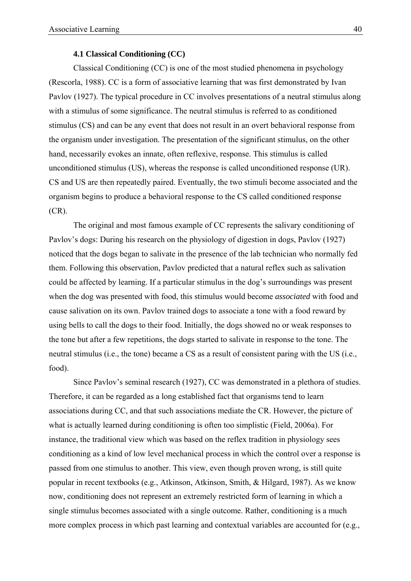#### **4.1 Classical Conditioning (CC)**

 Classical Conditioning (CC) is one of the most studied phenomena in psychology (Rescorla, 1988). CC is a form of associative learning that was first demonstrated by Ivan Pavlov (1927). The typical procedure in CC involves presentations of a neutral stimulus along with a stimulus of some significance. The neutral stimulus is referred to as conditioned stimulus (CS) and can be any event that does not result in an overt behavioral response from the organism under investigation. The presentation of the significant stimulus, on the other hand, necessarily evokes an innate, often reflexive, response. This stimulus is called unconditioned stimulus (US), whereas the response is called unconditioned response (UR). CS and US are then repeatedly paired. Eventually, the two stimuli become associated and the organism begins to produce a behavioral response to the CS called conditioned response (CR).

The original and most famous example of CC represents the salivary conditioning of Pavlov's dogs: During his research on the physiology of digestion in dogs, Pavlov (1927) noticed that the dogs began to salivate in the presence of the lab technician who normally fed them. Following this observation, Pavlov predicted that a natural reflex such as salivation could be affected by learning. If a particular stimulus in the dog's surroundings was present when the dog was presented with food, this stimulus would become *associated* with food and cause salivation on its own. Pavlov trained dogs to associate a tone with a food reward by using bells to call the dogs to their food. Initially, the dogs showed no or weak responses to the tone but after a few repetitions, the dogs started to salivate in response to the tone. The neutral stimulus (i.e., the tone) became a CS as a result of consistent paring with the US (i.e., food).

Since Pavlov's seminal research (1927), CC was demonstrated in a plethora of studies. Therefore, it can be regarded as a long established fact that organisms tend to learn associations during CC, and that such associations mediate the CR. However, the picture of what is actually learned during conditioning is often too simplistic (Field, 2006a). For instance, the traditional view which was based on the reflex tradition in physiology sees conditioning as a kind of low level mechanical process in which the control over a response is passed from one stimulus to another. This view, even though proven wrong, is still quite popular in recent textbooks (e.g., Atkinson, Atkinson, Smith, & Hilgard, 1987). As we know now, conditioning does not represent an extremely restricted form of learning in which a single stimulus becomes associated with a single outcome. Rather, conditioning is a much more complex process in which past learning and contextual variables are accounted for (e.g.,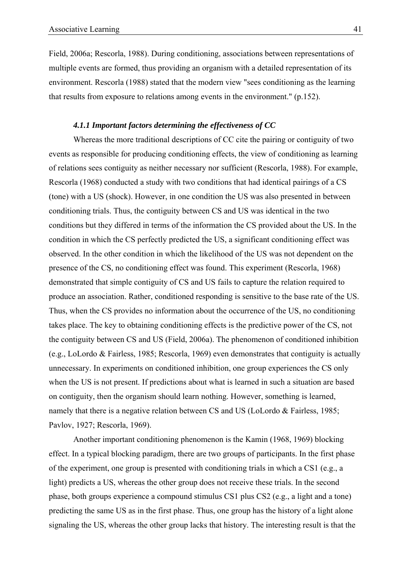Field, 2006a; Rescorla, 1988). During conditioning, associations between representations of multiple events are formed, thus providing an organism with a detailed representation of its environment. Rescorla (1988) stated that the modern view "sees conditioning as the learning that results from exposure to relations among events in the environment." (p.152).

# *4.1.1 Important factors determining the effectiveness of CC*

Whereas the more traditional descriptions of CC cite the pairing or contiguity of two events as responsible for producing conditioning effects, the view of conditioning as learning of relations sees contiguity as neither necessary nor sufficient (Rescorla, 1988). For example, Rescorla (1968) conducted a study with two conditions that had identical pairings of a CS (tone) with a US (shock). However, in one condition the US was also presented in between conditioning trials. Thus, the contiguity between CS and US was identical in the two conditions but they differed in terms of the information the CS provided about the US. In the condition in which the CS perfectly predicted the US, a significant conditioning effect was observed. In the other condition in which the likelihood of the US was not dependent on the presence of the CS, no conditioning effect was found. This experiment (Rescorla, 1968) demonstrated that simple contiguity of CS and US fails to capture the relation required to produce an association. Rather, conditioned responding is sensitive to the base rate of the US. Thus, when the CS provides no information about the occurrence of the US, no conditioning takes place. The key to obtaining conditioning effects is the predictive power of the CS, not the contiguity between CS and US (Field, 2006a). The phenomenon of conditioned inhibition (e.g., LoLordo & Fairless, 1985; Rescorla, 1969) even demonstrates that contiguity is actually unnecessary. In experiments on conditioned inhibition, one group experiences the CS only when the US is not present. If predictions about what is learned in such a situation are based on contiguity, then the organism should learn nothing. However, something is learned, namely that there is a negative relation between CS and US (LoLordo & Fairless, 1985; Pavlov, 1927; Rescorla, 1969).

Another important conditioning phenomenon is the Kamin (1968, 1969) blocking effect. In a typical blocking paradigm, there are two groups of participants. In the first phase of the experiment, one group is presented with conditioning trials in which a CS1 (e.g., a light) predicts a US, whereas the other group does not receive these trials. In the second phase, both groups experience a compound stimulus CS1 plus CS2 (e.g., a light and a tone) predicting the same US as in the first phase. Thus, one group has the history of a light alone signaling the US, whereas the other group lacks that history. The interesting result is that the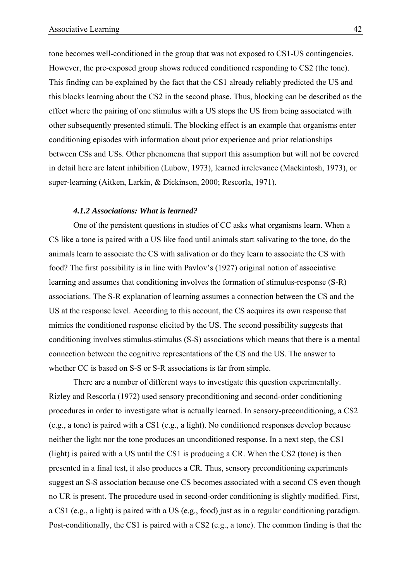tone becomes well-conditioned in the group that was not exposed to CS1-US contingencies. However, the pre-exposed group shows reduced conditioned responding to CS2 (the tone). This finding can be explained by the fact that the CS1 already reliably predicted the US and this blocks learning about the CS2 in the second phase. Thus, blocking can be described as the effect where the pairing of one stimulus with a US stops the US from being associated with other subsequently presented stimuli. The blocking effect is an example that organisms enter conditioning episodes with information about prior experience and prior relationships between CSs and USs. Other phenomena that support this assumption but will not be covered in detail here are latent inhibition (Lubow, 1973), learned irrelevance (Mackintosh, 1973), or super-learning (Aitken, Larkin, & Dickinson, 2000; Rescorla, 1971).

### *4.1.2 Associations: What is learned?*

One of the persistent questions in studies of CC asks what organisms learn. When a CS like a tone is paired with a US like food until animals start salivating to the tone, do the animals learn to associate the CS with salivation or do they learn to associate the CS with food? The first possibility is in line with Pavlov's (1927) original notion of associative learning and assumes that conditioning involves the formation of stimulus-response (S-R) associations. The S-R explanation of learning assumes a connection between the CS and the US at the response level. According to this account, the CS acquires its own response that mimics the conditioned response elicited by the US. The second possibility suggests that conditioning involves stimulus-stimulus (S-S) associations which means that there is a mental connection between the cognitive representations of the CS and the US. The answer to whether CC is based on S-S or S-R associations is far from simple.

There are a number of different ways to investigate this question experimentally. Rizley and Rescorla (1972) used sensory preconditioning and second-order conditioning procedures in order to investigate what is actually learned. In sensory-preconditioning, a CS2 (e.g., a tone) is paired with a CS1 (e.g., a light). No conditioned responses develop because neither the light nor the tone produces an unconditioned response. In a next step, the CS1 (light) is paired with a US until the CS1 is producing a CR. When the CS2 (tone) is then presented in a final test, it also produces a CR. Thus, sensory preconditioning experiments suggest an S-S association because one CS becomes associated with a second CS even though no UR is present. The procedure used in second-order conditioning is slightly modified. First, a CS1 (e.g., a light) is paired with a US (e.g., food) just as in a regular conditioning paradigm. Post-conditionally, the CS1 is paired with a CS2 (e.g., a tone). The common finding is that the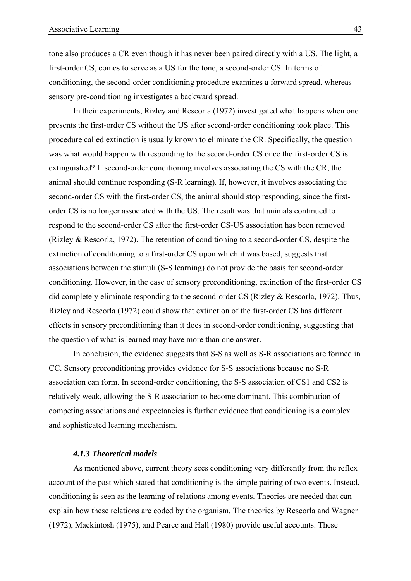tone also produces a CR even though it has never been paired directly with a US. The light, a first-order CS, comes to serve as a US for the tone, a second-order CS. In terms of conditioning, the second-order conditioning procedure examines a forward spread, whereas sensory pre-conditioning investigates a backward spread.

In their experiments, Rizley and Rescorla (1972) investigated what happens when one presents the first-order CS without the US after second-order conditioning took place. This procedure called extinction is usually known to eliminate the CR. Specifically, the question was what would happen with responding to the second-order CS once the first-order CS is extinguished? If second-order conditioning involves associating the CS with the CR, the animal should continue responding (S-R learning). If, however, it involves associating the second-order CS with the first-order CS, the animal should stop responding, since the firstorder CS is no longer associated with the US. The result was that animals continued to respond to the second-order CS after the first-order CS-US association has been removed (Rizley & Rescorla, 1972). The retention of conditioning to a second-order CS, despite the extinction of conditioning to a first-order CS upon which it was based, suggests that associations between the stimuli (S-S learning) do not provide the basis for second-order conditioning. However, in the case of sensory preconditioning, extinction of the first-order CS did completely eliminate responding to the second-order CS (Rizley & Rescorla, 1972). Thus, Rizley and Rescorla (1972) could show that extinction of the first-order CS has different effects in sensory preconditioning than it does in second-order conditioning, suggesting that the question of what is learned may have more than one answer.

In conclusion, the evidence suggests that S-S as well as S-R associations are formed in CC. Sensory preconditioning provides evidence for S-S associations because no S-R association can form. In second-order conditioning, the S-S association of CS1 and CS2 is relatively weak, allowing the S-R association to become dominant. This combination of competing associations and expectancies is further evidence that conditioning is a complex and sophisticated learning mechanism.

### *4.1.3 Theoretical models*

As mentioned above, current theory sees conditioning very differently from the reflex account of the past which stated that conditioning is the simple pairing of two events. Instead, conditioning is seen as the learning of relations among events. Theories are needed that can explain how these relations are coded by the organism. The theories by Rescorla and Wagner (1972), Mackintosh (1975), and Pearce and Hall (1980) provide useful accounts. These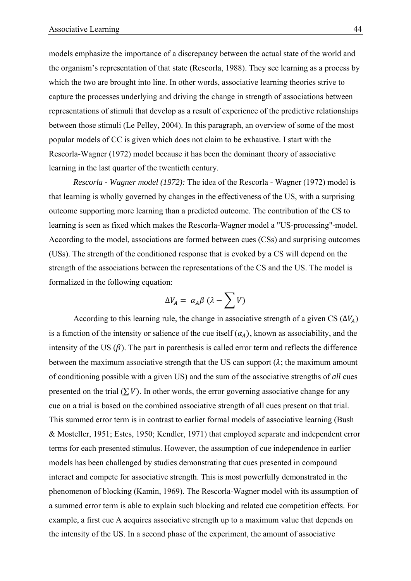models emphasize the importance of a discrepancy between the actual state of the world and the organism's representation of that state (Rescorla, 1988). They see learning as a process by which the two are brought into line. In other words, associative learning theories strive to capture the processes underlying and driving the change in strength of associations between representations of stimuli that develop as a result of experience of the predictive relationships between those stimuli (Le Pelley, 2004). In this paragraph, an overview of some of the most popular models of CC is given which does not claim to be exhaustive. I start with the Rescorla-Wagner (1972) model because it has been the dominant theory of associative learning in the last quarter of the twentieth century.

*Rescorla - Wagner model (1972):* The idea of the Rescorla - Wagner (1972) model is that learning is wholly governed by changes in the effectiveness of the US, with a surprising outcome supporting more learning than a predicted outcome. The contribution of the CS to learning is seen as fixed which makes the Rescorla-Wagner model a "US-processing"-model. According to the model, associations are formed between cues (CSs) and surprising outcomes (USs). The strength of the conditioned response that is evoked by a CS will depend on the strength of the associations between the representations of the CS and the US. The model is formalized in the following equation:

$$
\Delta V_A = \alpha_A \beta \, (\lambda - \sum V)
$$

According to this learning rule, the change in associative strength of a given CS  $(\Delta V_A)$ is a function of the intensity or salience of the cue itself  $(\alpha_A)$ , known as associability, and the intensity of the US  $(\beta)$ . The part in parenthesis is called error term and reflects the difference between the maximum associative strength that the US can support  $(\lambda)$ ; the maximum amount of conditioning possible with a given US) and the sum of the associative strengths of *all* cues presented on the trial  $(\sum V)$ . In other words, the error governing associative change for any cue on a trial is based on the combined associative strength of all cues present on that trial. This summed error term is in contrast to earlier formal models of associative learning (Bush & Mosteller, 1951; Estes, 1950; Kendler, 1971) that employed separate and independent error terms for each presented stimulus. However, the assumption of cue independence in earlier models has been challenged by studies demonstrating that cues presented in compound interact and compete for associative strength. This is most powerfully demonstrated in the phenomenon of blocking (Kamin, 1969). The Rescorla-Wagner model with its assumption of a summed error term is able to explain such blocking and related cue competition effects. For example, a first cue A acquires associative strength up to a maximum value that depends on the intensity of the US. In a second phase of the experiment, the amount of associative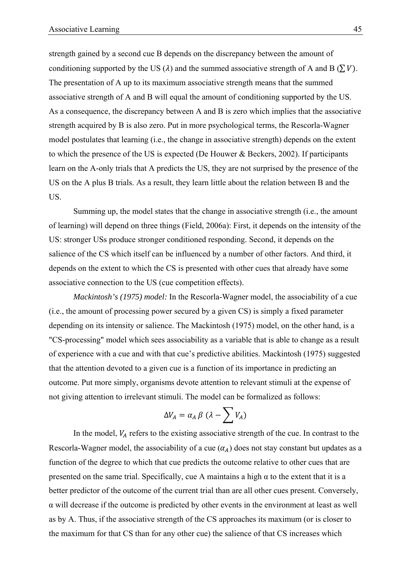strength gained by a second cue B depends on the discrepancy between the amount of conditioning supported by the US ( $\lambda$ ) and the summed associative strength of A and B ( $\Sigma V$ ). The presentation of A up to its maximum associative strength means that the summed associative strength of A and B will equal the amount of conditioning supported by the US. As a consequence, the discrepancy between A and B is zero which implies that the associative strength acquired by B is also zero. Put in more psychological terms, the Rescorla-Wagner model postulates that learning (i.e., the change in associative strength) depends on the extent to which the presence of the US is expected (De Houwer & Beckers, 2002). If participants learn on the A-only trials that A predicts the US, they are not surprised by the presence of the US on the A plus B trials. As a result, they learn little about the relation between B and the US.

Summing up, the model states that the change in associative strength (i.e., the amount of learning) will depend on three things (Field, 2006a): First, it depends on the intensity of the US: stronger USs produce stronger conditioned responding. Second, it depends on the salience of the CS which itself can be influenced by a number of other factors. And third, it depends on the extent to which the CS is presented with other cues that already have some associative connection to the US (cue competition effects).

*Mackintosh's (1975) model:* In the Rescorla-Wagner model, the associability of a cue (i.e., the amount of processing power secured by a given CS) is simply a fixed parameter depending on its intensity or salience. The Mackintosh (1975) model, on the other hand, is a "CS-processing" model which sees associability as a variable that is able to change as a result of experience with a cue and with that cue's predictive abilities. Mackintosh (1975) suggested that the attention devoted to a given cue is a function of its importance in predicting an outcome. Put more simply, organisms devote attention to relevant stimuli at the expense of not giving attention to irrelevant stimuli. The model can be formalized as follows:

$$
\Delta V_A = \alpha_A \beta \, (\lambda - \sum V_A)
$$

In the model,  $V_A$  refers to the existing associative strength of the cue. In contrast to the Rescorla-Wagner model, the associability of a cue  $(\alpha_A)$  does not stay constant but updates as a function of the degree to which that cue predicts the outcome relative to other cues that are presented on the same trial. Specifically, cue A maintains a high  $\alpha$  to the extent that it is a better predictor of the outcome of the current trial than are all other cues present. Conversely, α will decrease if the outcome is predicted by other events in the environment at least as well as by A. Thus, if the associative strength of the CS approaches its maximum (or is closer to the maximum for that CS than for any other cue) the salience of that CS increases which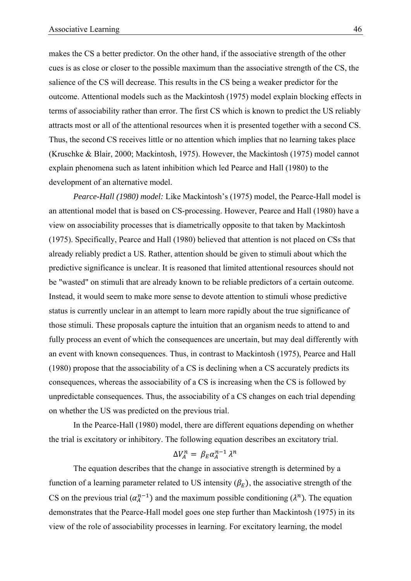makes the CS a better predictor. On the other hand, if the associative strength of the other cues is as close or closer to the possible maximum than the associative strength of the CS, the salience of the CS will decrease. This results in the CS being a weaker predictor for the outcome. Attentional models such as the Mackintosh (1975) model explain blocking effects in terms of associability rather than error. The first CS which is known to predict the US reliably attracts most or all of the attentional resources when it is presented together with a second CS. Thus, the second CS receives little or no attention which implies that no learning takes place (Kruschke & Blair, 2000; Mackintosh, 1975). However, the Mackintosh (1975) model cannot explain phenomena such as latent inhibition which led Pearce and Hall (1980) to the development of an alternative model.

*Pearce-Hall (1980) model:* Like Mackintosh's (1975) model, the Pearce-Hall model is an attentional model that is based on CS-processing. However, Pearce and Hall (1980) have a view on associability processes that is diametrically opposite to that taken by Mackintosh (1975). Specifically, Pearce and Hall (1980) believed that attention is not placed on CSs that already reliably predict a US. Rather, attention should be given to stimuli about which the predictive significance is unclear. It is reasoned that limited attentional resources should not be "wasted" on stimuli that are already known to be reliable predictors of a certain outcome. Instead, it would seem to make more sense to devote attention to stimuli whose predictive status is currently unclear in an attempt to learn more rapidly about the true significance of those stimuli. These proposals capture the intuition that an organism needs to attend to and fully process an event of which the consequences are uncertain, but may deal differently with an event with known consequences. Thus, in contrast to Mackintosh (1975), Pearce and Hall (1980) propose that the associability of a CS is declining when a CS accurately predicts its consequences, whereas the associability of a CS is increasing when the CS is followed by unpredictable consequences. Thus, the associability of a CS changes on each trial depending on whether the US was predicted on the previous trial.

In the Pearce-Hall (1980) model, there are different equations depending on whether the trial is excitatory or inhibitory. The following equation describes an excitatory trial.

$$
\Delta V_A^n = \beta_E \alpha_A^{n-1} \lambda^n
$$

The equation describes that the change in associative strength is determined by a function of a learning parameter related to US intensity  $(\beta_E)$ , the associative strength of the CS on the previous trial  $(\alpha_A^{n-1})$  and the maximum possible conditioning  $(\lambda^n)$ . The equation demonstrates that the Pearce-Hall model goes one step further than Mackintosh (1975) in its view of the role of associability processes in learning. For excitatory learning, the model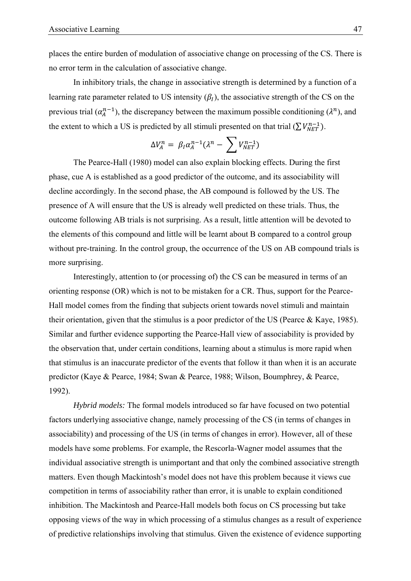places the entire burden of modulation of associative change on processing of the CS. There is no error term in the calculation of associative change.

In inhibitory trials, the change in associative strength is determined by a function of a learning rate parameter related to US intensity  $(\beta<sub>I</sub>)$ , the associative strength of the CS on the previous trial  $(\alpha_A^{n-1})$ , the discrepancy between the maximum possible conditioning  $(\lambda^n)$ , and the extent to which a US is predicted by all stimuli presented on that trial  $(\sum V_{NET}^{n-1})$ .

$$
\Delta V_A^n = \beta_I \alpha_A^{n-1} (\lambda^n - \sum V_{NET}^{n-1})
$$

The Pearce-Hall (1980) model can also explain blocking effects. During the first phase, cue A is established as a good predictor of the outcome, and its associability will decline accordingly. In the second phase, the AB compound is followed by the US. The presence of A will ensure that the US is already well predicted on these trials. Thus, the outcome following AB trials is not surprising. As a result, little attention will be devoted to the elements of this compound and little will be learnt about B compared to a control group without pre-training. In the control group, the occurrence of the US on AB compound trials is more surprising.

Interestingly, attention to (or processing of) the CS can be measured in terms of an orienting response (OR) which is not to be mistaken for a CR. Thus, support for the Pearce-Hall model comes from the finding that subjects orient towards novel stimuli and maintain their orientation, given that the stimulus is a poor predictor of the US (Pearce & Kaye, 1985). Similar and further evidence supporting the Pearce-Hall view of associability is provided by the observation that, under certain conditions, learning about a stimulus is more rapid when that stimulus is an inaccurate predictor of the events that follow it than when it is an accurate predictor (Kaye & Pearce, 1984; Swan & Pearce, 1988; Wilson, Boumphrey, & Pearce, 1992).

*Hybrid models:* The formal models introduced so far have focused on two potential factors underlying associative change, namely processing of the CS (in terms of changes in associability) and processing of the US (in terms of changes in error). However, all of these models have some problems. For example, the Rescorla-Wagner model assumes that the individual associative strength is unimportant and that only the combined associative strength matters. Even though Mackintosh's model does not have this problem because it views cue competition in terms of associability rather than error, it is unable to explain conditioned inhibition. The Mackintosh and Pearce-Hall models both focus on CS processing but take opposing views of the way in which processing of a stimulus changes as a result of experience of predictive relationships involving that stimulus. Given the existence of evidence supporting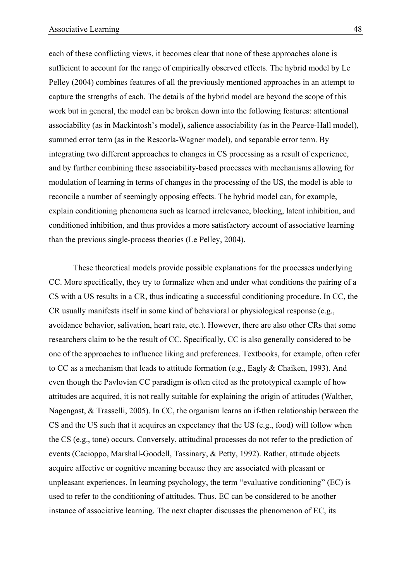each of these conflicting views, it becomes clear that none of these approaches alone is sufficient to account for the range of empirically observed effects. The hybrid model by Le Pelley (2004) combines features of all the previously mentioned approaches in an attempt to capture the strengths of each. The details of the hybrid model are beyond the scope of this work but in general, the model can be broken down into the following features: attentional associability (as in Mackintosh's model), salience associability (as in the Pearce-Hall model), summed error term (as in the Rescorla-Wagner model), and separable error term. By integrating two different approaches to changes in CS processing as a result of experience, and by further combining these associability-based processes with mechanisms allowing for modulation of learning in terms of changes in the processing of the US, the model is able to reconcile a number of seemingly opposing effects. The hybrid model can, for example, explain conditioning phenomena such as learned irrelevance, blocking, latent inhibition, and conditioned inhibition, and thus provides a more satisfactory account of associative learning than the previous single-process theories (Le Pelley, 2004).

These theoretical models provide possible explanations for the processes underlying CC. More specifically, they try to formalize when and under what conditions the pairing of a CS with a US results in a CR, thus indicating a successful conditioning procedure. In CC, the CR usually manifests itself in some kind of behavioral or physiological response (e.g., avoidance behavior, salivation, heart rate, etc.). However, there are also other CRs that some researchers claim to be the result of CC. Specifically, CC is also generally considered to be one of the approaches to influence liking and preferences. Textbooks, for example, often refer to CC as a mechanism that leads to attitude formation (e.g., Eagly & Chaiken, 1993). And even though the Pavlovian CC paradigm is often cited as the prototypical example of how attitudes are acquired, it is not really suitable for explaining the origin of attitudes (Walther, Nagengast, & Trasselli, 2005). In CC, the organism learns an if-then relationship between the CS and the US such that it acquires an expectancy that the US (e.g., food) will follow when the CS (e.g., tone) occurs. Conversely, attitudinal processes do not refer to the prediction of events (Cacioppo, Marshall-Goodell, Tassinary, & Petty, 1992). Rather, attitude objects acquire affective or cognitive meaning because they are associated with pleasant or unpleasant experiences. In learning psychology, the term "evaluative conditioning" (EC) is used to refer to the conditioning of attitudes. Thus, EC can be considered to be another instance of associative learning. The next chapter discusses the phenomenon of EC, its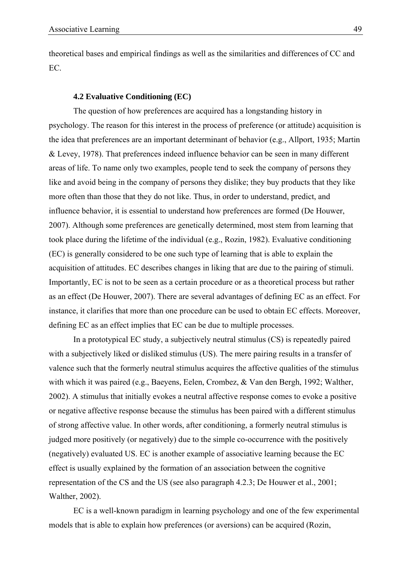theoretical bases and empirical findings as well as the similarities and differences of CC and EC.

#### **4.2 Evaluative Conditioning (EC)**

The question of how preferences are acquired has a longstanding history in psychology. The reason for this interest in the process of preference (or attitude) acquisition is the idea that preferences are an important determinant of behavior (e.g., Allport, 1935; Martin & Levey, 1978). That preferences indeed influence behavior can be seen in many different areas of life. To name only two examples, people tend to seek the company of persons they like and avoid being in the company of persons they dislike; they buy products that they like more often than those that they do not like. Thus, in order to understand, predict, and influence behavior, it is essential to understand how preferences are formed (De Houwer, 2007). Although some preferences are genetically determined, most stem from learning that took place during the lifetime of the individual (e.g., Rozin, 1982). Evaluative conditioning (EC) is generally considered to be one such type of learning that is able to explain the acquisition of attitudes. EC describes changes in liking that are due to the pairing of stimuli. Importantly, EC is not to be seen as a certain procedure or as a theoretical process but rather as an effect (De Houwer, 2007). There are several advantages of defining EC as an effect. For instance, it clarifies that more than one procedure can be used to obtain EC effects. Moreover, defining EC as an effect implies that EC can be due to multiple processes.

In a prototypical EC study, a subjectively neutral stimulus (CS) is repeatedly paired with a subjectively liked or disliked stimulus (US). The mere pairing results in a transfer of valence such that the formerly neutral stimulus acquires the affective qualities of the stimulus with which it was paired (e.g., Baeyens, Eelen, Crombez, & Van den Bergh, 1992; Walther, 2002). A stimulus that initially evokes a neutral affective response comes to evoke a positive or negative affective response because the stimulus has been paired with a different stimulus of strong affective value. In other words, after conditioning, a formerly neutral stimulus is judged more positively (or negatively) due to the simple co-occurrence with the positively (negatively) evaluated US. EC is another example of associative learning because the EC effect is usually explained by the formation of an association between the cognitive representation of the CS and the US (see also paragraph 4.2.3; De Houwer et al., 2001; Walther, 2002).

EC is a well-known paradigm in learning psychology and one of the few experimental models that is able to explain how preferences (or aversions) can be acquired (Rozin,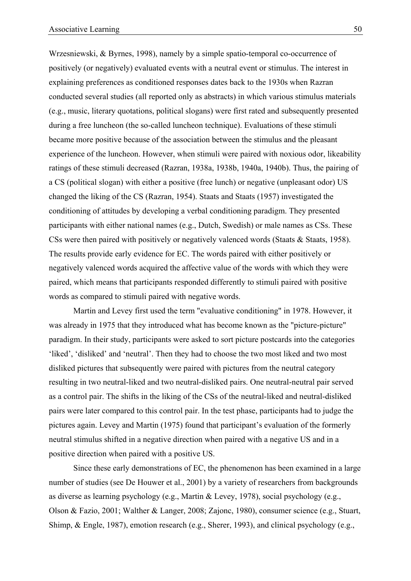Wrzesniewski, & Byrnes, 1998), namely by a simple spatio-temporal co-occurrence of positively (or negatively) evaluated events with a neutral event or stimulus. The interest in explaining preferences as conditioned responses dates back to the 1930s when Razran conducted several studies (all reported only as abstracts) in which various stimulus materials (e.g., music, literary quotations, political slogans) were first rated and subsequently presented during a free luncheon (the so-called luncheon technique). Evaluations of these stimuli became more positive because of the association between the stimulus and the pleasant experience of the luncheon. However, when stimuli were paired with noxious odor, likeability ratings of these stimuli decreased (Razran, 1938a, 1938b, 1940a, 1940b). Thus, the pairing of a CS (political slogan) with either a positive (free lunch) or negative (unpleasant odor) US changed the liking of the CS (Razran, 1954). Staats and Staats (1957) investigated the conditioning of attitudes by developing a verbal conditioning paradigm. They presented participants with either national names (e.g., Dutch, Swedish) or male names as CSs. These CSs were then paired with positively or negatively valenced words (Staats & Staats, 1958). The results provide early evidence for EC. The words paired with either positively or negatively valenced words acquired the affective value of the words with which they were paired, which means that participants responded differently to stimuli paired with positive words as compared to stimuli paired with negative words.

Martin and Levey first used the term "evaluative conditioning" in 1978. However, it was already in 1975 that they introduced what has become known as the "picture-picture" paradigm. In their study, participants were asked to sort picture postcards into the categories 'liked', 'disliked' and 'neutral'. Then they had to choose the two most liked and two most disliked pictures that subsequently were paired with pictures from the neutral category resulting in two neutral-liked and two neutral-disliked pairs. One neutral-neutral pair served as a control pair. The shifts in the liking of the CSs of the neutral-liked and neutral-disliked pairs were later compared to this control pair. In the test phase, participants had to judge the pictures again. Levey and Martin (1975) found that participant's evaluation of the formerly neutral stimulus shifted in a negative direction when paired with a negative US and in a positive direction when paired with a positive US.

Since these early demonstrations of EC, the phenomenon has been examined in a large number of studies (see De Houwer et al., 2001) by a variety of researchers from backgrounds as diverse as learning psychology (e.g., Martin & Levey, 1978), social psychology (e.g., Olson & Fazio, 2001; Walther & Langer, 2008; Zajonc, 1980), consumer science (e.g., Stuart, Shimp, & Engle, 1987), emotion research (e.g., Sherer, 1993), and clinical psychology (e.g.,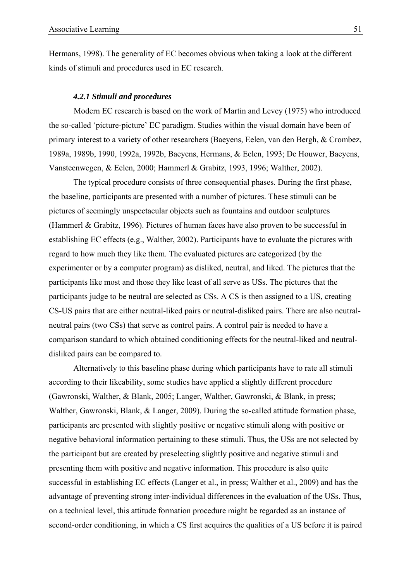Hermans, 1998). The generality of EC becomes obvious when taking a look at the different kinds of stimuli and procedures used in EC research.

#### *4.2.1 Stimuli and procedures*

Modern EC research is based on the work of Martin and Levey (1975) who introduced the so-called 'picture-picture' EC paradigm. Studies within the visual domain have been of primary interest to a variety of other researchers (Baeyens, Eelen, van den Bergh, & Crombez, 1989a, 1989b, 1990, 1992a, 1992b, Baeyens, Hermans, & Eelen, 1993; De Houwer, Baeyens, Vansteenwegen, & Eelen, 2000; Hammerl & Grabitz, 1993, 1996; Walther, 2002).

The typical procedure consists of three consequential phases. During the first phase, the baseline, participants are presented with a number of pictures. These stimuli can be pictures of seemingly unspectacular objects such as fountains and outdoor sculptures (Hammerl & Grabitz, 1996). Pictures of human faces have also proven to be successful in establishing EC effects (e.g., Walther, 2002). Participants have to evaluate the pictures with regard to how much they like them. The evaluated pictures are categorized (by the experimenter or by a computer program) as disliked, neutral, and liked. The pictures that the participants like most and those they like least of all serve as USs. The pictures that the participants judge to be neutral are selected as CSs. A CS is then assigned to a US, creating CS-US pairs that are either neutral-liked pairs or neutral-disliked pairs. There are also neutralneutral pairs (two CSs) that serve as control pairs. A control pair is needed to have a comparison standard to which obtained conditioning effects for the neutral-liked and neutraldisliked pairs can be compared to.

Alternatively to this baseline phase during which participants have to rate all stimuli according to their likeability, some studies have applied a slightly different procedure (Gawronski, Walther, & Blank, 2005; Langer, Walther, Gawronski, & Blank, in press; Walther, Gawronski, Blank, & Langer, 2009). During the so-called attitude formation phase, participants are presented with slightly positive or negative stimuli along with positive or negative behavioral information pertaining to these stimuli. Thus, the USs are not selected by the participant but are created by preselecting slightly positive and negative stimuli and presenting them with positive and negative information. This procedure is also quite successful in establishing EC effects (Langer et al., in press; Walther et al., 2009) and has the advantage of preventing strong inter-individual differences in the evaluation of the USs. Thus, on a technical level, this attitude formation procedure might be regarded as an instance of second-order conditioning, in which a CS first acquires the qualities of a US before it is paired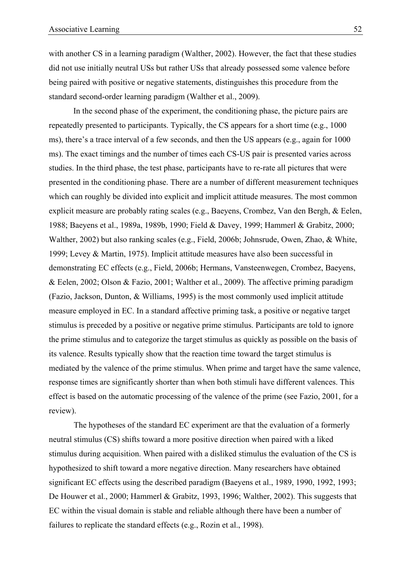with another CS in a learning paradigm (Walther, 2002). However, the fact that these studies did not use initially neutral USs but rather USs that already possessed some valence before being paired with positive or negative statements, distinguishes this procedure from the standard second-order learning paradigm (Walther et al., 2009).

In the second phase of the experiment, the conditioning phase, the picture pairs are repeatedly presented to participants. Typically, the CS appears for a short time (e.g., 1000 ms), there's a trace interval of a few seconds, and then the US appears (e.g., again for 1000 ms). The exact timings and the number of times each CS-US pair is presented varies across studies. In the third phase, the test phase, participants have to re-rate all pictures that were presented in the conditioning phase. There are a number of different measurement techniques which can roughly be divided into explicit and implicit attitude measures. The most common explicit measure are probably rating scales (e.g., Baeyens, Crombez, Van den Bergh, & Eelen, 1988; Baeyens et al., 1989a, 1989b, 1990; Field & Davey, 1999; Hammerl & Grabitz, 2000; Walther, 2002) but also ranking scales (e.g., Field, 2006b; Johnsrude, Owen, Zhao, & White, 1999; Levey & Martin, 1975). Implicit attitude measures have also been successful in demonstrating EC effects (e.g., Field, 2006b; Hermans, Vansteenwegen, Crombez, Baeyens, & Eelen, 2002; Olson & Fazio, 2001; Walther et al., 2009). The affective priming paradigm (Fazio, Jackson, Dunton, & Williams, 1995) is the most commonly used implicit attitude measure employed in EC. In a standard affective priming task, a positive or negative target stimulus is preceded by a positive or negative prime stimulus. Participants are told to ignore the prime stimulus and to categorize the target stimulus as quickly as possible on the basis of its valence. Results typically show that the reaction time toward the target stimulus is mediated by the valence of the prime stimulus. When prime and target have the same valence, response times are significantly shorter than when both stimuli have different valences. This effect is based on the automatic processing of the valence of the prime (see Fazio, 2001, for a review).

The hypotheses of the standard EC experiment are that the evaluation of a formerly neutral stimulus (CS) shifts toward a more positive direction when paired with a liked stimulus during acquisition. When paired with a disliked stimulus the evaluation of the CS is hypothesized to shift toward a more negative direction. Many researchers have obtained significant EC effects using the described paradigm (Baeyens et al., 1989, 1990, 1992, 1993; De Houwer et al., 2000; Hammerl & Grabitz, 1993, 1996; Walther, 2002). This suggests that EC within the visual domain is stable and reliable although there have been a number of failures to replicate the standard effects (e.g., Rozin et al., 1998).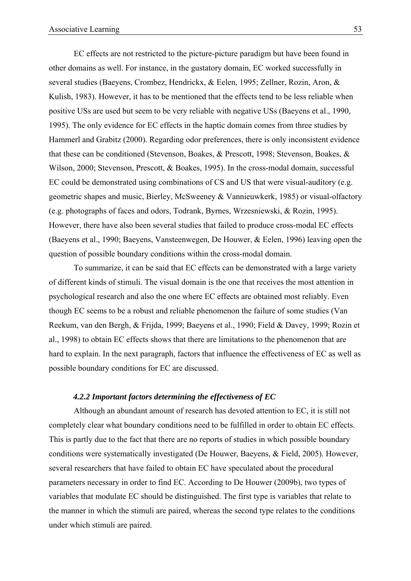EC effects are not restricted to the picture-picture paradigm but have been found in other domains as well. For instance, in the gustatory domain, EC worked successfully in several studies (Baeyens, Crombez, Hendrickx, & Eelen, 1995; Zellner, Rozin, Aron, & Kulish, 1983). However, it has to be mentioned that the effects tend to be less reliable when positive USs are used but seem to be very reliable with negative USs (Baeyens et al., 1990, 1995). The only evidence for EC effects in the haptic domain comes from three studies by Hammerl and Grabitz (2000). Regarding odor preferences, there is only inconsistent evidence that these can be conditioned (Stevenson, Boakes, & Prescott, 1998; Stevenson, Boakes, & Wilson, 2000; Stevenson, Prescott, & Boakes, 1995). In the cross-modal domain, successful EC could be demonstrated using combinations of CS and US that were visual-auditory (e.g. geometric shapes and music, Bierley, McSweeney & Vannieuwkerk, 1985) or visual-olfactory (e.g. photographs of faces and odors, Todrank, Byrnes, Wrzesniewski, & Rozin, 1995). However, there have also been several studies that failed to produce cross-modal EC effects (Baeyens et al., 1990; Baeyens, Vansteenwegen, De Houwer, & Eelen, 1996) leaving open the question of possible boundary conditions within the cross-modal domain.

To summarize, it can be said that EC effects can be demonstrated with a large variety of different kinds of stimuli. The visual domain is the one that receives the most attention in psychological research and also the one where EC effects are obtained most reliably. Even though EC seems to be a robust and reliable phenomenon the failure of some studies (Van Reekum, van den Bergh, & Frijda, 1999; Baeyens et al., 1990; Field & Davey, 1999; Rozin et al., 1998) to obtain EC effects shows that there are limitations to the phenomenon that are hard to explain. In the next paragraph, factors that influence the effectiveness of EC as well as possible boundary conditions for EC are discussed.

# *4.2.2 Important factors determining the effectiveness of EC*

Although an abundant amount of research has devoted attention to EC, it is still not completely clear what boundary conditions need to be fulfilled in order to obtain EC effects. This is partly due to the fact that there are no reports of studies in which possible boundary conditions were systematically investigated (De Houwer, Baeyens, & Field, 2005). However, several researchers that have failed to obtain EC have speculated about the procedural parameters necessary in order to find EC. According to De Houwer (2009b), two types of variables that modulate EC should be distinguished. The first type is variables that relate to the manner in which the stimuli are paired, whereas the second type relates to the conditions under which stimuli are paired.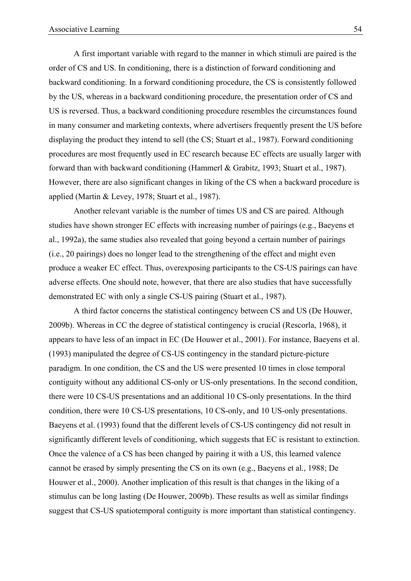A first important variable with regard to the manner in which stimuli are paired is the order of CS and US. In conditioning, there is a distinction of forward conditioning and backward conditioning. In a forward conditioning procedure, the CS is consistently followed by the US, whereas in a backward conditioning procedure, the presentation order of CS and US is reversed. Thus, a backward conditioning procedure resembles the circumstances found in many consumer and marketing contexts, where advertisers frequently present the US before displaying the product they intend to sell (the CS; Stuart et al., 1987). Forward conditioning procedures are most frequently used in EC research because EC effects are usually larger with forward than with backward conditioning (Hammerl & Grabitz, 1993; Stuart et al., 1987). However, there are also significant changes in liking of the CS when a backward procedure is applied (Martin & Levey, 1978; Stuart et al., 1987).

Another relevant variable is the number of times US and CS are paired. Although studies have shown stronger EC effects with increasing number of pairings (e.g., Baeyens et al., 1992a), the same studies also revealed that going beyond a certain number of pairings (i.e., 20 pairings) does no longer lead to the strengthening of the effect and might even produce a weaker EC effect. Thus, overexposing participants to the CS-US pairings can have adverse effects. One should note, however, that there are also studies that have successfully demonstrated EC with only a single CS-US pairing (Stuart et al., 1987).

A third factor concerns the statistical contingency between CS and US (De Houwer, 2009b). Whereas in CC the degree of statistical contingency is crucial (Rescorla, 1968), it appears to have less of an impact in EC (De Houwer et al., 2001). For instance, Baeyens et al. (1993) manipulated the degree of CS-US contingency in the standard picture-picture paradigm. In one condition, the CS and the US were presented 10 times in close temporal contiguity without any additional CS-only or US-only presentations. In the second condition, there were 10 CS-US presentations and an additional 10 CS-only presentations. In the third condition, there were 10 CS-US presentations, 10 CS-only, and 10 US-only presentations. Baeyens et al. (1993) found that the different levels of CS-US contingency did not result in significantly different levels of conditioning, which suggests that EC is resistant to extinction. Once the valence of a CS has been changed by pairing it with a US, this learned valence cannot be erased by simply presenting the CS on its own (e.g., Baeyens et al., 1988; De Houwer et al., 2000). Another implication of this result is that changes in the liking of a stimulus can be long lasting (De Houwer, 2009b). These results as well as similar findings suggest that CS-US spatiotemporal contiguity is more important than statistical contingency.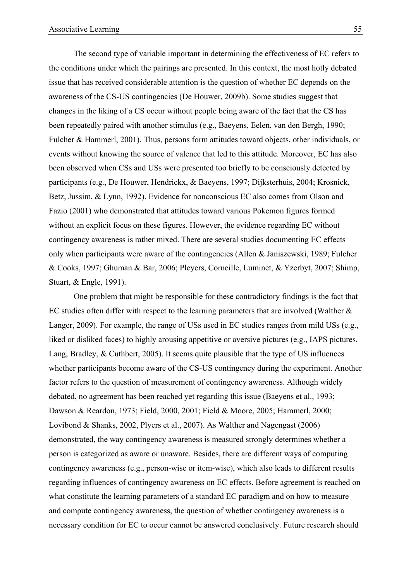The second type of variable important in determining the effectiveness of EC refers to the conditions under which the pairings are presented. In this context, the most hotly debated issue that has received considerable attention is the question of whether EC depends on the awareness of the CS-US contingencies (De Houwer, 2009b). Some studies suggest that changes in the liking of a CS occur without people being aware of the fact that the CS has been repeatedly paired with another stimulus (e.g., Baeyens, Eelen, van den Bergh, 1990; Fulcher & Hammerl, 2001). Thus, persons form attitudes toward objects, other individuals, or events without knowing the source of valence that led to this attitude. Moreover, EC has also been observed when CSs and USs were presented too briefly to be consciously detected by participants (e.g., De Houwer, Hendrickx, & Baeyens, 1997; Dijksterhuis, 2004; Krosnick, Betz, Jussim, & Lynn, 1992). Evidence for nonconscious EC also comes from Olson and Fazio (2001) who demonstrated that attitudes toward various Pokemon figures formed without an explicit focus on these figures. However, the evidence regarding EC without contingency awareness is rather mixed. There are several studies documenting EC effects only when participants were aware of the contingencies (Allen & Janiszewski, 1989; Fulcher & Cooks, 1997; Ghuman & Bar, 2006; Pleyers, Corneille, Luminet, & Yzerbyt, 2007; Shimp, Stuart, & Engle, 1991).

One problem that might be responsible for these contradictory findings is the fact that EC studies often differ with respect to the learning parameters that are involved (Walther & Langer, 2009). For example, the range of USs used in EC studies ranges from mild USs (e.g., liked or disliked faces) to highly arousing appetitive or aversive pictures (e.g., IAPS pictures, Lang, Bradley, & Cuthbert, 2005). It seems quite plausible that the type of US influences whether participants become aware of the CS-US contingency during the experiment. Another factor refers to the question of measurement of contingency awareness. Although widely debated, no agreement has been reached yet regarding this issue (Baeyens et al., 1993; Dawson & Reardon, 1973; Field, 2000, 2001; Field & Moore, 2005; Hammerl, 2000; Lovibond & Shanks, 2002, Plyers et al., 2007). As Walther and Nagengast (2006) demonstrated, the way contingency awareness is measured strongly determines whether a person is categorized as aware or unaware. Besides, there are different ways of computing contingency awareness (e.g., person-wise or item-wise), which also leads to different results regarding influences of contingency awareness on EC effects. Before agreement is reached on what constitute the learning parameters of a standard EC paradigm and on how to measure and compute contingency awareness, the question of whether contingency awareness is a necessary condition for EC to occur cannot be answered conclusively. Future research should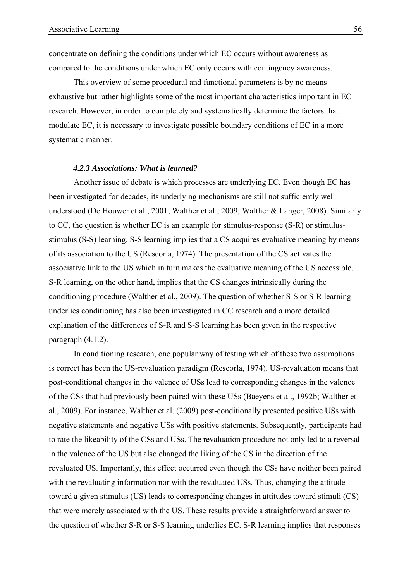concentrate on defining the conditions under which EC occurs without awareness as compared to the conditions under which EC only occurs with contingency awareness.

This overview of some procedural and functional parameters is by no means exhaustive but rather highlights some of the most important characteristics important in EC research. However, in order to completely and systematically determine the factors that modulate EC, it is necessary to investigate possible boundary conditions of EC in a more systematic manner.

#### *4.2.3 Associations: What is learned?*

Another issue of debate is which processes are underlying EC. Even though EC has been investigated for decades, its underlying mechanisms are still not sufficiently well understood (De Houwer et al., 2001; Walther et al., 2009; Walther & Langer, 2008). Similarly to CC, the question is whether EC is an example for stimulus-response (S-R) or stimulusstimulus (S-S) learning. S-S learning implies that a CS acquires evaluative meaning by means of its association to the US (Rescorla, 1974). The presentation of the CS activates the associative link to the US which in turn makes the evaluative meaning of the US accessible. S-R learning, on the other hand, implies that the CS changes intrinsically during the conditioning procedure (Walther et al., 2009). The question of whether S-S or S-R learning underlies conditioning has also been investigated in CC research and a more detailed explanation of the differences of S-R and S-S learning has been given in the respective paragraph (4.1.2).

In conditioning research, one popular way of testing which of these two assumptions is correct has been the US-revaluation paradigm (Rescorla, 1974). US-revaluation means that post-conditional changes in the valence of USs lead to corresponding changes in the valence of the CSs that had previously been paired with these USs (Baeyens et al., 1992b; Walther et al., 2009). For instance, Walther et al. (2009) post-conditionally presented positive USs with negative statements and negative USs with positive statements. Subsequently, participants had to rate the likeability of the CSs and USs. The revaluation procedure not only led to a reversal in the valence of the US but also changed the liking of the CS in the direction of the revaluated US. Importantly, this effect occurred even though the CSs have neither been paired with the revaluating information nor with the revaluated USs. Thus, changing the attitude toward a given stimulus (US) leads to corresponding changes in attitudes toward stimuli (CS) that were merely associated with the US. These results provide a straightforward answer to the question of whether S-R or S-S learning underlies EC. S-R learning implies that responses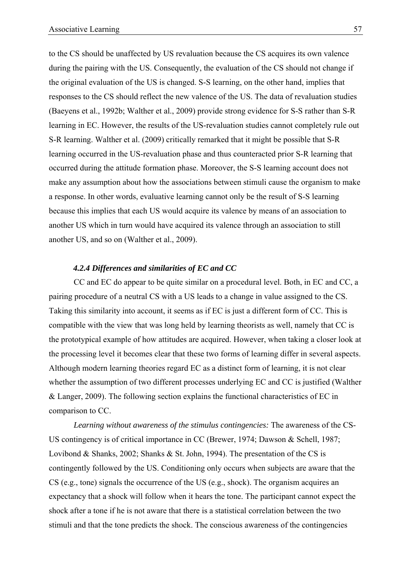to the CS should be unaffected by US revaluation because the CS acquires its own valence during the pairing with the US. Consequently, the evaluation of the CS should not change if the original evaluation of the US is changed. S-S learning, on the other hand, implies that responses to the CS should reflect the new valence of the US. The data of revaluation studies (Baeyens et al., 1992b; Walther et al., 2009) provide strong evidence for S-S rather than S-R learning in EC. However, the results of the US-revaluation studies cannot completely rule out S-R learning. Walther et al. (2009) critically remarked that it might be possible that S-R learning occurred in the US-revaluation phase and thus counteracted prior S-R learning that occurred during the attitude formation phase. Moreover, the S-S learning account does not make any assumption about how the associations between stimuli cause the organism to make a response. In other words, evaluative learning cannot only be the result of S-S learning because this implies that each US would acquire its valence by means of an association to another US which in turn would have acquired its valence through an association to still another US, and so on (Walther et al., 2009).

# *4.2.4 Differences and similarities of EC and CC*

CC and EC do appear to be quite similar on a procedural level. Both, in EC and CC, a pairing procedure of a neutral CS with a US leads to a change in value assigned to the CS. Taking this similarity into account, it seems as if EC is just a different form of CC. This is compatible with the view that was long held by learning theorists as well, namely that CC is the prototypical example of how attitudes are acquired. However, when taking a closer look at the processing level it becomes clear that these two forms of learning differ in several aspects. Although modern learning theories regard EC as a distinct form of learning, it is not clear whether the assumption of two different processes underlying EC and CC is justified (Walther & Langer, 2009). The following section explains the functional characteristics of EC in comparison to CC.

*Learning without awareness of the stimulus contingencies:* The awareness of the CS-US contingency is of critical importance in CC (Brewer, 1974; Dawson & Schell, 1987; Lovibond & Shanks, 2002; Shanks & St. John, 1994). The presentation of the CS is contingently followed by the US. Conditioning only occurs when subjects are aware that the CS (e.g., tone) signals the occurrence of the US (e.g., shock). The organism acquires an expectancy that a shock will follow when it hears the tone. The participant cannot expect the shock after a tone if he is not aware that there is a statistical correlation between the two stimuli and that the tone predicts the shock. The conscious awareness of the contingencies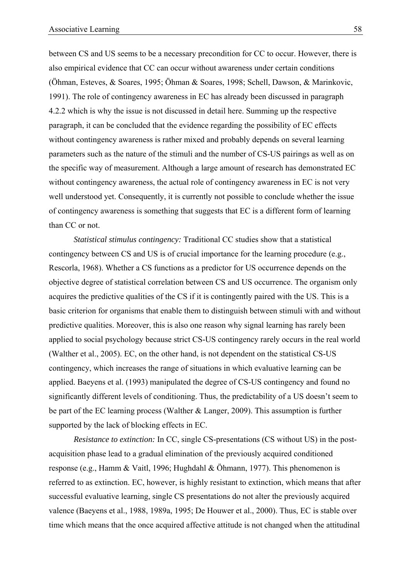between CS and US seems to be a necessary precondition for CC to occur. However, there is also empirical evidence that CC can occur without awareness under certain conditions (Öhman, Esteves, & Soares, 1995; Öhman & Soares, 1998; Schell, Dawson, & Marinkovic, 1991). The role of contingency awareness in EC has already been discussed in paragraph 4.2.2 which is why the issue is not discussed in detail here. Summing up the respective paragraph, it can be concluded that the evidence regarding the possibility of EC effects without contingency awareness is rather mixed and probably depends on several learning parameters such as the nature of the stimuli and the number of CS-US pairings as well as on the specific way of measurement. Although a large amount of research has demonstrated EC without contingency awareness, the actual role of contingency awareness in EC is not very well understood yet. Consequently, it is currently not possible to conclude whether the issue of contingency awareness is something that suggests that EC is a different form of learning than CC or not.

*Statistical stimulus contingency:* Traditional CC studies show that a statistical contingency between CS and US is of crucial importance for the learning procedure (e.g., Rescorla, 1968). Whether a CS functions as a predictor for US occurrence depends on the objective degree of statistical correlation between CS and US occurrence. The organism only acquires the predictive qualities of the CS if it is contingently paired with the US. This is a basic criterion for organisms that enable them to distinguish between stimuli with and without predictive qualities. Moreover, this is also one reason why signal learning has rarely been applied to social psychology because strict CS-US contingency rarely occurs in the real world (Walther et al., 2005). EC, on the other hand, is not dependent on the statistical CS-US contingency, which increases the range of situations in which evaluative learning can be applied. Baeyens et al. (1993) manipulated the degree of CS-US contingency and found no significantly different levels of conditioning. Thus, the predictability of a US doesn't seem to be part of the EC learning process (Walther & Langer, 2009). This assumption is further supported by the lack of blocking effects in EC.

*Resistance to extinction:* In CC, single CS-presentations (CS without US) in the postacquisition phase lead to a gradual elimination of the previously acquired conditioned response (e.g., Hamm & Vaitl, 1996; Hughdahl & Öhmann, 1977). This phenomenon is referred to as extinction. EC, however, is highly resistant to extinction, which means that after successful evaluative learning, single CS presentations do not alter the previously acquired valence (Baeyens et al., 1988, 1989a, 1995; De Houwer et al., 2000). Thus, EC is stable over time which means that the once acquired affective attitude is not changed when the attitudinal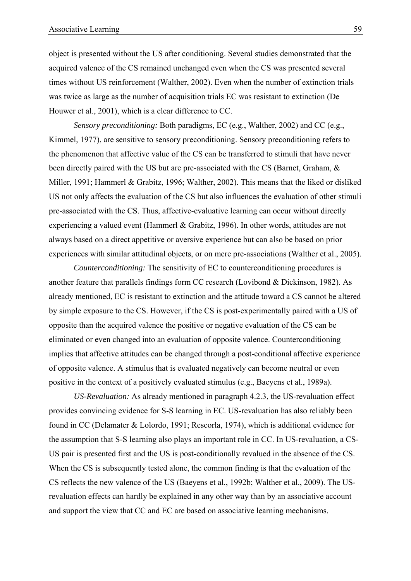object is presented without the US after conditioning. Several studies demonstrated that the acquired valence of the CS remained unchanged even when the CS was presented several times without US reinforcement (Walther, 2002). Even when the number of extinction trials was twice as large as the number of acquisition trials EC was resistant to extinction (De Houwer et al., 2001), which is a clear difference to CC.

*Sensory preconditioning:* Both paradigms, EC (e.g., Walther, 2002) and CC (e.g., Kimmel, 1977), are sensitive to sensory preconditioning. Sensory preconditioning refers to the phenomenon that affective value of the CS can be transferred to stimuli that have never been directly paired with the US but are pre-associated with the CS (Barnet, Graham, & Miller, 1991; Hammerl & Grabitz, 1996; Walther, 2002). This means that the liked or disliked US not only affects the evaluation of the CS but also influences the evaluation of other stimuli pre-associated with the CS. Thus, affective-evaluative learning can occur without directly experiencing a valued event (Hammerl & Grabitz, 1996). In other words, attitudes are not always based on a direct appetitive or aversive experience but can also be based on prior experiences with similar attitudinal objects, or on mere pre-associations (Walther et al., 2005).

*Counterconditioning:* The sensitivity of EC to counterconditioning procedures is another feature that parallels findings form CC research (Lovibond & Dickinson, 1982). As already mentioned, EC is resistant to extinction and the attitude toward a CS cannot be altered by simple exposure to the CS. However, if the CS is post-experimentally paired with a US of opposite than the acquired valence the positive or negative evaluation of the CS can be eliminated or even changed into an evaluation of opposite valence. Counterconditioning implies that affective attitudes can be changed through a post-conditional affective experience of opposite valence. A stimulus that is evaluated negatively can become neutral or even positive in the context of a positively evaluated stimulus (e.g., Baeyens et al., 1989a).

*US-Revaluation:* As already mentioned in paragraph 4.2.3, the US-revaluation effect provides convincing evidence for S-S learning in EC. US-revaluation has also reliably been found in CC (Delamater & Lolordo, 1991; Rescorla, 1974), which is additional evidence for the assumption that S-S learning also plays an important role in CC. In US-revaluation, a CS-US pair is presented first and the US is post-conditionally revalued in the absence of the CS. When the CS is subsequently tested alone, the common finding is that the evaluation of the CS reflects the new valence of the US (Baeyens et al., 1992b; Walther et al., 2009). The USrevaluation effects can hardly be explained in any other way than by an associative account and support the view that CC and EC are based on associative learning mechanisms.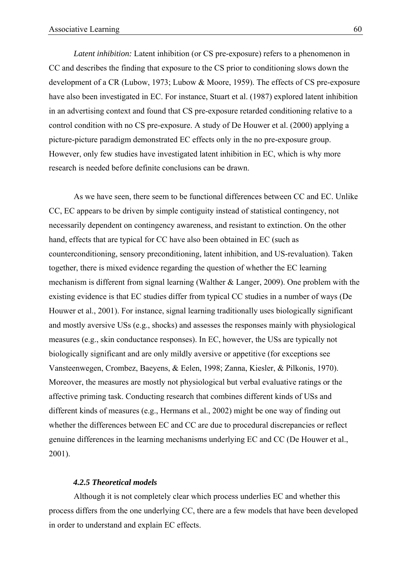*Latent inhibition:* Latent inhibition (or CS pre-exposure) refers to a phenomenon in CC and describes the finding that exposure to the CS prior to conditioning slows down the development of a CR (Lubow, 1973; Lubow & Moore, 1959). The effects of CS pre-exposure have also been investigated in EC. For instance, Stuart et al. (1987) explored latent inhibition in an advertising context and found that CS pre-exposure retarded conditioning relative to a control condition with no CS pre-exposure. A study of De Houwer et al. (2000) applying a picture-picture paradigm demonstrated EC effects only in the no pre-exposure group. However, only few studies have investigated latent inhibition in EC, which is why more research is needed before definite conclusions can be drawn.

As we have seen, there seem to be functional differences between CC and EC. Unlike CC, EC appears to be driven by simple contiguity instead of statistical contingency, not necessarily dependent on contingency awareness, and resistant to extinction. On the other hand, effects that are typical for CC have also been obtained in EC (such as counterconditioning, sensory preconditioning, latent inhibition, and US-revaluation). Taken together, there is mixed evidence regarding the question of whether the EC learning mechanism is different from signal learning (Walther & Langer, 2009). One problem with the existing evidence is that EC studies differ from typical CC studies in a number of ways (De Houwer et al., 2001). For instance, signal learning traditionally uses biologically significant and mostly aversive USs (e.g., shocks) and assesses the responses mainly with physiological measures (e.g., skin conductance responses). In EC, however, the USs are typically not biologically significant and are only mildly aversive or appetitive (for exceptions see Vansteenwegen, Crombez, Baeyens, & Eelen, 1998; Zanna, Kiesler, & Pilkonis, 1970). Moreover, the measures are mostly not physiological but verbal evaluative ratings or the affective priming task. Conducting research that combines different kinds of USs and different kinds of measures (e.g., Hermans et al., 2002) might be one way of finding out whether the differences between EC and CC are due to procedural discrepancies or reflect genuine differences in the learning mechanisms underlying EC and CC (De Houwer et al., 2001).

#### *4.2.5 Theoretical models*

Although it is not completely clear which process underlies EC and whether this process differs from the one underlying CC, there are a few models that have been developed in order to understand and explain EC effects.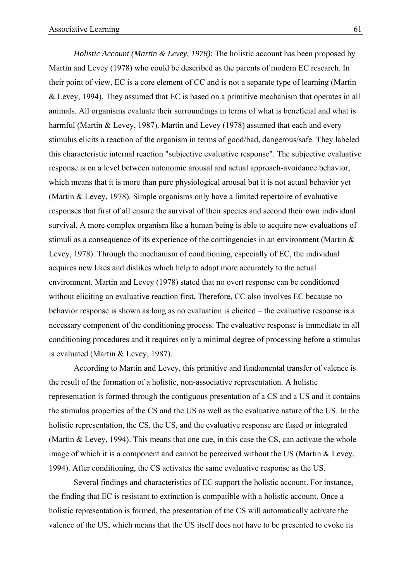*Holistic Account (Martin & Levey, 1978)*: The holistic account has been proposed by Martin and Levey (1978) who could be described as the parents of modern EC research. In their point of view, EC is a core element of CC and is not a separate type of learning (Martin & Levey, 1994). They assumed that EC is based on a primitive mechanism that operates in all animals. All organisms evaluate their surroundings in terms of what is beneficial and what is harmful (Martin & Levey, 1987). Martin and Levey (1978) assumed that each and every stimulus elicits a reaction of the organism in terms of good/bad, dangerous/safe. They labeled this characteristic internal reaction "subjective evaluative response". The subjective evaluative response is on a level between autonomic arousal and actual approach-avoidance behavior, which means that it is more than pure physiological arousal but it is not actual behavior yet (Martin & Levey, 1978). Simple organisms only have a limited repertoire of evaluative responses that first of all ensure the survival of their species and second their own individual survival. A more complex organism like a human being is able to acquire new evaluations of stimuli as a consequence of its experience of the contingencies in an environment (Martin & Levey, 1978). Through the mechanism of conditioning, especially of EC, the individual acquires new likes and dislikes which help to adapt more accurately to the actual environment. Martin and Levey (1978) stated that no overt response can be conditioned without eliciting an evaluative reaction first. Therefore, CC also involves EC because no behavior response is shown as long as no evaluation is elicited – the evaluative response is a necessary component of the conditioning process. The evaluative response is immediate in all conditioning procedures and it requires only a minimal degree of processing before a stimulus is evaluated (Martin & Levey, 1987).

According to Martin and Levey, this primitive and fundamental transfer of valence is the result of the formation of a holistic, non-associative representation. A holistic representation is formed through the contiguous presentation of a CS and a US and it contains the stimulus properties of the CS and the US as well as the evaluative nature of the US. In the holistic representation, the CS, the US, and the evaluative response are fused or integrated (Martin & Levey, 1994). This means that one cue, in this case the CS, can activate the whole image of which it is a component and cannot be perceived without the US (Martin & Levey, 1994). After conditioning, the CS activates the same evaluative response as the US.

Several findings and characteristics of EC support the holistic account. For instance, the finding that EC is resistant to extinction is compatible with a holistic account. Once a holistic representation is formed, the presentation of the CS will automatically activate the valence of the US, which means that the US itself does not have to be presented to evoke its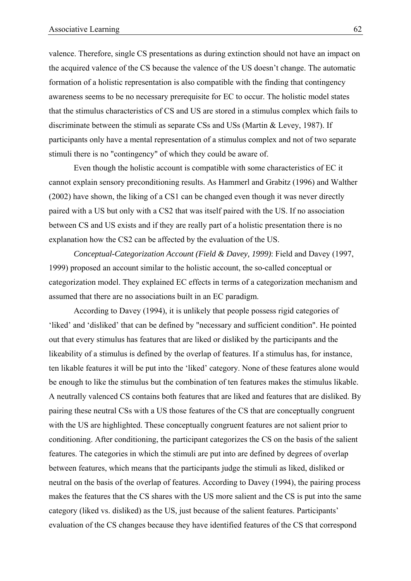valence. Therefore, single CS presentations as during extinction should not have an impact on the acquired valence of the CS because the valence of the US doesn't change. The automatic formation of a holistic representation is also compatible with the finding that contingency awareness seems to be no necessary prerequisite for EC to occur. The holistic model states that the stimulus characteristics of CS and US are stored in a stimulus complex which fails to discriminate between the stimuli as separate CSs and USs (Martin & Levey, 1987). If participants only have a mental representation of a stimulus complex and not of two separate stimuli there is no "contingency" of which they could be aware of.

Even though the holistic account is compatible with some characteristics of EC it cannot explain sensory preconditioning results. As Hammerl and Grabitz (1996) and Walther (2002) have shown, the liking of a CS1 can be changed even though it was never directly paired with a US but only with a CS2 that was itself paired with the US. If no association between CS and US exists and if they are really part of a holistic presentation there is no explanation how the CS2 can be affected by the evaluation of the US.

*Conceptual-Categorization Account (Field & Davey, 1999)*: Field and Davey (1997, 1999) proposed an account similar to the holistic account, the so-called conceptual or categorization model. They explained EC effects in terms of a categorization mechanism and assumed that there are no associations built in an EC paradigm.

According to Davey (1994), it is unlikely that people possess rigid categories of 'liked' and 'disliked' that can be defined by "necessary and sufficient condition". He pointed out that every stimulus has features that are liked or disliked by the participants and the likeability of a stimulus is defined by the overlap of features. If a stimulus has, for instance, ten likable features it will be put into the 'liked' category. None of these features alone would be enough to like the stimulus but the combination of ten features makes the stimulus likable. A neutrally valenced CS contains both features that are liked and features that are disliked. By pairing these neutral CSs with a US those features of the CS that are conceptually congruent with the US are highlighted. These conceptually congruent features are not salient prior to conditioning. After conditioning, the participant categorizes the CS on the basis of the salient features. The categories in which the stimuli are put into are defined by degrees of overlap between features, which means that the participants judge the stimuli as liked, disliked or neutral on the basis of the overlap of features. According to Davey (1994), the pairing process makes the features that the CS shares with the US more salient and the CS is put into the same category (liked vs. disliked) as the US, just because of the salient features. Participants' evaluation of the CS changes because they have identified features of the CS that correspond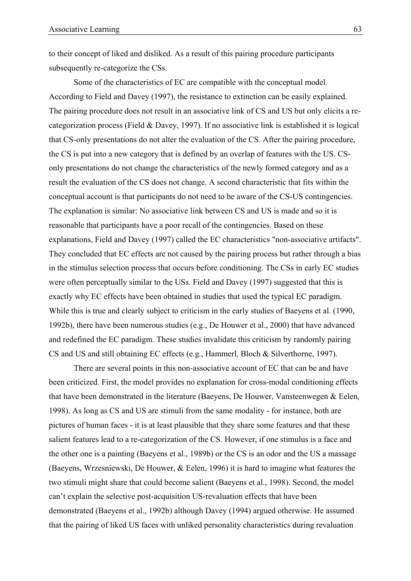to their concept of liked and disliked. As a result of this pairing procedure participants subsequently re-categorize the CSs.

Some of the characteristics of EC are compatible with the conceptual model. According to Field and Davey (1997), the resistance to extinction can be easily explained. The pairing procedure does not result in an associative link of CS and US but only elicits a recategorization process (Field & Davey, 1997). If no associative link is established it is logical that CS-only presentations do not alter the evaluation of the CS. After the pairing procedure, the CS is put into a new category that is defined by an overlap of features with the US. CSonly presentations do not change the characteristics of the newly formed category and as a result the evaluation of the CS does not change. A second characteristic that fits within the conceptual account is that participants do not need to be aware of the CS-US contingencies. The explanation is similar: No associative link between CS and US is made and so it is reasonable that participants have a poor recall of the contingencies. Based on these explanations, Field and Davey (1997) called the EC characteristics "non-associative artifacts". They concluded that EC effects are not caused by the pairing process but rather through a bias in the stimulus selection process that occurs before conditioning. The CSs in early EC studies were often perceptually similar to the USs. Field and Davey (1997) suggested that this is exactly why EC effects have been obtained in studies that used the typical EC paradigm. While this is true and clearly subject to criticism in the early studies of Baeyens et al. (1990, 1992b), there have been numerous studies (e.g., De Houwer et al., 2000) that have advanced and redefined the EC paradigm. These studies invalidate this criticism by randomly pairing CS and US and still obtaining EC effects (e.g., Hammerl, Bloch & Silverthorne, 1997).

There are several points in this non-associative account of EC that can be and have been criticized. First, the model provides no explanation for cross-modal conditioning effects that have been demonstrated in the literature (Baeyens, De Houwer, Vansteenwegen & Eelen, 1998). As long as CS and US are stimuli from the same modality - for instance, both are pictures of human faces - it is at least plausible that they share some features and that these salient features lead to a re-categorization of the CS. However, if one stimulus is a face and the other one is a painting (Baeyens et al., 1989b) or the CS is an odor and the US a massage (Baeyens, Wrzesniewski, De Houwer, & Eelen, 1996) it is hard to imagine what features the two stimuli might share that could become salient (Baeyens et al., 1998). Second, the model can't explain the selective post-acquisition US-revaluation effects that have been demonstrated (Baeyens et al., 1992b) although Davey (1994) argued otherwise. He assumed that the pairing of liked US faces with unliked personality characteristics during revaluation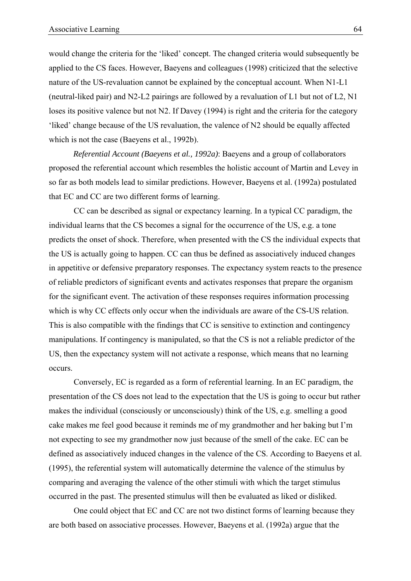would change the criteria for the 'liked' concept. The changed criteria would subsequently be applied to the CS faces. However, Baeyens and colleagues (1998) criticized that the selective nature of the US-revaluation cannot be explained by the conceptual account. When N1-L1 (neutral-liked pair) and N2-L2 pairings are followed by a revaluation of L1 but not of L2, N1 loses its positive valence but not N2. If Davey (1994) is right and the criteria for the category 'liked' change because of the US revaluation, the valence of N2 should be equally affected which is not the case (Baeyens et al., 1992b).

*Referential Account (Baeyens et al., 1992a)*: Baeyens and a group of collaborators proposed the referential account which resembles the holistic account of Martin and Levey in so far as both models lead to similar predictions. However, Baeyens et al. (1992a) postulated that EC and CC are two different forms of learning.

CC can be described as signal or expectancy learning. In a typical CC paradigm, the individual learns that the CS becomes a signal for the occurrence of the US, e.g. a tone predicts the onset of shock. Therefore, when presented with the CS the individual expects that the US is actually going to happen. CC can thus be defined as associatively induced changes in appetitive or defensive preparatory responses. The expectancy system reacts to the presence of reliable predictors of significant events and activates responses that prepare the organism for the significant event. The activation of these responses requires information processing which is why CC effects only occur when the individuals are aware of the CS-US relation. This is also compatible with the findings that CC is sensitive to extinction and contingency manipulations. If contingency is manipulated, so that the CS is not a reliable predictor of the US, then the expectancy system will not activate a response, which means that no learning occurs.

Conversely, EC is regarded as a form of referential learning. In an EC paradigm, the presentation of the CS does not lead to the expectation that the US is going to occur but rather makes the individual (consciously or unconsciously) think of the US, e.g. smelling a good cake makes me feel good because it reminds me of my grandmother and her baking but I'm not expecting to see my grandmother now just because of the smell of the cake. EC can be defined as associatively induced changes in the valence of the CS. According to Baeyens et al. (1995), the referential system will automatically determine the valence of the stimulus by comparing and averaging the valence of the other stimuli with which the target stimulus occurred in the past. The presented stimulus will then be evaluated as liked or disliked.

One could object that EC and CC are not two distinct forms of learning because they are both based on associative processes. However, Baeyens et al. (1992a) argue that the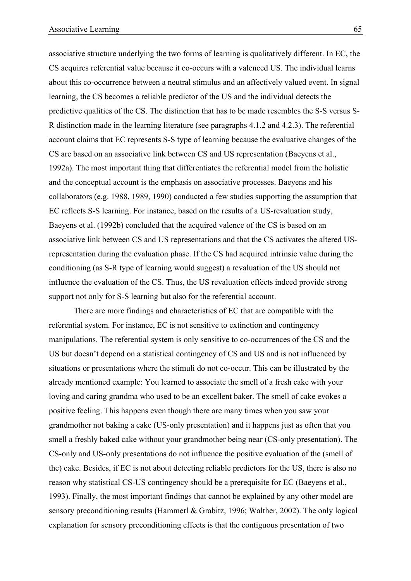associative structure underlying the two forms of learning is qualitatively different. In EC, the CS acquires referential value because it co-occurs with a valenced US. The individual learns about this co-occurrence between a neutral stimulus and an affectively valued event. In signal learning, the CS becomes a reliable predictor of the US and the individual detects the predictive qualities of the CS. The distinction that has to be made resembles the S-S versus S-R distinction made in the learning literature (see paragraphs 4.1.2 and 4.2.3). The referential account claims that EC represents S-S type of learning because the evaluative changes of the CS are based on an associative link between CS and US representation (Baeyens et al., 1992a). The most important thing that differentiates the referential model from the holistic and the conceptual account is the emphasis on associative processes. Baeyens and his collaborators (e.g. 1988, 1989, 1990) conducted a few studies supporting the assumption that EC reflects S-S learning. For instance, based on the results of a US-revaluation study, Baeyens et al. (1992b) concluded that the acquired valence of the CS is based on an associative link between CS and US representations and that the CS activates the altered USrepresentation during the evaluation phase. If the CS had acquired intrinsic value during the conditioning (as S-R type of learning would suggest) a revaluation of the US should not influence the evaluation of the CS. Thus, the US revaluation effects indeed provide strong support not only for S-S learning but also for the referential account.

There are more findings and characteristics of EC that are compatible with the referential system. For instance, EC is not sensitive to extinction and contingency manipulations. The referential system is only sensitive to co-occurrences of the CS and the US but doesn't depend on a statistical contingency of CS and US and is not influenced by situations or presentations where the stimuli do not co-occur. This can be illustrated by the already mentioned example: You learned to associate the smell of a fresh cake with your loving and caring grandma who used to be an excellent baker. The smell of cake evokes a positive feeling. This happens even though there are many times when you saw your grandmother not baking a cake (US-only presentation) and it happens just as often that you smell a freshly baked cake without your grandmother being near (CS-only presentation). The CS-only and US-only presentations do not influence the positive evaluation of the (smell of the) cake. Besides, if EC is not about detecting reliable predictors for the US, there is also no reason why statistical CS-US contingency should be a prerequisite for EC (Baeyens et al., 1993). Finally, the most important findings that cannot be explained by any other model are sensory preconditioning results (Hammerl & Grabitz, 1996; Walther, 2002). The only logical explanation for sensory preconditioning effects is that the contiguous presentation of two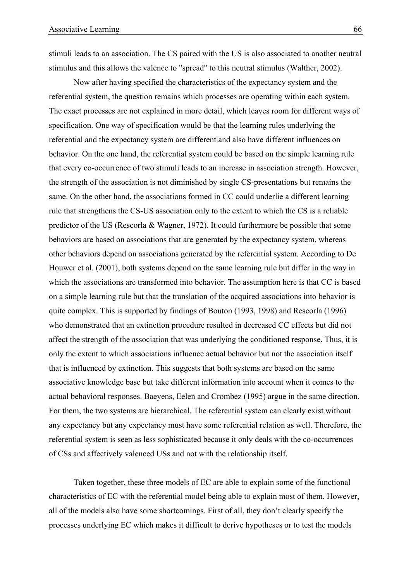stimuli leads to an association. The CS paired with the US is also associated to another neutral stimulus and this allows the valence to "spread" to this neutral stimulus (Walther, 2002).

Now after having specified the characteristics of the expectancy system and the referential system, the question remains which processes are operating within each system. The exact processes are not explained in more detail, which leaves room for different ways of specification. One way of specification would be that the learning rules underlying the referential and the expectancy system are different and also have different influences on behavior. On the one hand, the referential system could be based on the simple learning rule that every co-occurrence of two stimuli leads to an increase in association strength. However, the strength of the association is not diminished by single CS-presentations but remains the same. On the other hand, the associations formed in CC could underlie a different learning rule that strengthens the CS-US association only to the extent to which the CS is a reliable predictor of the US (Rescorla & Wagner, 1972). It could furthermore be possible that some behaviors are based on associations that are generated by the expectancy system, whereas other behaviors depend on associations generated by the referential system. According to De Houwer et al. (2001), both systems depend on the same learning rule but differ in the way in which the associations are transformed into behavior. The assumption here is that CC is based on a simple learning rule but that the translation of the acquired associations into behavior is quite complex. This is supported by findings of Bouton (1993, 1998) and Rescorla (1996) who demonstrated that an extinction procedure resulted in decreased CC effects but did not affect the strength of the association that was underlying the conditioned response. Thus, it is only the extent to which associations influence actual behavior but not the association itself that is influenced by extinction. This suggests that both systems are based on the same associative knowledge base but take different information into account when it comes to the actual behavioral responses. Baeyens, Eelen and Crombez (1995) argue in the same direction. For them, the two systems are hierarchical. The referential system can clearly exist without any expectancy but any expectancy must have some referential relation as well. Therefore, the referential system is seen as less sophisticated because it only deals with the co-occurrences of CSs and affectively valenced USs and not with the relationship itself.

Taken together, these three models of EC are able to explain some of the functional characteristics of EC with the referential model being able to explain most of them. However, all of the models also have some shortcomings. First of all, they don't clearly specify the processes underlying EC which makes it difficult to derive hypotheses or to test the models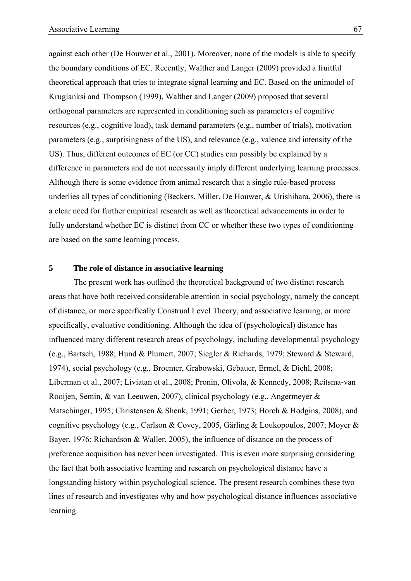against each other (De Houwer et al., 2001). Moreover, none of the models is able to specify the boundary conditions of EC. Recently, Walther and Langer (2009) provided a fruitful theoretical approach that tries to integrate signal learning and EC. Based on the unimodel of Kruglanksi and Thompson (1999), Walther and Langer (2009) proposed that several orthogonal parameters are represented in conditioning such as parameters of cognitive resources (e.g., cognitive load), task demand parameters (e.g., number of trials), motivation parameters (e.g., surprisingness of the US), and relevance (e.g., valence and intensity of the US). Thus, different outcomes of EC (or CC) studies can possibly be explained by a difference in parameters and do not necessarily imply different underlying learning processes. Although there is some evidence from animal research that a single rule-based process underlies all types of conditioning (Beckers, Miller, De Houwer, & Urishihara, 2006), there is a clear need for further empirical research as well as theoretical advancements in order to fully understand whether EC is distinct from CC or whether these two types of conditioning are based on the same learning process.

# **5 The role of distance in associative learning**

The present work has outlined the theoretical background of two distinct research areas that have both received considerable attention in social psychology, namely the concept of distance, or more specifically Construal Level Theory, and associative learning, or more specifically, evaluative conditioning. Although the idea of (psychological) distance has influenced many different research areas of psychology, including developmental psychology (e.g., Bartsch, 1988; Hund & Plumert, 2007; Siegler & Richards, 1979; Steward & Steward, 1974), social psychology (e.g., Broemer, Grabowski, Gebauer, Ermel, & Diehl, 2008; Liberman et al., 2007; Liviatan et al., 2008; Pronin, Olivola, & Kennedy, 2008; Reitsma-van Rooijen, Semin, & van Leeuwen, 2007), clinical psychology (e.g., Angermeyer & Matschinger, 1995; Christensen & Shenk, 1991; Gerber, 1973; Horch & Hodgins, 2008), and cognitive psychology (e.g., Carlson & Covey, 2005, Gärling & Loukopoulos, 2007; Moyer & Bayer, 1976; Richardson & Waller, 2005), the influence of distance on the process of preference acquisition has never been investigated. This is even more surprising considering the fact that both associative learning and research on psychological distance have a longstanding history within psychological science. The present research combines these two lines of research and investigates why and how psychological distance influences associative learning.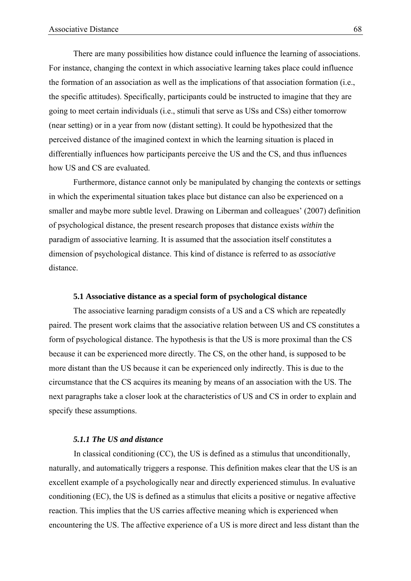There are many possibilities how distance could influence the learning of associations. For instance, changing the context in which associative learning takes place could influence the formation of an association as well as the implications of that association formation (i.e., the specific attitudes). Specifically, participants could be instructed to imagine that they are going to meet certain individuals (i.e., stimuli that serve as USs and CSs) either tomorrow (near setting) or in a year from now (distant setting). It could be hypothesized that the perceived distance of the imagined context in which the learning situation is placed in differentially influences how participants perceive the US and the CS, and thus influences how US and CS are evaluated.

Furthermore, distance cannot only be manipulated by changing the contexts or settings in which the experimental situation takes place but distance can also be experienced on a smaller and maybe more subtle level. Drawing on Liberman and colleagues' (2007) definition of psychological distance, the present research proposes that distance exists *within* the paradigm of associative learning. It is assumed that the association itself constitutes a dimension of psychological distance. This kind of distance is referred to as *associative* distance.

#### **5.1 Associative distance as a special form of psychological distance**

 The associative learning paradigm consists of a US and a CS which are repeatedly paired. The present work claims that the associative relation between US and CS constitutes a form of psychological distance. The hypothesis is that the US is more proximal than the CS because it can be experienced more directly. The CS, on the other hand, is supposed to be more distant than the US because it can be experienced only indirectly. This is due to the circumstance that the CS acquires its meaning by means of an association with the US. The next paragraphs take a closer look at the characteristics of US and CS in order to explain and specify these assumptions.

# *5.1.1 The US and distance*

In classical conditioning (CC), the US is defined as a stimulus that unconditionally, naturally, and automatically triggers a response. This definition makes clear that the US is an excellent example of a psychologically near and directly experienced stimulus. In evaluative conditioning (EC), the US is defined as a stimulus that elicits a positive or negative affective reaction. This implies that the US carries affective meaning which is experienced when encountering the US. The affective experience of a US is more direct and less distant than the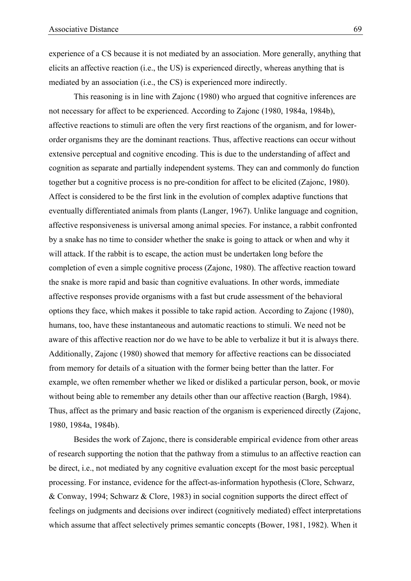experience of a CS because it is not mediated by an association. More generally, anything that elicits an affective reaction (i.e., the US) is experienced directly, whereas anything that is mediated by an association (i.e., the CS) is experienced more indirectly.

This reasoning is in line with Zajonc (1980) who argued that cognitive inferences are not necessary for affect to be experienced. According to Zajonc (1980, 1984a, 1984b), affective reactions to stimuli are often the very first reactions of the organism, and for lowerorder organisms they are the dominant reactions. Thus, affective reactions can occur without extensive perceptual and cognitive encoding. This is due to the understanding of affect and cognition as separate and partially independent systems. They can and commonly do function together but a cognitive process is no pre-condition for affect to be elicited (Zajonc, 1980). Affect is considered to be the first link in the evolution of complex adaptive functions that eventually differentiated animals from plants (Langer, 1967). Unlike language and cognition, affective responsiveness is universal among animal species. For instance, a rabbit confronted by a snake has no time to consider whether the snake is going to attack or when and why it will attack. If the rabbit is to escape, the action must be undertaken long before the completion of even a simple cognitive process (Zajonc, 1980). The affective reaction toward the snake is more rapid and basic than cognitive evaluations. In other words, immediate affective responses provide organisms with a fast but crude assessment of the behavioral options they face, which makes it possible to take rapid action. According to Zajonc (1980), humans, too, have these instantaneous and automatic reactions to stimuli. We need not be aware of this affective reaction nor do we have to be able to verbalize it but it is always there. Additionally, Zajonc (1980) showed that memory for affective reactions can be dissociated from memory for details of a situation with the former being better than the latter. For example, we often remember whether we liked or disliked a particular person, book, or movie without being able to remember any details other than our affective reaction (Bargh, 1984). Thus, affect as the primary and basic reaction of the organism is experienced directly (Zajonc, 1980, 1984a, 1984b).

Besides the work of Zajonc, there is considerable empirical evidence from other areas of research supporting the notion that the pathway from a stimulus to an affective reaction can be direct, i.e., not mediated by any cognitive evaluation except for the most basic perceptual processing. For instance, evidence for the affect-as-information hypothesis (Clore, Schwarz, & Conway, 1994; Schwarz & Clore, 1983) in social cognition supports the direct effect of feelings on judgments and decisions over indirect (cognitively mediated) effect interpretations which assume that affect selectively primes semantic concepts (Bower, 1981, 1982). When it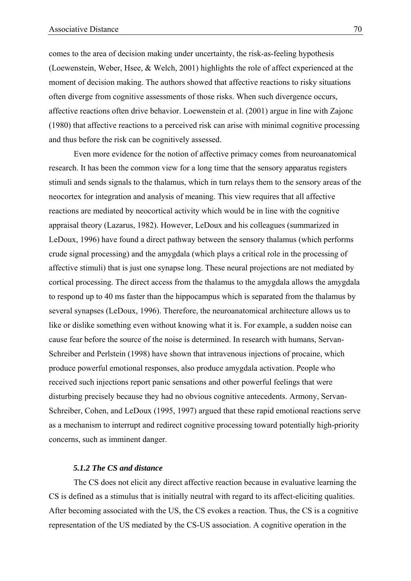comes to the area of decision making under uncertainty, the risk-as-feeling hypothesis (Loewenstein, Weber, Hsee, & Welch, 2001) highlights the role of affect experienced at the moment of decision making. The authors showed that affective reactions to risky situations often diverge from cognitive assessments of those risks. When such divergence occurs, affective reactions often drive behavior. Loewenstein et al. (2001) argue in line with Zajonc (1980) that affective reactions to a perceived risk can arise with minimal cognitive processing and thus before the risk can be cognitively assessed.

Even more evidence for the notion of affective primacy comes from neuroanatomical research. It has been the common view for a long time that the sensory apparatus registers stimuli and sends signals to the thalamus, which in turn relays them to the sensory areas of the neocortex for integration and analysis of meaning. This view requires that all affective reactions are mediated by neocortical activity which would be in line with the cognitive appraisal theory (Lazarus, 1982). However, LeDoux and his colleagues (summarized in LeDoux, 1996) have found a direct pathway between the sensory thalamus (which performs crude signal processing) and the amygdala (which plays a critical role in the processing of affective stimuli) that is just one synapse long. These neural projections are not mediated by cortical processing. The direct access from the thalamus to the amygdala allows the amygdala to respond up to 40 ms faster than the hippocampus which is separated from the thalamus by several synapses (LeDoux, 1996). Therefore, the neuroanatomical architecture allows us to like or dislike something even without knowing what it is. For example, a sudden noise can cause fear before the source of the noise is determined. In research with humans, Servan-Schreiber and Perlstein (1998) have shown that intravenous injections of procaine, which produce powerful emotional responses, also produce amygdala activation. People who received such injections report panic sensations and other powerful feelings that were disturbing precisely because they had no obvious cognitive antecedents. Armony, Servan-Schreiber, Cohen, and LeDoux (1995, 1997) argued that these rapid emotional reactions serve as a mechanism to interrupt and redirect cognitive processing toward potentially high-priority concerns, such as imminent danger.

# *5.1.2 The CS and distance*

The CS does not elicit any direct affective reaction because in evaluative learning the CS is defined as a stimulus that is initially neutral with regard to its affect-eliciting qualities. After becoming associated with the US, the CS evokes a reaction. Thus, the CS is a cognitive representation of the US mediated by the CS-US association. A cognitive operation in the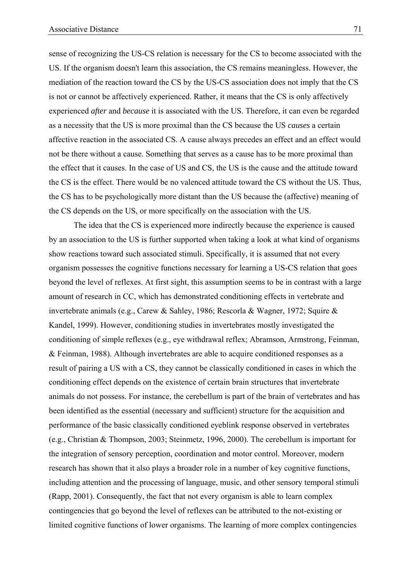sense of recognizing the US-CS relation is necessary for the CS to become associated with the US. If the organism doesn't learn this association, the CS remains meaningless. However, the mediation of the reaction toward the CS by the US-CS association does not imply that the CS is not or cannot be affectively experienced. Rather, it means that the CS is only affectively experienced *after* and *because* it is associated with the US. Therefore, it can even be regarded as a necessity that the US is more proximal than the CS because the US *causes* a certain affective reaction in the associated CS. A cause always precedes an effect and an effect would not be there without a cause. Something that serves as a cause has to be more proximal than the effect that it causes. In the case of US and CS, the US is the cause and the attitude toward the CS is the effect. There would be no valenced attitude toward the CS without the US. Thus, the CS has to be psychologically more distant than the US because the (affective) meaning of the CS depends on the US, or more specifically on the association with the US.

The idea that the CS is experienced more indirectly because the experience is caused by an association to the US is further supported when taking a look at what kind of organisms show reactions toward such associated stimuli. Specifically, it is assumed that not every organism possesses the cognitive functions necessary for learning a US-CS relation that goes beyond the level of reflexes. At first sight, this assumption seems to be in contrast with a large amount of research in CC, which has demonstrated conditioning effects in vertebrate and invertebrate animals (e.g., Carew & Sahley, 1986; Rescorla & Wagner, 1972; Squire & Kandel, 1999). However, conditioning studies in invertebrates mostly investigated the conditioning of simple reflexes (e.g., eye withdrawal reflex; Abramson, Armstrong, Feinman, & Feinman, 1988). Although invertebrates are able to acquire conditioned responses as a result of pairing a US with a CS, they cannot be classically conditioned in cases in which the conditioning effect depends on the existence of certain brain structures that invertebrate animals do not possess. For instance, the cerebellum is part of the brain of vertebrates and has been identified as the essential (necessary and sufficient) structure for the acquisition and performance of the basic classically conditioned eyeblink response observed in vertebrates (e.g., Christian & Thompson, 2003; Steinmetz, 1996, 2000). The cerebellum is important for the integration of sensory perception, coordination and motor control. Moreover, modern research has shown that it also plays a broader role in a number of key cognitive functions, including attention and the processing of language, music, and other sensory temporal stimuli (Rapp, 2001). Consequently, the fact that not every organism is able to learn complex contingencies that go beyond the level of reflexes can be attributed to the not-existing or limited cognitive functions of lower organisms. The learning of more complex contingencies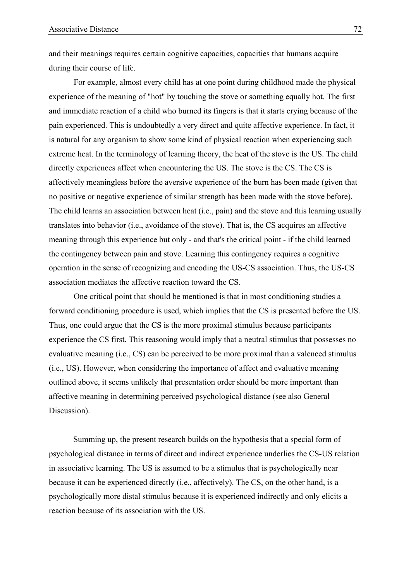and their meanings requires certain cognitive capacities, capacities that humans acquire during their course of life.

For example, almost every child has at one point during childhood made the physical experience of the meaning of "hot" by touching the stove or something equally hot. The first and immediate reaction of a child who burned its fingers is that it starts crying because of the pain experienced. This is undoubtedly a very direct and quite affective experience. In fact, it is natural for any organism to show some kind of physical reaction when experiencing such extreme heat. In the terminology of learning theory, the heat of the stove is the US. The child directly experiences affect when encountering the US. The stove is the CS. The CS is affectively meaningless before the aversive experience of the burn has been made (given that no positive or negative experience of similar strength has been made with the stove before). The child learns an association between heat (i.e., pain) and the stove and this learning usually translates into behavior (i.e., avoidance of the stove). That is, the CS acquires an affective meaning through this experience but only - and that's the critical point - if the child learned the contingency between pain and stove. Learning this contingency requires a cognitive operation in the sense of recognizing and encoding the US-CS association. Thus, the US-CS association mediates the affective reaction toward the CS.

One critical point that should be mentioned is that in most conditioning studies a forward conditioning procedure is used, which implies that the CS is presented before the US. Thus, one could argue that the CS is the more proximal stimulus because participants experience the CS first. This reasoning would imply that a neutral stimulus that possesses no evaluative meaning (i.e., CS) can be perceived to be more proximal than a valenced stimulus (i.e., US). However, when considering the importance of affect and evaluative meaning outlined above, it seems unlikely that presentation order should be more important than affective meaning in determining perceived psychological distance (see also General Discussion).

Summing up, the present research builds on the hypothesis that a special form of psychological distance in terms of direct and indirect experience underlies the CS-US relation in associative learning. The US is assumed to be a stimulus that is psychologically near because it can be experienced directly (i.e., affectively). The CS, on the other hand, is a psychologically more distal stimulus because it is experienced indirectly and only elicits a reaction because of its association with the US.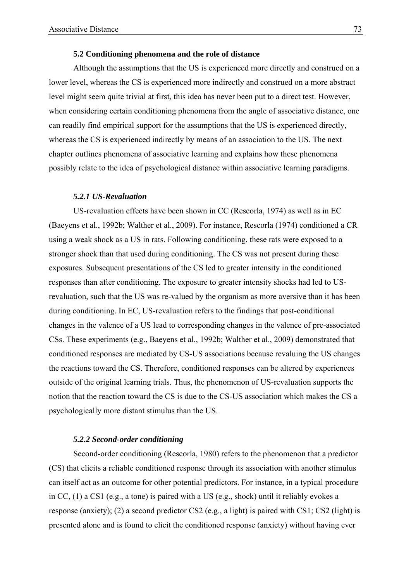## **5.2 Conditioning phenomena and the role of distance**

Although the assumptions that the US is experienced more directly and construed on a lower level, whereas the CS is experienced more indirectly and construed on a more abstract level might seem quite trivial at first, this idea has never been put to a direct test. However, when considering certain conditioning phenomena from the angle of associative distance, one can readily find empirical support for the assumptions that the US is experienced directly, whereas the CS is experienced indirectly by means of an association to the US. The next chapter outlines phenomena of associative learning and explains how these phenomena possibly relate to the idea of psychological distance within associative learning paradigms.

## *5.2.1 US-Revaluation*

US-revaluation effects have been shown in CC (Rescorla, 1974) as well as in EC (Baeyens et al., 1992b; Walther et al., 2009). For instance, Rescorla (1974) conditioned a CR using a weak shock as a US in rats. Following conditioning, these rats were exposed to a stronger shock than that used during conditioning. The CS was not present during these exposures. Subsequent presentations of the CS led to greater intensity in the conditioned responses than after conditioning. The exposure to greater intensity shocks had led to USrevaluation, such that the US was re-valued by the organism as more aversive than it has been during conditioning. In EC, US-revaluation refers to the findings that post-conditional changes in the valence of a US lead to corresponding changes in the valence of pre-associated CSs. These experiments (e.g., Baeyens et al., 1992b; Walther et al., 2009) demonstrated that conditioned responses are mediated by CS-US associations because revaluing the US changes the reactions toward the CS. Therefore, conditioned responses can be altered by experiences outside of the original learning trials. Thus, the phenomenon of US-revaluation supports the notion that the reaction toward the CS is due to the CS-US association which makes the CS a psychologically more distant stimulus than the US.

## *5.2.2 Second-order conditioning*

Second-order conditioning (Rescorla, 1980) refers to the phenomenon that a predictor (CS) that elicits a reliable conditioned response through its association with another stimulus can itself act as an outcome for other potential predictors. For instance, in a typical procedure in CC, (1) a CS1 (e.g., a tone) is paired with a US (e.g., shock) until it reliably evokes a response (anxiety); (2) a second predictor CS2 (e.g., a light) is paired with CS1; CS2 (light) is presented alone and is found to elicit the conditioned response (anxiety) without having ever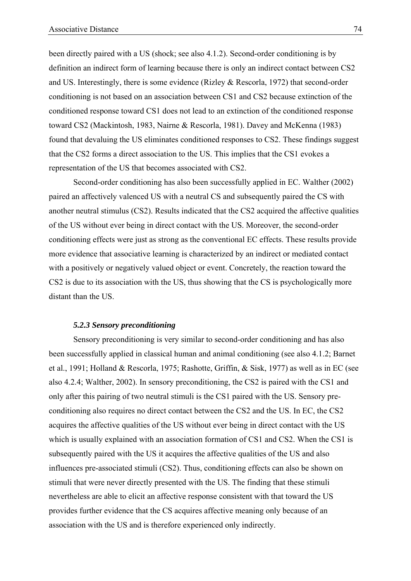been directly paired with a US (shock; see also 4.1.2). Second-order conditioning is by definition an indirect form of learning because there is only an indirect contact between CS2 and US. Interestingly, there is some evidence (Rizley & Rescorla, 1972) that second-order conditioning is not based on an association between CS1 and CS2 because extinction of the conditioned response toward CS1 does not lead to an extinction of the conditioned response toward CS2 (Mackintosh, 1983, Nairne & Rescorla, 1981). Davey and McKenna (1983) found that devaluing the US eliminates conditioned responses to CS2. These findings suggest that the CS2 forms a direct association to the US. This implies that the CS1 evokes a representation of the US that becomes associated with CS2.

Second-order conditioning has also been successfully applied in EC. Walther (2002) paired an affectively valenced US with a neutral CS and subsequently paired the CS with another neutral stimulus (CS2). Results indicated that the CS2 acquired the affective qualities of the US without ever being in direct contact with the US. Moreover, the second-order conditioning effects were just as strong as the conventional EC effects. These results provide more evidence that associative learning is characterized by an indirect or mediated contact with a positively or negatively valued object or event. Concretely, the reaction toward the CS2 is due to its association with the US, thus showing that the CS is psychologically more distant than the US.

## *5.2.3 Sensory preconditioning*

Sensory preconditioning is very similar to second-order conditioning and has also been successfully applied in classical human and animal conditioning (see also 4.1.2; Barnet et al., 1991; Holland & Rescorla, 1975; Rashotte, Griffin, & Sisk, 1977) as well as in EC (see also 4.2.4; Walther, 2002). In sensory preconditioning, the CS2 is paired with the CS1 and only after this pairing of two neutral stimuli is the CS1 paired with the US. Sensory preconditioning also requires no direct contact between the CS2 and the US. In EC, the CS2 acquires the affective qualities of the US without ever being in direct contact with the US which is usually explained with an association formation of CS1 and CS2. When the CS1 is subsequently paired with the US it acquires the affective qualities of the US and also influences pre-associated stimuli (CS2). Thus, conditioning effects can also be shown on stimuli that were never directly presented with the US. The finding that these stimuli nevertheless are able to elicit an affective response consistent with that toward the US provides further evidence that the CS acquires affective meaning only because of an association with the US and is therefore experienced only indirectly.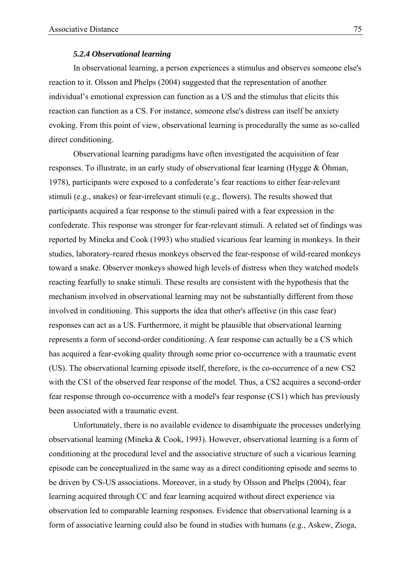## *5.2.4 Observational learning*

In observational learning, a person experiences a stimulus and observes someone else's reaction to it. Olsson and Phelps (2004) suggested that the representation of another individual's emotional expression can function as a US and the stimulus that elicits this reaction can function as a CS. For instance, someone else's distress can itself be anxiety evoking. From this point of view, observational learning is procedurally the same as so-called direct conditioning.

Observational learning paradigms have often investigated the acquisition of fear responses. To illustrate, in an early study of observational fear learning (Hygge & Öhman, 1978), participants were exposed to a confederate's fear reactions to either fear-relevant stimuli (e.g., snakes) or fear-irrelevant stimuli (e.g., flowers). The results showed that participants acquired a fear response to the stimuli paired with a fear expression in the confederate. This response was stronger for fear-relevant stimuli. A related set of findings was reported by Mineka and Cook (1993) who studied vicarious fear learning in monkeys. In their studies, laboratory-reared rhesus monkeys observed the fear-response of wild-reared monkeys toward a snake. Observer monkeys showed high levels of distress when they watched models reacting fearfully to snake stimuli. These results are consistent with the hypothesis that the mechanism involved in observational learning may not be substantially different from those involved in conditioning. This supports the idea that other's affective (in this case fear) responses can act as a US. Furthermore, it might be plausible that observational learning represents a form of second-order conditioning. A fear response can actually be a CS which has acquired a fear-evoking quality through some prior co-occurrence with a traumatic event (US). The observational learning episode itself, therefore, is the co-occurrence of a new CS2 with the CS1 of the observed fear response of the model. Thus, a CS2 acquires a second-order fear response through co-occurrence with a model's fear response (CS1) which has previously been associated with a traumatic event.

Unfortunately, there is no available evidence to disambiguate the processes underlying observational learning (Mineka & Cook, 1993). However, observational learning is a form of conditioning at the procedural level and the associative structure of such a vicarious learning episode can be conceptualized in the same way as a direct conditioning episode and seems to be driven by CS-US associations. Moreover, in a study by Olsson and Phelps (2004), fear learning acquired through CC and fear learning acquired without direct experience via observation led to comparable learning responses. Evidence that observational learning is a form of associative learning could also be found in studies with humans (e.g., Askew, Zioga,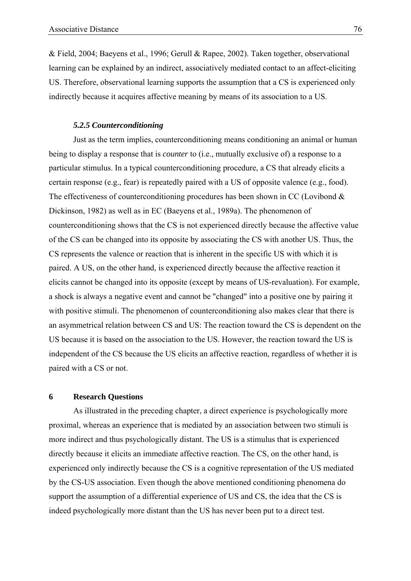& Field, 2004; Baeyens et al., 1996; Gerull & Rapee, 2002). Taken together, observational learning can be explained by an indirect, associatively mediated contact to an affect-eliciting US. Therefore, observational learning supports the assumption that a CS is experienced only indirectly because it acquires affective meaning by means of its association to a US.

## *5.2.5 Counterconditioning*

Just as the term implies, counterconditioning means conditioning an animal or human being to display a response that is *counter* to (i.e., mutually exclusive of) a response to a particular stimulus. In a typical counterconditioning procedure, a CS that already elicits a certain response (e.g., fear) is repeatedly paired with a US of opposite valence (e.g., food). The effectiveness of counterconditioning procedures has been shown in CC (Lovibond  $\&$ Dickinson, 1982) as well as in EC (Baeyens et al., 1989a). The phenomenon of counterconditioning shows that the CS is not experienced directly because the affective value of the CS can be changed into its opposite by associating the CS with another US. Thus, the CS represents the valence or reaction that is inherent in the specific US with which it is paired. A US, on the other hand, is experienced directly because the affective reaction it elicits cannot be changed into its opposite (except by means of US-revaluation). For example, a shock is always a negative event and cannot be "changed" into a positive one by pairing it with positive stimuli. The phenomenon of counterconditioning also makes clear that there is an asymmetrical relation between CS and US: The reaction toward the CS is dependent on the US because it is based on the association to the US. However, the reaction toward the US is independent of the CS because the US elicits an affective reaction, regardless of whether it is paired with a CS or not.

# **6 Research Questions**

As illustrated in the preceding chapter, a direct experience is psychologically more proximal, whereas an experience that is mediated by an association between two stimuli is more indirect and thus psychologically distant. The US is a stimulus that is experienced directly because it elicits an immediate affective reaction. The CS, on the other hand, is experienced only indirectly because the CS is a cognitive representation of the US mediated by the CS-US association. Even though the above mentioned conditioning phenomena do support the assumption of a differential experience of US and CS, the idea that the CS is indeed psychologically more distant than the US has never been put to a direct test.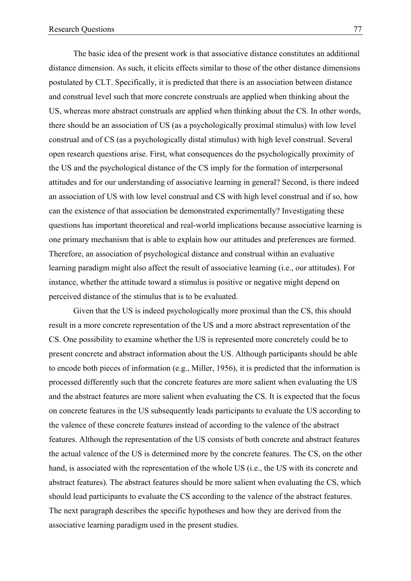The basic idea of the present work is that associative distance constitutes an additional distance dimension. As such, it elicits effects similar to those of the other distance dimensions postulated by CLT. Specifically, it is predicted that there is an association between distance and construal level such that more concrete construals are applied when thinking about the US, whereas more abstract construals are applied when thinking about the CS. In other words, there should be an association of US (as a psychologically proximal stimulus) with low level construal and of CS (as a psychologically distal stimulus) with high level construal. Several open research questions arise. First, what consequences do the psychologically proximity of the US and the psychological distance of the CS imply for the formation of interpersonal attitudes and for our understanding of associative learning in general? Second, is there indeed an association of US with low level construal and CS with high level construal and if so, how can the existence of that association be demonstrated experimentally? Investigating these questions has important theoretical and real-world implications because associative learning is one primary mechanism that is able to explain how our attitudes and preferences are formed. Therefore, an association of psychological distance and construal within an evaluative learning paradigm might also affect the result of associative learning (i.e., our attitudes). For instance, whether the attitude toward a stimulus is positive or negative might depend on perceived distance of the stimulus that is to be evaluated.

Given that the US is indeed psychologically more proximal than the CS, this should result in a more concrete representation of the US and a more abstract representation of the CS. One possibility to examine whether the US is represented more concretely could be to present concrete and abstract information about the US. Although participants should be able to encode both pieces of information (e.g., Miller, 1956), it is predicted that the information is processed differently such that the concrete features are more salient when evaluating the US and the abstract features are more salient when evaluating the CS. It is expected that the focus on concrete features in the US subsequently leads participants to evaluate the US according to the valence of these concrete features instead of according to the valence of the abstract features. Although the representation of the US consists of both concrete and abstract features the actual valence of the US is determined more by the concrete features. The CS, on the other hand, is associated with the representation of the whole US (i.e., the US with its concrete and abstract features). The abstract features should be more salient when evaluating the CS, which should lead participants to evaluate the CS according to the valence of the abstract features. The next paragraph describes the specific hypotheses and how they are derived from the associative learning paradigm used in the present studies.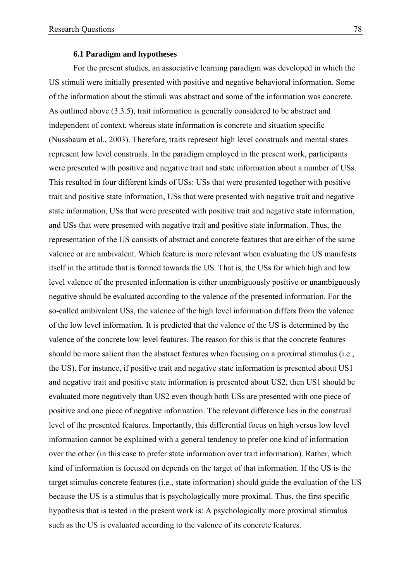#### **6.1 Paradigm and hypotheses**

For the present studies, an associative learning paradigm was developed in which the US stimuli were initially presented with positive and negative behavioral information. Some of the information about the stimuli was abstract and some of the information was concrete. As outlined above (3.3.5), trait information is generally considered to be abstract and independent of context, whereas state information is concrete and situation specific (Nussbaum et al., 2003). Therefore, traits represent high level construals and mental states represent low level construals. In the paradigm employed in the present work, participants were presented with positive and negative trait and state information about a number of USs. This resulted in four different kinds of USs: USs that were presented together with positive trait and positive state information, USs that were presented with negative trait and negative state information, USs that were presented with positive trait and negative state information, and USs that were presented with negative trait and positive state information. Thus, the representation of the US consists of abstract and concrete features that are either of the same valence or are ambivalent. Which feature is more relevant when evaluating the US manifests itself in the attitude that is formed towards the US. That is, the USs for which high and low level valence of the presented information is either unambiguously positive or unambiguously negative should be evaluated according to the valence of the presented information. For the so-called ambivalent USs, the valence of the high level information differs from the valence of the low level information. It is predicted that the valence of the US is determined by the valence of the concrete low level features. The reason for this is that the concrete features should be more salient than the abstract features when focusing on a proximal stimulus (i.e., the US). For instance, if positive trait and negative state information is presented about US1 and negative trait and positive state information is presented about US2, then US1 should be evaluated more negatively than US2 even though both USs are presented with one piece of positive and one piece of negative information. The relevant difference lies in the construal level of the presented features. Importantly, this differential focus on high versus low level information cannot be explained with a general tendency to prefer one kind of information over the other (in this case to prefer state information over trait information). Rather, which kind of information is focused on depends on the target of that information. If the US is the target stimulus concrete features (i.e., state information) should guide the evaluation of the US because the US is a stimulus that is psychologically more proximal. Thus, the first specific hypothesis that is tested in the present work is: A psychologically more proximal stimulus such as the US is evaluated according to the valence of its concrete features.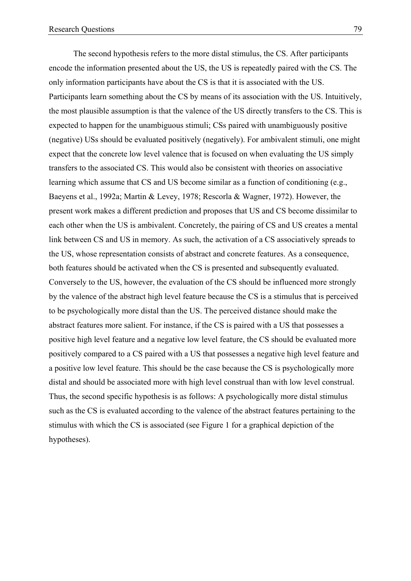The second hypothesis refers to the more distal stimulus, the CS. After participants encode the information presented about the US, the US is repeatedly paired with the CS. The only information participants have about the CS is that it is associated with the US. Participants learn something about the CS by means of its association with the US. Intuitively, the most plausible assumption is that the valence of the US directly transfers to the CS. This is expected to happen for the unambiguous stimuli; CSs paired with unambiguously positive (negative) USs should be evaluated positively (negatively). For ambivalent stimuli, one might expect that the concrete low level valence that is focused on when evaluating the US simply transfers to the associated CS. This would also be consistent with theories on associative learning which assume that CS and US become similar as a function of conditioning (e.g., Baeyens et al., 1992a; Martin & Levey, 1978; Rescorla & Wagner, 1972). However, the present work makes a different prediction and proposes that US and CS become dissimilar to each other when the US is ambivalent. Concretely, the pairing of CS and US creates a mental link between CS and US in memory. As such, the activation of a CS associatively spreads to the US, whose representation consists of abstract and concrete features. As a consequence, both features should be activated when the CS is presented and subsequently evaluated. Conversely to the US, however, the evaluation of the CS should be influenced more strongly by the valence of the abstract high level feature because the CS is a stimulus that is perceived to be psychologically more distal than the US. The perceived distance should make the abstract features more salient. For instance, if the CS is paired with a US that possesses a positive high level feature and a negative low level feature, the CS should be evaluated more positively compared to a CS paired with a US that possesses a negative high level feature and a positive low level feature. This should be the case because the CS is psychologically more distal and should be associated more with high level construal than with low level construal. Thus, the second specific hypothesis is as follows: A psychologically more distal stimulus such as the CS is evaluated according to the valence of the abstract features pertaining to the stimulus with which the CS is associated (see Figure 1 for a graphical depiction of the hypotheses).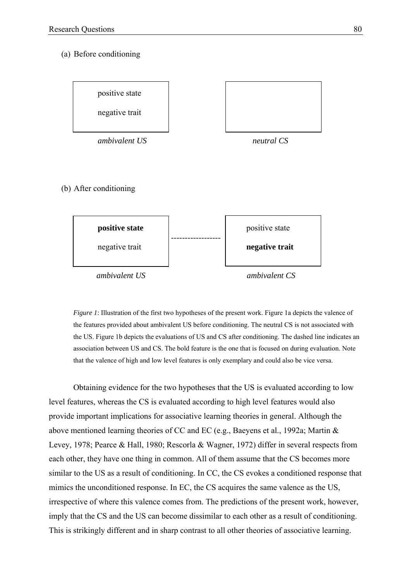### (a) Before conditioning



*ambivalent US ambivalent CS* 

*Figure 1*: Illustration of the first two hypotheses of the present work. Figure 1a depicts the valence of the features provided about ambivalent US before conditioning. The neutral CS is not associated with the US. Figure 1b depicts the evaluations of US and CS after conditioning. The dashed line indicates an association between US and CS. The bold feature is the one that is focused on during evaluation. Note that the valence of high and low level features is only exemplary and could also be vice versa.

Obtaining evidence for the two hypotheses that the US is evaluated according to low level features, whereas the CS is evaluated according to high level features would also provide important implications for associative learning theories in general. Although the above mentioned learning theories of CC and EC (e.g., Baeyens et al., 1992a; Martin & Levey, 1978; Pearce & Hall, 1980; Rescorla & Wagner, 1972) differ in several respects from each other, they have one thing in common. All of them assume that the CS becomes more similar to the US as a result of conditioning. In CC, the CS evokes a conditioned response that mimics the unconditioned response. In EC, the CS acquires the same valence as the US, irrespective of where this valence comes from. The predictions of the present work, however, imply that the CS and the US can become dissimilar to each other as a result of conditioning. This is strikingly different and in sharp contrast to all other theories of associative learning.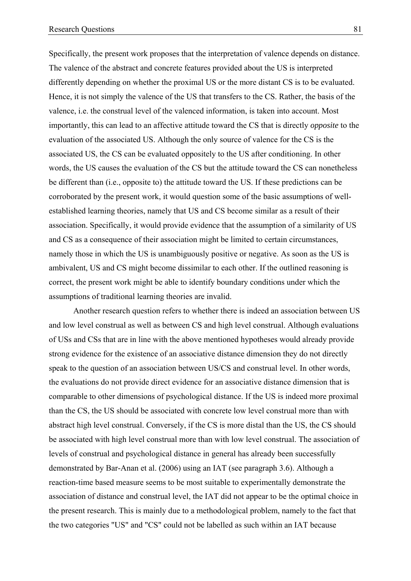Specifically, the present work proposes that the interpretation of valence depends on distance. The valence of the abstract and concrete features provided about the US is interpreted differently depending on whether the proximal US or the more distant CS is to be evaluated. Hence, it is not simply the valence of the US that transfers to the CS. Rather, the basis of the valence, i.e. the construal level of the valenced information, is taken into account. Most importantly, this can lead to an affective attitude toward the CS that is directly *opposite* to the evaluation of the associated US. Although the only source of valence for the CS is the associated US, the CS can be evaluated oppositely to the US after conditioning. In other words, the US causes the evaluation of the CS but the attitude toward the CS can nonetheless be different than (i.e., opposite to) the attitude toward the US. If these predictions can be corroborated by the present work, it would question some of the basic assumptions of wellestablished learning theories, namely that US and CS become similar as a result of their association. Specifically, it would provide evidence that the assumption of a similarity of US and CS as a consequence of their association might be limited to certain circumstances, namely those in which the US is unambiguously positive or negative. As soon as the US is ambivalent, US and CS might become dissimilar to each other. If the outlined reasoning is correct, the present work might be able to identify boundary conditions under which the assumptions of traditional learning theories are invalid.

Another research question refers to whether there is indeed an association between US and low level construal as well as between CS and high level construal. Although evaluations of USs and CSs that are in line with the above mentioned hypotheses would already provide strong evidence for the existence of an associative distance dimension they do not directly speak to the question of an association between US/CS and construal level. In other words, the evaluations do not provide direct evidence for an associative distance dimension that is comparable to other dimensions of psychological distance. If the US is indeed more proximal than the CS, the US should be associated with concrete low level construal more than with abstract high level construal. Conversely, if the CS is more distal than the US, the CS should be associated with high level construal more than with low level construal. The association of levels of construal and psychological distance in general has already been successfully demonstrated by Bar-Anan et al. (2006) using an IAT (see paragraph 3.6). Although a reaction-time based measure seems to be most suitable to experimentally demonstrate the association of distance and construal level, the IAT did not appear to be the optimal choice in the present research. This is mainly due to a methodological problem, namely to the fact that the two categories "US" and "CS" could not be labelled as such within an IAT because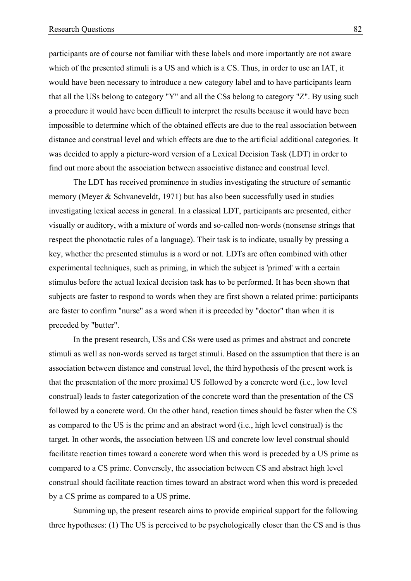participants are of course not familiar with these labels and more importantly are not aware which of the presented stimuli is a US and which is a CS. Thus, in order to use an IAT, it would have been necessary to introduce a new category label and to have participants learn that all the USs belong to category "Y" and all the CSs belong to category "Z". By using such a procedure it would have been difficult to interpret the results because it would have been impossible to determine which of the obtained effects are due to the real association between distance and construal level and which effects are due to the artificial additional categories. It was decided to apply a picture-word version of a Lexical Decision Task (LDT) in order to find out more about the association between associative distance and construal level.

The LDT has received prominence in studies investigating the structure of semantic memory (Meyer & Schvaneveldt, 1971) but has also been successfully used in studies investigating lexical access in general. In a classical LDT, participants are presented, either visually or auditory, with a mixture of words and so-called non-words (nonsense strings that respect the phonotactic rules of a language). Their task is to indicate, usually by pressing a key, whether the presented stimulus is a word or not. LDTs are often combined with other experimental techniques, such as priming, in which the subject is 'primed' with a certain stimulus before the actual lexical decision task has to be performed. It has been shown that subjects are faster to respond to words when they are first shown a related prime: participants are faster to confirm "nurse" as a word when it is preceded by "doctor" than when it is preceded by "butter".

In the present research, USs and CSs were used as primes and abstract and concrete stimuli as well as non-words served as target stimuli. Based on the assumption that there is an association between distance and construal level, the third hypothesis of the present work is that the presentation of the more proximal US followed by a concrete word (i.e., low level construal) leads to faster categorization of the concrete word than the presentation of the CS followed by a concrete word. On the other hand, reaction times should be faster when the CS as compared to the US is the prime and an abstract word (i.e., high level construal) is the target. In other words, the association between US and concrete low level construal should facilitate reaction times toward a concrete word when this word is preceded by a US prime as compared to a CS prime. Conversely, the association between CS and abstract high level construal should facilitate reaction times toward an abstract word when this word is preceded by a CS prime as compared to a US prime.

Summing up, the present research aims to provide empirical support for the following three hypotheses: (1) The US is perceived to be psychologically closer than the CS and is thus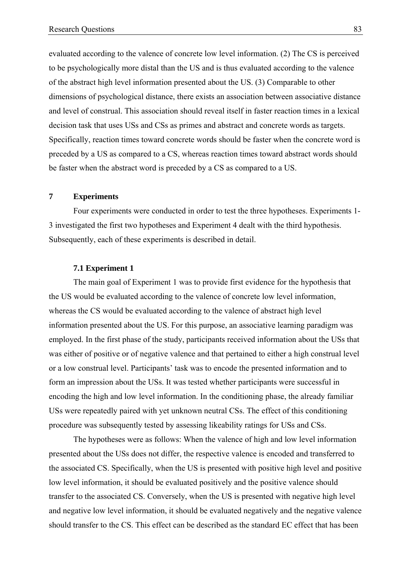evaluated according to the valence of concrete low level information. (2) The CS is perceived to be psychologically more distal than the US and is thus evaluated according to the valence of the abstract high level information presented about the US. (3) Comparable to other dimensions of psychological distance, there exists an association between associative distance and level of construal. This association should reveal itself in faster reaction times in a lexical decision task that uses USs and CSs as primes and abstract and concrete words as targets. Specifically, reaction times toward concrete words should be faster when the concrete word is preceded by a US as compared to a CS, whereas reaction times toward abstract words should be faster when the abstract word is preceded by a CS as compared to a US.

## **7 Experiments**

Four experiments were conducted in order to test the three hypotheses. Experiments 1- 3 investigated the first two hypotheses and Experiment 4 dealt with the third hypothesis. Subsequently, each of these experiments is described in detail.

## **7.1 Experiment 1**

The main goal of Experiment 1 was to provide first evidence for the hypothesis that the US would be evaluated according to the valence of concrete low level information, whereas the CS would be evaluated according to the valence of abstract high level information presented about the US. For this purpose, an associative learning paradigm was employed. In the first phase of the study, participants received information about the USs that was either of positive or of negative valence and that pertained to either a high construal level or a low construal level. Participants' task was to encode the presented information and to form an impression about the USs. It was tested whether participants were successful in encoding the high and low level information. In the conditioning phase, the already familiar USs were repeatedly paired with yet unknown neutral CSs. The effect of this conditioning procedure was subsequently tested by assessing likeability ratings for USs and CSs.

The hypotheses were as follows: When the valence of high and low level information presented about the USs does not differ, the respective valence is encoded and transferred to the associated CS. Specifically, when the US is presented with positive high level and positive low level information, it should be evaluated positively and the positive valence should transfer to the associated CS. Conversely, when the US is presented with negative high level and negative low level information, it should be evaluated negatively and the negative valence should transfer to the CS. This effect can be described as the standard EC effect that has been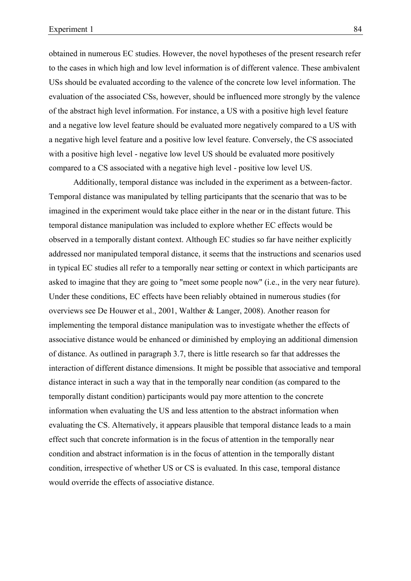obtained in numerous EC studies. However, the novel hypotheses of the present research refer to the cases in which high and low level information is of different valence. These ambivalent USs should be evaluated according to the valence of the concrete low level information. The evaluation of the associated CSs, however, should be influenced more strongly by the valence of the abstract high level information. For instance, a US with a positive high level feature and a negative low level feature should be evaluated more negatively compared to a US with a negative high level feature and a positive low level feature. Conversely, the CS associated with a positive high level - negative low level US should be evaluated more positively compared to a CS associated with a negative high level - positive low level US.

Additionally, temporal distance was included in the experiment as a between-factor. Temporal distance was manipulated by telling participants that the scenario that was to be imagined in the experiment would take place either in the near or in the distant future. This temporal distance manipulation was included to explore whether EC effects would be observed in a temporally distant context. Although EC studies so far have neither explicitly addressed nor manipulated temporal distance, it seems that the instructions and scenarios used in typical EC studies all refer to a temporally near setting or context in which participants are asked to imagine that they are going to "meet some people now" (i.e., in the very near future). Under these conditions, EC effects have been reliably obtained in numerous studies (for overviews see De Houwer et al., 2001, Walther & Langer, 2008). Another reason for implementing the temporal distance manipulation was to investigate whether the effects of associative distance would be enhanced or diminished by employing an additional dimension of distance. As outlined in paragraph 3.7, there is little research so far that addresses the interaction of different distance dimensions. It might be possible that associative and temporal distance interact in such a way that in the temporally near condition (as compared to the temporally distant condition) participants would pay more attention to the concrete information when evaluating the US and less attention to the abstract information when evaluating the CS. Alternatively, it appears plausible that temporal distance leads to a main effect such that concrete information is in the focus of attention in the temporally near condition and abstract information is in the focus of attention in the temporally distant condition, irrespective of whether US or CS is evaluated. In this case, temporal distance would override the effects of associative distance.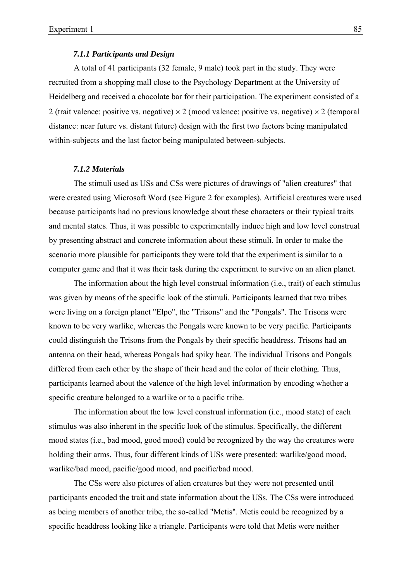## *7.1.1 Participants and Design*

A total of 41 participants (32 female, 9 male) took part in the study. They were recruited from a shopping mall close to the Psychology Department at the University of Heidelberg and received a chocolate bar for their participation. The experiment consisted of a 2 (trait valence: positive vs. negative)  $\times$  2 (mood valence: positive vs. negative)  $\times$  2 (temporal distance: near future vs. distant future) design with the first two factors being manipulated within-subjects and the last factor being manipulated between-subjects.

#### *7.1.2 Materials*

The stimuli used as USs and CSs were pictures of drawings of "alien creatures" that were created using Microsoft Word (see Figure 2 for examples). Artificial creatures were used because participants had no previous knowledge about these characters or their typical traits and mental states. Thus, it was possible to experimentally induce high and low level construal by presenting abstract and concrete information about these stimuli. In order to make the scenario more plausible for participants they were told that the experiment is similar to a computer game and that it was their task during the experiment to survive on an alien planet.

The information about the high level construal information (i.e., trait) of each stimulus was given by means of the specific look of the stimuli. Participants learned that two tribes were living on a foreign planet "Elpo", the "Trisons" and the "Pongals". The Trisons were known to be very warlike, whereas the Pongals were known to be very pacific. Participants could distinguish the Trisons from the Pongals by their specific headdress. Trisons had an antenna on their head, whereas Pongals had spiky hear. The individual Trisons and Pongals differed from each other by the shape of their head and the color of their clothing. Thus, participants learned about the valence of the high level information by encoding whether a specific creature belonged to a warlike or to a pacific tribe.

The information about the low level construal information (i.e., mood state) of each stimulus was also inherent in the specific look of the stimulus. Specifically, the different mood states (i.e., bad mood, good mood) could be recognized by the way the creatures were holding their arms. Thus, four different kinds of USs were presented: warlike/good mood, warlike/bad mood, pacific/good mood, and pacific/bad mood.

The CSs were also pictures of alien creatures but they were not presented until participants encoded the trait and state information about the USs. The CSs were introduced as being members of another tribe, the so-called "Metis". Metis could be recognized by a specific headdress looking like a triangle. Participants were told that Metis were neither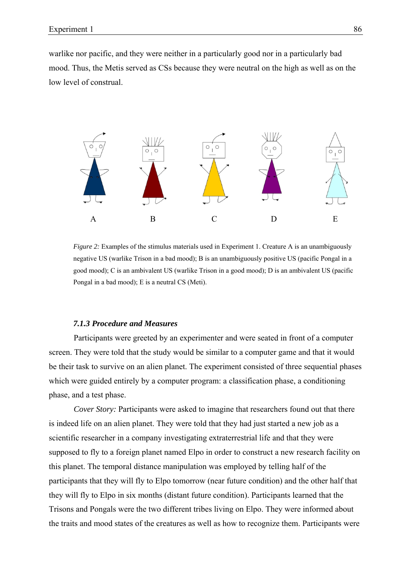warlike nor pacific, and they were neither in a particularly good nor in a particularly bad mood. Thus, the Metis served as CSs because they were neutral on the high as well as on the low level of construal.



*Figure 2:* Examples of the stimulus materials used in Experiment 1. Creature A is an unambiguously negative US (warlike Trison in a bad mood); B is an unambiguously positive US (pacific Pongal in a good mood); C is an ambivalent US (warlike Trison in a good mood); D is an ambivalent US (pacific Pongal in a bad mood); E is a neutral CS (Meti).

## *7.1.3 Procedure and Measures*

Participants were greeted by an experimenter and were seated in front of a computer screen. They were told that the study would be similar to a computer game and that it would be their task to survive on an alien planet. The experiment consisted of three sequential phases which were guided entirely by a computer program: a classification phase, a conditioning phase, and a test phase.

*Cover Story:* Participants were asked to imagine that researchers found out that there is indeed life on an alien planet. They were told that they had just started a new job as a scientific researcher in a company investigating extraterrestrial life and that they were supposed to fly to a foreign planet named Elpo in order to construct a new research facility on this planet. The temporal distance manipulation was employed by telling half of the participants that they will fly to Elpo tomorrow (near future condition) and the other half that they will fly to Elpo in six months (distant future condition). Participants learned that the Trisons and Pongals were the two different tribes living on Elpo. They were informed about the traits and mood states of the creatures as well as how to recognize them. Participants were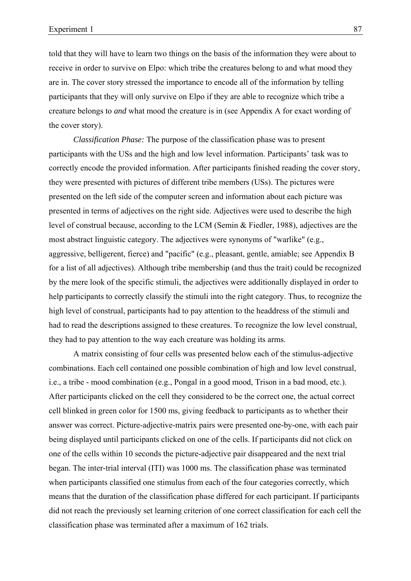told that they will have to learn two things on the basis of the information they were about to receive in order to survive on Elpo: which tribe the creatures belong to and what mood they are in. The cover story stressed the importance to encode all of the information by telling participants that they will only survive on Elpo if they are able to recognize which tribe a creature belongs to *and* what mood the creature is in (see Appendix A for exact wording of the cover story).

*Classification Phase:* The purpose of the classification phase was to present participants with the USs and the high and low level information. Participants' task was to correctly encode the provided information. After participants finished reading the cover story, they were presented with pictures of different tribe members (USs). The pictures were presented on the left side of the computer screen and information about each picture was presented in terms of adjectives on the right side. Adjectives were used to describe the high level of construal because, according to the LCM (Semin & Fiedler, 1988), adjectives are the most abstract linguistic category. The adjectives were synonyms of "warlike" (e.g., aggressive, belligerent, fierce) and "pacific" (e.g., pleasant, gentle, amiable; see Appendix B for a list of all adjectives). Although tribe membership (and thus the trait) could be recognized by the mere look of the specific stimuli, the adjectives were additionally displayed in order to help participants to correctly classify the stimuli into the right category. Thus, to recognize the high level of construal, participants had to pay attention to the headdress of the stimuli and had to read the descriptions assigned to these creatures. To recognize the low level construal, they had to pay attention to the way each creature was holding its arms.

A matrix consisting of four cells was presented below each of the stimulus-adjective combinations. Each cell contained one possible combination of high and low level construal, i.e., a tribe - mood combination (e.g., Pongal in a good mood, Trison in a bad mood, etc.). After participants clicked on the cell they considered to be the correct one, the actual correct cell blinked in green color for 1500 ms, giving feedback to participants as to whether their answer was correct. Picture-adjective-matrix pairs were presented one-by-one, with each pair being displayed until participants clicked on one of the cells. If participants did not click on one of the cells within 10 seconds the picture-adjective pair disappeared and the next trial began. The inter-trial interval (ITI) was 1000 ms. The classification phase was terminated when participants classified one stimulus from each of the four categories correctly, which means that the duration of the classification phase differed for each participant. If participants did not reach the previously set learning criterion of one correct classification for each cell the classification phase was terminated after a maximum of 162 trials.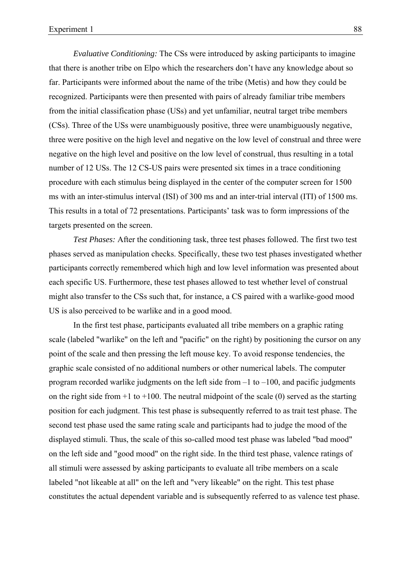*Evaluative Conditioning:* The CSs were introduced by asking participants to imagine that there is another tribe on Elpo which the researchers don't have any knowledge about so far. Participants were informed about the name of the tribe (Metis) and how they could be recognized. Participants were then presented with pairs of already familiar tribe members from the initial classification phase (USs) and yet unfamiliar, neutral target tribe members (CSs). Three of the USs were unambiguously positive, three were unambiguously negative, three were positive on the high level and negative on the low level of construal and three were negative on the high level and positive on the low level of construal, thus resulting in a total number of 12 USs. The 12 CS-US pairs were presented six times in a trace conditioning procedure with each stimulus being displayed in the center of the computer screen for 1500 ms with an inter-stimulus interval (ISI) of 300 ms and an inter-trial interval (ITI) of 1500 ms. This results in a total of 72 presentations. Participants' task was to form impressions of the targets presented on the screen.

*Test Phases:* After the conditioning task, three test phases followed. The first two test phases served as manipulation checks. Specifically, these two test phases investigated whether participants correctly remembered which high and low level information was presented about each specific US. Furthermore, these test phases allowed to test whether level of construal might also transfer to the CSs such that, for instance, a CS paired with a warlike-good mood US is also perceived to be warlike and in a good mood.

In the first test phase, participants evaluated all tribe members on a graphic rating scale (labeled "warlike" on the left and "pacific" on the right) by positioning the cursor on any point of the scale and then pressing the left mouse key. To avoid response tendencies, the graphic scale consisted of no additional numbers or other numerical labels. The computer program recorded warlike judgments on the left side from  $-1$  to  $-100$ , and pacific judgments on the right side from  $+1$  to  $+100$ . The neutral midpoint of the scale (0) served as the starting position for each judgment. This test phase is subsequently referred to as trait test phase. The second test phase used the same rating scale and participants had to judge the mood of the displayed stimuli. Thus, the scale of this so-called mood test phase was labeled "bad mood" on the left side and "good mood" on the right side. In the third test phase, valence ratings of all stimuli were assessed by asking participants to evaluate all tribe members on a scale labeled "not likeable at all" on the left and "very likeable" on the right. This test phase constitutes the actual dependent variable and is subsequently referred to as valence test phase.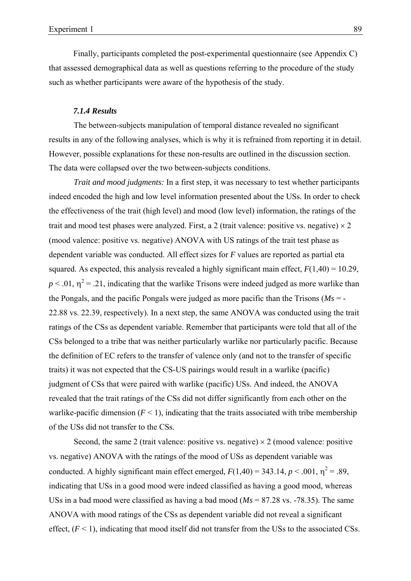Finally, participants completed the post-experimental questionnaire (see Appendix C) that assessed demographical data as well as questions referring to the procedure of the study such as whether participants were aware of the hypothesis of the study.

## *7.1.4 Results*

The between-subjects manipulation of temporal distance revealed no significant results in any of the following analyses, which is why it is refrained from reporting it in detail. However, possible explanations for these non-results are outlined in the discussion section. The data were collapsed over the two between-subjects conditions.

*Trait and mood judgments:* In a first step, it was necessary to test whether participants indeed encoded the high and low level information presented about the USs. In order to check the effectiveness of the trait (high level) and mood (low level) information, the ratings of the trait and mood test phases were analyzed. First, a 2 (trait valence: positive vs. negative)  $\times$  2 (mood valence: positive vs. negative) ANOVA with US ratings of the trait test phase as dependent variable was conducted. All effect sizes for *F* values are reported as partial eta squared. As expected, this analysis revealed a highly significant main effect,  $F(1,40) = 10.29$ ,  $p < .01$ ,  $\eta^2 = .21$ , indicating that the warlike Trisons were indeed judged as more warlike than the Pongals, and the pacific Pongals were judged as more pacific than the Trisons ( $Ms = -$ 22.88 vs. 22.39, respectively). In a next step, the same ANOVA was conducted using the trait ratings of the CSs as dependent variable. Remember that participants were told that all of the CSs belonged to a tribe that was neither particularly warlike nor particularly pacific. Because the definition of EC refers to the transfer of valence only (and not to the transfer of specific traits) it was not expected that the CS-US pairings would result in a warlike (pacific) judgment of CSs that were paired with warlike (pacific) USs. And indeed, the ANOVA revealed that the trait ratings of the CSs did not differ significantly from each other on the warlike-pacific dimension  $(F < 1)$ , indicating that the traits associated with tribe membership of the USs did not transfer to the CSs.

Second, the same 2 (trait valence: positive vs. negative)  $\times$  2 (mood valence: positive vs. negative) ANOVA with the ratings of the mood of USs as dependent variable was conducted. A highly significant main effect emerged,  $F(1,40) = 343.14$ ,  $p < .001$ ,  $\eta^2 = .89$ , indicating that USs in a good mood were indeed classified as having a good mood, whereas USs in a bad mood were classified as having a bad mood (*Ms* = 87.28 vs. -78.35). The same ANOVA with mood ratings of the CSs as dependent variable did not reveal a significant effect,  $(F < 1)$ , indicating that mood itself did not transfer from the USs to the associated CSs.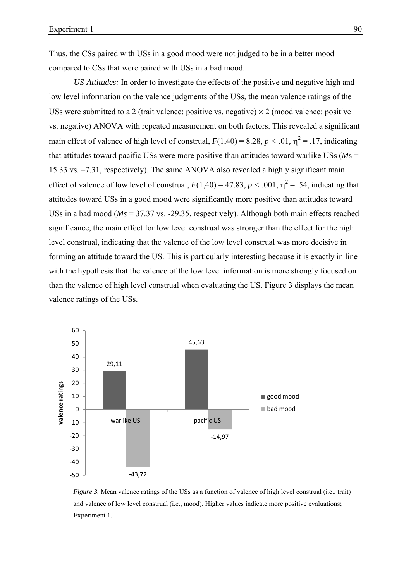Thus, the CSs paired with USs in a good mood were not judged to be in a better mood compared to CSs that were paired with USs in a bad mood.

*US-Attitudes:* In order to investigate the effects of the positive and negative high and low level information on the valence judgments of the USs, the mean valence ratings of the USs were submitted to a 2 (trait valence: positive vs. negative)  $\times$  2 (mood valence: positive vs. negative) ANOVA with repeated measurement on both factors. This revealed a significant main effect of valence of high level of construal,  $F(1,40) = 8.28, p < .01, \eta^2 = .17$ , indicating that attitudes toward pacific USs were more positive than attitudes toward warlike USs (*M*s = 15.33 vs. –7.31, respectively). The same ANOVA also revealed a highly significant main effect of valence of low level of construal,  $F(1,40) = 47.83$ ,  $p < .001$ ,  $\eta^2 = .54$ , indicating that attitudes toward USs in a good mood were significantly more positive than attitudes toward USs in a bad mood (*Ms* = 37.37 vs. -29.35, respectively). Although both main effects reached significance, the main effect for low level construal was stronger than the effect for the high level construal, indicating that the valence of the low level construal was more decisive in forming an attitude toward the US. This is particularly interesting because it is exactly in line with the hypothesis that the valence of the low level information is more strongly focused on than the valence of high level construal when evaluating the US. Figure 3 displays the mean valence ratings of the USs.



*Figure 3.* Mean valence ratings of the USs as a function of valence of high level construal (i.e., trait) and valence of low level construal (i.e., mood). Higher values indicate more positive evaluations; Experiment 1.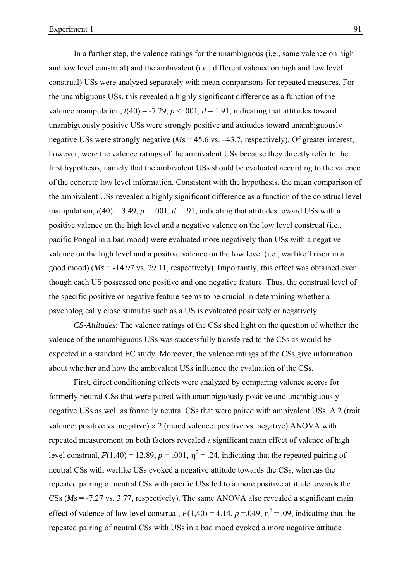In a further step, the valence ratings for the unambiguous (i.e., same valence on high and low level construal) and the ambivalent (i.e., different valence on high and low level construal) USs were analyzed separately with mean comparisons for repeated measures. For the unambiguous USs, this revealed a highly significant difference as a function of the valence manipulation,  $t(40) = -7.29$ ,  $p < .001$ ,  $d = 1.91$ , indicating that attitudes toward unambiguously positive USs were strongly positive and attitudes toward unambiguously negative USs were strongly negative (*M*s = 45.6 vs. –43.7, respectively). Of greater interest, however, were the valence ratings of the ambivalent USs because they directly refer to the first hypothesis, namely that the ambivalent USs should be evaluated according to the valence of the concrete low level information. Consistent with the hypothesis, the mean comparison of the ambivalent USs revealed a highly significant difference as a function of the construal level manipulation,  $t(40) = 3.49$ ,  $p = .001$ ,  $d = .91$ , indicating that attitudes toward USs with a positive valence on the high level and a negative valence on the low level construal (i.e., pacific Pongal in a bad mood) were evaluated more negatively than USs with a negative valence on the high level and a positive valence on the low level (i.e., warlike Trison in a good mood) (*Ms* = -14.97 vs. 29.11, respectively). Importantly, this effect was obtained even though each US possessed one positive and one negative feature. Thus, the construal level of the specific positive or negative feature seems to be crucial in determining whether a psychologically close stimulus such as a US is evaluated positively or negatively.

*CS-Attitudes*: The valence ratings of the CSs shed light on the question of whether the valence of the unambiguous USs was successfully transferred to the CSs as would be expected in a standard EC study. Moreover, the valence ratings of the CSs give information about whether and how the ambivalent USs influence the evaluation of the CSs.

First, direct conditioning effects were analyzed by comparing valence scores for formerly neutral CSs that were paired with unambiguously positive and unambiguously negative USs as well as formerly neutral CSs that were paired with ambivalent USs. A 2 (trait valence: positive vs. negative)  $\times$  2 (mood valence: positive vs. negative) ANOVA with repeated measurement on both factors revealed a significant main effect of valence of high level construal,  $F(1,40) = 12.89$ ,  $p = .001$ ,  $\eta^2 = .24$ , indicating that the repeated pairing of neutral CSs with warlike USs evoked a negative attitude towards the CSs, whereas the repeated pairing of neutral CSs with pacific USs led to a more positive attitude towards the CSs (*M*s = -7.27 vs. 3.77, respectively). The same ANOVA also revealed a significant main effect of valence of low level construal,  $F(1,40) = 4.14$ ,  $p = .049$ ,  $\eta^2 = .09$ , indicating that the repeated pairing of neutral CSs with USs in a bad mood evoked a more negative attitude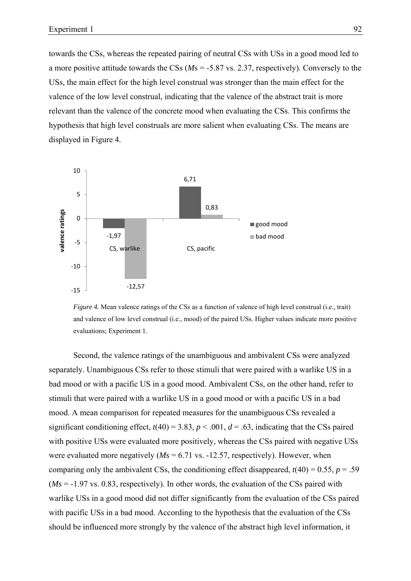towards the CSs, whereas the repeated pairing of neutral CSs with USs in a good mood led to a more positive attitude towards the CSs (*M*s = -5.87 vs. 2.37, respectively). Conversely to the USs, the main effect for the high level construal was stronger than the main effect for the valence of the low level construal, indicating that the valence of the abstract trait is more relevant than the valence of the concrete mood when evaluating the CSs. This confirms the hypothesis that high level construals are more salient when evaluating CSs. The means are displayed in Figure 4.



*Figure 4.* Mean valence ratings of the CSs as a function of valence of high level construal (i.e., trait) and valence of low level construal (i.e., mood) of the paired USs. Higher values indicate more positive evaluations; Experiment 1.

Second, the valence ratings of the unambiguous and ambivalent CSs were analyzed separately. Unambiguous CSs refer to those stimuli that were paired with a warlike US in a bad mood or with a pacific US in a good mood. Ambivalent CSs, on the other hand, refer to stimuli that were paired with a warlike US in a good mood or with a pacific US in a bad mood. A mean comparison for repeated measures for the unambiguous CSs revealed a significant conditioning effect,  $t(40) = 3.83$ ,  $p < .001$ ,  $d = .63$ , indicating that the CSs paired with positive USs were evaluated more positively, whereas the CSs paired with negative USs were evaluated more negatively  $(Ms = 6.71 \text{ vs. } -12.57$ , respectively). However, when comparing only the ambivalent CSs, the conditioning effect disappeared,  $t(40) = 0.55$ ,  $p = .59$  $(Ms = -1.97 \text{ vs. } 0.83$ , respectively). In other words, the evaluation of the CSs paired with warlike USs in a good mood did not differ significantly from the evaluation of the CSs paired with pacific USs in a bad mood. According to the hypothesis that the evaluation of the CSs should be influenced more strongly by the valence of the abstract high level information, it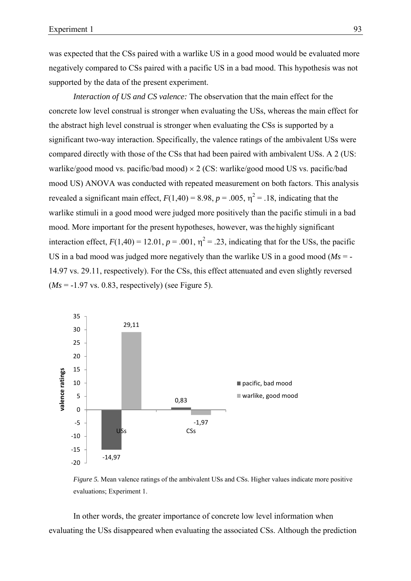was expected that the CSs paired with a warlike US in a good mood would be evaluated more negatively compared to CSs paired with a pacific US in a bad mood. This hypothesis was not supported by the data of the present experiment.

*Interaction of US and CS valence:* The observation that the main effect for the concrete low level construal is stronger when evaluating the USs, whereas the main effect for the abstract high level construal is stronger when evaluating the CSs is supported by a significant two-way interaction. Specifically, the valence ratings of the ambivalent USs were compared directly with those of the CSs that had been paired with ambivalent USs. A 2 (US: warlike/good mood vs. pacific/bad mood) × 2 (CS: warlike/good mood US vs. pacific/bad mood US) ANOVA was conducted with repeated measurement on both factors. This analysis revealed a significant main effect,  $F(1,40) = 8.98$ ,  $p = .005$ ,  $\eta^2 = .18$ , indicating that the warlike stimuli in a good mood were judged more positively than the pacific stimuli in a bad mood. More important for the present hypotheses, however, was the highly significant interaction effect,  $F(1,40) = 12.01$ ,  $p = .001$ ,  $\eta^2 = .23$ , indicating that for the USs, the pacific US in a bad mood was judged more negatively than the warlike US in a good mood ( $Ms = -$ 14.97 vs. 29.11, respectively). For the CSs, this effect attenuated and even slightly reversed  $(Ms = -1.97 \text{ vs. } 0.83$ , respectively) (see Figure 5).



*Figure 5.* Mean valence ratings of the ambivalent USs and CSs. Higher values indicate more positive evaluations; Experiment 1.

In other words, the greater importance of concrete low level information when evaluating the USs disappeared when evaluating the associated CSs. Although the prediction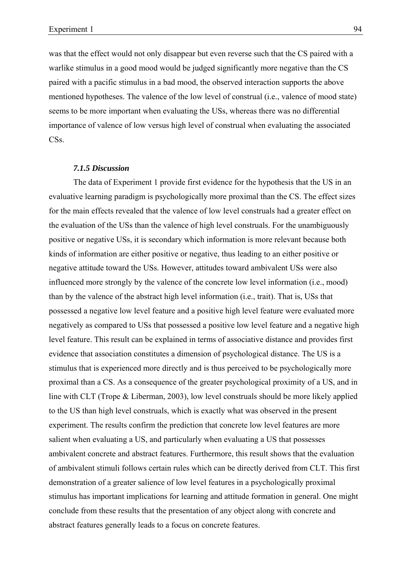was that the effect would not only disappear but even reverse such that the CS paired with a warlike stimulus in a good mood would be judged significantly more negative than the CS paired with a pacific stimulus in a bad mood, the observed interaction supports the above mentioned hypotheses. The valence of the low level of construal (i.e., valence of mood state) seems to be more important when evaluating the USs, whereas there was no differential importance of valence of low versus high level of construal when evaluating the associated CS<sub>s</sub>.

#### *7.1.5 Discussion*

The data of Experiment 1 provide first evidence for the hypothesis that the US in an evaluative learning paradigm is psychologically more proximal than the CS. The effect sizes for the main effects revealed that the valence of low level construals had a greater effect on the evaluation of the USs than the valence of high level construals. For the unambiguously positive or negative USs, it is secondary which information is more relevant because both kinds of information are either positive or negative, thus leading to an either positive or negative attitude toward the USs. However, attitudes toward ambivalent USs were also influenced more strongly by the valence of the concrete low level information (i.e., mood) than by the valence of the abstract high level information (i.e., trait). That is, USs that possessed a negative low level feature and a positive high level feature were evaluated more negatively as compared to USs that possessed a positive low level feature and a negative high level feature. This result can be explained in terms of associative distance and provides first evidence that association constitutes a dimension of psychological distance. The US is a stimulus that is experienced more directly and is thus perceived to be psychologically more proximal than a CS. As a consequence of the greater psychological proximity of a US, and in line with CLT (Trope & Liberman, 2003), low level construals should be more likely applied to the US than high level construals, which is exactly what was observed in the present experiment. The results confirm the prediction that concrete low level features are more salient when evaluating a US, and particularly when evaluating a US that possesses ambivalent concrete and abstract features. Furthermore, this result shows that the evaluation of ambivalent stimuli follows certain rules which can be directly derived from CLT. This first demonstration of a greater salience of low level features in a psychologically proximal stimulus has important implications for learning and attitude formation in general. One might conclude from these results that the presentation of any object along with concrete and abstract features generally leads to a focus on concrete features.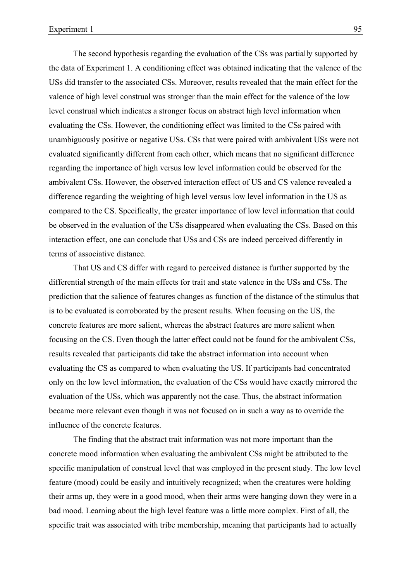The second hypothesis regarding the evaluation of the CSs was partially supported by the data of Experiment 1. A conditioning effect was obtained indicating that the valence of the USs did transfer to the associated CSs. Moreover, results revealed that the main effect for the valence of high level construal was stronger than the main effect for the valence of the low level construal which indicates a stronger focus on abstract high level information when evaluating the CSs. However, the conditioning effect was limited to the CSs paired with unambiguously positive or negative USs. CSs that were paired with ambivalent USs were not evaluated significantly different from each other, which means that no significant difference regarding the importance of high versus low level information could be observed for the ambivalent CSs. However, the observed interaction effect of US and CS valence revealed a difference regarding the weighting of high level versus low level information in the US as compared to the CS. Specifically, the greater importance of low level information that could be observed in the evaluation of the USs disappeared when evaluating the CSs. Based on this interaction effect, one can conclude that USs and CSs are indeed perceived differently in terms of associative distance.

That US and CS differ with regard to perceived distance is further supported by the differential strength of the main effects for trait and state valence in the USs and CSs. The prediction that the salience of features changes as function of the distance of the stimulus that is to be evaluated is corroborated by the present results. When focusing on the US, the concrete features are more salient, whereas the abstract features are more salient when focusing on the CS. Even though the latter effect could not be found for the ambivalent CSs, results revealed that participants did take the abstract information into account when evaluating the CS as compared to when evaluating the US. If participants had concentrated only on the low level information, the evaluation of the CSs would have exactly mirrored the evaluation of the USs, which was apparently not the case. Thus, the abstract information became more relevant even though it was not focused on in such a way as to override the influence of the concrete features.

The finding that the abstract trait information was not more important than the concrete mood information when evaluating the ambivalent CSs might be attributed to the specific manipulation of construal level that was employed in the present study. The low level feature (mood) could be easily and intuitively recognized; when the creatures were holding their arms up, they were in a good mood, when their arms were hanging down they were in a bad mood. Learning about the high level feature was a little more complex. First of all, the specific trait was associated with tribe membership, meaning that participants had to actually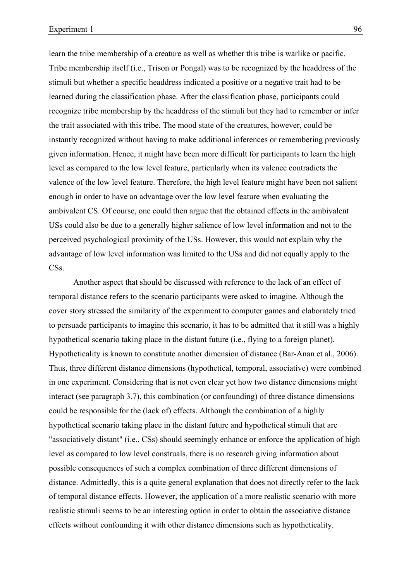learn the tribe membership of a creature as well as whether this tribe is warlike or pacific. Tribe membership itself (i.e., Trison or Pongal) was to be recognized by the headdress of the stimuli but whether a specific headdress indicated a positive or a negative trait had to be learned during the classification phase. After the classification phase, participants could recognize tribe membership by the headdress of the stimuli but they had to remember or infer the trait associated with this tribe. The mood state of the creatures, however, could be instantly recognized without having to make additional inferences or remembering previously given information. Hence, it might have been more difficult for participants to learn the high level as compared to the low level feature, particularly when its valence contradicts the valence of the low level feature. Therefore, the high level feature might have been not salient enough in order to have an advantage over the low level feature when evaluating the ambivalent CS. Of course, one could then argue that the obtained effects in the ambivalent USs could also be due to a generally higher salience of low level information and not to the perceived psychological proximity of the USs. However, this would not explain why the advantage of low level information was limited to the USs and did not equally apply to the CS<sub>s</sub>.

Another aspect that should be discussed with reference to the lack of an effect of temporal distance refers to the scenario participants were asked to imagine. Although the cover story stressed the similarity of the experiment to computer games and elaborately tried to persuade participants to imagine this scenario, it has to be admitted that it still was a highly hypothetical scenario taking place in the distant future (i.e., flying to a foreign planet). Hypotheticality is known to constitute another dimension of distance (Bar-Anan et al., 2006). Thus, three different distance dimensions (hypothetical, temporal, associative) were combined in one experiment. Considering that is not even clear yet how two distance dimensions might interact (see paragraph 3.7), this combination (or confounding) of three distance dimensions could be responsible for the (lack of) effects. Although the combination of a highly hypothetical scenario taking place in the distant future and hypothetical stimuli that are "associatively distant" (i.e., CSs) should seemingly enhance or enforce the application of high level as compared to low level construals, there is no research giving information about possible consequences of such a complex combination of three different dimensions of distance. Admittedly, this is a quite general explanation that does not directly refer to the lack of temporal distance effects. However, the application of a more realistic scenario with more realistic stimuli seems to be an interesting option in order to obtain the associative distance effects without confounding it with other distance dimensions such as hypotheticality.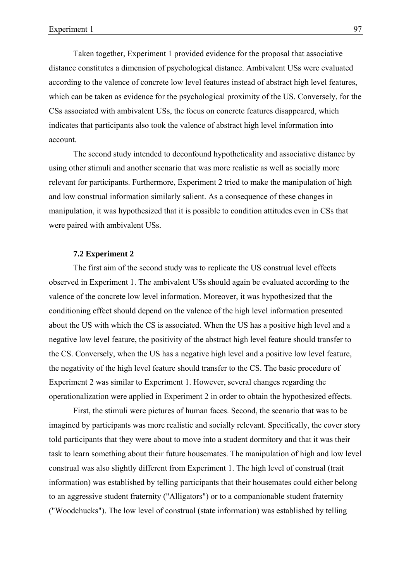Taken together, Experiment 1 provided evidence for the proposal that associative distance constitutes a dimension of psychological distance. Ambivalent USs were evaluated according to the valence of concrete low level features instead of abstract high level features, which can be taken as evidence for the psychological proximity of the US. Conversely, for the CSs associated with ambivalent USs, the focus on concrete features disappeared, which indicates that participants also took the valence of abstract high level information into account.

The second study intended to deconfound hypotheticality and associative distance by using other stimuli and another scenario that was more realistic as well as socially more relevant for participants. Furthermore, Experiment 2 tried to make the manipulation of high and low construal information similarly salient. As a consequence of these changes in manipulation, it was hypothesized that it is possible to condition attitudes even in CSs that were paired with ambivalent USs.

# **7.2 Experiment 2**

The first aim of the second study was to replicate the US construal level effects observed in Experiment 1. The ambivalent USs should again be evaluated according to the valence of the concrete low level information. Moreover, it was hypothesized that the conditioning effect should depend on the valence of the high level information presented about the US with which the CS is associated. When the US has a positive high level and a negative low level feature, the positivity of the abstract high level feature should transfer to the CS. Conversely, when the US has a negative high level and a positive low level feature, the negativity of the high level feature should transfer to the CS. The basic procedure of Experiment 2 was similar to Experiment 1. However, several changes regarding the operationalization were applied in Experiment 2 in order to obtain the hypothesized effects.

First, the stimuli were pictures of human faces. Second, the scenario that was to be imagined by participants was more realistic and socially relevant. Specifically, the cover story told participants that they were about to move into a student dormitory and that it was their task to learn something about their future housemates. The manipulation of high and low level construal was also slightly different from Experiment 1. The high level of construal (trait information) was established by telling participants that their housemates could either belong to an aggressive student fraternity ("Alligators") or to a companionable student fraternity ("Woodchucks"). The low level of construal (state information) was established by telling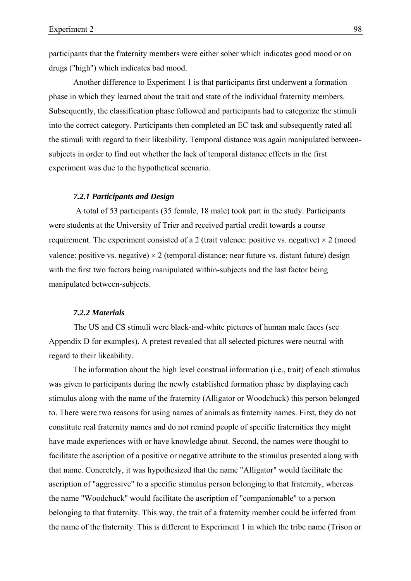participants that the fraternity members were either sober which indicates good mood or on drugs ("high") which indicates bad mood.

Another difference to Experiment 1 is that participants first underwent a formation phase in which they learned about the trait and state of the individual fraternity members. Subsequently, the classification phase followed and participants had to categorize the stimuli into the correct category. Participants then completed an EC task and subsequently rated all the stimuli with regard to their likeability. Temporal distance was again manipulated betweensubjects in order to find out whether the lack of temporal distance effects in the first experiment was due to the hypothetical scenario.

### *7.2.1 Participants and Design*

 A total of 53 participants (35 female, 18 male) took part in the study. Participants were students at the University of Trier and received partial credit towards a course requirement. The experiment consisted of a 2 (trait valence: positive vs. negative)  $\times$  2 (mood valence: positive vs. negative)  $\times$  2 (temporal distance: near future vs. distant future) design with the first two factors being manipulated within-subjects and the last factor being manipulated between-subjects.

## *7.2.2 Materials*

The US and CS stimuli were black-and-white pictures of human male faces (see Appendix D for examples). A pretest revealed that all selected pictures were neutral with regard to their likeability.

The information about the high level construal information (i.e., trait) of each stimulus was given to participants during the newly established formation phase by displaying each stimulus along with the name of the fraternity (Alligator or Woodchuck) this person belonged to. There were two reasons for using names of animals as fraternity names. First, they do not constitute real fraternity names and do not remind people of specific fraternities they might have made experiences with or have knowledge about. Second, the names were thought to facilitate the ascription of a positive or negative attribute to the stimulus presented along with that name. Concretely, it was hypothesized that the name "Alligator" would facilitate the ascription of "aggressive" to a specific stimulus person belonging to that fraternity, whereas the name "Woodchuck" would facilitate the ascription of "companionable" to a person belonging to that fraternity. This way, the trait of a fraternity member could be inferred from the name of the fraternity. This is different to Experiment 1 in which the tribe name (Trison or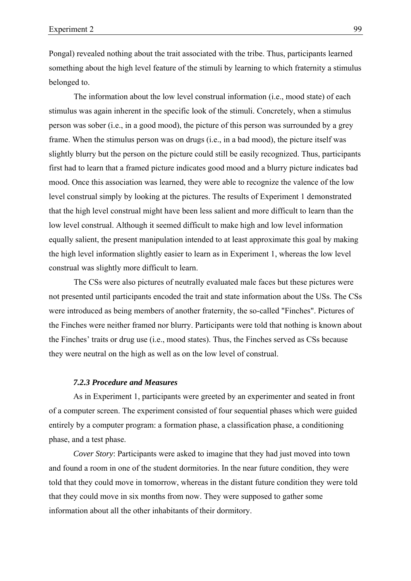Pongal) revealed nothing about the trait associated with the tribe. Thus, participants learned something about the high level feature of the stimuli by learning to which fraternity a stimulus belonged to.

The information about the low level construal information (i.e., mood state) of each stimulus was again inherent in the specific look of the stimuli. Concretely, when a stimulus person was sober (i.e., in a good mood), the picture of this person was surrounded by a grey frame. When the stimulus person was on drugs (i.e., in a bad mood), the picture itself was slightly blurry but the person on the picture could still be easily recognized. Thus, participants first had to learn that a framed picture indicates good mood and a blurry picture indicates bad mood. Once this association was learned, they were able to recognize the valence of the low level construal simply by looking at the pictures. The results of Experiment 1 demonstrated that the high level construal might have been less salient and more difficult to learn than the low level construal. Although it seemed difficult to make high and low level information equally salient, the present manipulation intended to at least approximate this goal by making the high level information slightly easier to learn as in Experiment 1, whereas the low level construal was slightly more difficult to learn.

The CSs were also pictures of neutrally evaluated male faces but these pictures were not presented until participants encoded the trait and state information about the USs. The CSs were introduced as being members of another fraternity, the so-called "Finches". Pictures of the Finches were neither framed nor blurry. Participants were told that nothing is known about the Finches' traits or drug use (i.e., mood states). Thus, the Finches served as CSs because they were neutral on the high as well as on the low level of construal.

# *7.2.3 Procedure and Measures*

As in Experiment 1, participants were greeted by an experimenter and seated in front of a computer screen. The experiment consisted of four sequential phases which were guided entirely by a computer program: a formation phase, a classification phase, a conditioning phase, and a test phase.

*Cover Story*: Participants were asked to imagine that they had just moved into town and found a room in one of the student dormitories. In the near future condition, they were told that they could move in tomorrow, whereas in the distant future condition they were told that they could move in six months from now. They were supposed to gather some information about all the other inhabitants of their dormitory.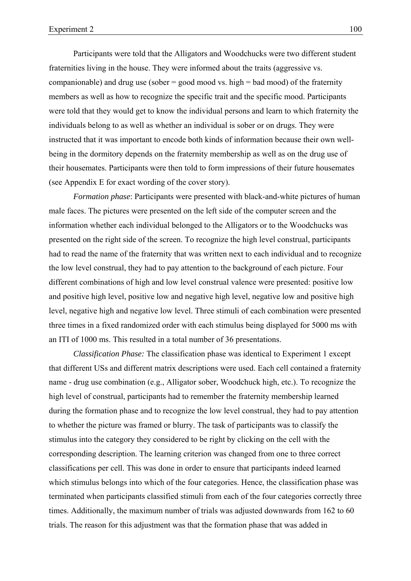Participants were told that the Alligators and Woodchucks were two different student fraternities living in the house. They were informed about the traits (aggressive vs. companionable) and drug use (sober  $=$  good mood vs. high  $=$  bad mood) of the fraternity members as well as how to recognize the specific trait and the specific mood. Participants were told that they would get to know the individual persons and learn to which fraternity the individuals belong to as well as whether an individual is sober or on drugs. They were instructed that it was important to encode both kinds of information because their own wellbeing in the dormitory depends on the fraternity membership as well as on the drug use of their housemates. Participants were then told to form impressions of their future housemates (see Appendix E for exact wording of the cover story).

*Formation phase*: Participants were presented with black-and-white pictures of human male faces. The pictures were presented on the left side of the computer screen and the information whether each individual belonged to the Alligators or to the Woodchucks was presented on the right side of the screen. To recognize the high level construal, participants had to read the name of the fraternity that was written next to each individual and to recognize the low level construal, they had to pay attention to the background of each picture. Four different combinations of high and low level construal valence were presented: positive low and positive high level, positive low and negative high level, negative low and positive high level, negative high and negative low level. Three stimuli of each combination were presented three times in a fixed randomized order with each stimulus being displayed for 5000 ms with an ITI of 1000 ms. This resulted in a total number of 36 presentations.

*Classification Phase:* The classification phase was identical to Experiment 1 except that different USs and different matrix descriptions were used. Each cell contained a fraternity name - drug use combination (e.g., Alligator sober, Woodchuck high, etc.). To recognize the high level of construal, participants had to remember the fraternity membership learned during the formation phase and to recognize the low level construal, they had to pay attention to whether the picture was framed or blurry. The task of participants was to classify the stimulus into the category they considered to be right by clicking on the cell with the corresponding description. The learning criterion was changed from one to three correct classifications per cell. This was done in order to ensure that participants indeed learned which stimulus belongs into which of the four categories. Hence, the classification phase was terminated when participants classified stimuli from each of the four categories correctly three times. Additionally, the maximum number of trials was adjusted downwards from 162 to 60 trials. The reason for this adjustment was that the formation phase that was added in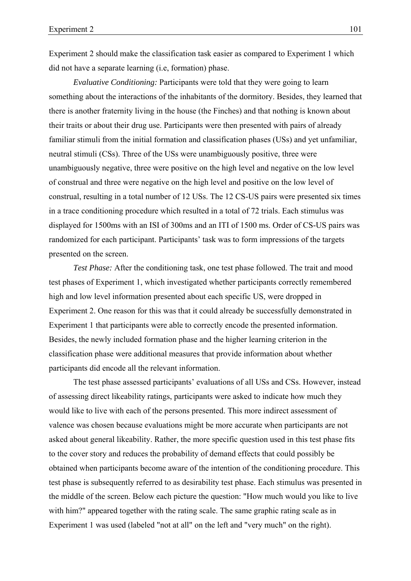Experiment 2 should make the classification task easier as compared to Experiment 1 which did not have a separate learning (i.e, formation) phase.

*Evaluative Conditioning:* Participants were told that they were going to learn something about the interactions of the inhabitants of the dormitory. Besides, they learned that there is another fraternity living in the house (the Finches) and that nothing is known about their traits or about their drug use. Participants were then presented with pairs of already familiar stimuli from the initial formation and classification phases (USs) and yet unfamiliar, neutral stimuli (CSs). Three of the USs were unambiguously positive, three were unambiguously negative, three were positive on the high level and negative on the low level of construal and three were negative on the high level and positive on the low level of construal, resulting in a total number of 12 USs. The 12 CS-US pairs were presented six times in a trace conditioning procedure which resulted in a total of 72 trials. Each stimulus was displayed for 1500ms with an ISI of 300ms and an ITI of 1500 ms. Order of CS-US pairs was randomized for each participant. Participants' task was to form impressions of the targets presented on the screen.

*Test Phase:* After the conditioning task, one test phase followed. The trait and mood test phases of Experiment 1, which investigated whether participants correctly remembered high and low level information presented about each specific US, were dropped in Experiment 2. One reason for this was that it could already be successfully demonstrated in Experiment 1 that participants were able to correctly encode the presented information. Besides, the newly included formation phase and the higher learning criterion in the classification phase were additional measures that provide information about whether participants did encode all the relevant information.

The test phase assessed participants' evaluations of all USs and CSs. However, instead of assessing direct likeability ratings, participants were asked to indicate how much they would like to live with each of the persons presented. This more indirect assessment of valence was chosen because evaluations might be more accurate when participants are not asked about general likeability. Rather, the more specific question used in this test phase fits to the cover story and reduces the probability of demand effects that could possibly be obtained when participants become aware of the intention of the conditioning procedure. This test phase is subsequently referred to as desirability test phase. Each stimulus was presented in the middle of the screen. Below each picture the question: "How much would you like to live with him?" appeared together with the rating scale. The same graphic rating scale as in Experiment 1 was used (labeled "not at all" on the left and "very much" on the right).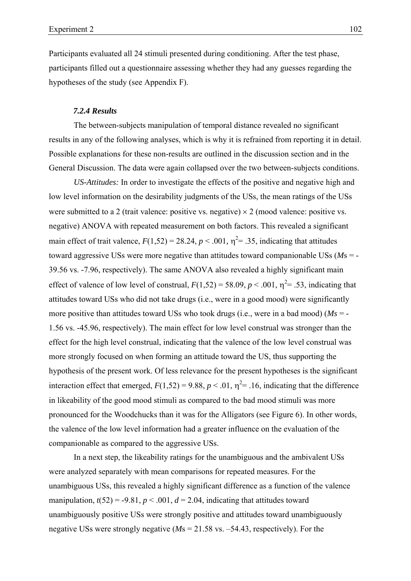Participants evaluated all 24 stimuli presented during conditioning. After the test phase, participants filled out a questionnaire assessing whether they had any guesses regarding the hypotheses of the study (see Appendix F).

# *7.2.4 Results*

The between-subjects manipulation of temporal distance revealed no significant results in any of the following analyses, which is why it is refrained from reporting it in detail. Possible explanations for these non-results are outlined in the discussion section and in the General Discussion. The data were again collapsed over the two between-subjects conditions.

*US-Attitudes:* In order to investigate the effects of the positive and negative high and low level information on the desirability judgments of the USs, the mean ratings of the USs were submitted to a 2 (trait valence: positive vs. negative)  $\times$  2 (mood valence: positive vs. negative) ANOVA with repeated measurement on both factors. This revealed a significant main effect of trait valence,  $F(1,52) = 28.24$ ,  $p < .001$ ,  $\eta^2 = .35$ , indicating that attitudes toward aggressive USs were more negative than attitudes toward companionable USs (*M*s = - 39.56 vs. -7.96, respectively). The same ANOVA also revealed a highly significant main effect of valence of low level of construal,  $F(1,52) = 58.09$ ,  $p < .001$ ,  $\eta^2 = .53$ , indicating that attitudes toward USs who did not take drugs (i.e., were in a good mood) were significantly more positive than attitudes toward USs who took drugs (i.e., were in a bad mood) ( $Ms = -$ 1.56 vs. -45.96, respectively). The main effect for low level construal was stronger than the effect for the high level construal, indicating that the valence of the low level construal was more strongly focused on when forming an attitude toward the US, thus supporting the hypothesis of the present work. Of less relevance for the present hypotheses is the significant interaction effect that emerged,  $F(1,52) = 9.88$ ,  $p < .01$ ,  $\eta^2 = .16$ , indicating that the difference in likeability of the good mood stimuli as compared to the bad mood stimuli was more pronounced for the Woodchucks than it was for the Alligators (see Figure 6). In other words, the valence of the low level information had a greater influence on the evaluation of the companionable as compared to the aggressive USs.

In a next step, the likeability ratings for the unambiguous and the ambivalent USs were analyzed separately with mean comparisons for repeated measures. For the unambiguous USs, this revealed a highly significant difference as a function of the valence manipulation,  $t(52) = -9.81$ ,  $p < .001$ ,  $d = 2.04$ , indicating that attitudes toward unambiguously positive USs were strongly positive and attitudes toward unambiguously negative USs were strongly negative (*M*s = 21.58 vs. –54.43, respectively). For the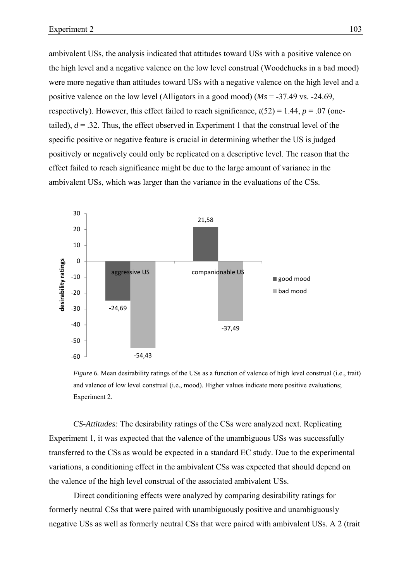ambivalent USs, the analysis indicated that attitudes toward USs with a positive valence on the high level and a negative valence on the low level construal (Woodchucks in a bad mood) were more negative than attitudes toward USs with a negative valence on the high level and a positive valence on the low level (Alligators in a good mood) (*Ms* = -37.49 vs. -24.69, respectively). However, this effect failed to reach significance,  $t(52) = 1.44$ ,  $p = .07$  (onetailed),  $d = 0.32$ . Thus, the effect observed in Experiment 1 that the construal level of the specific positive or negative feature is crucial in determining whether the US is judged positively or negatively could only be replicated on a descriptive level. The reason that the effect failed to reach significance might be due to the large amount of variance in the ambivalent USs, which was larger than the variance in the evaluations of the CSs.



*Figure 6.* Mean desirability ratings of the USs as a function of valence of high level construal (i.e., trait) and valence of low level construal (i.e., mood). Higher values indicate more positive evaluations; Experiment 2.

*CS-Attitudes:* The desirability ratings of the CSs were analyzed next. Replicating Experiment 1, it was expected that the valence of the unambiguous USs was successfully transferred to the CSs as would be expected in a standard EC study. Due to the experimental variations, a conditioning effect in the ambivalent CSs was expected that should depend on the valence of the high level construal of the associated ambivalent USs.

Direct conditioning effects were analyzed by comparing desirability ratings for formerly neutral CSs that were paired with unambiguously positive and unambiguously negative USs as well as formerly neutral CSs that were paired with ambivalent USs. A 2 (trait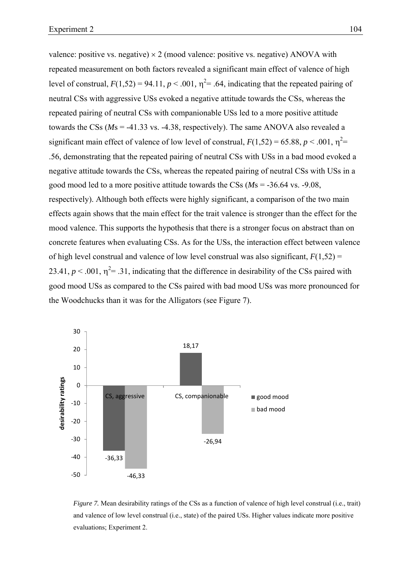valence: positive vs. negative)  $\times$  2 (mood valence: positive vs. negative) ANOVA with repeated measurement on both factors revealed a significant main effect of valence of high level of construal,  $F(1,52) = 94.11$ ,  $p < .001$ ,  $\eta^2 = .64$ , indicating that the repeated pairing of neutral CSs with aggressive USs evoked a negative attitude towards the CSs, whereas the repeated pairing of neutral CSs with companionable USs led to a more positive attitude towards the CSs (*M*s = -41.33 vs. -4.38, respectively). The same ANOVA also revealed a significant main effect of valence of low level of construal,  $F(1,52) = 65.88$ ,  $p < .001$ ,  $\eta^2 =$ .56, demonstrating that the repeated pairing of neutral CSs with USs in a bad mood evoked a negative attitude towards the CSs, whereas the repeated pairing of neutral CSs with USs in a good mood led to a more positive attitude towards the CSs (*M*s = -36.64 vs. -9.08, respectively). Although both effects were highly significant, a comparison of the two main effects again shows that the main effect for the trait valence is stronger than the effect for the mood valence. This supports the hypothesis that there is a stronger focus on abstract than on concrete features when evaluating CSs. As for the USs, the interaction effect between valence of high level construal and valence of low level construal was also significant,  $F(1,52)$  = 23.41,  $p < .001$ ,  $\eta^2 = .31$ , indicating that the difference in desirability of the CSs paired with good mood USs as compared to the CSs paired with bad mood USs was more pronounced for the Woodchucks than it was for the Alligators (see Figure 7).



*Figure 7.* Mean desirability ratings of the CSs as a function of valence of high level construal (i.e., trait) and valence of low level construal (i.e., state) of the paired USs. Higher values indicate more positive evaluations; Experiment 2.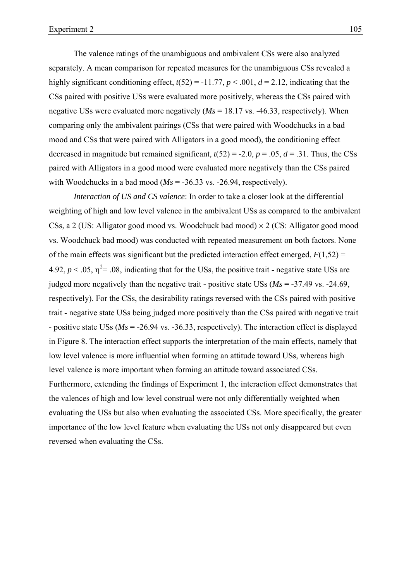The valence ratings of the unambiguous and ambivalent CSs were also analyzed separately. A mean comparison for repeated measures for the unambiguous CSs revealed a highly significant conditioning effect,  $t(52) = -11.77$ ,  $p < .001$ ,  $d = 2.12$ , indicating that the CSs paired with positive USs were evaluated more positively, whereas the CSs paired with negative USs were evaluated more negatively (*Ms* = 18.17 vs. -46.33, respectively). When comparing only the ambivalent pairings (CSs that were paired with Woodchucks in a bad mood and CSs that were paired with Alligators in a good mood), the conditioning effect decreased in magnitude but remained significant,  $t(52) = -2.0$ ,  $p = .05$ ,  $d = .31$ . Thus, the CSs paired with Alligators in a good mood were evaluated more negatively than the CSs paired with Woodchucks in a bad mood  $(Ms = -36.33 \text{ vs. } -26.94$ , respectively).

*Interaction of US and CS valence*: In order to take a closer look at the differential weighting of high and low level valence in the ambivalent USs as compared to the ambivalent CSs, a 2 (US: Alligator good mood vs. Woodchuck bad mood) × 2 (CS: Alligator good mood vs. Woodchuck bad mood) was conducted with repeated measurement on both factors. None of the main effects was significant but the predicted interaction effect emerged,  $F(1,52) =$ 4.92,  $p < 0.05$ ,  $\eta^2 = 0.08$ , indicating that for the USs, the positive trait - negative state USs are judged more negatively than the negative trait - positive state USs  $(Ms = -37.49 \text{ vs. } -24.69)$ , respectively). For the CSs, the desirability ratings reversed with the CSs paired with positive trait - negative state USs being judged more positively than the CSs paired with negative trait - positive state USs (*Ms* = -26.94 vs. -36.33, respectively). The interaction effect is displayed in Figure 8. The interaction effect supports the interpretation of the main effects, namely that low level valence is more influential when forming an attitude toward USs, whereas high level valence is more important when forming an attitude toward associated CSs. Furthermore, extending the findings of Experiment 1, the interaction effect demonstrates that the valences of high and low level construal were not only differentially weighted when evaluating the USs but also when evaluating the associated CSs. More specifically, the greater importance of the low level feature when evaluating the USs not only disappeared but even reversed when evaluating the CSs.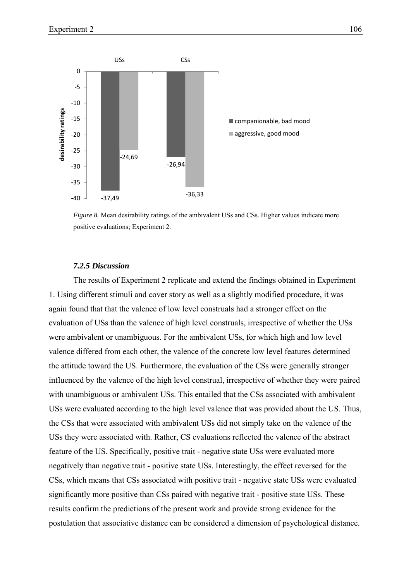

*Figure 8.* Mean desirability ratings of the ambivalent USs and CSs. Higher values indicate more positive evaluations; Experiment 2.

## *7.2.5 Discussion*

The results of Experiment 2 replicate and extend the findings obtained in Experiment 1. Using different stimuli and cover story as well as a slightly modified procedure, it was again found that that the valence of low level construals had a stronger effect on the evaluation of USs than the valence of high level construals, irrespective of whether the USs were ambivalent or unambiguous. For the ambivalent USs, for which high and low level valence differed from each other, the valence of the concrete low level features determined the attitude toward the US. Furthermore, the evaluation of the CSs were generally stronger influenced by the valence of the high level construal, irrespective of whether they were paired with unambiguous or ambivalent USs. This entailed that the CSs associated with ambivalent USs were evaluated according to the high level valence that was provided about the US. Thus, the CSs that were associated with ambivalent USs did not simply take on the valence of the USs they were associated with. Rather, CS evaluations reflected the valence of the abstract feature of the US. Specifically, positive trait - negative state USs were evaluated more negatively than negative trait - positive state USs. Interestingly, the effect reversed for the CSs, which means that CSs associated with positive trait - negative state USs were evaluated significantly more positive than CSs paired with negative trait - positive state USs. These results confirm the predictions of the present work and provide strong evidence for the postulation that associative distance can be considered a dimension of psychological distance.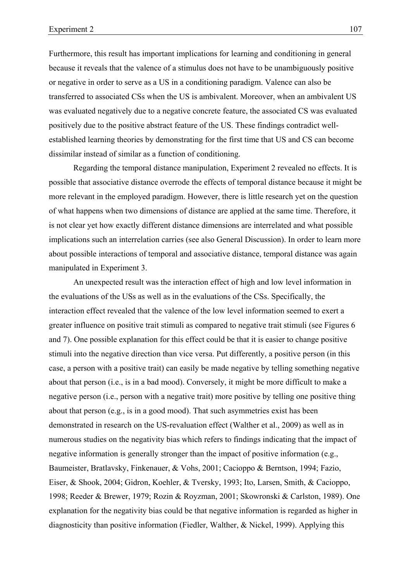Furthermore, this result has important implications for learning and conditioning in general because it reveals that the valence of a stimulus does not have to be unambiguously positive or negative in order to serve as a US in a conditioning paradigm. Valence can also be transferred to associated CSs when the US is ambivalent. Moreover, when an ambivalent US was evaluated negatively due to a negative concrete feature, the associated CS was evaluated positively due to the positive abstract feature of the US. These findings contradict wellestablished learning theories by demonstrating for the first time that US and CS can become dissimilar instead of similar as a function of conditioning.

Regarding the temporal distance manipulation, Experiment 2 revealed no effects. It is possible that associative distance overrode the effects of temporal distance because it might be more relevant in the employed paradigm. However, there is little research yet on the question of what happens when two dimensions of distance are applied at the same time. Therefore, it is not clear yet how exactly different distance dimensions are interrelated and what possible implications such an interrelation carries (see also General Discussion). In order to learn more about possible interactions of temporal and associative distance, temporal distance was again manipulated in Experiment 3.

An unexpected result was the interaction effect of high and low level information in the evaluations of the USs as well as in the evaluations of the CSs. Specifically, the interaction effect revealed that the valence of the low level information seemed to exert a greater influence on positive trait stimuli as compared to negative trait stimuli (see Figures 6 and 7). One possible explanation for this effect could be that it is easier to change positive stimuli into the negative direction than vice versa. Put differently, a positive person (in this case, a person with a positive trait) can easily be made negative by telling something negative about that person (i.e., is in a bad mood). Conversely, it might be more difficult to make a negative person (i.e., person with a negative trait) more positive by telling one positive thing about that person (e.g., is in a good mood). That such asymmetries exist has been demonstrated in research on the US-revaluation effect (Walther et al., 2009) as well as in numerous studies on the negativity bias which refers to findings indicating that the impact of negative information is generally stronger than the impact of positive information (e.g., Baumeister, Bratlavsky, Finkenauer, & Vohs, 2001; Cacioppo & Berntson, 1994; Fazio, Eiser, & Shook, 2004; Gidron, Koehler, & Tversky, 1993; Ito, Larsen, Smith, & Cacioppo, 1998; Reeder & Brewer, 1979; Rozin & Royzman, 2001; Skowronski & Carlston, 1989). One explanation for the negativity bias could be that negative information is regarded as higher in diagnosticity than positive information (Fiedler, Walther, & Nickel, 1999). Applying this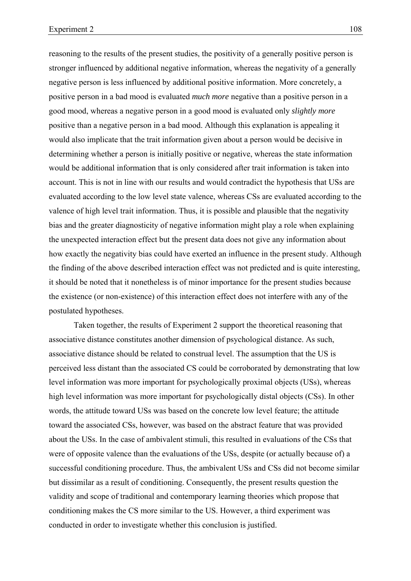reasoning to the results of the present studies, the positivity of a generally positive person is stronger influenced by additional negative information, whereas the negativity of a generally negative person is less influenced by additional positive information. More concretely, a positive person in a bad mood is evaluated *much more* negative than a positive person in a good mood, whereas a negative person in a good mood is evaluated only *slightly more* positive than a negative person in a bad mood. Although this explanation is appealing it would also implicate that the trait information given about a person would be decisive in determining whether a person is initially positive or negative, whereas the state information would be additional information that is only considered after trait information is taken into account. This is not in line with our results and would contradict the hypothesis that USs are evaluated according to the low level state valence, whereas CSs are evaluated according to the valence of high level trait information. Thus, it is possible and plausible that the negativity bias and the greater diagnosticity of negative information might play a role when explaining the unexpected interaction effect but the present data does not give any information about how exactly the negativity bias could have exerted an influence in the present study. Although the finding of the above described interaction effect was not predicted and is quite interesting, it should be noted that it nonetheless is of minor importance for the present studies because the existence (or non-existence) of this interaction effect does not interfere with any of the postulated hypotheses.

Taken together, the results of Experiment 2 support the theoretical reasoning that associative distance constitutes another dimension of psychological distance. As such, associative distance should be related to construal level. The assumption that the US is perceived less distant than the associated CS could be corroborated by demonstrating that low level information was more important for psychologically proximal objects (USs), whereas high level information was more important for psychologically distal objects (CSs). In other words, the attitude toward USs was based on the concrete low level feature; the attitude toward the associated CSs, however, was based on the abstract feature that was provided about the USs. In the case of ambivalent stimuli, this resulted in evaluations of the CSs that were of opposite valence than the evaluations of the USs, despite (or actually because of) a successful conditioning procedure. Thus, the ambivalent USs and CSs did not become similar but dissimilar as a result of conditioning. Consequently, the present results question the validity and scope of traditional and contemporary learning theories which propose that conditioning makes the CS more similar to the US. However, a third experiment was conducted in order to investigate whether this conclusion is justified.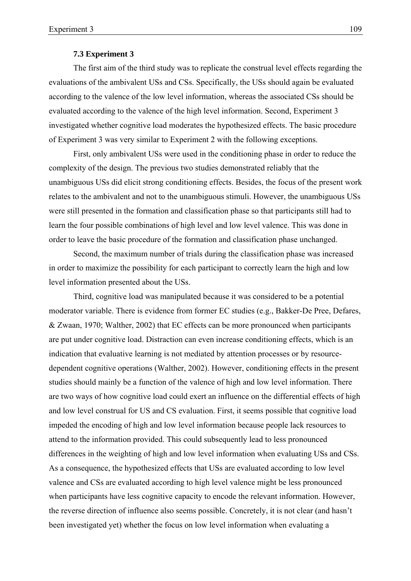## **7.3 Experiment 3**

The first aim of the third study was to replicate the construal level effects regarding the evaluations of the ambivalent USs and CSs. Specifically, the USs should again be evaluated according to the valence of the low level information, whereas the associated CSs should be evaluated according to the valence of the high level information. Second, Experiment 3 investigated whether cognitive load moderates the hypothesized effects. The basic procedure of Experiment 3 was very similar to Experiment 2 with the following exceptions.

First, only ambivalent USs were used in the conditioning phase in order to reduce the complexity of the design. The previous two studies demonstrated reliably that the unambiguous USs did elicit strong conditioning effects. Besides, the focus of the present work relates to the ambivalent and not to the unambiguous stimuli. However, the unambiguous USs were still presented in the formation and classification phase so that participants still had to learn the four possible combinations of high level and low level valence. This was done in order to leave the basic procedure of the formation and classification phase unchanged.

Second, the maximum number of trials during the classification phase was increased in order to maximize the possibility for each participant to correctly learn the high and low level information presented about the USs.

Third, cognitive load was manipulated because it was considered to be a potential moderator variable. There is evidence from former EC studies (e.g., Bakker-De Pree, Defares, & Zwaan, 1970; Walther, 2002) that EC effects can be more pronounced when participants are put under cognitive load. Distraction can even increase conditioning effects, which is an indication that evaluative learning is not mediated by attention processes or by resourcedependent cognitive operations (Walther, 2002). However, conditioning effects in the present studies should mainly be a function of the valence of high and low level information. There are two ways of how cognitive load could exert an influence on the differential effects of high and low level construal for US and CS evaluation. First, it seems possible that cognitive load impeded the encoding of high and low level information because people lack resources to attend to the information provided. This could subsequently lead to less pronounced differences in the weighting of high and low level information when evaluating USs and CSs. As a consequence, the hypothesized effects that USs are evaluated according to low level valence and CSs are evaluated according to high level valence might be less pronounced when participants have less cognitive capacity to encode the relevant information. However, the reverse direction of influence also seems possible. Concretely, it is not clear (and hasn't been investigated yet) whether the focus on low level information when evaluating a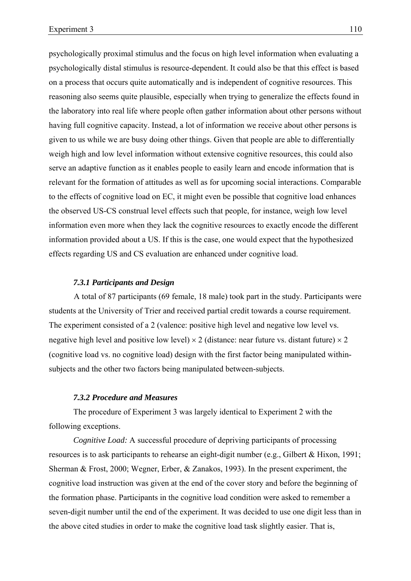psychologically proximal stimulus and the focus on high level information when evaluating a psychologically distal stimulus is resource-dependent. It could also be that this effect is based on a process that occurs quite automatically and is independent of cognitive resources. This reasoning also seems quite plausible, especially when trying to generalize the effects found in the laboratory into real life where people often gather information about other persons without having full cognitive capacity. Instead, a lot of information we receive about other persons is given to us while we are busy doing other things. Given that people are able to differentially weigh high and low level information without extensive cognitive resources, this could also serve an adaptive function as it enables people to easily learn and encode information that is relevant for the formation of attitudes as well as for upcoming social interactions. Comparable to the effects of cognitive load on EC, it might even be possible that cognitive load enhances the observed US-CS construal level effects such that people, for instance, weigh low level information even more when they lack the cognitive resources to exactly encode the different information provided about a US. If this is the case, one would expect that the hypothesized effects regarding US and CS evaluation are enhanced under cognitive load.

#### *7.3.1 Participants and Design*

A total of 87 participants (69 female, 18 male) took part in the study. Participants were students at the University of Trier and received partial credit towards a course requirement. The experiment consisted of a 2 (valence: positive high level and negative low level vs. negative high level and positive low level)  $\times$  2 (distance: near future vs. distant future)  $\times$  2 (cognitive load vs. no cognitive load) design with the first factor being manipulated withinsubjects and the other two factors being manipulated between-subjects.

# *7.3.2 Procedure and Measures*

The procedure of Experiment 3 was largely identical to Experiment 2 with the following exceptions.

*Cognitive Load:* A successful procedure of depriving participants of processing resources is to ask participants to rehearse an eight-digit number (e.g., Gilbert & Hixon, 1991; Sherman & Frost, 2000; Wegner, Erber, & Zanakos, 1993). In the present experiment, the cognitive load instruction was given at the end of the cover story and before the beginning of the formation phase. Participants in the cognitive load condition were asked to remember a seven-digit number until the end of the experiment. It was decided to use one digit less than in the above cited studies in order to make the cognitive load task slightly easier. That is,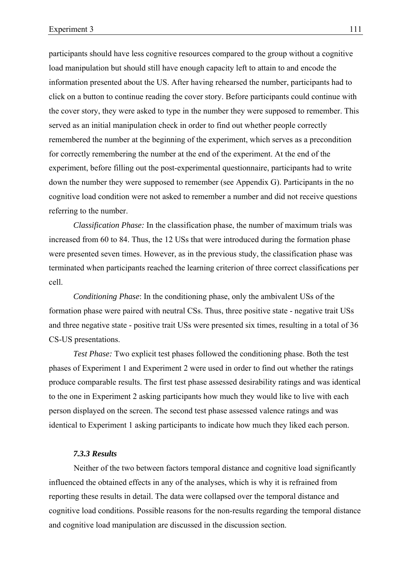participants should have less cognitive resources compared to the group without a cognitive load manipulation but should still have enough capacity left to attain to and encode the information presented about the US. After having rehearsed the number, participants had to click on a button to continue reading the cover story. Before participants could continue with the cover story, they were asked to type in the number they were supposed to remember. This served as an initial manipulation check in order to find out whether people correctly remembered the number at the beginning of the experiment, which serves as a precondition for correctly remembering the number at the end of the experiment. At the end of the experiment, before filling out the post-experimental questionnaire, participants had to write down the number they were supposed to remember (see Appendix G). Participants in the no cognitive load condition were not asked to remember a number and did not receive questions referring to the number.

*Classification Phase:* In the classification phase, the number of maximum trials was increased from 60 to 84. Thus, the 12 USs that were introduced during the formation phase were presented seven times. However, as in the previous study, the classification phase was terminated when participants reached the learning criterion of three correct classifications per cell.

*Conditioning Phase*: In the conditioning phase, only the ambivalent USs of the formation phase were paired with neutral CSs. Thus, three positive state - negative trait USs and three negative state - positive trait USs were presented six times, resulting in a total of 36 CS-US presentations.

*Test Phase:* Two explicit test phases followed the conditioning phase. Both the test phases of Experiment 1 and Experiment 2 were used in order to find out whether the ratings produce comparable results. The first test phase assessed desirability ratings and was identical to the one in Experiment 2 asking participants how much they would like to live with each person displayed on the screen. The second test phase assessed valence ratings and was identical to Experiment 1 asking participants to indicate how much they liked each person.

#### *7.3.3 Results*

Neither of the two between factors temporal distance and cognitive load significantly influenced the obtained effects in any of the analyses, which is why it is refrained from reporting these results in detail. The data were collapsed over the temporal distance and cognitive load conditions. Possible reasons for the non-results regarding the temporal distance and cognitive load manipulation are discussed in the discussion section.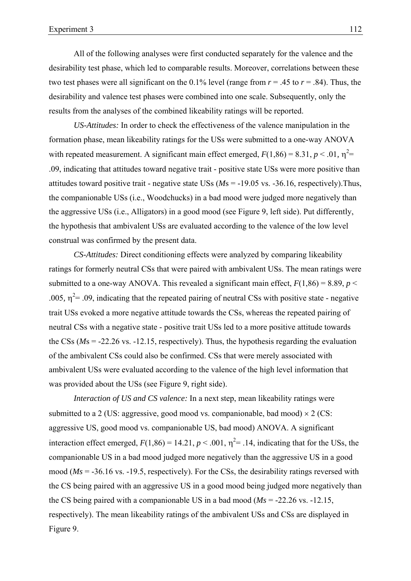All of the following analyses were first conducted separately for the valence and the desirability test phase, which led to comparable results. Moreover, correlations between these two test phases were all significant on the 0.1% level (range from  $r = .45$  to  $r = .84$ ). Thus, the desirability and valence test phases were combined into one scale. Subsequently, only the results from the analyses of the combined likeability ratings will be reported.

*US-Attitudes:* In order to check the effectiveness of the valence manipulation in the formation phase, mean likeability ratings for the USs were submitted to a one-way ANOVA with repeated measurement. A significant main effect emerged,  $F(1,86) = 8.31, p < .01, \eta^2 =$ .09, indicating that attitudes toward negative trait - positive state USs were more positive than attitudes toward positive trait - negative state USs (*M*s = -19.05 vs. -36.16, respectively).Thus, the companionable USs (i.e., Woodchucks) in a bad mood were judged more negatively than the aggressive USs (i.e., Alligators) in a good mood (see Figure 9, left side). Put differently, the hypothesis that ambivalent USs are evaluated according to the valence of the low level construal was confirmed by the present data.

*CS-Attitudes:* Direct conditioning effects were analyzed by comparing likeability ratings for formerly neutral CSs that were paired with ambivalent USs. The mean ratings were submitted to a one-way ANOVA. This revealed a significant main effect,  $F(1,86) = 8.89$ ,  $p <$ .005,  $\eta^2$ = .09, indicating that the repeated pairing of neutral CSs with positive state - negative trait USs evoked a more negative attitude towards the CSs, whereas the repeated pairing of neutral CSs with a negative state - positive trait USs led to a more positive attitude towards the CSs (*M*s = -22.26 vs. -12.15, respectively). Thus, the hypothesis regarding the evaluation of the ambivalent CSs could also be confirmed. CSs that were merely associated with ambivalent USs were evaluated according to the valence of the high level information that was provided about the USs (see Figure 9, right side).

*Interaction of US and CS valence:* In a next step, mean likeability ratings were submitted to a 2 (US: aggressive, good mood vs. companionable, bad mood)  $\times$  2 (CS: aggressive US, good mood vs. companionable US, bad mood) ANOVA. A significant interaction effect emerged,  $F(1,86) = 14.21$ ,  $p < .001$ ,  $\eta^2 = .14$ , indicating that for the USs, the companionable US in a bad mood judged more negatively than the aggressive US in a good mood (*Ms* = -36.16 vs. -19.5, respectively). For the CSs, the desirability ratings reversed with the CS being paired with an aggressive US in a good mood being judged more negatively than the CS being paired with a companionable US in a bad mood  $(Ms = -22.26 \text{ vs. } -12.15)$ , respectively). The mean likeability ratings of the ambivalent USs and CSs are displayed in Figure 9.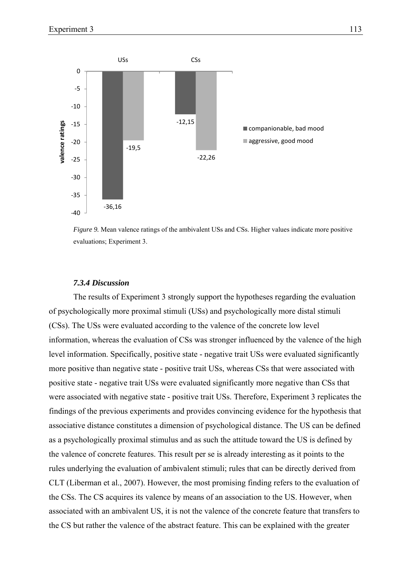

*Figure 9.* Mean valence ratings of the ambivalent USs and CSs. Higher values indicate more positive evaluations; Experiment 3.

## *7.3.4 Discussion*

The results of Experiment 3 strongly support the hypotheses regarding the evaluation of psychologically more proximal stimuli (USs) and psychologically more distal stimuli (CSs). The USs were evaluated according to the valence of the concrete low level information, whereas the evaluation of CSs was stronger influenced by the valence of the high level information. Specifically, positive state - negative trait USs were evaluated significantly more positive than negative state - positive trait USs, whereas CSs that were associated with positive state - negative trait USs were evaluated significantly more negative than CSs that were associated with negative state - positive trait USs. Therefore, Experiment 3 replicates the findings of the previous experiments and provides convincing evidence for the hypothesis that associative distance constitutes a dimension of psychological distance. The US can be defined as a psychologically proximal stimulus and as such the attitude toward the US is defined by the valence of concrete features. This result per se is already interesting as it points to the rules underlying the evaluation of ambivalent stimuli; rules that can be directly derived from CLT (Liberman et al., 2007). However, the most promising finding refers to the evaluation of the CSs. The CS acquires its valence by means of an association to the US. However, when associated with an ambivalent US, it is not the valence of the concrete feature that transfers to the CS but rather the valence of the abstract feature. This can be explained with the greater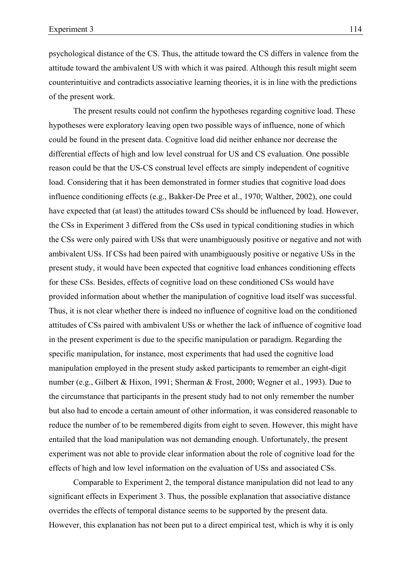psychological distance of the CS. Thus, the attitude toward the CS differs in valence from the attitude toward the ambivalent US with which it was paired. Although this result might seem counterintuitive and contradicts associative learning theories, it is in line with the predictions of the present work.

The present results could not confirm the hypotheses regarding cognitive load. These hypotheses were exploratory leaving open two possible ways of influence, none of which could be found in the present data. Cognitive load did neither enhance nor decrease the differential effects of high and low level construal for US and CS evaluation. One possible reason could be that the US-CS construal level effects are simply independent of cognitive load. Considering that it has been demonstrated in former studies that cognitive load does influence conditioning effects (e.g., Bakker-De Pree et al., 1970; Walther, 2002), one could have expected that (at least) the attitudes toward CSs should be influenced by load. However, the CSs in Experiment 3 differed from the CSs used in typical conditioning studies in which the CSs were only paired with USs that were unambiguously positive or negative and not with ambivalent USs. If CSs had been paired with unambiguously positive or negative USs in the present study, it would have been expected that cognitive load enhances conditioning effects for these CSs. Besides, effects of cognitive load on these conditioned CSs would have provided information about whether the manipulation of cognitive load itself was successful. Thus, it is not clear whether there is indeed no influence of cognitive load on the conditioned attitudes of CSs paired with ambivalent USs or whether the lack of influence of cognitive load in the present experiment is due to the specific manipulation or paradigm. Regarding the specific manipulation, for instance, most experiments that had used the cognitive load manipulation employed in the present study asked participants to remember an eight-digit number (e.g., Gilbert & Hixon, 1991; Sherman & Frost, 2000; Wegner et al., 1993). Due to the circumstance that participants in the present study had to not only remember the number but also had to encode a certain amount of other information, it was considered reasonable to reduce the number of to be remembered digits from eight to seven. However, this might have entailed that the load manipulation was not demanding enough. Unfortunately, the present experiment was not able to provide clear information about the role of cognitive load for the effects of high and low level information on the evaluation of USs and associated CSs.

Comparable to Experiment 2, the temporal distance manipulation did not lead to any significant effects in Experiment 3. Thus, the possible explanation that associative distance overrides the effects of temporal distance seems to be supported by the present data. However, this explanation has not been put to a direct empirical test, which is why it is only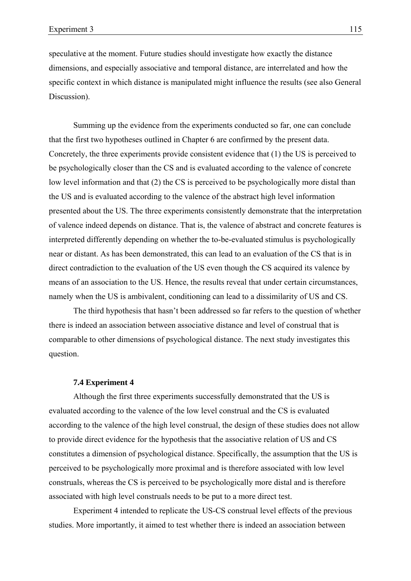speculative at the moment. Future studies should investigate how exactly the distance dimensions, and especially associative and temporal distance, are interrelated and how the specific context in which distance is manipulated might influence the results (see also General Discussion).

Summing up the evidence from the experiments conducted so far, one can conclude that the first two hypotheses outlined in Chapter 6 are confirmed by the present data. Concretely, the three experiments provide consistent evidence that (1) the US is perceived to be psychologically closer than the CS and is evaluated according to the valence of concrete low level information and that (2) the CS is perceived to be psychologically more distal than the US and is evaluated according to the valence of the abstract high level information presented about the US. The three experiments consistently demonstrate that the interpretation of valence indeed depends on distance. That is, the valence of abstract and concrete features is interpreted differently depending on whether the to-be-evaluated stimulus is psychologically near or distant. As has been demonstrated, this can lead to an evaluation of the CS that is in direct contradiction to the evaluation of the US even though the CS acquired its valence by means of an association to the US. Hence, the results reveal that under certain circumstances, namely when the US is ambivalent, conditioning can lead to a dissimilarity of US and CS.

The third hypothesis that hasn't been addressed so far refers to the question of whether there is indeed an association between associative distance and level of construal that is comparable to other dimensions of psychological distance. The next study investigates this question.

## **7.4 Experiment 4**

Although the first three experiments successfully demonstrated that the US is evaluated according to the valence of the low level construal and the CS is evaluated according to the valence of the high level construal, the design of these studies does not allow to provide direct evidence for the hypothesis that the associative relation of US and CS constitutes a dimension of psychological distance. Specifically, the assumption that the US is perceived to be psychologically more proximal and is therefore associated with low level construals, whereas the CS is perceived to be psychologically more distal and is therefore associated with high level construals needs to be put to a more direct test.

Experiment 4 intended to replicate the US-CS construal level effects of the previous studies. More importantly, it aimed to test whether there is indeed an association between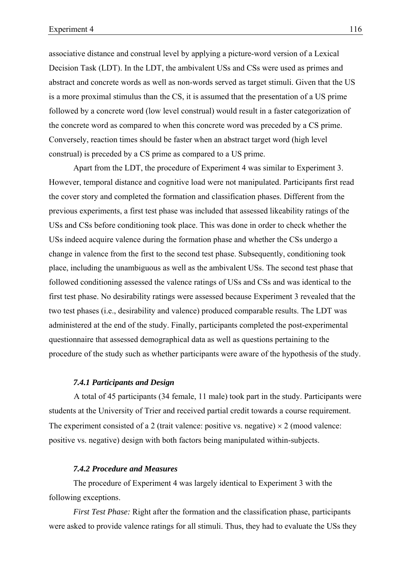associative distance and construal level by applying a picture-word version of a Lexical Decision Task (LDT). In the LDT, the ambivalent USs and CSs were used as primes and abstract and concrete words as well as non-words served as target stimuli. Given that the US is a more proximal stimulus than the CS, it is assumed that the presentation of a US prime followed by a concrete word (low level construal) would result in a faster categorization of the concrete word as compared to when this concrete word was preceded by a CS prime. Conversely, reaction times should be faster when an abstract target word (high level construal) is preceded by a CS prime as compared to a US prime.

Apart from the LDT, the procedure of Experiment 4 was similar to Experiment 3. However, temporal distance and cognitive load were not manipulated. Participants first read the cover story and completed the formation and classification phases. Different from the previous experiments, a first test phase was included that assessed likeability ratings of the USs and CSs before conditioning took place. This was done in order to check whether the USs indeed acquire valence during the formation phase and whether the CSs undergo a change in valence from the first to the second test phase. Subsequently, conditioning took place, including the unambiguous as well as the ambivalent USs. The second test phase that followed conditioning assessed the valence ratings of USs and CSs and was identical to the first test phase. No desirability ratings were assessed because Experiment 3 revealed that the two test phases (i.e., desirability and valence) produced comparable results. The LDT was administered at the end of the study. Finally, participants completed the post-experimental questionnaire that assessed demographical data as well as questions pertaining to the procedure of the study such as whether participants were aware of the hypothesis of the study.

## *7.4.1 Participants and Design*

A total of 45 participants (34 female, 11 male) took part in the study. Participants were students at the University of Trier and received partial credit towards a course requirement. The experiment consisted of a 2 (trait valence: positive vs. negative)  $\times$  2 (mood valence: positive vs. negative) design with both factors being manipulated within-subjects.

# *7.4.2 Procedure and Measures*

The procedure of Experiment 4 was largely identical to Experiment 3 with the following exceptions.

*First Test Phase:* Right after the formation and the classification phase, participants were asked to provide valence ratings for all stimuli. Thus, they had to evaluate the USs they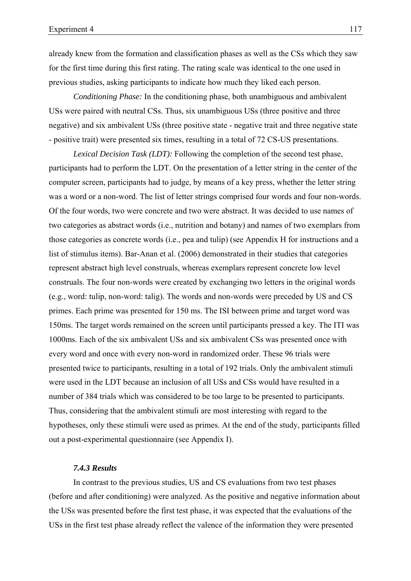already knew from the formation and classification phases as well as the CSs which they saw for the first time during this first rating. The rating scale was identical to the one used in previous studies, asking participants to indicate how much they liked each person.

*Conditioning Phase:* In the conditioning phase, both unambiguous and ambivalent USs were paired with neutral CSs. Thus, six unambiguous USs (three positive and three negative) and six ambivalent USs (three positive state - negative trait and three negative state - positive trait) were presented six times, resulting in a total of 72 CS-US presentations.

*Lexical Decision Task (LDT):* Following the completion of the second test phase, participants had to perform the LDT. On the presentation of a letter string in the center of the computer screen, participants had to judge, by means of a key press, whether the letter string was a word or a non-word. The list of letter strings comprised four words and four non-words. Of the four words, two were concrete and two were abstract. It was decided to use names of two categories as abstract words (i.e., nutrition and botany) and names of two exemplars from those categories as concrete words (i.e., pea and tulip) (see Appendix H for instructions and a list of stimulus items). Bar-Anan et al. (2006) demonstrated in their studies that categories represent abstract high level construals, whereas exemplars represent concrete low level construals. The four non-words were created by exchanging two letters in the original words (e.g., word: tulip, non-word: talig). The words and non-words were preceded by US and CS primes. Each prime was presented for 150 ms. The ISI between prime and target word was 150ms. The target words remained on the screen until participants pressed a key. The ITI was 1000ms. Each of the six ambivalent USs and six ambivalent CSs was presented once with every word and once with every non-word in randomized order. These 96 trials were presented twice to participants, resulting in a total of 192 trials. Only the ambivalent stimuli were used in the LDT because an inclusion of all USs and CSs would have resulted in a number of 384 trials which was considered to be too large to be presented to participants. Thus, considering that the ambivalent stimuli are most interesting with regard to the hypotheses, only these stimuli were used as primes. At the end of the study, participants filled out a post-experimental questionnaire (see Appendix I).

## *7.4.3 Results*

In contrast to the previous studies, US and CS evaluations from two test phases (before and after conditioning) were analyzed. As the positive and negative information about the USs was presented before the first test phase, it was expected that the evaluations of the USs in the first test phase already reflect the valence of the information they were presented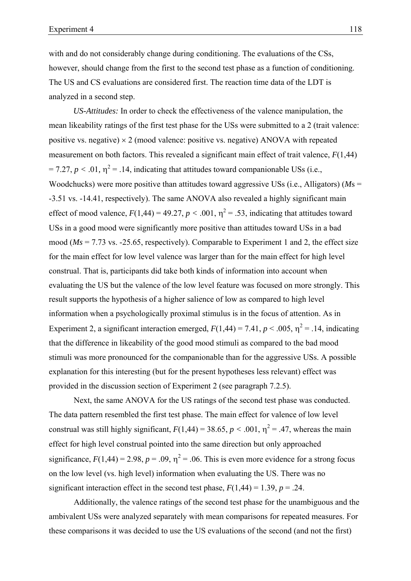with and do not considerably change during conditioning. The evaluations of the CSs, however, should change from the first to the second test phase as a function of conditioning. The US and CS evaluations are considered first. The reaction time data of the LDT is analyzed in a second step.

*US-Attitudes:* In order to check the effectiveness of the valence manipulation, the mean likeability ratings of the first test phase for the USs were submitted to a 2 (trait valence: positive vs. negative)  $\times$  2 (mood valence: positive vs. negative) ANOVA with repeated measurement on both factors. This revealed a significant main effect of trait valence, *F*(1,44)  $= 7.27, p < .01, \eta^2 = .14$ , indicating that attitudes toward companionable USs (i.e., Woodchucks) were more positive than attitudes toward aggressive USs (i.e., Alligators) (*M*s = -3.51 vs. -14.41, respectively). The same ANOVA also revealed a highly significant main effect of mood valence,  $F(1,44) = 49.27$ ,  $p < .001$ ,  $\eta^2 = .53$ , indicating that attitudes toward USs in a good mood were significantly more positive than attitudes toward USs in a bad mood (*Ms* = 7.73 vs. -25.65, respectively). Comparable to Experiment 1 and 2, the effect size for the main effect for low level valence was larger than for the main effect for high level construal. That is, participants did take both kinds of information into account when evaluating the US but the valence of the low level feature was focused on more strongly. This result supports the hypothesis of a higher salience of low as compared to high level information when a psychologically proximal stimulus is in the focus of attention. As in Experiment 2, a significant interaction emerged,  $F(1,44) = 7.41$ ,  $p < .005$ ,  $\eta^2 = .14$ , indicating that the difference in likeability of the good mood stimuli as compared to the bad mood stimuli was more pronounced for the companionable than for the aggressive USs. A possible explanation for this interesting (but for the present hypotheses less relevant) effect was provided in the discussion section of Experiment 2 (see paragraph 7.2.5).

Next, the same ANOVA for the US ratings of the second test phase was conducted. The data pattern resembled the first test phase. The main effect for valence of low level construal was still highly significant,  $F(1,44) = 38.65$ ,  $p < .001$ ,  $\eta^2 = .47$ , whereas the main effect for high level construal pointed into the same direction but only approached significance,  $F(1,44) = 2.98$ ,  $p = .09$ ,  $\eta^2 = .06$ . This is even more evidence for a strong focus on the low level (vs. high level) information when evaluating the US. There was no significant interaction effect in the second test phase,  $F(1,44) = 1.39$ ,  $p = .24$ .

Additionally, the valence ratings of the second test phase for the unambiguous and the ambivalent USs were analyzed separately with mean comparisons for repeated measures. For these comparisons it was decided to use the US evaluations of the second (and not the first)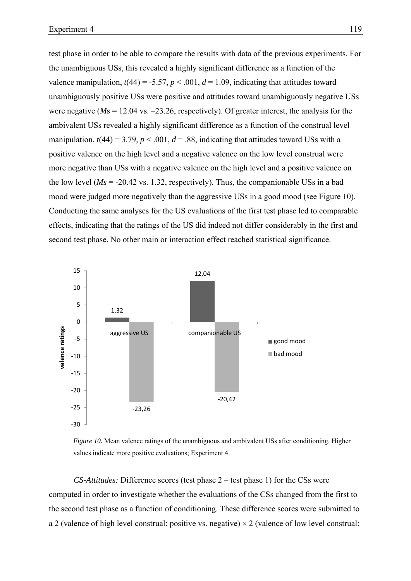test phase in order to be able to compare the results with data of the previous experiments. For the unambiguous USs, this revealed a highly significant difference as a function of the valence manipulation,  $t(44) = -5.57$ ,  $p < .001$ ,  $d = 1.09$ , indicating that attitudes toward unambiguously positive USs were positive and attitudes toward unambiguously negative USs were negative (*M*s = 12.04 vs. –23.26, respectively). Of greater interest, the analysis for the ambivalent USs revealed a highly significant difference as a function of the construal level manipulation,  $t(44) = 3.79$ ,  $p < .001$ ,  $d = .88$ , indicating that attitudes toward USs with a positive valence on the high level and a negative valence on the low level construal were more negative than USs with a negative valence on the high level and a positive valence on the low level ( $Ms = -20.42$  vs. 1.32, respectively). Thus, the companionable USs in a bad mood were judged more negatively than the aggressive USs in a good mood (see Figure 10). Conducting the same analyses for the US evaluations of the first test phase led to comparable effects, indicating that the ratings of the US did indeed not differ considerably in the first and second test phase. No other main or interaction effect reached statistical significance.



*Figure 10.* Mean valence ratings of the unambiguous and ambivalent USs after conditioning. Higher values indicate more positive evaluations; Experiment 4.

*CS-Attitudes:* Difference scores (test phase 2 – test phase 1) for the CSs were computed in order to investigate whether the evaluations of the CSs changed from the first to the second test phase as a function of conditioning. These difference scores were submitted to a 2 (valence of high level construal: positive vs. negative)  $\times$  2 (valence of low level construal: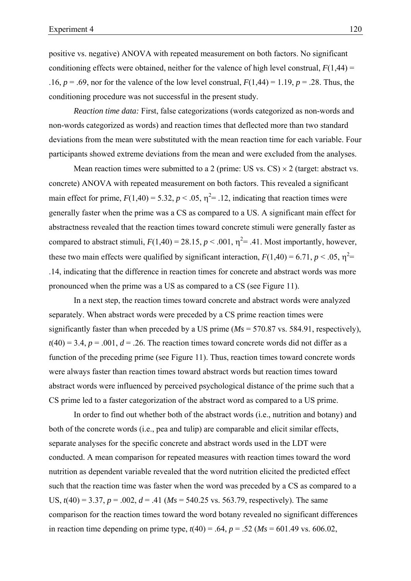positive vs. negative) ANOVA with repeated measurement on both factors. No significant conditioning effects were obtained, neither for the valence of high level construal,  $F(1,44) =$ .16,  $p = .69$ , nor for the valence of the low level construal,  $F(1,44) = 1.19$ ,  $p = .28$ . Thus, the conditioning procedure was not successful in the present study.

*Reaction time data:* First, false categorizations (words categorized as non-words and non-words categorized as words) and reaction times that deflected more than two standard deviations from the mean were substituted with the mean reaction time for each variable. Four participants showed extreme deviations from the mean and were excluded from the analyses.

Mean reaction times were submitted to a 2 (prime: US vs. CS)  $\times$  2 (target: abstract vs. concrete) ANOVA with repeated measurement on both factors. This revealed a significant main effect for prime,  $F(1,40) = 5.32$ ,  $p < .05$ ,  $\eta^2 = .12$ , indicating that reaction times were generally faster when the prime was a CS as compared to a US. A significant main effect for abstractness revealed that the reaction times toward concrete stimuli were generally faster as compared to abstract stimuli,  $F(1,40) = 28.15$ ,  $p < .001$ ,  $\eta^2 = .41$ . Most importantly, however, these two main effects were qualified by significant interaction,  $F(1,40) = 6.71$ ,  $p < .05$ ,  $\eta^2 =$ .14, indicating that the difference in reaction times for concrete and abstract words was more pronounced when the prime was a US as compared to a CS (see Figure 11).

In a next step, the reaction times toward concrete and abstract words were analyzed separately. When abstract words were preceded by a CS prime reaction times were significantly faster than when preceded by a US prime (*Ms* = 570.87 vs. 584.91, respectively),  $t(40) = 3.4$ ,  $p = .001$ ,  $d = .26$ . The reaction times toward concrete words did not differ as a function of the preceding prime (see Figure 11). Thus, reaction times toward concrete words were always faster than reaction times toward abstract words but reaction times toward abstract words were influenced by perceived psychological distance of the prime such that a CS prime led to a faster categorization of the abstract word as compared to a US prime.

In order to find out whether both of the abstract words (i.e., nutrition and botany) and both of the concrete words (i.e., pea and tulip) are comparable and elicit similar effects, separate analyses for the specific concrete and abstract words used in the LDT were conducted. A mean comparison for repeated measures with reaction times toward the word nutrition as dependent variable revealed that the word nutrition elicited the predicted effect such that the reaction time was faster when the word was preceded by a CS as compared to a US,  $t(40) = 3.37$ ,  $p = .002$ ,  $d = .41$  ( $Ms = 540.25$  vs. 563.79, respectively). The same comparison for the reaction times toward the word botany revealed no significant differences in reaction time depending on prime type,  $t(40) = .64$ ,  $p = .52$  ( $Ms = 601.49$  vs. 606.02,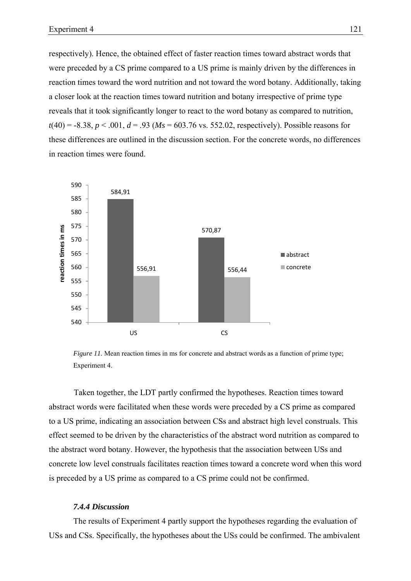respectively). Hence, the obtained effect of faster reaction times toward abstract words that were preceded by a CS prime compared to a US prime is mainly driven by the differences in reaction times toward the word nutrition and not toward the word botany. Additionally, taking a closer look at the reaction times toward nutrition and botany irrespective of prime type reveals that it took significantly longer to react to the word botany as compared to nutrition,  $t(40) = -8.38$ ,  $p < .001$ ,  $d = .93$  ( $Ms = 603.76$  vs. 552.02, respectively). Possible reasons for these differences are outlined in the discussion section. For the concrete words, no differences in reaction times were found.



*Figure 11.* Mean reaction times in ms for concrete and abstract words as a function of prime type; Experiment 4.

Taken together, the LDT partly confirmed the hypotheses. Reaction times toward abstract words were facilitated when these words were preceded by a CS prime as compared to a US prime, indicating an association between CSs and abstract high level construals. This effect seemed to be driven by the characteristics of the abstract word nutrition as compared to the abstract word botany. However, the hypothesis that the association between USs and concrete low level construals facilitates reaction times toward a concrete word when this word is preceded by a US prime as compared to a CS prime could not be confirmed.

#### *7.4.4 Discussion*

The results of Experiment 4 partly support the hypotheses regarding the evaluation of USs and CSs. Specifically, the hypotheses about the USs could be confirmed. The ambivalent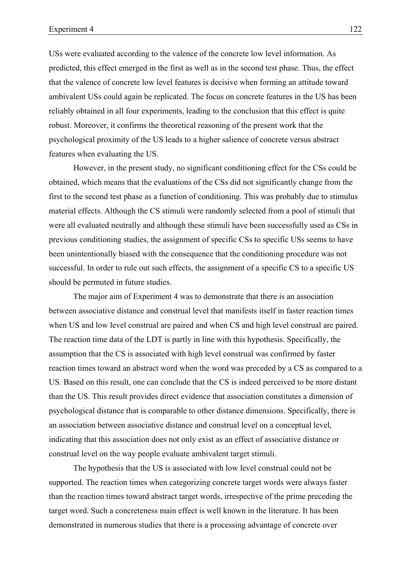USs were evaluated according to the valence of the concrete low level information. As predicted, this effect emerged in the first as well as in the second test phase. Thus, the effect that the valence of concrete low level features is decisive when forming an attitude toward ambivalent USs could again be replicated. The focus on concrete features in the US has been reliably obtained in all four experiments, leading to the conclusion that this effect is quite robust. Moreover, it confirms the theoretical reasoning of the present work that the psychological proximity of the US leads to a higher salience of concrete versus abstract features when evaluating the US.

However, in the present study, no significant conditioning effect for the CSs could be obtained, which means that the evaluations of the CSs did not significantly change from the first to the second test phase as a function of conditioning. This was probably due to stimulus material effects. Although the CS stimuli were randomly selected from a pool of stimuli that were all evaluated neutrally and although these stimuli have been successfully used as CSs in previous conditioning studies, the assignment of specific CSs to specific USs seems to have been unintentionally biased with the consequence that the conditioning procedure was not successful. In order to rule out such effects, the assignment of a specific CS to a specific US should be permuted in future studies.

The major aim of Experiment 4 was to demonstrate that there is an association between associative distance and construal level that manifests itself in faster reaction times when US and low level construal are paired and when CS and high level construal are paired. The reaction time data of the LDT is partly in line with this hypothesis. Specifically, the assumption that the CS is associated with high level construal was confirmed by faster reaction times toward an abstract word when the word was preceded by a CS as compared to a US. Based on this result, one can conclude that the CS is indeed perceived to be more distant than the US. This result provides direct evidence that association constitutes a dimension of psychological distance that is comparable to other distance dimensions. Specifically, there is an association between associative distance and construal level on a conceptual level, indicating that this association does not only exist as an effect of associative distance or construal level on the way people evaluate ambivalent target stimuli.

The hypothesis that the US is associated with low level construal could not be supported. The reaction times when categorizing concrete target words were always faster than the reaction times toward abstract target words, irrespective of the prime preceding the target word. Such a concreteness main effect is well known in the literature. It has been demonstrated in numerous studies that there is a processing advantage of concrete over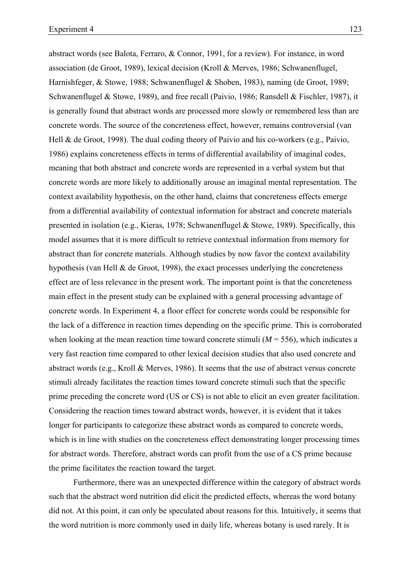abstract words (see Balota, Ferraro, & Connor, 1991, for a review). For instance, in word association (de Groot, 1989), lexical decision (Kroll & Merves, 1986; Schwanenflugel, Harnishfeger, & Stowe, 1988; Schwanenflugel & Shoben, 1983), naming (de Groot, 1989; Schwanenflugel & Stowe, 1989), and free recall (Paivio, 1986; Ransdell & Fischler, 1987), it is generally found that abstract words are processed more slowly or remembered less than are concrete words. The source of the concreteness effect, however, remains controversial (van Hell & de Groot, 1998). The dual coding theory of Paivio and his co-workers (e.g., Paivio, 1986) explains concreteness effects in terms of differential availability of imaginal codes, meaning that both abstract and concrete words are represented in a verbal system but that concrete words are more likely to additionally arouse an imaginal mental representation. The context availability hypothesis, on the other hand, claims that concreteness effects emerge from a differential availability of contextual information for abstract and concrete materials presented in isolation (e.g., Kieras, 1978; Schwanenflugel & Stowe, 1989). Specifically, this model assumes that it is more difficult to retrieve contextual information from memory for abstract than for concrete materials. Although studies by now favor the context availability hypothesis (van Hell & de Groot, 1998), the exact processes underlying the concreteness effect are of less relevance in the present work. The important point is that the concreteness main effect in the present study can be explained with a general processing advantage of concrete words. In Experiment 4, a floor effect for concrete words could be responsible for the lack of a difference in reaction times depending on the specific prime. This is corroborated when looking at the mean reaction time toward concrete stimuli  $(M = 556)$ , which indicates a very fast reaction time compared to other lexical decision studies that also used concrete and abstract words (e.g., Kroll & Merves, 1986). It seems that the use of abstract versus concrete stimuli already facilitates the reaction times toward concrete stimuli such that the specific prime preceding the concrete word (US or CS) is not able to elicit an even greater facilitation. Considering the reaction times toward abstract words, however, it is evident that it takes longer for participants to categorize these abstract words as compared to concrete words, which is in line with studies on the concreteness effect demonstrating longer processing times for abstract words. Therefore, abstract words can profit from the use of a CS prime because the prime facilitates the reaction toward the target.

Furthermore, there was an unexpected difference within the category of abstract words such that the abstract word nutrition did elicit the predicted effects, whereas the word botany did not. At this point, it can only be speculated about reasons for this. Intuitively, it seems that the word nutrition is more commonly used in daily life, whereas botany is used rarely. It is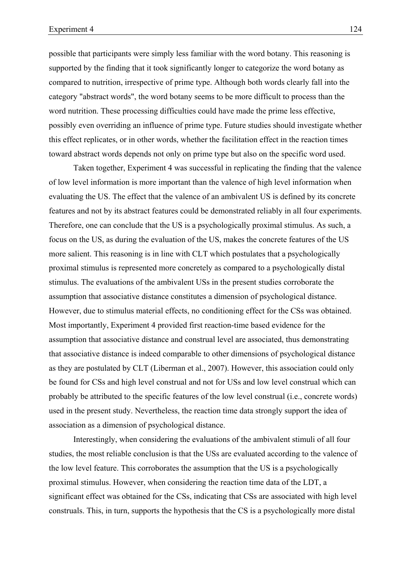possible that participants were simply less familiar with the word botany. This reasoning is supported by the finding that it took significantly longer to categorize the word botany as compared to nutrition, irrespective of prime type. Although both words clearly fall into the category "abstract words", the word botany seems to be more difficult to process than the word nutrition. These processing difficulties could have made the prime less effective, possibly even overriding an influence of prime type. Future studies should investigate whether this effect replicates, or in other words, whether the facilitation effect in the reaction times toward abstract words depends not only on prime type but also on the specific word used.

Taken together, Experiment 4 was successful in replicating the finding that the valence of low level information is more important than the valence of high level information when evaluating the US. The effect that the valence of an ambivalent US is defined by its concrete features and not by its abstract features could be demonstrated reliably in all four experiments. Therefore, one can conclude that the US is a psychologically proximal stimulus. As such, a focus on the US, as during the evaluation of the US, makes the concrete features of the US more salient. This reasoning is in line with CLT which postulates that a psychologically proximal stimulus is represented more concretely as compared to a psychologically distal stimulus. The evaluations of the ambivalent USs in the present studies corroborate the assumption that associative distance constitutes a dimension of psychological distance. However, due to stimulus material effects, no conditioning effect for the CSs was obtained. Most importantly, Experiment 4 provided first reaction-time based evidence for the assumption that associative distance and construal level are associated, thus demonstrating that associative distance is indeed comparable to other dimensions of psychological distance as they are postulated by CLT (Liberman et al., 2007). However, this association could only be found for CSs and high level construal and not for USs and low level construal which can probably be attributed to the specific features of the low level construal (i.e., concrete words) used in the present study. Nevertheless, the reaction time data strongly support the idea of association as a dimension of psychological distance.

Interestingly, when considering the evaluations of the ambivalent stimuli of all four studies, the most reliable conclusion is that the USs are evaluated according to the valence of the low level feature. This corroborates the assumption that the US is a psychologically proximal stimulus. However, when considering the reaction time data of the LDT, a significant effect was obtained for the CSs, indicating that CSs are associated with high level construals. This, in turn, supports the hypothesis that the CS is a psychologically more distal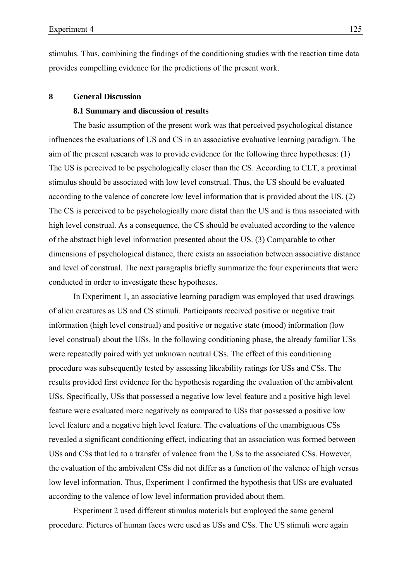stimulus. Thus, combining the findings of the conditioning studies with the reaction time data provides compelling evidence for the predictions of the present work.

## **8 General Discussion**

## **8.1 Summary and discussion of results**

The basic assumption of the present work was that perceived psychological distance influences the evaluations of US and CS in an associative evaluative learning paradigm. The aim of the present research was to provide evidence for the following three hypotheses: (1) The US is perceived to be psychologically closer than the CS. According to CLT, a proximal stimulus should be associated with low level construal. Thus, the US should be evaluated according to the valence of concrete low level information that is provided about the US. (2) The CS is perceived to be psychologically more distal than the US and is thus associated with high level construal. As a consequence, the CS should be evaluated according to the valence of the abstract high level information presented about the US. (3) Comparable to other dimensions of psychological distance, there exists an association between associative distance and level of construal. The next paragraphs briefly summarize the four experiments that were conducted in order to investigate these hypotheses.

In Experiment 1, an associative learning paradigm was employed that used drawings of alien creatures as US and CS stimuli. Participants received positive or negative trait information (high level construal) and positive or negative state (mood) information (low level construal) about the USs. In the following conditioning phase, the already familiar USs were repeatedly paired with yet unknown neutral CSs. The effect of this conditioning procedure was subsequently tested by assessing likeability ratings for USs and CSs. The results provided first evidence for the hypothesis regarding the evaluation of the ambivalent USs. Specifically, USs that possessed a negative low level feature and a positive high level feature were evaluated more negatively as compared to USs that possessed a positive low level feature and a negative high level feature. The evaluations of the unambiguous CSs revealed a significant conditioning effect, indicating that an association was formed between USs and CSs that led to a transfer of valence from the USs to the associated CSs. However, the evaluation of the ambivalent CSs did not differ as a function of the valence of high versus low level information. Thus, Experiment 1 confirmed the hypothesis that USs are evaluated according to the valence of low level information provided about them.

Experiment 2 used different stimulus materials but employed the same general procedure. Pictures of human faces were used as USs and CSs. The US stimuli were again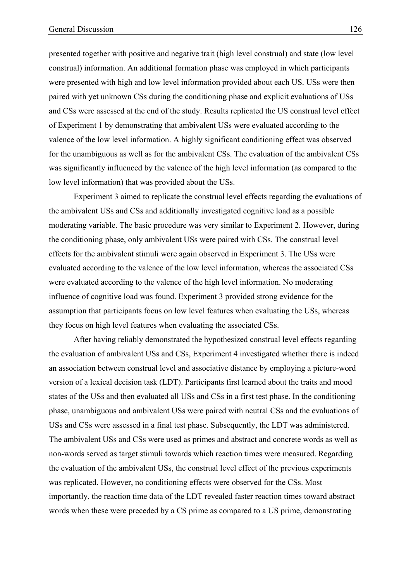presented together with positive and negative trait (high level construal) and state (low level construal) information. An additional formation phase was employed in which participants were presented with high and low level information provided about each US. USs were then paired with yet unknown CSs during the conditioning phase and explicit evaluations of USs and CSs were assessed at the end of the study. Results replicated the US construal level effect of Experiment 1 by demonstrating that ambivalent USs were evaluated according to the valence of the low level information. A highly significant conditioning effect was observed for the unambiguous as well as for the ambivalent CSs. The evaluation of the ambivalent CSs was significantly influenced by the valence of the high level information (as compared to the low level information) that was provided about the USs.

Experiment 3 aimed to replicate the construal level effects regarding the evaluations of the ambivalent USs and CSs and additionally investigated cognitive load as a possible moderating variable. The basic procedure was very similar to Experiment 2. However, during the conditioning phase, only ambivalent USs were paired with CSs. The construal level effects for the ambivalent stimuli were again observed in Experiment 3. The USs were evaluated according to the valence of the low level information, whereas the associated CSs were evaluated according to the valence of the high level information. No moderating influence of cognitive load was found. Experiment 3 provided strong evidence for the assumption that participants focus on low level features when evaluating the USs, whereas they focus on high level features when evaluating the associated CSs.

After having reliably demonstrated the hypothesized construal level effects regarding the evaluation of ambivalent USs and CSs, Experiment 4 investigated whether there is indeed an association between construal level and associative distance by employing a picture-word version of a lexical decision task (LDT). Participants first learned about the traits and mood states of the USs and then evaluated all USs and CSs in a first test phase. In the conditioning phase, unambiguous and ambivalent USs were paired with neutral CSs and the evaluations of USs and CSs were assessed in a final test phase. Subsequently, the LDT was administered. The ambivalent USs and CSs were used as primes and abstract and concrete words as well as non-words served as target stimuli towards which reaction times were measured. Regarding the evaluation of the ambivalent USs, the construal level effect of the previous experiments was replicated. However, no conditioning effects were observed for the CSs. Most importantly, the reaction time data of the LDT revealed faster reaction times toward abstract words when these were preceded by a CS prime as compared to a US prime, demonstrating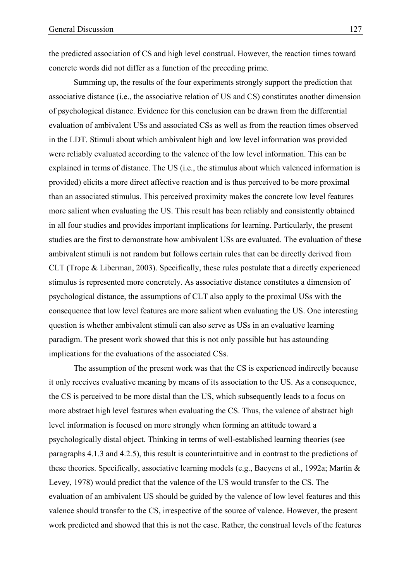the predicted association of CS and high level construal. However, the reaction times toward concrete words did not differ as a function of the preceding prime.

Summing up, the results of the four experiments strongly support the prediction that associative distance (i.e., the associative relation of US and CS) constitutes another dimension of psychological distance. Evidence for this conclusion can be drawn from the differential evaluation of ambivalent USs and associated CSs as well as from the reaction times observed in the LDT. Stimuli about which ambivalent high and low level information was provided were reliably evaluated according to the valence of the low level information. This can be explained in terms of distance. The US (i.e., the stimulus about which valenced information is provided) elicits a more direct affective reaction and is thus perceived to be more proximal than an associated stimulus. This perceived proximity makes the concrete low level features more salient when evaluating the US. This result has been reliably and consistently obtained in all four studies and provides important implications for learning. Particularly, the present studies are the first to demonstrate how ambivalent USs are evaluated. The evaluation of these ambivalent stimuli is not random but follows certain rules that can be directly derived from CLT (Trope & Liberman, 2003). Specifically, these rules postulate that a directly experienced stimulus is represented more concretely. As associative distance constitutes a dimension of psychological distance, the assumptions of CLT also apply to the proximal USs with the consequence that low level features are more salient when evaluating the US. One interesting question is whether ambivalent stimuli can also serve as USs in an evaluative learning paradigm. The present work showed that this is not only possible but has astounding implications for the evaluations of the associated CSs.

The assumption of the present work was that the CS is experienced indirectly because it only receives evaluative meaning by means of its association to the US. As a consequence, the CS is perceived to be more distal than the US, which subsequently leads to a focus on more abstract high level features when evaluating the CS. Thus, the valence of abstract high level information is focused on more strongly when forming an attitude toward a psychologically distal object. Thinking in terms of well-established learning theories (see paragraphs 4.1.3 and 4.2.5), this result is counterintuitive and in contrast to the predictions of these theories. Specifically, associative learning models (e.g., Baeyens et al., 1992a; Martin & Levey, 1978) would predict that the valence of the US would transfer to the CS. The evaluation of an ambivalent US should be guided by the valence of low level features and this valence should transfer to the CS, irrespective of the source of valence. However, the present work predicted and showed that this is not the case. Rather, the construal levels of the features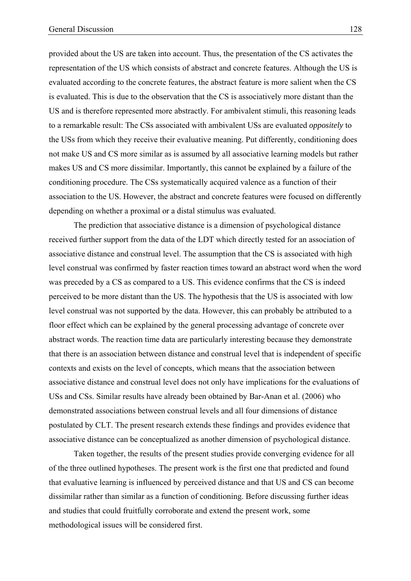provided about the US are taken into account. Thus, the presentation of the CS activates the representation of the US which consists of abstract and concrete features. Although the US is evaluated according to the concrete features, the abstract feature is more salient when the CS is evaluated. This is due to the observation that the CS is associatively more distant than the US and is therefore represented more abstractly. For ambivalent stimuli, this reasoning leads to a remarkable result: The CSs associated with ambivalent USs are evaluated *oppositely* to the USs from which they receive their evaluative meaning. Put differently, conditioning does not make US and CS more similar as is assumed by all associative learning models but rather makes US and CS more dissimilar. Importantly, this cannot be explained by a failure of the conditioning procedure. The CSs systematically acquired valence as a function of their association to the US. However, the abstract and concrete features were focused on differently depending on whether a proximal or a distal stimulus was evaluated.

The prediction that associative distance is a dimension of psychological distance received further support from the data of the LDT which directly tested for an association of associative distance and construal level. The assumption that the CS is associated with high level construal was confirmed by faster reaction times toward an abstract word when the word was preceded by a CS as compared to a US. This evidence confirms that the CS is indeed perceived to be more distant than the US. The hypothesis that the US is associated with low level construal was not supported by the data. However, this can probably be attributed to a floor effect which can be explained by the general processing advantage of concrete over abstract words. The reaction time data are particularly interesting because they demonstrate that there is an association between distance and construal level that is independent of specific contexts and exists on the level of concepts, which means that the association between associative distance and construal level does not only have implications for the evaluations of USs and CSs. Similar results have already been obtained by Bar-Anan et al. (2006) who demonstrated associations between construal levels and all four dimensions of distance postulated by CLT. The present research extends these findings and provides evidence that associative distance can be conceptualized as another dimension of psychological distance.

Taken together, the results of the present studies provide converging evidence for all of the three outlined hypotheses. The present work is the first one that predicted and found that evaluative learning is influenced by perceived distance and that US and CS can become dissimilar rather than similar as a function of conditioning. Before discussing further ideas and studies that could fruitfully corroborate and extend the present work, some methodological issues will be considered first.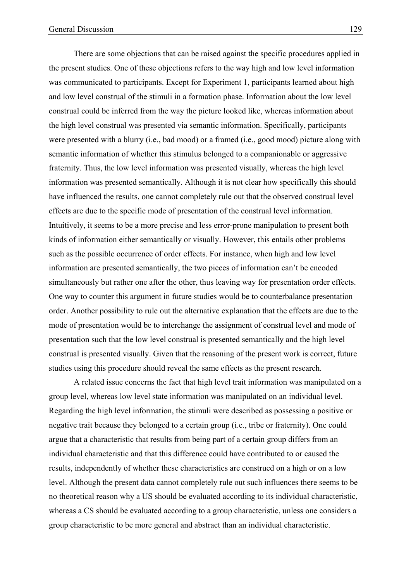There are some objections that can be raised against the specific procedures applied in the present studies. One of these objections refers to the way high and low level information was communicated to participants. Except for Experiment 1, participants learned about high and low level construal of the stimuli in a formation phase. Information about the low level construal could be inferred from the way the picture looked like, whereas information about the high level construal was presented via semantic information. Specifically, participants were presented with a blurry (i.e., bad mood) or a framed (i.e., good mood) picture along with semantic information of whether this stimulus belonged to a companionable or aggressive fraternity. Thus, the low level information was presented visually, whereas the high level information was presented semantically. Although it is not clear how specifically this should have influenced the results, one cannot completely rule out that the observed construal level effects are due to the specific mode of presentation of the construal level information. Intuitively, it seems to be a more precise and less error-prone manipulation to present both kinds of information either semantically or visually. However, this entails other problems

such as the possible occurrence of order effects. For instance, when high and low level information are presented semantically, the two pieces of information can't be encoded simultaneously but rather one after the other, thus leaving way for presentation order effects. One way to counter this argument in future studies would be to counterbalance presentation order. Another possibility to rule out the alternative explanation that the effects are due to the mode of presentation would be to interchange the assignment of construal level and mode of presentation such that the low level construal is presented semantically and the high level construal is presented visually. Given that the reasoning of the present work is correct, future studies using this procedure should reveal the same effects as the present research.

A related issue concerns the fact that high level trait information was manipulated on a group level, whereas low level state information was manipulated on an individual level. Regarding the high level information, the stimuli were described as possessing a positive or negative trait because they belonged to a certain group (i.e., tribe or fraternity). One could argue that a characteristic that results from being part of a certain group differs from an individual characteristic and that this difference could have contributed to or caused the results, independently of whether these characteristics are construed on a high or on a low level. Although the present data cannot completely rule out such influences there seems to be no theoretical reason why a US should be evaluated according to its individual characteristic, whereas a CS should be evaluated according to a group characteristic, unless one considers a group characteristic to be more general and abstract than an individual characteristic.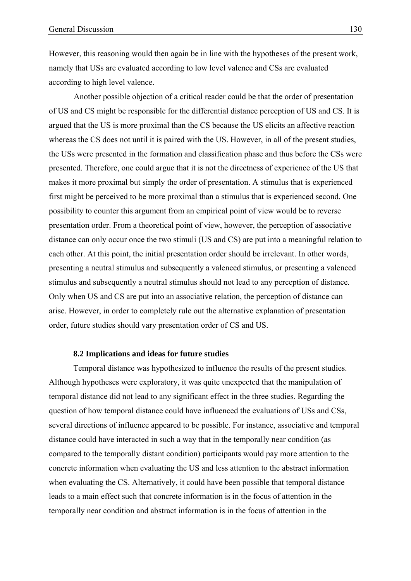However, this reasoning would then again be in line with the hypotheses of the present work, namely that USs are evaluated according to low level valence and CSs are evaluated according to high level valence.

Another possible objection of a critical reader could be that the order of presentation of US and CS might be responsible for the differential distance perception of US and CS. It is argued that the US is more proximal than the CS because the US elicits an affective reaction whereas the CS does not until it is paired with the US. However, in all of the present studies, the USs were presented in the formation and classification phase and thus before the CSs were presented. Therefore, one could argue that it is not the directness of experience of the US that makes it more proximal but simply the order of presentation. A stimulus that is experienced first might be perceived to be more proximal than a stimulus that is experienced second. One possibility to counter this argument from an empirical point of view would be to reverse presentation order. From a theoretical point of view, however, the perception of associative distance can only occur once the two stimuli (US and CS) are put into a meaningful relation to each other. At this point, the initial presentation order should be irrelevant. In other words, presenting a neutral stimulus and subsequently a valenced stimulus, or presenting a valenced stimulus and subsequently a neutral stimulus should not lead to any perception of distance. Only when US and CS are put into an associative relation, the perception of distance can arise. However, in order to completely rule out the alternative explanation of presentation order, future studies should vary presentation order of CS and US.

### **8.2 Implications and ideas for future studies**

Temporal distance was hypothesized to influence the results of the present studies. Although hypotheses were exploratory, it was quite unexpected that the manipulation of temporal distance did not lead to any significant effect in the three studies. Regarding the question of how temporal distance could have influenced the evaluations of USs and CSs, several directions of influence appeared to be possible. For instance, associative and temporal distance could have interacted in such a way that in the temporally near condition (as compared to the temporally distant condition) participants would pay more attention to the concrete information when evaluating the US and less attention to the abstract information when evaluating the CS. Alternatively, it could have been possible that temporal distance leads to a main effect such that concrete information is in the focus of attention in the temporally near condition and abstract information is in the focus of attention in the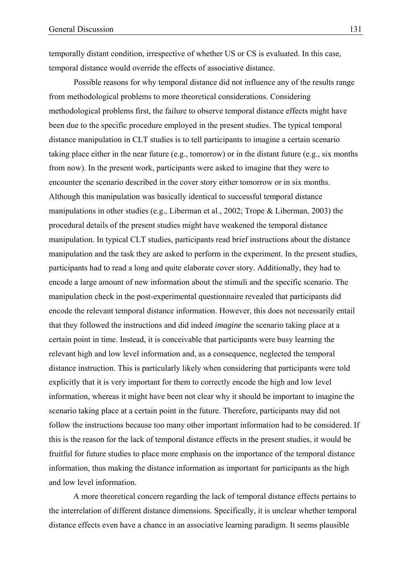temporally distant condition, irrespective of whether US or CS is evaluated. In this case, temporal distance would override the effects of associative distance.

Possible reasons for why temporal distance did not influence any of the results range from methodological problems to more theoretical considerations. Considering methodological problems first, the failure to observe temporal distance effects might have been due to the specific procedure employed in the present studies. The typical temporal distance manipulation in CLT studies is to tell participants to imagine a certain scenario taking place either in the near future (e.g., tomorrow) or in the distant future (e.g., six months from now). In the present work, participants were asked to imagine that they were to encounter the scenario described in the cover story either tomorrow or in six months. Although this manipulation was basically identical to successful temporal distance manipulations in other studies (e.g., Liberman et al., 2002; Trope & Liberman, 2003) the procedural details of the present studies might have weakened the temporal distance manipulation. In typical CLT studies, participants read brief instructions about the distance manipulation and the task they are asked to perform in the experiment. In the present studies, participants had to read a long and quite elaborate cover story. Additionally, they had to encode a large amount of new information about the stimuli and the specific scenario. The manipulation check in the post-experimental questionnaire revealed that participants did encode the relevant temporal distance information. However, this does not necessarily entail that they followed the instructions and did indeed *imagine* the scenario taking place at a certain point in time. Instead, it is conceivable that participants were busy learning the relevant high and low level information and, as a consequence, neglected the temporal distance instruction. This is particularly likely when considering that participants were told explicitly that it is very important for them to correctly encode the high and low level information, whereas it might have been not clear why it should be important to imagine the scenario taking place at a certain point in the future. Therefore, participants may did not follow the instructions because too many other important information had to be considered. If this is the reason for the lack of temporal distance effects in the present studies, it would be fruitful for future studies to place more emphasis on the importance of the temporal distance information, thus making the distance information as important for participants as the high and low level information.

A more theoretical concern regarding the lack of temporal distance effects pertains to the interrelation of different distance dimensions. Specifically, it is unclear whether temporal distance effects even have a chance in an associative learning paradigm. It seems plausible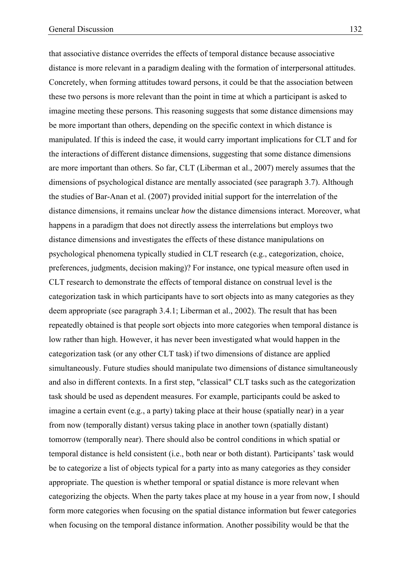that associative distance overrides the effects of temporal distance because associative distance is more relevant in a paradigm dealing with the formation of interpersonal attitudes. Concretely, when forming attitudes toward persons, it could be that the association between these two persons is more relevant than the point in time at which a participant is asked to imagine meeting these persons. This reasoning suggests that some distance dimensions may be more important than others, depending on the specific context in which distance is manipulated. If this is indeed the case, it would carry important implications for CLT and for the interactions of different distance dimensions, suggesting that some distance dimensions are more important than others. So far, CLT (Liberman et al., 2007) merely assumes that the dimensions of psychological distance are mentally associated (see paragraph 3.7). Although the studies of Bar-Anan et al. (2007) provided initial support for the interrelation of the distance dimensions, it remains unclear *how* the distance dimensions interact. Moreover, what happens in a paradigm that does not directly assess the interrelations but employs two distance dimensions and investigates the effects of these distance manipulations on psychological phenomena typically studied in CLT research (e.g., categorization, choice, preferences, judgments, decision making)? For instance, one typical measure often used in CLT research to demonstrate the effects of temporal distance on construal level is the categorization task in which participants have to sort objects into as many categories as they deem appropriate (see paragraph 3.4.1; Liberman et al., 2002). The result that has been repeatedly obtained is that people sort objects into more categories when temporal distance is low rather than high. However, it has never been investigated what would happen in the categorization task (or any other CLT task) if two dimensions of distance are applied simultaneously. Future studies should manipulate two dimensions of distance simultaneously and also in different contexts. In a first step, "classical" CLT tasks such as the categorization task should be used as dependent measures. For example, participants could be asked to imagine a certain event (e.g., a party) taking place at their house (spatially near) in a year from now (temporally distant) versus taking place in another town (spatially distant) tomorrow (temporally near). There should also be control conditions in which spatial or temporal distance is held consistent (i.e., both near or both distant). Participants' task would be to categorize a list of objects typical for a party into as many categories as they consider appropriate. The question is whether temporal or spatial distance is more relevant when categorizing the objects. When the party takes place at my house in a year from now, I should form more categories when focusing on the spatial distance information but fewer categories when focusing on the temporal distance information. Another possibility would be that the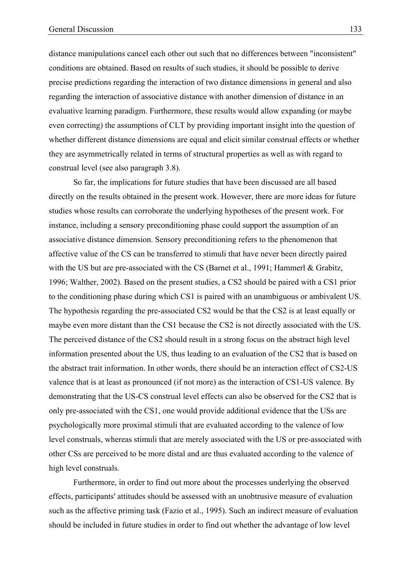distance manipulations cancel each other out such that no differences between "inconsistent" conditions are obtained. Based on results of such studies, it should be possible to derive precise predictions regarding the interaction of two distance dimensions in general and also regarding the interaction of associative distance with another dimension of distance in an evaluative learning paradigm. Furthermore, these results would allow expanding (or maybe even correcting) the assumptions of CLT by providing important insight into the question of whether different distance dimensions are equal and elicit similar construal effects or whether they are asymmetrically related in terms of structural properties as well as with regard to construal level (see also paragraph 3.8).

So far, the implications for future studies that have been discussed are all based directly on the results obtained in the present work. However, there are more ideas for future studies whose results can corroborate the underlying hypotheses of the present work. For instance, including a sensory preconditioning phase could support the assumption of an associative distance dimension. Sensory preconditioning refers to the phenomenon that affective value of the CS can be transferred to stimuli that have never been directly paired with the US but are pre-associated with the CS (Barnet et al., 1991; Hammerl & Grabitz, 1996; Walther, 2002). Based on the present studies, a CS2 should be paired with a CS1 prior to the conditioning phase during which CS1 is paired with an unambiguous or ambivalent US. The hypothesis regarding the pre-associated CS2 would be that the CS2 is at least equally or maybe even more distant than the CS1 because the CS2 is not directly associated with the US. The perceived distance of the CS2 should result in a strong focus on the abstract high level information presented about the US, thus leading to an evaluation of the CS2 that is based on the abstract trait information. In other words, there should be an interaction effect of CS2-US valence that is at least as pronounced (if not more) as the interaction of CS1-US valence. By demonstrating that the US-CS construal level effects can also be observed for the CS2 that is only pre-associated with the CS1, one would provide additional evidence that the USs are psychologically more proximal stimuli that are evaluated according to the valence of low level construals, whereas stimuli that are merely associated with the US or pre-associated with other CSs are perceived to be more distal and are thus evaluated according to the valence of high level construals.

Furthermore, in order to find out more about the processes underlying the observed effects, participants' attitudes should be assessed with an unobtrusive measure of evaluation such as the affective priming task (Fazio et al., 1995). Such an indirect measure of evaluation should be included in future studies in order to find out whether the advantage of low level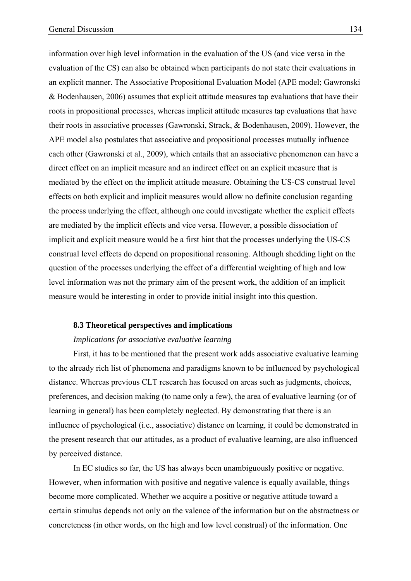information over high level information in the evaluation of the US (and vice versa in the evaluation of the CS) can also be obtained when participants do not state their evaluations in an explicit manner. The Associative Propositional Evaluation Model (APE model; Gawronski & Bodenhausen, 2006) assumes that explicit attitude measures tap evaluations that have their roots in propositional processes, whereas implicit attitude measures tap evaluations that have their roots in associative processes (Gawronski, Strack, & Bodenhausen, 2009). However, the APE model also postulates that associative and propositional processes mutually influence each other (Gawronski et al., 2009), which entails that an associative phenomenon can have a direct effect on an implicit measure and an indirect effect on an explicit measure that is mediated by the effect on the implicit attitude measure. Obtaining the US-CS construal level effects on both explicit and implicit measures would allow no definite conclusion regarding the process underlying the effect, although one could investigate whether the explicit effects are mediated by the implicit effects and vice versa. However, a possible dissociation of implicit and explicit measure would be a first hint that the processes underlying the US-CS construal level effects do depend on propositional reasoning. Although shedding light on the question of the processes underlying the effect of a differential weighting of high and low level information was not the primary aim of the present work, the addition of an implicit measure would be interesting in order to provide initial insight into this question.

#### **8.3 Theoretical perspectives and implications**

## *Implications for associative evaluative learning*

First, it has to be mentioned that the present work adds associative evaluative learning to the already rich list of phenomena and paradigms known to be influenced by psychological distance. Whereas previous CLT research has focused on areas such as judgments, choices, preferences, and decision making (to name only a few), the area of evaluative learning (or of learning in general) has been completely neglected. By demonstrating that there is an influence of psychological (i.e., associative) distance on learning, it could be demonstrated in the present research that our attitudes, as a product of evaluative learning, are also influenced by perceived distance.

In EC studies so far, the US has always been unambiguously positive or negative. However, when information with positive and negative valence is equally available, things become more complicated. Whether we acquire a positive or negative attitude toward a certain stimulus depends not only on the valence of the information but on the abstractness or concreteness (in other words, on the high and low level construal) of the information. One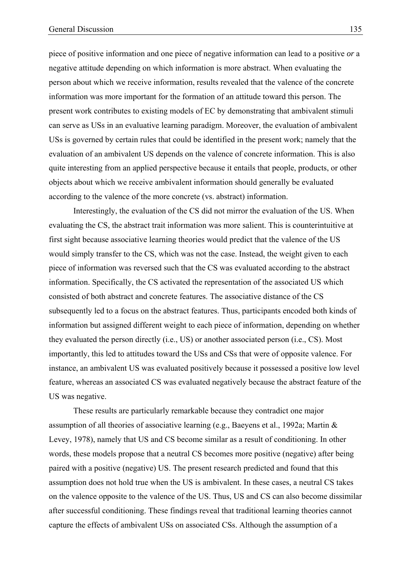piece of positive information and one piece of negative information can lead to a positive *or* a negative attitude depending on which information is more abstract. When evaluating the person about which we receive information, results revealed that the valence of the concrete information was more important for the formation of an attitude toward this person. The present work contributes to existing models of EC by demonstrating that ambivalent stimuli can serve as USs in an evaluative learning paradigm. Moreover, the evaluation of ambivalent USs is governed by certain rules that could be identified in the present work; namely that the evaluation of an ambivalent US depends on the valence of concrete information. This is also quite interesting from an applied perspective because it entails that people, products, or other objects about which we receive ambivalent information should generally be evaluated according to the valence of the more concrete (vs. abstract) information.

Interestingly, the evaluation of the CS did not mirror the evaluation of the US. When evaluating the CS, the abstract trait information was more salient. This is counterintuitive at first sight because associative learning theories would predict that the valence of the US would simply transfer to the CS, which was not the case. Instead, the weight given to each piece of information was reversed such that the CS was evaluated according to the abstract information. Specifically, the CS activated the representation of the associated US which consisted of both abstract and concrete features. The associative distance of the CS subsequently led to a focus on the abstract features. Thus, participants encoded both kinds of information but assigned different weight to each piece of information, depending on whether they evaluated the person directly (i.e., US) or another associated person (i.e., CS). Most importantly, this led to attitudes toward the USs and CSs that were of opposite valence. For instance, an ambivalent US was evaluated positively because it possessed a positive low level feature, whereas an associated CS was evaluated negatively because the abstract feature of the US was negative.

These results are particularly remarkable because they contradict one major assumption of all theories of associative learning (e.g., Baeyens et al., 1992a; Martin & Levey, 1978), namely that US and CS become similar as a result of conditioning. In other words, these models propose that a neutral CS becomes more positive (negative) after being paired with a positive (negative) US. The present research predicted and found that this assumption does not hold true when the US is ambivalent. In these cases, a neutral CS takes on the valence opposite to the valence of the US. Thus, US and CS can also become dissimilar after successful conditioning. These findings reveal that traditional learning theories cannot capture the effects of ambivalent USs on associated CSs. Although the assumption of a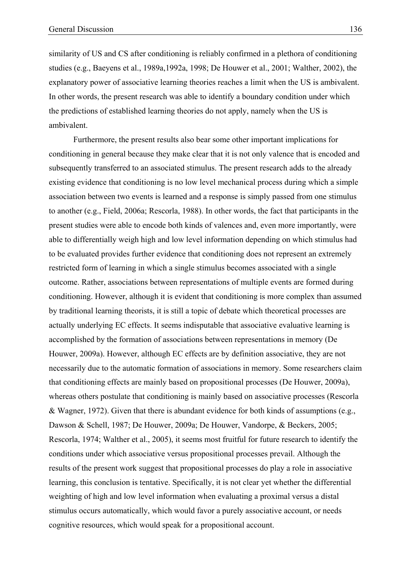similarity of US and CS after conditioning is reliably confirmed in a plethora of conditioning studies (e.g., Baeyens et al., 1989a,1992a, 1998; De Houwer et al., 2001; Walther, 2002), the explanatory power of associative learning theories reaches a limit when the US is ambivalent. In other words, the present research was able to identify a boundary condition under which the predictions of established learning theories do not apply, namely when the US is ambivalent.

Furthermore, the present results also bear some other important implications for conditioning in general because they make clear that it is not only valence that is encoded and subsequently transferred to an associated stimulus. The present research adds to the already existing evidence that conditioning is no low level mechanical process during which a simple association between two events is learned and a response is simply passed from one stimulus to another (e.g., Field, 2006a; Rescorla, 1988). In other words, the fact that participants in the present studies were able to encode both kinds of valences and, even more importantly, were able to differentially weigh high and low level information depending on which stimulus had to be evaluated provides further evidence that conditioning does not represent an extremely restricted form of learning in which a single stimulus becomes associated with a single outcome. Rather, associations between representations of multiple events are formed during conditioning. However, although it is evident that conditioning is more complex than assumed by traditional learning theorists, it is still a topic of debate which theoretical processes are actually underlying EC effects. It seems indisputable that associative evaluative learning is accomplished by the formation of associations between representations in memory (De Houwer, 2009a). However, although EC effects are by definition associative, they are not necessarily due to the automatic formation of associations in memory. Some researchers claim that conditioning effects are mainly based on propositional processes (De Houwer, 2009a), whereas others postulate that conditioning is mainly based on associative processes (Rescorla & Wagner, 1972). Given that there is abundant evidence for both kinds of assumptions (e.g., Dawson & Schell, 1987; De Houwer, 2009a; De Houwer, Vandorpe, & Beckers, 2005; Rescorla, 1974; Walther et al., 2005), it seems most fruitful for future research to identify the conditions under which associative versus propositional processes prevail. Although the results of the present work suggest that propositional processes do play a role in associative learning, this conclusion is tentative. Specifically, it is not clear yet whether the differential weighting of high and low level information when evaluating a proximal versus a distal stimulus occurs automatically, which would favor a purely associative account, or needs cognitive resources, which would speak for a propositional account.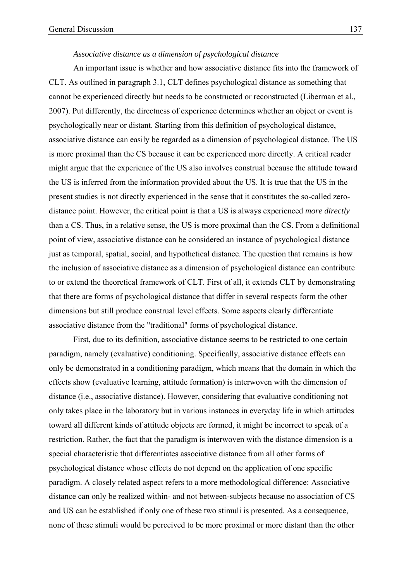## *Associative distance as a dimension of psychological distance*

An important issue is whether and how associative distance fits into the framework of CLT. As outlined in paragraph 3.1, CLT defines psychological distance as something that cannot be experienced directly but needs to be constructed or reconstructed (Liberman et al., 2007). Put differently, the directness of experience determines whether an object or event is psychologically near or distant. Starting from this definition of psychological distance, associative distance can easily be regarded as a dimension of psychological distance. The US is more proximal than the CS because it can be experienced more directly. A critical reader might argue that the experience of the US also involves construal because the attitude toward the US is inferred from the information provided about the US. It is true that the US in the present studies is not directly experienced in the sense that it constitutes the so-called zerodistance point. However, the critical point is that a US is always experienced *more directly* than a CS. Thus, in a relative sense, the US is more proximal than the CS. From a definitional point of view, associative distance can be considered an instance of psychological distance just as temporal, spatial, social, and hypothetical distance. The question that remains is how the inclusion of associative distance as a dimension of psychological distance can contribute to or extend the theoretical framework of CLT. First of all, it extends CLT by demonstrating that there are forms of psychological distance that differ in several respects form the other dimensions but still produce construal level effects. Some aspects clearly differentiate associative distance from the "traditional" forms of psychological distance.

First, due to its definition, associative distance seems to be restricted to one certain paradigm, namely (evaluative) conditioning. Specifically, associative distance effects can only be demonstrated in a conditioning paradigm, which means that the domain in which the effects show (evaluative learning, attitude formation) is interwoven with the dimension of distance (i.e., associative distance). However, considering that evaluative conditioning not only takes place in the laboratory but in various instances in everyday life in which attitudes toward all different kinds of attitude objects are formed, it might be incorrect to speak of a restriction. Rather, the fact that the paradigm is interwoven with the distance dimension is a special characteristic that differentiates associative distance from all other forms of psychological distance whose effects do not depend on the application of one specific paradigm. A closely related aspect refers to a more methodological difference: Associative distance can only be realized within- and not between-subjects because no association of CS and US can be established if only one of these two stimuli is presented. As a consequence, none of these stimuli would be perceived to be more proximal or more distant than the other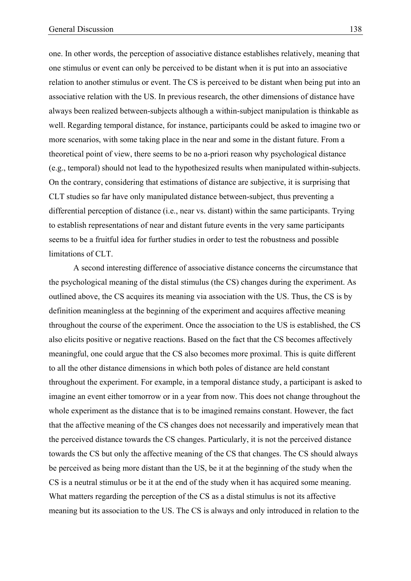one. In other words, the perception of associative distance establishes relatively, meaning that one stimulus or event can only be perceived to be distant when it is put into an associative relation to another stimulus or event. The CS is perceived to be distant when being put into an associative relation with the US. In previous research, the other dimensions of distance have always been realized between-subjects although a within-subject manipulation is thinkable as well. Regarding temporal distance, for instance, participants could be asked to imagine two or more scenarios, with some taking place in the near and some in the distant future. From a theoretical point of view, there seems to be no a-priori reason why psychological distance (e.g., temporal) should not lead to the hypothesized results when manipulated within-subjects. On the contrary, considering that estimations of distance are subjective, it is surprising that CLT studies so far have only manipulated distance between-subject, thus preventing a differential perception of distance (i.e., near vs. distant) within the same participants. Trying to establish representations of near and distant future events in the very same participants seems to be a fruitful idea for further studies in order to test the robustness and possible limitations of CLT.

A second interesting difference of associative distance concerns the circumstance that the psychological meaning of the distal stimulus (the CS) changes during the experiment. As outlined above, the CS acquires its meaning via association with the US. Thus, the CS is by definition meaningless at the beginning of the experiment and acquires affective meaning throughout the course of the experiment. Once the association to the US is established, the CS also elicits positive or negative reactions. Based on the fact that the CS becomes affectively meaningful, one could argue that the CS also becomes more proximal. This is quite different to all the other distance dimensions in which both poles of distance are held constant throughout the experiment. For example, in a temporal distance study, a participant is asked to imagine an event either tomorrow or in a year from now. This does not change throughout the whole experiment as the distance that is to be imagined remains constant. However, the fact that the affective meaning of the CS changes does not necessarily and imperatively mean that the perceived distance towards the CS changes. Particularly, it is not the perceived distance towards the CS but only the affective meaning of the CS that changes. The CS should always be perceived as being more distant than the US, be it at the beginning of the study when the CS is a neutral stimulus or be it at the end of the study when it has acquired some meaning. What matters regarding the perception of the CS as a distal stimulus is not its affective meaning but its association to the US. The CS is always and only introduced in relation to the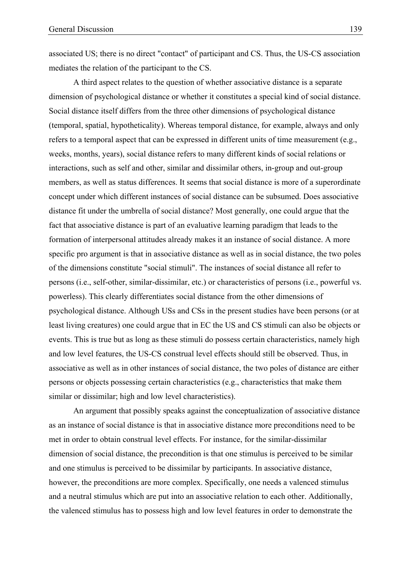associated US; there is no direct "contact" of participant and CS. Thus, the US-CS association mediates the relation of the participant to the CS.

A third aspect relates to the question of whether associative distance is a separate dimension of psychological distance or whether it constitutes a special kind of social distance. Social distance itself differs from the three other dimensions of psychological distance (temporal, spatial, hypotheticality). Whereas temporal distance, for example, always and only refers to a temporal aspect that can be expressed in different units of time measurement (e.g., weeks, months, years), social distance refers to many different kinds of social relations or interactions, such as self and other, similar and dissimilar others, in-group and out-group members, as well as status differences. It seems that social distance is more of a superordinate concept under which different instances of social distance can be subsumed. Does associative distance fit under the umbrella of social distance? Most generally, one could argue that the fact that associative distance is part of an evaluative learning paradigm that leads to the formation of interpersonal attitudes already makes it an instance of social distance. A more specific pro argument is that in associative distance as well as in social distance, the two poles of the dimensions constitute "social stimuli". The instances of social distance all refer to persons (i.e., self-other, similar-dissimilar, etc.) or characteristics of persons (i.e., powerful vs. powerless). This clearly differentiates social distance from the other dimensions of psychological distance. Although USs and CSs in the present studies have been persons (or at least living creatures) one could argue that in EC the US and CS stimuli can also be objects or events. This is true but as long as these stimuli do possess certain characteristics, namely high and low level features, the US-CS construal level effects should still be observed. Thus, in associative as well as in other instances of social distance, the two poles of distance are either persons or objects possessing certain characteristics (e.g., characteristics that make them similar or dissimilar; high and low level characteristics).

An argument that possibly speaks against the conceptualization of associative distance as an instance of social distance is that in associative distance more preconditions need to be met in order to obtain construal level effects. For instance, for the similar-dissimilar dimension of social distance, the precondition is that one stimulus is perceived to be similar and one stimulus is perceived to be dissimilar by participants. In associative distance, however, the preconditions are more complex. Specifically, one needs a valenced stimulus and a neutral stimulus which are put into an associative relation to each other. Additionally, the valenced stimulus has to possess high and low level features in order to demonstrate the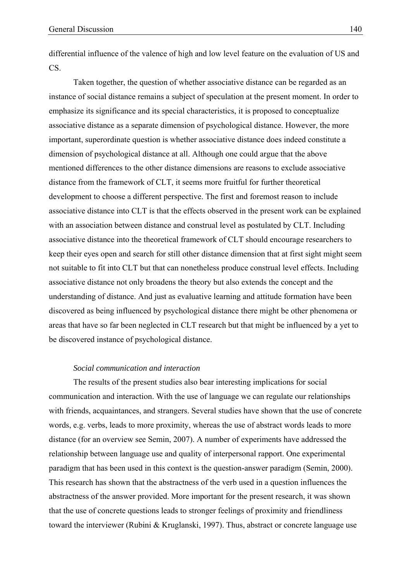differential influence of the valence of high and low level feature on the evaluation of US and CS.

Taken together, the question of whether associative distance can be regarded as an instance of social distance remains a subject of speculation at the present moment. In order to emphasize its significance and its special characteristics, it is proposed to conceptualize associative distance as a separate dimension of psychological distance. However, the more important, superordinate question is whether associative distance does indeed constitute a dimension of psychological distance at all. Although one could argue that the above mentioned differences to the other distance dimensions are reasons to exclude associative distance from the framework of CLT, it seems more fruitful for further theoretical development to choose a different perspective. The first and foremost reason to include associative distance into CLT is that the effects observed in the present work can be explained with an association between distance and construal level as postulated by CLT. Including associative distance into the theoretical framework of CLT should encourage researchers to keep their eyes open and search for still other distance dimension that at first sight might seem not suitable to fit into CLT but that can nonetheless produce construal level effects. Including associative distance not only broadens the theory but also extends the concept and the understanding of distance. And just as evaluative learning and attitude formation have been discovered as being influenced by psychological distance there might be other phenomena or areas that have so far been neglected in CLT research but that might be influenced by a yet to be discovered instance of psychological distance.

#### *Social communication and interaction*

The results of the present studies also bear interesting implications for social communication and interaction. With the use of language we can regulate our relationships with friends, acquaintances, and strangers. Several studies have shown that the use of concrete words, e.g. verbs, leads to more proximity, whereas the use of abstract words leads to more distance (for an overview see Semin, 2007). A number of experiments have addressed the relationship between language use and quality of interpersonal rapport. One experimental paradigm that has been used in this context is the question-answer paradigm (Semin, 2000). This research has shown that the abstractness of the verb used in a question influences the abstractness of the answer provided. More important for the present research, it was shown that the use of concrete questions leads to stronger feelings of proximity and friendliness toward the interviewer (Rubini & Kruglanski, 1997). Thus, abstract or concrete language use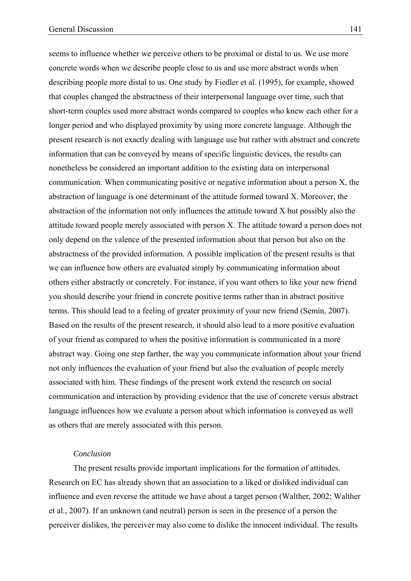seems to influence whether we perceive others to be proximal or distal to us. We use more concrete words when we describe people close to us and use more abstract words when describing people more distal to us. One study by Fiedler et al. (1995), for example, showed that couples changed the abstractness of their interpersonal language over time, such that short-term couples used more abstract words compared to couples who knew each other for a longer period and who displayed proximity by using more concrete language. Although the present research is not exactly dealing with language use but rather with abstract and concrete information that can be conveyed by means of specific linguistic devices, the results can nonetheless be considered an important addition to the existing data on interpersonal communication. When communicating positive or negative information about a person X, the abstraction of language is one determinant of the attitude formed toward X. Moreover, the abstraction of the information not only influences the attitude toward X but possibly also the attitude toward people merely associated with person X. The attitude toward a person does not only depend on the valence of the presented information about that person but also on the abstractness of the provided information. A possible implication of the present results is that we can influence how others are evaluated simply by communicating information about others either abstractly or concretely. For instance, if you want others to like your new friend you should describe your friend in concrete positive terms rather than in abstract positive terms. This should lead to a feeling of greater proximity of your new friend (Semin, 2007). Based on the results of the present research, it should also lead to a more positive evaluation of your friend as compared to when the positive information is communicated in a more abstract way. Going one step farther, the way you communicate information about your friend not only influences the evaluation of your friend but also the evaluation of people merely associated with him. These findings of the present work extend the research on social communication and interaction by providing evidence that the use of concrete versus abstract language influences how we evaluate a person about which information is conveyed as well as others that are merely associated with this person.

## *Conclusion*

The present results provide important implications for the formation of attitudes. Research on EC has already shown that an association to a liked or disliked individual can influence and even reverse the attitude we have about a target person (Walther, 2002; Walther et al., 2007). If an unknown (and neutral) person is seen in the presence of a person the perceiver dislikes, the perceiver may also come to dislike the innocent individual. The results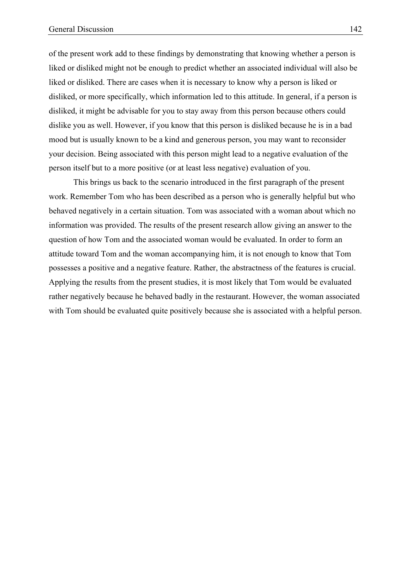of the present work add to these findings by demonstrating that knowing whether a person is liked or disliked might not be enough to predict whether an associated individual will also be liked or disliked. There are cases when it is necessary to know why a person is liked or disliked, or more specifically, which information led to this attitude. In general, if a person is disliked, it might be advisable for you to stay away from this person because others could dislike you as well. However, if you know that this person is disliked because he is in a bad mood but is usually known to be a kind and generous person, you may want to reconsider your decision. Being associated with this person might lead to a negative evaluation of the person itself but to a more positive (or at least less negative) evaluation of you.

This brings us back to the scenario introduced in the first paragraph of the present work. Remember Tom who has been described as a person who is generally helpful but who behaved negatively in a certain situation. Tom was associated with a woman about which no information was provided. The results of the present research allow giving an answer to the question of how Tom and the associated woman would be evaluated. In order to form an attitude toward Tom and the woman accompanying him, it is not enough to know that Tom possesses a positive and a negative feature. Rather, the abstractness of the features is crucial. Applying the results from the present studies, it is most likely that Tom would be evaluated rather negatively because he behaved badly in the restaurant. However, the woman associated with Tom should be evaluated quite positively because she is associated with a helpful person.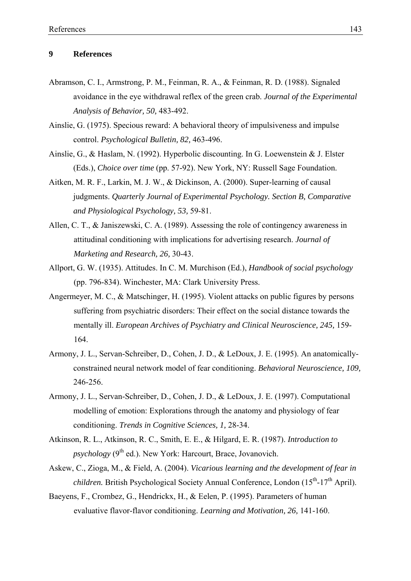## **9 References**

- Abramson, C. I., Armstrong, P. M., Feinman, R. A., & Feinman, R. D. (1988). Signaled avoidance in the eye withdrawal reflex of the green crab. *Journal of the Experimental Analysis of Behavior, 50,* 483-492.
- Ainslie, G. (1975). Specious reward: A behavioral theory of impulsiveness and impulse control. *Psychological Bulletin, 82,* 463-496.
- Ainslie, G., & Haslam, N. (1992). Hyperbolic discounting. In G. Loewenstein & J. Elster (Eds.), *Choice over time* (pp. 57-92). New York, NY: Russell Sage Foundation.
- Aitken, M. R. F., Larkin, M. J. W., & Dickinson, A. (2000). Super-learning of causal judgments. *Quarterly Journal of Experimental Psychology. Section B, Comparative and Physiological Psychology, 53,* 59-81.
- Allen, C. T., & Janiszewski, C. A. (1989). Assessing the role of contingency awareness in attitudinal conditioning with implications for advertising research. *Journal of Marketing and Research, 26,* 30-43.
- Allport, G. W. (1935). Attitudes. In C. M. Murchison (Ed.), *Handbook of social psychology*  (pp. 796-834). Winchester, MA: Clark University Press.
- Angermeyer, M. C., & Matschinger, H. (1995). Violent attacks on public figures by persons suffering from psychiatric disorders: Their effect on the social distance towards the mentally ill. *European Archives of Psychiatry and Clinical Neuroscience, 245,* 159- 164.
- Armony, J. L., Servan-Schreiber, D., Cohen, J. D., & LeDoux, J. E. (1995). An anatomicallyconstrained neural network model of fear conditioning. *Behavioral Neuroscience, 109,* 246-256.
- Armony, J. L., Servan-Schreiber, D., Cohen, J. D., & LeDoux, J. E. (1997). Computational modelling of emotion: Explorations through the anatomy and physiology of fear conditioning. *Trends in Cognitive Sciences, 1,* 28-34.
- Atkinson, R. L., Atkinson, R. C., Smith, E. E., & Hilgard, E. R. (1987). *Introduction to psychology* (9<sup>th</sup> ed.). New York: Harcourt, Brace, Jovanovich.
- Askew, C., Zioga, M., & Field, A. (2004). *Vicarious learning and the development of fear in children.* British Psychological Society Annual Conference, London  $(15<sup>th</sup> - 17<sup>th</sup>$  April).
- Baeyens, F., Crombez, G., Hendrickx, H., & Eelen, P. (1995). Parameters of human evaluative flavor-flavor conditioning. *Learning and Motivation, 26,* 141-160.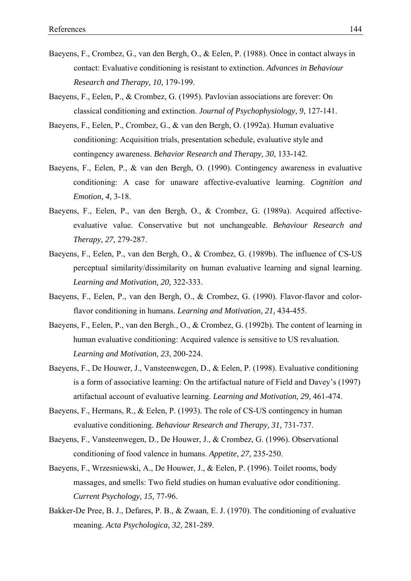- Baeyens, F., Crombez, G., van den Bergh, O., & Eelen, P. (1988). Once in contact always in contact: Evaluative conditioning is resistant to extinction. *Advances in Behaviour Research and Therapy, 10,* 179-199.
- Baeyens, F., Eelen, P., & Crombez, G. (1995). Pavlovian associations are forever: On classical conditioning and extinction. *Journal of Psychophysiology, 9,* 127-141.
- Baeyens, F., Eelen, P., Crombez, G., & van den Bergh, O. (1992a). Human evaluative conditioning: Acquisition trials, presentation schedule, evaluative style and contingency awareness. *Behavior Research and Therapy, 30*, 133-142.
- Baeyens, F., Eelen, P., & van den Bergh, O. (1990). Contingency awareness in evaluative conditioning: A case for unaware affective-evaluative learning. *Cognition and Emotion, 4,* 3-18.
- Baeyens, F., Eelen, P., van den Bergh, O., & Crombez, G. (1989a). Acquired affectiveevaluative value. Conservative but not unchangeable. *Behaviour Research and Therapy, 27,* 279-287.
- Baeyens, F., Eelen, P., van den Bergh, O., & Crombez, G. (1989b). The influence of CS-US perceptual similarity/dissimilarity on human evaluative learning and signal learning. *Learning and Motivation, 20,* 322-333.
- Baeyens, F., Eelen, P., van den Bergh, O., & Crombez, G. (1990). Flavor-flavor and colorflavor conditioning in humans. *Learning and Motivation, 21,* 434-455.
- Baeyens, F., Eelen, P., van den Bergh., O., & Crombez, G. (1992b). The content of learning in human evaluative conditioning: Acquired valence is sensitive to US revaluation. *Learning and Motivation, 23*, 200-224.
- Baeyens, F., De Houwer, J., Vansteenwegen, D., & Eelen, P. (1998). Evaluative conditioning is a form of associative learning: On the artifactual nature of Field and Davey's (1997) artifactual account of evaluative learning. *Learning and Motivation, 29,* 461-474.
- Baeyens, F., Hermans, R., & Eelen, P. (1993). The role of CS-US contingency in human evaluative conditioning. *Behaviour Research and Therapy, 31,* 731-737.
- Baeyens, F., Vansteenwegen, D., De Houwer, J., & Crombez, G. (1996). Observational conditioning of food valence in humans. *Appetite, 27,* 235-250.
- Baeyens, F., Wrzesniewski, A., De Houwer, J., & Eelen, P. (1996). Toilet rooms, body massages, and smells: Two field studies on human evaluative odor conditioning. *Current Psychology, 15,* 77-96.
- Bakker-De Pree, B. J., Defares, P. B., & Zwaan, E. J. (1970). The conditioning of evaluative meaning. *Acta Psychologica, 32,* 281-289.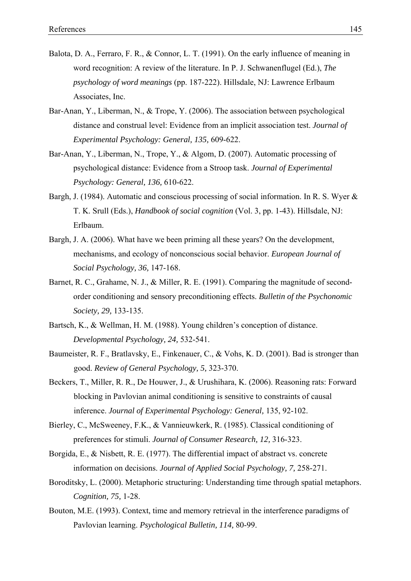- Balota, D. A., Ferraro, F. R., & Connor, L. T. (1991). On the early influence of meaning in word recognition: A review of the literature. In P. J. Schwanenflugel (Ed.), *The psychology of word meanings* (pp. 187-222). Hillsdale, NJ: Lawrence Erlbaum Associates, Inc.
- Bar-Anan, Y., Liberman, N., & Trope, Y. (2006). The association between psychological distance and construal level: Evidence from an implicit association test. *Journal of Experimental Psychology: General, 135,* 609-622.
- Bar-Anan, Y., Liberman, N., Trope, Y., & Algom, D. (2007). Automatic processing of psychological distance: Evidence from a Stroop task. *Journal of Experimental Psychology: General, 136,* 610-622.
- Bargh, J. (1984). Automatic and conscious processing of social information. In R. S. Wyer & T. K. Srull (Eds.), *Handbook of social cognition* (Vol. 3, pp. 1-43). Hillsdale, NJ: Erlbaum.
- Bargh, J. A. (2006). What have we been priming all these years? On the development, mechanisms, and ecology of nonconscious social behavior. *European Journal of Social Psychology, 36,* 147-168.
- Barnet, R. C., Grahame, N. J., & Miller, R. E. (1991). Comparing the magnitude of secondorder conditioning and sensory preconditioning effects. *Bulletin of the Psychonomic Society, 29,* 133-135.
- Bartsch, K., & Wellman, H. M. (1988). Young children's conception of distance. *Developmental Psychology, 24,* 532-541.
- Baumeister, R. F., Bratlavsky, E., Finkenauer, C., & Vohs, K. D. (2001). Bad is stronger than good. *Review of General Psychology, 5,* 323-370.
- Beckers, T., Miller, R. R., De Houwer, J., & Urushihara, K. (2006). Reasoning rats: Forward blocking in Pavlovian animal conditioning is sensitive to constraints of causal inference. *Journal of Experimental Psychology: General,* 135, 92-102.
- Bierley, C., McSweeney, F.K., & Vannieuwkerk, R. (1985). Classical conditioning of preferences for stimuli. *Journal of Consumer Research, 12,* 316-323.
- Borgida, E., & Nisbett, R. E. (1977). The differential impact of abstract vs. concrete information on decisions. *Journal of Applied Social Psychology, 7,* 258-271.
- Boroditsky, L. (2000). Metaphoric structuring: Understanding time through spatial metaphors. *Cognition, 75,* 1-28.
- Bouton, M.E. (1993). Context, time and memory retrieval in the interference paradigms of Pavlovian learning. *Psychological Bulletin, 114,* 80-99.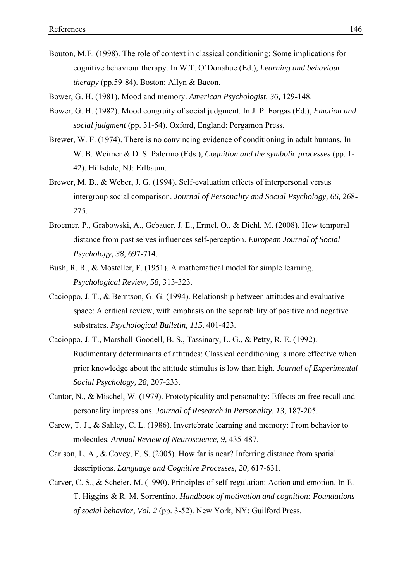- Bouton, M.E. (1998). The role of context in classical conditioning: Some implications for cognitive behaviour therapy. In W.T. O'Donahue (Ed.), *Learning and behaviour therapy* (pp.59-84). Boston: Allyn & Bacon.
- Bower, G. H. (1981). Mood and memory. *American Psychologist, 36,* 129-148.
- Bower, G. H. (1982). Mood congruity of social judgment. In J. P. Forgas (Ed.), *Emotion and social judgment* (pp. 31-54). Oxford, England: Pergamon Press.
- Brewer, W. F. (1974). There is no convincing evidence of conditioning in adult humans. In W. B. Weimer & D. S. Palermo (Eds.), *Cognition and the symbolic processes* (pp. 1- 42). Hillsdale, NJ: Erlbaum.
- Brewer, M. B., & Weber, J. G. (1994). Self-evaluation effects of interpersonal versus intergroup social comparison. *Journal of Personality and Social Psychology, 66,* 268- 275.
- Broemer, P., Grabowski, A., Gebauer, J. E., Ermel, O., & Diehl, M. (2008). How temporal distance from past selves influences self-perception. *European Journal of Social Psychology, 38,* 697-714.
- Bush, R. R., & Mosteller, F. (1951). A mathematical model for simple learning. *Psychological Review, 58,* 313-323.
- Cacioppo, J. T., & Berntson, G. G. (1994). Relationship between attitudes and evaluative space: A critical review, with emphasis on the separability of positive and negative substrates. *Psychological Bulletin, 115,* 401-423.
- Cacioppo, J. T., Marshall-Goodell, B. S., Tassinary, L. G., & Petty, R. E. (1992). Rudimentary determinants of attitudes: Classical conditioning is more effective when prior knowledge about the attitude stimulus is low than high. *Journal of Experimental Social Psychology, 28,* 207-233.
- Cantor, N., & Mischel, W. (1979). Prototypicality and personality: Effects on free recall and personality impressions. *Journal of Research in Personality, 13,* 187-205.
- Carew, T. J., & Sahley, C. L. (1986). Invertebrate learning and memory: From behavior to molecules. *Annual Review of Neuroscience, 9,* 435-487.
- Carlson, L. A., & Covey, E. S. (2005). How far is near? Inferring distance from spatial descriptions. *Language and Cognitive Processes, 20,* 617-631.
- Carver, C. S., & Scheier, M. (1990). Principles of self-regulation: Action and emotion. In E. T. Higgins & R. M. Sorrentino, *Handbook of motivation and cognition: Foundations of social behavior, Vol. 2* (pp. 3-52). New York, NY: Guilford Press.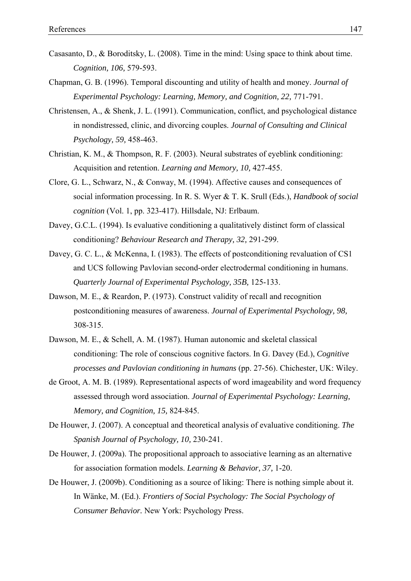- Casasanto, D., & Boroditsky, L. (2008). Time in the mind: Using space to think about time. *Cognition, 106,* 579-593.
- Chapman, G. B. (1996). Temporal discounting and utility of health and money. *Journal of Experimental Psychology: Learning, Memory, and Cognition, 22,* 771-791.
- Christensen, A., & Shenk, J. L. (1991). Communication, conflict, and psychological distance in nondistressed, clinic, and divorcing couples. *Journal of Consulting and Clinical Psychology, 59,* 458-463.
- Christian, K. M., & Thompson, R. F. (2003). Neural substrates of eyeblink conditioning: Acquisition and retention. *Learning and Memory, 10,* 427-455.
- Clore, G. L., Schwarz, N., & Conway, M. (1994). Affective causes and consequences of social information processing. In R. S. Wyer & T. K. Srull (Eds.), *Handbook of social cognition* (Vol. 1, pp. 323-417). Hillsdale, NJ: Erlbaum.
- Davey, G.C.L. (1994). Is evaluative conditioning a qualitatively distinct form of classical conditioning? *Behaviour Research and Therapy, 32,* 291-299.
- Davey, G. C. L., & McKenna, I. (1983). The effects of postconditioning revaluation of CS1 and UCS following Pavlovian second-order electrodermal conditioning in humans. *Quarterly Journal of Experimental Psychology, 35B,* 125-133.
- Dawson, M. E., & Reardon, P. (1973). Construct validity of recall and recognition postconditioning measures of awareness. *Journal of Experimental Psychology, 98,* 308-315.
- Dawson, M. E., & Schell, A. M. (1987). Human autonomic and skeletal classical conditioning: The role of conscious cognitive factors. In G. Davey (Ed.), *Cognitive processes and Pavlovian conditioning in humans* (pp. 27-56). Chichester, UK: Wiley.
- de Groot, A. M. B. (1989). Representational aspects of word imageability and word frequency assessed through word association. *Journal of Experimental Psychology: Learning, Memory, and Cognition, 15,* 824-845.
- De Houwer, J. (2007). A conceptual and theoretical analysis of evaluative conditioning. *The Spanish Journal of Psychology, 10,* 230-241.
- De Houwer, J. (2009a). The propositional approach to associative learning as an alternative for association formation models. *Learning & Behavior, 37,* 1-20.
- De Houwer, J. (2009b). Conditioning as a source of liking: There is nothing simple about it. In Wänke, M. (Ed.). *Frontiers of Social Psychology: The Social Psychology of Consumer Behavior.* New York: Psychology Press.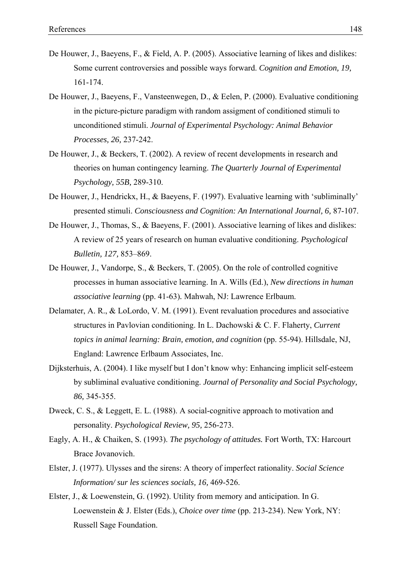- De Houwer, J., Baeyens, F., & Field, A. P. (2005). Associative learning of likes and dislikes: Some current controversies and possible ways forward. *Cognition and Emotion, 19,* 161-174.
- De Houwer, J., Baeyens, F., Vansteenwegen, D., & Eelen, P. (2000). Evaluative conditioning in the picture-picture paradigm with random assigment of conditioned stimuli to unconditioned stimuli. *Journal of Experimental Psychology: Animal Behavior Processes, 26,* 237-242.
- De Houwer, J., & Beckers, T. (2002). A review of recent developments in research and theories on human contingency learning. *The Quarterly Journal of Experimental Psychology, 55B,* 289-310.
- De Houwer, J., Hendrickx, H., & Baeyens, F. (1997). Evaluative learning with 'subliminally' presented stimuli. *Consciousness and Cognition: An International Journal, 6,* 87-107.
- De Houwer, J., Thomas, S., & Baeyens, F. (2001). Associative learning of likes and dislikes: A review of 25 years of research on human evaluative conditioning. *Psychological Bulletin, 127,* 853–869.
- De Houwer, J., Vandorpe, S., & Beckers, T. (2005). On the role of controlled cognitive processes in human associative learning. In A. Wills (Ed.), *New directions in human associative learning* (pp. 41-63)*.* Mahwah, NJ: Lawrence Erlbaum.
- Delamater, A. R., & LoLordo, V. M. (1991). Event revaluation procedures and associative structures in Pavlovian conditioning. In L. Dachowski & C. F. Flaherty, *Current topics in animal learning: Brain, emotion, and cognition* (pp. 55-94). Hillsdale, NJ, England: Lawrence Erlbaum Associates, Inc.
- Dijksterhuis, A. (2004). I like myself but I don't know why: Enhancing implicit self-esteem by subliminal evaluative conditioning. *Journal of Personality and Social Psychology, 86,* 345-355.
- Dweck, C. S., & Leggett, E. L. (1988). A social-cognitive approach to motivation and personality. *Psychological Review, 95,* 256-273.
- Eagly, A. H., & Chaiken, S. (1993). *The psychology of attitudes.* Fort Worth, TX: Harcourt Brace Jovanovich.
- Elster, J. (1977). Ulysses and the sirens: A theory of imperfect rationality. *Social Science Information/ sur les sciences socials, 16,* 469-526.
- Elster, J., & Loewenstein, G. (1992). Utility from memory and anticipation. In G. Loewenstein & J. Elster (Eds.), *Choice over time* (pp. 213-234). New York, NY: Russell Sage Foundation.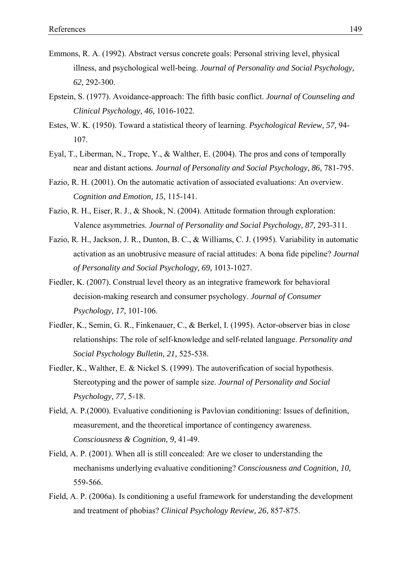- Emmons, R. A. (1992). Abstract versus concrete goals: Personal striving level, physical illness, and psychological well-being. *Journal of Personality and Social Psychology, 62,* 292-300.
- Epstein, S. (1977). Avoidance-approach: The fifth basic conflict. *Journal of Counseling and Clinical Psychology, 46,* 1016-1022.
- Estes, W. K. (1950). Toward a statistical theory of learning. *Psychological Review, 57,* 94- 107.
- Eyal, T., Liberman, N., Trope, Y., & Walther, E. (2004). The pros and cons of temporally near and distant actions*. Journal of Personality and Social Psychology, 86,* 781-795.
- Fazio, R. H. (2001). On the automatic activation of associated evaluations: An overview. *Cognition and Emotion, 15,* 115-141.
- Fazio, R. H., Eiser, R. J., & Shook, N. (2004). Attitude formation through exploration: Valence asymmetries. *Journal of Personality and Social Psychology, 87,* 293-311.
- Fazio, R. H., Jackson, J. R., Dunton, B. C., & Williams, C. J. (1995). Variability in automatic activation as an unobtrusive measure of racial attitudes: A bona fide pipeline? *Journal of Personality and Social Psychology, 69,* 1013-1027.
- Fiedler, K. (2007). Construal level theory as an integrative framework for behavioral decision-making research and consumer psychology. *Journal of Consumer Psychology, 17,* 101-106.
- Fiedler, K., Semin, G. R., Finkenauer, C., & Berkel, I. (1995). Actor-observer bias in close relationships: The role of self-knowledge and self-related language. *Personality and Social Psychology Bulletin, 21,* 525-538.
- Fiedler, K., Walther, E. & Nickel S. (1999). The autoverification of social hypothesis. Stereotyping and the power of sample size. *Journal of Personality and Social Psychology, 77,* 5-18.
- Field, A. P.(2000). Evaluative conditioning is Pavlovian conditioning: Issues of definition, measurement, and the theoretical importance of contingency awareness. *Consciousness & Cognition, 9,* 41-49.
- Field, A. P. (2001). When all is still concealed: Are we closer to understanding the mechanisms underlying evaluative conditioning? *Consciousness and Cognition, 10,* 559-566.
- Field, A. P. (2006a). Is conditioning a useful framework for understanding the development and treatment of phobias? *Clinical Psychology Review, 26*, 857-875.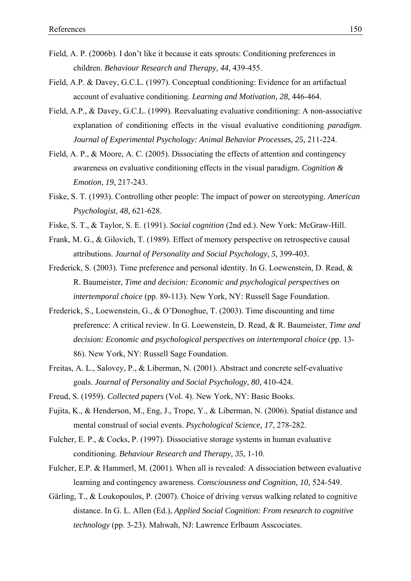- Field, A. P. (2006b). I don't like it because it eats sprouts: Conditioning preferences in children. *Behaviour Research and Therapy, 44,* 439-455.
- Field, A.P. & Davey, G.C.L. (1997). Conceptual conditioning: Evidence for an artifactual account of evaluative conditioning. *Learning and Motivation, 28,* 446-464.
- Field, A.P., & Davey, G.C.L. (1999). Reevaluating evaluative conditioning: A non-associative explanation of conditioning effects in the visual evaluative conditioning *paradigm*. *Journal of Experimental Psychology: Animal Behavior Processes, 25,* 211-224.
- Field, A. P., & Moore, A. C. (2005). Dissociating the effects of attention and contingency awareness on evaluative conditioning effects in the visual paradigm. *Cognition & Emotion, 19,* 217-243.
- Fiske, S. T. (1993). Controlling other people: The impact of power on stereotyping. *American Psychologist, 48,* 621-628.
- Fiske, S. T., & Taylor, S. E. (1991). *Social cognition* (2nd ed.). New York: McGraw-Hill.
- Frank, M. G., & Gilovich, T. (1989). Effect of memory perspective on retrospective causal attributions. *Journal of Personality and Social Psychology, 5,* 399-403.
- Frederick, S. (2003). Time preference and personal identity. In G. Loewenstein, D. Read, & R. Baumeister, *Time and decision: Economic and psychological perspectives on intertemporal choice* (pp. 89-113). New York, NY: Russell Sage Foundation.
- Frederick, S., Loewenstein, G., & O'Donoghue, T. (2003). Time discounting and time preference: A critical review. In G. Loewenstein, D. Read, & R. Baumeister, *Time and decision: Economic and psychological perspectives on intertemporal choice* (pp. 13- 86). New York, NY: Russell Sage Foundation.
- Freitas, A. L., Salovey, P., & Liberman, N. (2001). Abstract and concrete self-evaluative goals. *Journal of Personality and Social Psychology, 80,* 410-424.
- Freud, S. (1959). *Collected papers* (Vol. 4). New York, NY: Basic Books.
- Fujita, K., & Henderson, M., Eng, J., Trope, Y., & Liberman, N. (2006). Spatial distance and mental construal of social events. *Psychological Science, 17,* 278-282.
- Fulcher, E. P., & Cocks, P. (1997). Dissociative storage systems in human evaluative conditioning. *Behaviour Research and Therapy, 35,* 1-10.
- Fulcher, E.P. & Hammerl, M. (2001). When all is revealed: A dissociation between evaluative learning and contingency awareness. *Consciousness and Cognition, 10,* 524-549.
- Gärling, T., & Loukopoulos, P. (2007). Choice of driving versus walking related to cognitive distance. In G. L. Allen (Ed.), *Applied Social Cognition: From research to cognitive technology* (pp. 3-23). Mahwah, NJ: Lawrence Erlbaum Asscociates.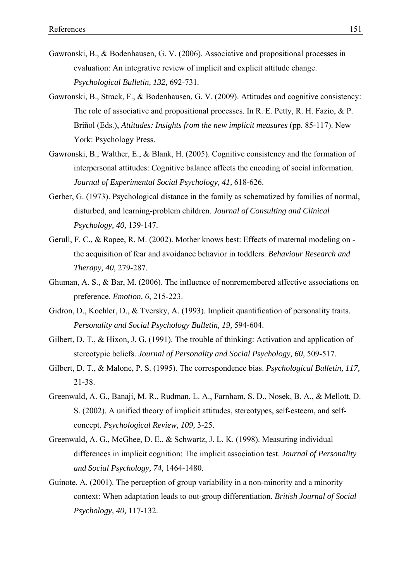- Gawronski, B., & Bodenhausen, G. V. (2006). Associative and propositional processes in evaluation: An integrative review of implicit and explicit attitude change. *Psychological Bulletin, 132,* 692-731*.*
- Gawronski, B., Strack, F., & Bodenhausen, G. V. (2009). Attitudes and cognitive consistency: The role of associative and propositional processes. In R. E. Petty, R. H. Fazio, & P. Briñol (Eds.), *Attitudes: Insights from the new implicit measures* (pp. 85-117). New York: Psychology Press.
- Gawronski, B., Walther, E., & Blank, H. (2005). Cognitive consistency and the formation of interpersonal attitudes: Cognitive balance affects the encoding of social information. *Journal of Experimental Social Psychology, 41,* 618-626.
- Gerber, G. (1973). Psychological distance in the family as schematized by families of normal, disturbed, and learning-problem children. *Journal of Consulting and Clinical Psychology, 40,* 139-147.
- Gerull, F. C., & Rapee, R. M. (2002). Mother knows best: Effects of maternal modeling on the acquisition of fear and avoidance behavior in toddlers. *Behaviour Research and Therapy, 40,* 279-287.
- Ghuman, A. S., & Bar, M. (2006). The influence of nonremembered affective associations on preference. *Emotion, 6,* 215-223.
- Gidron, D., Koehler, D., & Tversky, A. (1993). Implicit quantification of personality traits. *Personality and Social Psychology Bulletin, 19,* 594-604.
- Gilbert, D. T., & Hixon, J. G. (1991). The trouble of thinking: Activation and application of stereotypic beliefs. *Journal of Personality and Social Psychology, 60,* 509-517.
- Gilbert, D. T., & Malone, P. S. (1995). The correspondence bias. *Psychological Bulletin, 117,* 21-38.
- Greenwald, A. G., Banaji, M. R., Rudman, L. A., Farnham, S. D., Nosek, B. A., & Mellott, D. S. (2002). A unified theory of implicit attitudes, stereotypes, self-esteem, and selfconcept. *Psychological Review, 109,* 3-25.
- Greenwald, A. G., McGhee, D. E., & Schwartz, J. L. K. (1998). Measuring individual differences in implicit cognition: The implicit association test. *Journal of Personality and Social Psychology, 74,* 1464-1480.
- Guinote, A. (2001). The perception of group variability in a non-minority and a minority context: When adaptation leads to out-group differentiation. *British Journal of Social Psychology, 40,* 117-132.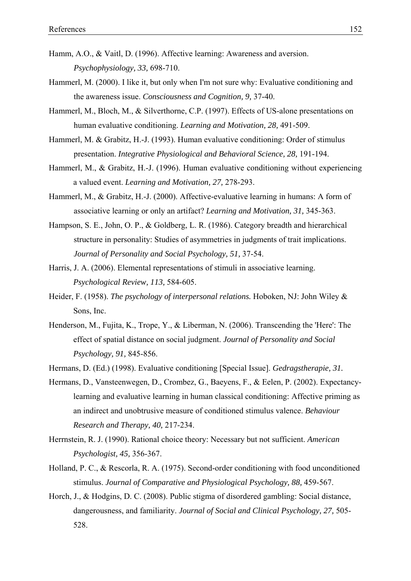- Hamm, A.O., & Vaitl, D. (1996). Affective learning: Awareness and aversion. *Psychophysiology, 33,* 698-710.
- Hammerl, M. (2000). I like it, but only when I'm not sure why: Evaluative conditioning and the awareness issue. *Consciousness and Cognition, 9,* 37-40.
- Hammerl, M., Bloch, M., & Silverthorne, C.P. (1997). Effects of US-alone presentations on human evaluative conditioning. *Learning and Motivation, 28,* 491-509.
- Hammerl, M. & Grabitz, H.-J. (1993). Human evaluative conditioning: Order of stimulus presentation. *Integrative Physiological and Behavioral Science, 28,* 191-194.
- Hammerl, M., & Grabitz, H.-J. (1996). Human evaluative conditioning without experiencing a valued event. *Learning and Motivation, 27,* 278-293.
- Hammerl, M., & Grabitz, H.-J. (2000). Affective-evaluative learning in humans: A form of associative learning or only an artifact? *Learning and Motivation, 31,* 345-363.
- Hampson, S. E., John, O. P., & Goldberg, L. R. (1986). Category breadth and hierarchical structure in personality: Studies of asymmetries in judgments of trait implications. *Journal of Personality and Social Psychology, 51,* 37-54.
- Harris, J. A. (2006). Elemental representations of stimuli in associative learning. *Psychological Review, 113,* 584-605.
- Heider, F. (1958). *The psychology of interpersonal relations.* Hoboken, NJ: John Wiley & Sons, Inc.
- Henderson, M., Fujita, K., Trope, Y., & Liberman, N. (2006). Transcending the 'Here': The effect of spatial distance on social judgment. *Journal of Personality and Social Psychology, 91,* 845-856.
- Hermans, D. (Ed.) (1998). Evaluative conditioning [Special Issue]. *Gedragstherapie, 31.*
- Hermans, D., Vansteenwegen, D., Crombez, G., Baeyens, F., & Eelen, P. (2002). Expectancylearning and evaluative learning in human classical conditioning: Affective priming as an indirect and unobtrusive measure of conditioned stimulus valence. *Behaviour Research and Therapy, 40,* 217-234.
- Herrnstein, R. J. (1990). Rational choice theory: Necessary but not sufficient. *American Psychologist, 45,* 356-367.
- Holland, P. C., & Rescorla, R. A. (1975). Second-order conditioning with food unconditioned stimulus. *Journal of Comparative and Physiological Psychology, 88,* 459-567.
- Horch, J., & Hodgins, D. C. (2008). Public stigma of disordered gambling: Social distance, dangerousness, and familiarity. *Journal of Social and Clinical Psychology, 27,* 505- 528.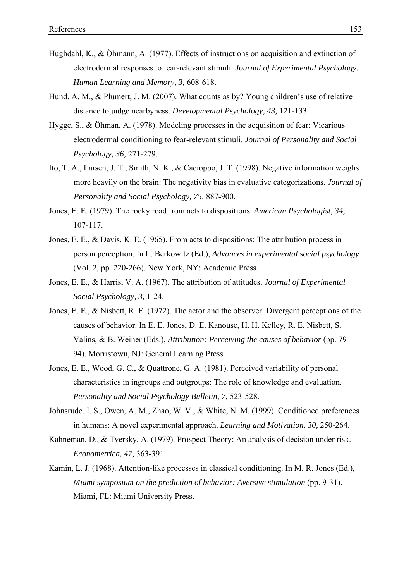- Hughdahl, K., & Öhmann, A. (1977). Effects of instructions on acquisition and extinction of electrodermal responses to fear-relevant stimuli. *Journal of Experimental Psychology: Human Learning and Memory, 3,* 608-618.
- Hund, A. M., & Plumert, J. M. (2007). What counts as by? Young children's use of relative distance to judge nearbyness. *Developmental Psychology, 43,* 121-133.
- Hygge, S., & Öhman, A. (1978). Modeling processes in the acquisition of fear: Vicarious electrodermal conditioning to fear-relevant stimuli. *Journal of Personality and Social Psychology, 36,* 271-279.
- Ito, T. A., Larsen, J. T., Smith, N. K., & Cacioppo, J. T. (1998). Negative information weighs more heavily on the brain: The negativity bias in evaluative categorizations. *Journal of Personality and Social Psychology, 75,* 887-900.
- Jones, E. E. (1979). The rocky road from acts to dispositions. *American Psychologist, 34,* 107-117.
- Jones, E. E., & Davis, K. E. (1965). From acts to dispositions: The attribution process in person perception. In L. Berkowitz (Ed.), *Advances in experimental social psychology* (Vol. 2, pp. 220-266). New York, NY: Academic Press.
- Jones, E. E., & Harris, V. A. (1967). The attribution of attitudes. *Journal of Experimental Social Psychology, 3,* 1-24.
- Jones, E. E., & Nisbett, R. E. (1972). The actor and the observer: Divergent perceptions of the causes of behavior. In E. E. Jones, D. E. Kanouse, H. H. Kelley, R. E. Nisbett, S. Valins, & B. Weiner (Eds.), *Attribution: Perceiving the causes of behavior* (pp. 79- 94). Morristown, NJ: General Learning Press.
- Jones, E. E., Wood, G. C., & Quattrone, G. A. (1981). Perceived variability of personal characteristics in ingroups and outgroups: The role of knowledge and evaluation. *Personality and Social Psychology Bulletin, 7,* 523-528.
- Johnsrude, I. S., Owen, A. M., Zhao, W. V., & White, N. M. (1999). Conditioned preferences in humans: A novel experimental approach. *Learning and Motivation, 30,* 250-264.
- Kahneman, D., & Tversky, A. (1979). Prospect Theory: An analysis of decision under risk. *Econometrica, 47,* 363-391.
- Kamin, L. J. (1968). Attention-like processes in classical conditioning. In M. R. Jones (Ed.), *Miami symposium on the prediction of behavior: Aversive stimulation* (pp. 9-31). Miami, FL: Miami University Press.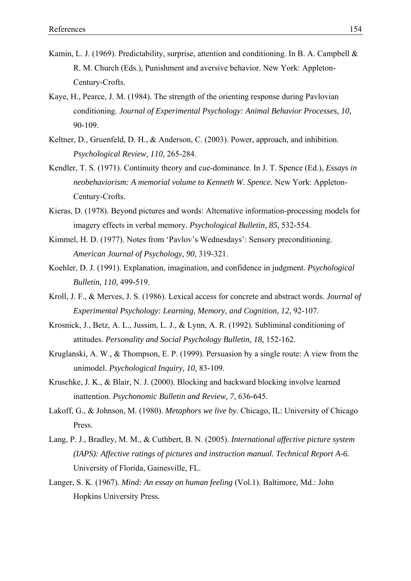- Kamin, L. J. (1969). Predictability, surprise, attention and conditioning. In B. A. Campbell & R. M. Church (Eds.), Punishment and aversive behavior. New York: Appleton-Century-Crofts.
- Kaye, H., Pearce, J. M. (1984). The strength of the orienting response during Pavlovian conditioning. *Journal of Experimental Psychology: Animal Behavior Processes, 10,* 90-109.
- Keltner, D., Gruenfeld, D. H., & Anderson, C. (2003). Power, approach, and inhibition. *Psychological Review, 110,* 265-284.
- Kendler, T. S. (1971). Continuity theory and cue-dominance. In J. T. Spence (Ed.), *Essays in neobehaviorism: A memorial volume to Kenneth W. Spence.* New York: Appleton-Century-Crofts.
- Kieras, D. (1978). Beyond pictures and words: Alternative information-processing models for imagery effects in verbal memory. *Psychological Bulletin, 85,* 532-554.
- Kimmel, H. D. (1977). Notes from 'Pavlov's Wednesdays': Sensory preconditioning. *American Journal of Psychology, 90,* 319-321.
- Koehler, D. J. (1991). Explanation, imagination, and confidence in judgment. *Psychological Bulletin, 110,* 499-519.
- Kroll, J. F., & Merves, J. S. (1986). Lexical access for concrete and abstract words. *Journal of Experimental Psychology: Learning, Memory, and Cognition, 12,* 92-107.
- Krosnick, J., Betz, A. L., Jussim, L. J., & Lynn, A. R. (1992). Subliminal conditioning of attitudes. *Personality and Social Psychology Bulletin, 18,* 152-162.
- Kruglanski, A. W., & Thompson, E. P. (1999). Persuasion by a single route: A view from the unimodel. *Psychological Inquiry, 10,* 83-109.
- Kruschke, J. K., & Blair, N. J. (2000). Blocking and backward blocking involve learned inattention. *Psychonomic Bulletin and Review, 7,* 636-645.
- Lakoff, G., & Johnson, M. (1980). *Metaphors we live by.* Chicago, IL: University of Chicago Press.
- Lang, P. J., Bradley, M. M., & Cuthbert, B. N. (2005). *International affective picture system (IAPS): Affective ratings of pictures and instruction manual. Technical Report A-6.* University of Florida, Gainesville, FL.
- Langer, S. K. (1967). *Mind: An essay on human feeling* (Vol.1). Baltimore, Md.: John Hopkins University Press.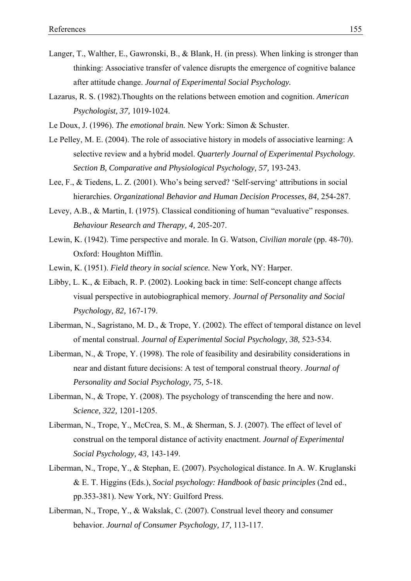- Langer, T., Walther, E., Gawronski, B., & Blank, H. (in press). When linking is stronger than thinking: Associative transfer of valence disrupts the emergence of cognitive balance after attitude change. *Journal of Experimental Social Psychology.*
- Lazarus, R. S. (1982).Thoughts on the relations between emotion and cognition. *American Psychologist, 37,* 1019-1024.
- Le Doux, J. (1996). *The emotional brain.* New York: Simon & Schuster.
- Le Pelley, M. E. (2004). The role of associative history in models of associative learning: A selective review and a hybrid model. *Quarterly Journal of Experimental Psychology. Section B, Comparative and Physiological Psychology, 57,* 193-243.
- Lee, F., & Tiedens, L. Z. (2001). Who's being served? 'Self-serving' attributions in social hierarchies. *Organizational Behavior and Human Decision Processes, 84,* 254-287.
- Levey, A.B., & Martin, I. (1975). Classical conditioning of human "evaluative" responses. *Behaviour Research and Therapy, 4,* 205-207.
- Lewin, K. (1942). Time perspective and morale. In G. Watson, *Civilian morale* (pp. 48-70). Oxford: Houghton Mifflin.
- Lewin, K. (1951). *Field theory in social science.* New York, NY: Harper.
- Libby, L. K., & Eibach, R. P. (2002). Looking back in time: Self-concept change affects visual perspective in autobiographical memory. *Journal of Personality and Social Psychology, 82,* 167-179.
- Liberman, N., Sagristano, M. D., & Trope, Y. (2002). The effect of temporal distance on level of mental construal. *Journal of Experimental Social Psychology, 38,* 523-534.
- Liberman, N., & Trope, Y. (1998). The role of feasibility and desirability considerations in near and distant future decisions: A test of temporal construal theory. *Journal of Personality and Social Psychology, 75,* 5-18.
- Liberman, N., & Trope, Y. (2008). The psychology of transcending the here and now. *Science, 322,* 1201-1205.
- Liberman, N., Trope, Y., McCrea, S. M., & Sherman, S. J. (2007). The effect of level of construal on the temporal distance of activity enactment. *Journal of Experimental Social Psychology, 43,* 143-149.
- Liberman, N., Trope, Y., & Stephan, E. (2007). Psychological distance. In A. W. Kruglanski & E. T. Higgins (Eds.), *Social psychology: Handbook of basic principles* (2nd ed., pp.353-381). New York, NY: Guilford Press.
- Liberman, N., Trope, Y., & Wakslak, C. (2007). Construal level theory and consumer behavior. *Journal of Consumer Psychology, 17,* 113-117.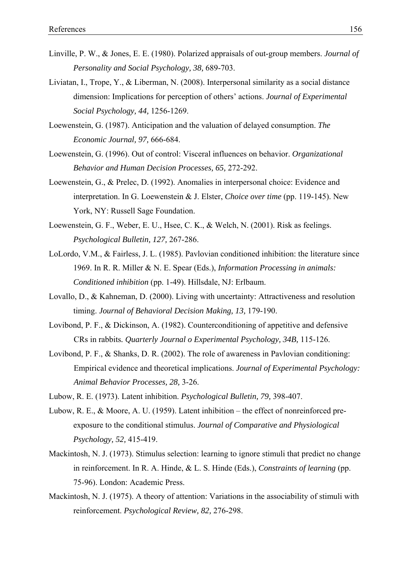- Linville, P. W., & Jones, E. E. (1980). Polarized appraisals of out-group members. *Journal of Personality and Social Psychology, 38,* 689-703.
- Liviatan, I., Trope, Y., & Liberman, N. (2008). Interpersonal similarity as a social distance dimension: Implications for perception of others' actions. *Journal of Experimental Social Psychology, 44,* 1256-1269.
- Loewenstein, G. (1987). Anticipation and the valuation of delayed consumption. *The Economic Journal, 97,* 666-684.
- Loewenstein, G. (1996). Out of control: Visceral influences on behavior. *Organizational Behavior and Human Decision Processes, 65,* 272-292.
- Loewenstein, G., & Prelec, D. (1992). Anomalies in interpersonal choice: Evidence and interpretation. In G. Loewenstein & J. Elster, *Choice over time* (pp. 119-145). New York, NY: Russell Sage Foundation.
- Loewenstein, G. F., Weber, E. U., Hsee, C. K., & Welch, N. (2001). Risk as feelings. *Psychological Bulletin, 127,* 267-286.
- LoLordo, V.M., & Fairless, J. L. (1985). Pavlovian conditioned inhibition: the literature since 1969. In R. R. Miller & N. E. Spear (Eds.), *Information Processing in animals: Conditioned inhibition* (pp. 1-49). Hillsdale, NJ: Erlbaum.
- Lovallo, D., & Kahneman, D. (2000). Living with uncertainty: Attractiveness and resolution timing. *Journal of Behavioral Decision Making, 13,* 179-190.
- Lovibond, P. F., & Dickinson, A. (1982). Counterconditioning of appetitive and defensive CRs in rabbits*. Quarterly Journal o Experimental Psychology, 34B,* 115-126.
- Lovibond, P. F., & Shanks, D. R. (2002). The role of awareness in Pavlovian conditioning: Empirical evidence and theoretical implications. *Journal of Experimental Psychology: Animal Behavior Processes, 28,* 3-26.
- Lubow, R. E. (1973). Latent inhibition. *Psychological Bulletin, 79,* 398-407.
- Lubow, R. E., & Moore, A. U. (1959). Latent inhibition the effect of nonreinforced preexposure to the conditional stimulus. *Journal of Comparative and Physiological Psychology, 52,* 415-419.
- Mackintosh, N. J. (1973). Stimulus selection: learning to ignore stimuli that predict no change in reinforcement. In R. A. Hinde, & L. S. Hinde (Eds.), *Constraints of learning* (pp. 75-96). London: Academic Press.
- Mackintosh, N. J. (1975). A theory of attention: Variations in the associability of stimuli with reinforcement. *Psychological Review, 82,* 276-298.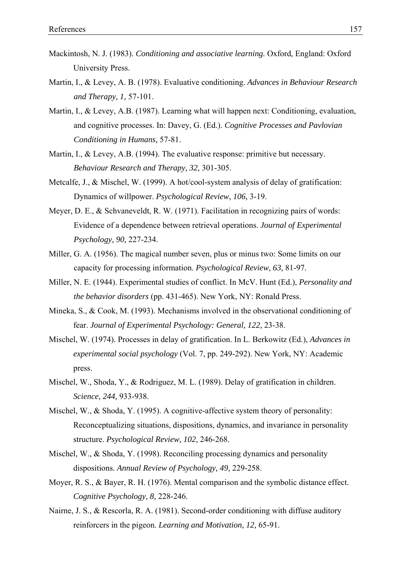- Mackintosh, N. J. (1983). *Conditioning and associative learning.* Oxford, England: Oxford University Press.
- Martin, I., & Levey, A. B. (1978). Evaluative conditioning. *Advances in Behaviour Research and Therapy, 1,* 57-101.
- Martin, I., & Levey, A.B. (1987). Learning what will happen next: Conditioning, evaluation, and cognitive processes. In: Davey, G. (Ed.). *Cognitive Processes and Pavlovian Conditioning in Humans,* 57-81.
- Martin, I., & Levey, A.B. (1994). The evaluative response: primitive but necessary. *Behaviour Research and Therapy, 32,* 301-305.
- Metcalfe, J., & Mischel, W. (1999). A hot/cool-system analysis of delay of gratification: Dynamics of willpower. *Psychological Review, 106,* 3-19.
- Meyer, D. E., & Schvaneveldt, R. W. (1971). Facilitation in recognizing pairs of words: Evidence of a dependence between retrieval operations. *Journal of Experimental Psychology, 90,* 227-234.
- Miller, G. A. (1956). The magical number seven, plus or minus two: Some limits on our capacity for processing information. *Psychological Review, 63,* 81-97.
- Miller, N. E. (1944). Experimental studies of conflict. In McV. Hunt (Ed.), *Personality and the behavior disorders* (pp. 431-465). New York, NY: Ronald Press.
- Mineka, S., & Cook, M. (1993). Mechanisms involved in the observational conditioning of fear. *Journal of Experimental Psychology: General, 122,* 23-38.
- Mischel, W. (1974). Processes in delay of gratification. In L. Berkowitz (Ed.), *Advances in experimental social psychology* (Vol. 7, pp. 249-292). New York, NY: Academic press.
- Mischel, W., Shoda, Y., & Rodriguez, M. L. (1989). Delay of gratification in children. *Science, 244,* 933-938.
- Mischel, W., & Shoda, Y. (1995). A cognitive-affective system theory of personality: Reconceptualizing situations, dispositions, dynamics, and invariance in personality structure. *Psychological Review, 102,* 246-268.
- Mischel, W., & Shoda, Y. (1998). Reconciling processing dynamics and personality dispositions. *Annual Review of Psychology, 49,* 229-258.
- Moyer, R. S., & Bayer, R. H. (1976). Mental comparison and the symbolic distance effect. *Cognitive Psychology, 8,* 228-246.
- Nairne, J. S., & Rescorla, R. A. (1981). Second-order conditioning with diffuse auditory reinforcers in the pigeon. *Learning and Motivation, 12,* 65-91.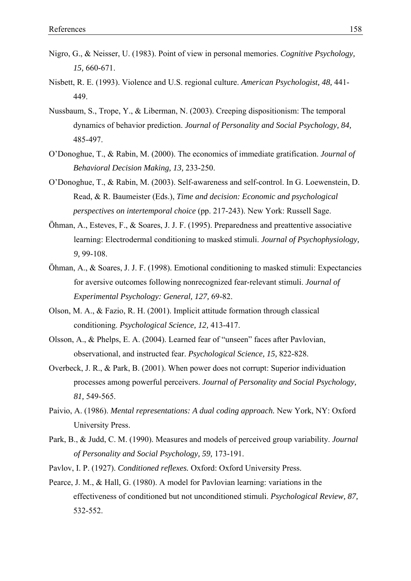- Nigro, G., & Neisser, U. (1983). Point of view in personal memories. *Cognitive Psychology, 15,* 660-671.
- Nisbett, R. E. (1993). Violence and U.S. regional culture. *American Psychologist, 48,* 441- 449.
- Nussbaum, S., Trope, Y., & Liberman, N. (2003). Creeping dispositionism: The temporal dynamics of behavior prediction. *Journal of Personality and Social Psychology, 84,* 485-497.
- O'Donoghue, T., & Rabin, M. (2000). The economics of immediate gratification. *Journal of Behavioral Decision Making, 13,* 233-250.
- O'Donoghue, T., & Rabin, M. (2003). Self-awareness and self-control. In G. Loewenstein, D. Read, & R. Baumeister (Eds.), *Time and decision: Economic and psychological perspectives on intertemporal choice* (pp. 217-243). New York: Russell Sage.
- Öhman, A., Esteves, F., & Soares, J. J. F. (1995). Preparedness and preattentive associative learning: Electrodermal conditioning to masked stimuli. *Journal of Psychophysiology, 9,* 99-108.
- Öhman, A., & Soares, J. J. F. (1998). Emotional conditioning to masked stimuli: Expectancies for aversive outcomes following nonrecognized fear-relevant stimuli. *Journal of Experimental Psychology: General, 127,* 69-82.
- Olson, M. A., & Fazio, R. H. (2001). Implicit attitude formation through classical conditioning. *Psychological Science, 12,* 413-417.
- Olsson, A., & Phelps, E. A. (2004). Learned fear of "unseen" faces after Pavlovian, observational, and instructed fear. *Psychological Science, 15,* 822-828.
- Overbeck, J. R., & Park, B. (2001). When power does not corrupt: Superior individuation processes among powerful perceivers. *Journal of Personality and Social Psychology, 81,* 549-565.
- Paivio, A. (1986). *Mental representations: A dual coding approach.* New York, NY: Oxford University Press.
- Park, B., & Judd, C. M. (1990). Measures and models of perceived group variability. *Journal of Personality and Social Psychology, 59,* 173-191.
- Pavlov, I. P. (1927). *Conditioned reflexes.* Oxford: Oxford University Press.
- Pearce, J. M., & Hall, G. (1980). A model for Pavlovian learning: variations in the effectiveness of conditioned but not unconditioned stimuli. *Psychological Review, 87,* 532-552.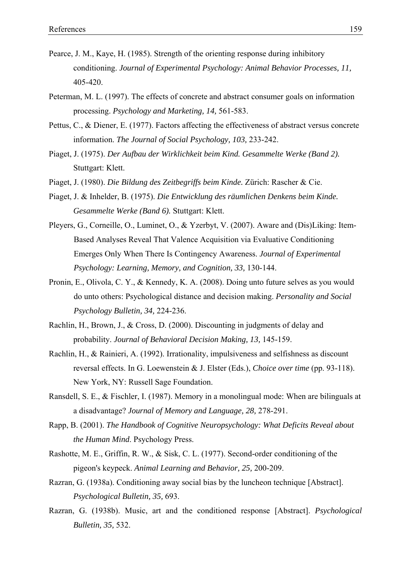- Pearce, J. M., Kaye, H. (1985). Strength of the orienting response during inhibitory conditioning. *Journal of Experimental Psychology: Animal Behavior Processes, 11,* 405-420.
- Peterman, M. L. (1997). The effects of concrete and abstract consumer goals on information processing. *Psychology and Marketing, 14,* 561-583.
- Pettus, C., & Diener, E. (1977). Factors affecting the effectiveness of abstract versus concrete information. *The Journal of Social Psychology, 103,* 233-242.
- Piaget, J. (1975). *Der Aufbau der Wirklichkeit beim Kind. Gesammelte Werke (Band 2).*  Stuttgart: Klett.
- Piaget, J. (1980). *Die Bildung des Zeitbegriffs beim Kinde.* Zürich: Rascher & Cie.
- Piaget, J. & Inhelder, B. (1975). *Die Entwicklung des räumlichen Denkens beim Kinde. Gesammelte Werke (Band 6).* Stuttgart: Klett.
- Pleyers, G., Corneille, O., Luminet, O., & Yzerbyt, V. (2007). Aware and (Dis)Liking: Item-Based Analyses Reveal That Valence Acquisition via Evaluative Conditioning Emerges Only When There Is Contingency Awareness. *Journal of Experimental Psychology: Learning, Memory, and Cognition, 33,* 130-144.
- Pronin, E., Olivola, C. Y., & Kennedy, K. A. (2008). Doing unto future selves as you would do unto others: Psychological distance and decision making. *Personality and Social Psychology Bulletin, 34,* 224-236.
- Rachlin, H., Brown, J., & Cross, D. (2000). Discounting in judgments of delay and probability. *Journal of Behavioral Decision Making, 13,* 145-159.
- Rachlin, H., & Rainieri, A. (1992). Irrationality, impulsiveness and selfishness as discount reversal effects. In G. Loewenstein & J. Elster (Eds.), *Choice over time* (pp. 93-118). New York, NY: Russell Sage Foundation.
- Ransdell, S. E., & Fischler, I. (1987). Memory in a monolingual mode: When are bilinguals at a disadvantage? *Journal of Memory and Language, 28,* 278-291.
- Rapp, B. (2001). *The Handbook of Cognitive Neuropsychology: What Deficits Reveal about the Human Mind*. Psychology Press.
- Rashotte, M. E., Griffin, R. W., & Sisk, C. L. (1977). Second-order conditioning of the pigeon's keypeck. *Animal Learning and Behavior, 25,* 200-209.
- Razran, G. (1938a). Conditioning away social bias by the luncheon technique [Abstract]. *Psychological Bulletin, 35,* 693.
- Razran, G. (1938b). Music, art and the conditioned response [Abstract]. *Psychological Bulletin, 35,* 532.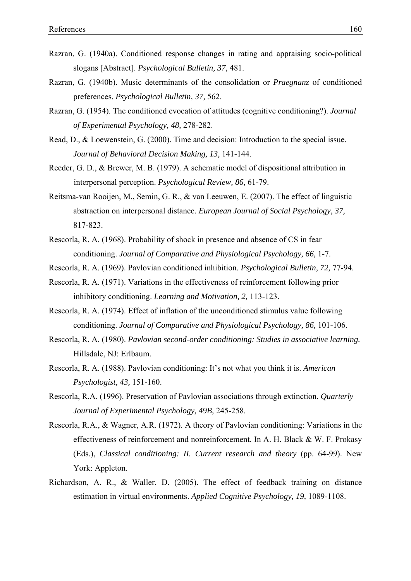- Razran, G. (1940a). Conditioned response changes in rating and appraising socio-political slogans [Abstract]. *Psychological Bulletin, 37,* 481.
- Razran, G. (1940b). Music determinants of the consolidation or *Praegnanz* of conditioned preferences. *Psychological Bulletin, 37,* 562.
- Razran, G. (1954). The conditioned evocation of attitudes (cognitive conditioning?). *Journal of Experimental Psychology, 48,* 278-282.
- Read, D., & Loewenstein, G. (2000). Time and decision: Introduction to the special issue. *Journal of Behavioral Decision Making, 13,* 141-144.
- Reeder, G. D., & Brewer, M. B. (1979). A schematic model of dispositional attribution in interpersonal perception. *Psychological Review, 86,* 61-79.
- Reitsma-van Rooijen, M., Semin, G. R., & van Leeuwen, E. (2007). The effect of linguistic abstraction on interpersonal distance*. European Journal of Social Psychology, 37,* 817-823.
- Rescorla, R. A. (1968). Probability of shock in presence and absence of CS in fear conditioning. *Journal of Comparative and Physiological Psychology, 66,* 1-7.
- Rescorla, R. A. (1969). Pavlovian conditioned inhibition. *Psychological Bulletin, 72,* 77-94.
- Rescorla, R. A. (1971). Variations in the effectiveness of reinforcement following prior inhibitory conditioning. *Learning and Motivation, 2,* 113-123.
- Rescorla, R. A. (1974). Effect of inflation of the unconditioned stimulus value following conditioning. *Journal of Comparative and Physiological Psychology, 86,* 101-106.
- Rescorla, R. A. (1980). *Pavlovian second-order conditioning: Studies in associative learning.* Hillsdale, NJ: Erlbaum.
- Rescorla, R. A. (1988). Pavlovian conditioning: It's not what you think it is. *American Psychologist, 43,* 151-160.
- Rescorla, R.A. (1996). Preservation of Pavlovian associations through extinction. *Quarterly Journal of Experimental Psychology, 49B,* 245-258.
- Rescorla, R.A., & Wagner, A.R. (1972). A theory of Pavlovian conditioning: Variations in the effectiveness of reinforcement and nonreinforcement. In A. H. Black & W. F. Prokasy (Eds.), *Classical conditioning: II. Current research and theory* (pp. 64-99). New York: Appleton.
- Richardson, A. R., & Waller, D. (2005). The effect of feedback training on distance estimation in virtual environments. *Applied Cognitive Psychology, 19,* 1089-1108.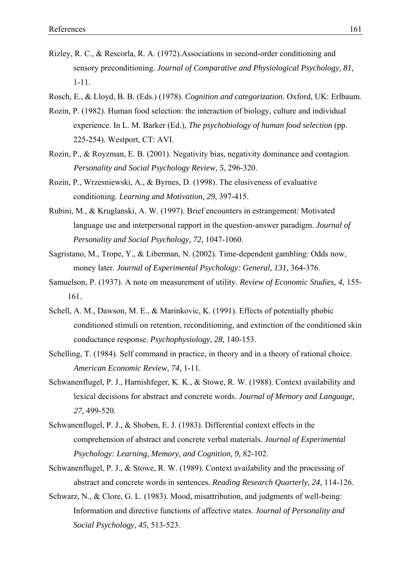- Rizley, R. C., & Rescorla, R. A. (1972).Associations in second-order conditioning and sensory preconditioning. *Journal of Comparative and Physiological Psychology, 81,* 1-11.
- Rosch, E., & Lloyd, B. B. (Eds.) (1978). *Cognition and categorization.* Oxford, UK: Erlbaum.
- Rozin, P. (1982). Human food selection: the interaction of biology, culture and individual experience. In L. M. Barker (Ed.), *The psychobiology of human food selection* (pp. 225-254). Westport, CT: AVI.
- Rozin, P., & Royzman, E. B. (2001). Negativity bias, negativity dominance and contagion. *Personality and Social Psychology Review, 5*, 296-320.
- Rozin, P., Wrzesniewski, A., & Byrnes, D. (1998). The elusiveness of evaluative conditioning. *Learning and Motivation, 29,* 397-415.
- Rubini, M., & Kruglanski, A. W. (1997). Brief encounters in estrangement: Motivated language use and interpersonal rapport in the question-answer paradigm. *Journal of Personality and Social Psychology, 72,* 1047-1060.
- Sagristano, M., Trope, Y., & Liberman, N. (2002). Time-dependent gambling: Odds now, money later. *Journal of Experimental Psychology: General, 131,* 364-376.
- Samuelson, P. (1937). A note on measurement of utility. *Review of Economic Studies, 4,* 155- 161.
- Schell, A. M., Dawson, M. E., & Marinkovic, K. (1991). Effects of potentially phobic conditioned stimuli on retention, reconditioning, and extinction of the conditioned skin conductance response. *Psychophysiology, 28,* 140-153.
- Schelling, T. (1984). Self command in practice, in theory and in a theory of rational choice. *American Economic Review, 74,* 1-11.
- Schwanenflugel, P. J., Harnishfeger, K. K., & Stowe, R. W. (1988). Context availability and lexical decisions for abstract and concrete words. *Journal of Memory and Language, 27,* 499-520.
- Schwanenflugel, P. J., & Shoben, E. J. (1983). Differential context effects in the comprehension of abstract and concrete verbal materials*. Journal of Experimental Psychology: Learning, Memory, and Cognition, 9,* 82-102.
- Schwanenflugel, P. J., & Stowe, R. W. (1989). Context availability and the processing of abstract and concrete words in sentences*. Reading Research Quarterly, 24,* 114-126.
- Schwarz, N., & Clore, G. L. (1983). Mood, misattribution, and judgments of well-being: Information and directive functions of affective states. *Journal of Personality and Social Psychology, 45,* 513-523.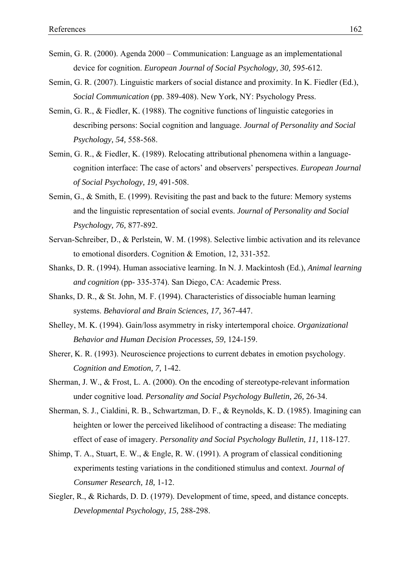- Semin, G. R. (2000). Agenda 2000 Communication: Language as an implementational device for cognition. *European Journal of Social Psychology, 30,* 595-612.
- Semin, G. R. (2007). Linguistic markers of social distance and proximity. In K. Fiedler (Ed.), *Social Communication* (pp. 389-408). New York, NY: Psychology Press.
- Semin, G. R., & Fiedler, K. (1988). The cognitive functions of linguistic categories in describing persons: Social cognition and language. *Journal of Personality and Social Psychology, 54,* 558-568.
- Semin, G. R., & Fiedler, K. (1989). Relocating attributional phenomena within a languagecognition interface: The case of actors' and observers' perspectives. *European Journal of Social Psychology, 19,* 491-508.
- Semin, G., & Smith, E. (1999). Revisiting the past and back to the future: Memory systems and the linguistic representation of social events. *Journal of Personality and Social Psychology, 76,* 877-892.
- Servan-Schreiber, D., & Perlstein, W. M. (1998). Selective limbic activation and its relevance to emotional disorders. Cognition & Emotion, 12, 331-352.
- Shanks, D. R. (1994). Human associative learning. In N. J. Mackintosh (Ed.), *Animal learning and cognition* (pp- 335-374). San Diego, CA: Academic Press.
- Shanks, D. R., & St. John, M. F. (1994). Characteristics of dissociable human learning systems. *Behavioral and Brain Sciences, 17,* 367-447.
- Shelley, M. K. (1994). Gain/loss asymmetry in risky intertemporal choice. *Organizational Behavior and Human Decision Processes, 59,* 124-159.
- Sherer, K. R. (1993). Neuroscience projections to current debates in emotion psychology. *Cognition and Emotion, 7,* 1-42.
- Sherman, J. W., & Frost, L. A. (2000). On the encoding of stereotype-relevant information under cognitive load. *Personality and Social Psychology Bulletin, 26,* 26-34.
- Sherman, S. J., Cialdini, R. B., Schwartzman, D. F., & Reynolds, K. D. (1985). Imagining can heighten or lower the perceived likelihood of contracting a disease: The mediating effect of ease of imagery. *Personality and Social Psychology Bulletin, 11,* 118-127.
- Shimp, T. A., Stuart, E. W., & Engle, R. W. (1991). A program of classical conditioning experiments testing variations in the conditioned stimulus and context. *Journal of Consumer Research, 18,* 1-12.
- Siegler, R., & Richards, D. D. (1979). Development of time, speed, and distance concepts. *Developmental Psychology, 15,* 288-298.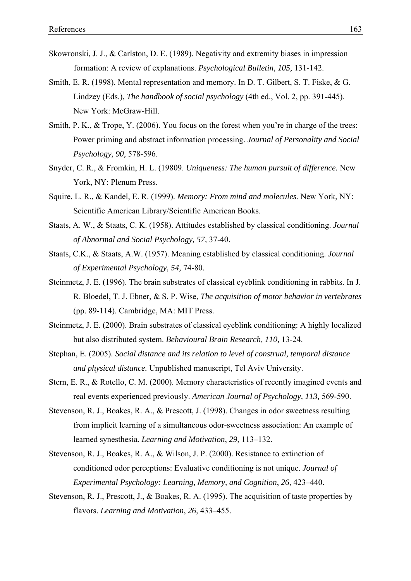- Skowronski, J. J., & Carlston, D. E. (1989). Negativity and extremity biases in impression formation: A review of explanations. *Psychological Bulletin, 105,* 131-142.
- Smith, E. R. (1998). Mental representation and memory. In D. T. Gilbert, S. T. Fiske, & G. Lindzey (Eds.), *The handbook of social psychology* (4th ed., Vol. 2, pp. 391-445). New York: McGraw-Hill.
- Smith, P. K., & Trope, Y. (2006). You focus on the forest when you're in charge of the trees: Power priming and abstract information processing. *Journal of Personality and Social Psychology, 90,* 578-596.
- Snyder, C. R., & Fromkin, H. L. (19809. *Uniqueness: The human pursuit of difference.* New York, NY: Plenum Press.
- Squire, L. R., & Kandel, E. R. (1999). *Memory: From mind and molecules.* New York, NY: Scientific American Library/Scientific American Books.
- Staats, A. W., & Staats, C. K. (1958). Attitudes established by classical conditioning. *Journal of Abnormal and Social Psychology, 57,* 37-40.
- Staats, C.K., & Staats, A.W. (1957). Meaning established by classical conditioning. *Journal of Experimental Psychology, 54,* 74-80.
- Steinmetz, J. E. (1996). The brain substrates of classical eyeblink conditioning in rabbits. In J. R. Bloedel, T. J. Ebner, & S. P. Wise, *The acquisition of motor behavior in vertebrates* (pp. 89-114). Cambridge, MA: MIT Press.
- Steinmetz, J. E. (2000). Brain substrates of classical eyeblink conditioning: A highly localized but also distributed system. *Behavioural Brain Research, 110,* 13-24.
- Stephan, E. (2005). *Social distance and its relation to level of construal, temporal distance and physical distance.* Unpublished manuscript, Tel Aviv University.
- Stern, E. R., & Rotello, C. M. (2000). Memory characteristics of recently imagined events and real events experienced previously. *American Journal of Psychology, 113,* 569-590.
- Stevenson, R. J., Boakes, R. A., & Prescott, J. (1998). Changes in odor sweetness resulting from implicit learning of a simultaneous odor-sweetness association: An example of learned synesthesia. *Learning and Motivation*, *29*, 113–132.
- Stevenson, R. J., Boakes, R. A., & Wilson, J. P. (2000). Resistance to extinction of conditioned odor perceptions: Evaluative conditioning is not unique. *Journal of Experimental Psychology: Learning, Memory, and Cognition*, *26*, 423–440.
- Stevenson, R. J., Prescott, J., & Boakes, R. A. (1995). The acquisition of taste properties by flavors. *Learning and Motivation*, *26*, 433–455.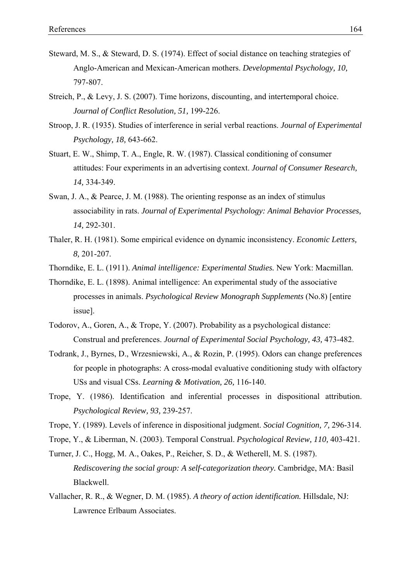- Steward, M. S., & Steward, D. S. (1974). Effect of social distance on teaching strategies of Anglo-American and Mexican-American mothers. *Developmental Psychology, 10,* 797-807.
- Streich, P., & Levy, J. S. (2007). Time horizons, discounting, and intertemporal choice. *Journal of Conflict Resolution, 51,* 199-226.
- Stroop, J. R. (1935). Studies of interference in serial verbal reactions. *Journal of Experimental Psychology, 18,* 643-662.
- Stuart, E. W., Shimp, T. A., Engle, R. W. (1987). Classical conditioning of consumer attitudes: Four experiments in an advertising context. *Journal of Consumer Research, 14,* 334-349.
- Swan, J. A., & Pearce, J. M. (1988). The orienting response as an index of stimulus associability in rats. *Journal of Experimental Psychology: Animal Behavior Processes, 14,* 292-301.
- Thaler, R. H. (1981). Some empirical evidence on dynamic inconsistency. *Economic Letters, 8,* 201-207.
- Thorndike, E. L. (1911). *Animal intelligence: Experimental Studies.* New York: Macmillan.
- Thorndike, E. L. (1898). Animal intelligence: An experimental study of the associative processes in animals. *Psychological Review Monograph Supplements* (No.8) [entire issue].
- Todorov, A., Goren, A., & Trope, Y. (2007). Probability as a psychological distance: Construal and preferences. *Journal of Experimental Social Psychology, 43,* 473-482.
- Todrank, J., Byrnes, D., Wrzesniewski, A., & Rozin, P. (1995). Odors can change preferences for people in photographs: A cross-modal evaluative conditioning study with olfactory USs and visual CSs. *Learning & Motivation, 26,* 116-140.
- Trope, Y. (1986). Identification and inferential processes in dispositional attribution. *Psychological Review, 93,* 239-257.
- Trope, Y. (1989). Levels of inference in dispositional judgment. *Social Cognition, 7,* 296-314.
- Trope, Y., & Liberman, N. (2003). Temporal Construal. *Psychological Review, 110,* 403-421.
- Turner, J. C., Hogg, M. A., Oakes, P., Reicher, S. D., & Wetherell, M. S. (1987). *Rediscovering the social group: A self-categorization theory.* Cambridge, MA: Basil Blackwell.
- Vallacher, R. R., & Wegner, D. M. (1985). *A theory of action identification.* Hillsdale, NJ: Lawrence Erlbaum Associates.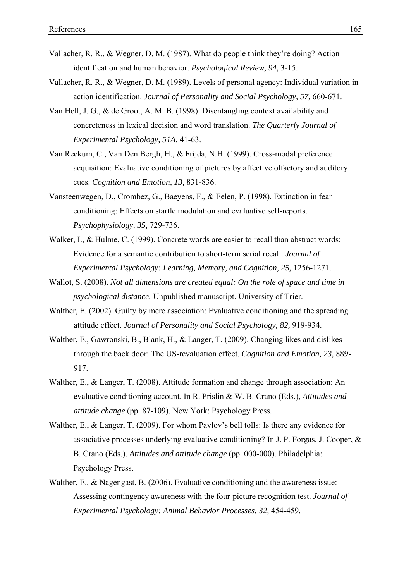- Vallacher, R. R., & Wegner, D. M. (1987). What do people think they're doing? Action identification and human behavior. *Psychological Review, 94,* 3-15.
- Vallacher, R. R., & Wegner, D. M. (1989). Levels of personal agency: Individual variation in action identification. *Journal of Personality and Social Psychology, 57,* 660-671.
- Van Hell, J. G., & de Groot, A. M. B. (1998). Disentangling context availability and concreteness in lexical decision and word translation. *The Quarterly Journal of Experimental Psychology, 51A,* 41-63.
- Van Reekum, C., Van Den Bergh, H., & Frijda, N.H. (1999). Cross-modal preference acquisition: Evaluative conditioning of pictures by affective olfactory and auditory cues. *Cognition and Emotion, 13,* 831-836.
- Vansteenwegen, D., Crombez, G., Baeyens, F., & Eelen, P. (1998). Extinction in fear conditioning: Effects on startle modulation and evaluative self-reports. *Psychophysiology, 35,* 729-736.
- Walker, I., & Hulme, C. (1999). Concrete words are easier to recall than abstract words: Evidence for a semantic contribution to short-term serial recall. *Journal of Experimental Psychology: Learning, Memory, and Cognition, 25,* 1256-1271.
- Wallot, S. (2008). *Not all dimensions are created equal: On the role of space and time in psychological distance.* Unpublished manuscript. University of Trier.
- Walther, E. (2002). Guilty by mere association: Evaluative conditioning and the spreading attitude effect. *Journal of Personality and Social Psychology, 82,* 919-934.
- Walther, E., Gawronski, B., Blank, H., & Langer, T. (2009). Changing likes and dislikes through the back door: The US-revaluation effect. *Cognition and Emotion, 23,* 889- 917.
- Walther, E., & Langer, T. (2008). Attitude formation and change through association: An evaluative conditioning account. In R. Prislin & W. B. Crano (Eds.), *Attitudes and attitude change* (pp. 87-109). New York: Psychology Press.
- Walther, E., & Langer, T. (2009). For whom Pavlov's bell tolls: Is there any evidence for associative processes underlying evaluative conditioning? In J. P. Forgas, J. Cooper, & B. Crano (Eds.), *Attitudes and attitude change* (pp. 000-000). Philadelphia: Psychology Press.
- Walther, E., & Nagengast, B. (2006). Evaluative conditioning and the awareness issue: Assessing contingency awareness with the four-picture recognition test. *Journal of Experimental Psychology: Animal Behavior Processes, 32,* 454-459*.*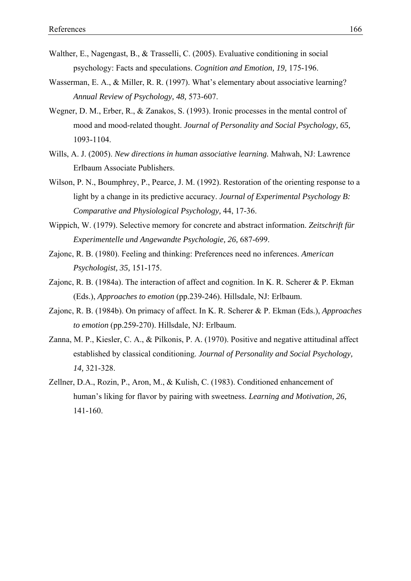- Walther, E., Nagengast, B., & Trasselli, C. (2005). Evaluative conditioning in social psychology: Facts and speculations. *Cognition and Emotion, 19,* 175-196.
- Wasserman, E. A., & Miller, R. R. (1997). What's elementary about associative learning? *Annual Review of Psychology, 48,* 573-607.
- Wegner, D. M., Erber, R., & Zanakos, S. (1993). Ironic processes in the mental control of mood and mood-related thought. *Journal of Personality and Social Psychology, 65,* 1093-1104.
- Wills, A. J. (2005). *New directions in human associative learning.* Mahwah, NJ: Lawrence Erlbaum Associate Publishers.
- Wilson, P. N., Boumphrey, P., Pearce, J. M. (1992). Restoration of the orienting response to a light by a change in its predictive accuracy. *Journal of Experimental Psychology B: Comparative and Physiological Psychology,* 44, 17-36.
- Wippich, W. (1979). Selective memory for concrete and abstract information. *Zeitschrift für Experimentelle und Angewandte Psychologie, 26,* 687-699.
- Zajonc, R. B. (1980). Feeling and thinking: Preferences need no inferences. *American Psychologist, 35,* 151-175.
- Zajonc, R. B. (1984a). The interaction of affect and cognition. In K. R. Scherer & P. Ekman (Eds.), *Approaches to emotion* (pp.239-246). Hillsdale, NJ: Erlbaum.
- Zajonc, R. B. (1984b). On primacy of affect. In K. R. Scherer & P. Ekman (Eds.), *Approaches to emotion* (pp.259-270). Hillsdale, NJ: Erlbaum.
- Zanna, M. P., Kiesler, C. A., & Pilkonis, P. A. (1970). Positive and negative attitudinal affect established by classical conditioning. *Journal of Personality and Social Psychology, 14,* 321-328.
- Zellner, D.A., Rozin, P., Aron, M., & Kulish, C. (1983). Conditioned enhancement of human's liking for flavor by pairing with sweetness. *Learning and Motivation, 26,*  141-160.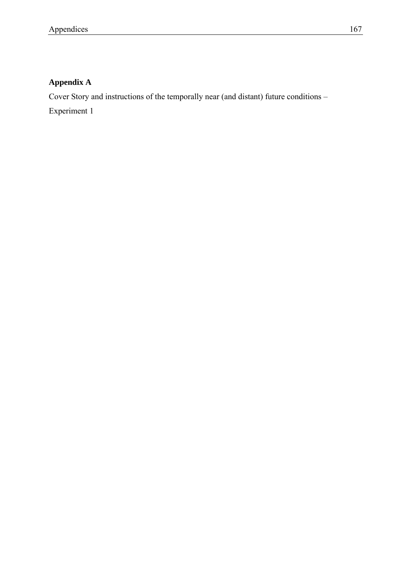# **Appendix A**

Cover Story and instructions of the temporally near (and distant) future conditions –

Experiment 1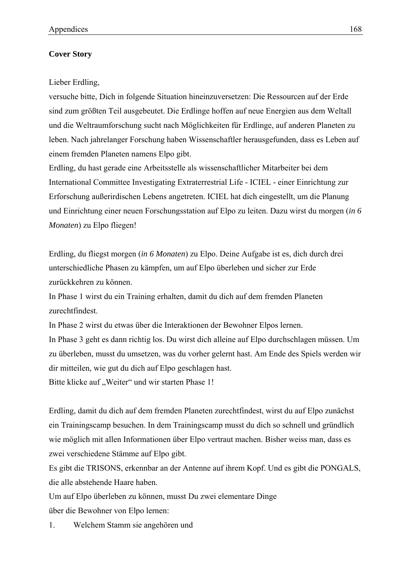#### **Cover Story**

Lieber Erdling,

versuche bitte, Dich in folgende Situation hineinzuversetzen: Die Ressourcen auf der Erde sind zum größten Teil ausgebeutet. Die Erdlinge hoffen auf neue Energien aus dem Weltall und die Weltraumforschung sucht nach Möglichkeiten für Erdlinge, auf anderen Planeten zu leben. Nach jahrelanger Forschung haben Wissenschaftler herausgefunden, dass es Leben auf einem fremden Planeten namens Elpo gibt.

Erdling, du hast gerade eine Arbeitsstelle als wissenschaftlicher Mitarbeiter bei dem International Committee Investigating Extraterrestrial Life - ICIEL - einer Einrichtung zur Erforschung außerirdischen Lebens angetreten. ICIEL hat dich eingestellt, um die Planung und Einrichtung einer neuen Forschungsstation auf Elpo zu leiten. Dazu wirst du morgen (*in 6 Monaten*) zu Elpo fliegen!

Erdling, du fliegst morgen (*in 6 Monaten*) zu Elpo. Deine Aufgabe ist es, dich durch drei unterschiedliche Phasen zu kämpfen, um auf Elpo überleben und sicher zur Erde zurückkehren zu können.

In Phase 1 wirst du ein Training erhalten, damit du dich auf dem fremden Planeten zurechtfindest.

In Phase 2 wirst du etwas über die Interaktionen der Bewohner Elpos lernen. In Phase 3 geht es dann richtig los. Du wirst dich alleine auf Elpo durchschlagen müssen. Um zu überleben, musst du umsetzen, was du vorher gelernt hast. Am Ende des Spiels werden wir dir mitteilen, wie gut du dich auf Elpo geschlagen hast.

Bitte klicke auf "Weiter" und wir starten Phase 1!

Erdling, damit du dich auf dem fremden Planeten zurechtfindest, wirst du auf Elpo zunächst ein Trainingscamp besuchen. In dem Trainingscamp musst du dich so schnell und gründlich wie möglich mit allen Informationen über Elpo vertraut machen. Bisher weiss man, dass es zwei verschiedene Stämme auf Elpo gibt.

Es gibt die TRISONS, erkennbar an der Antenne auf ihrem Kopf. Und es gibt die PONGALS, die alle abstehende Haare haben.

Um auf Elpo überleben zu können, musst Du zwei elementare Dinge

über die Bewohner von Elpo lernen:

1. Welchem Stamm sie angehören und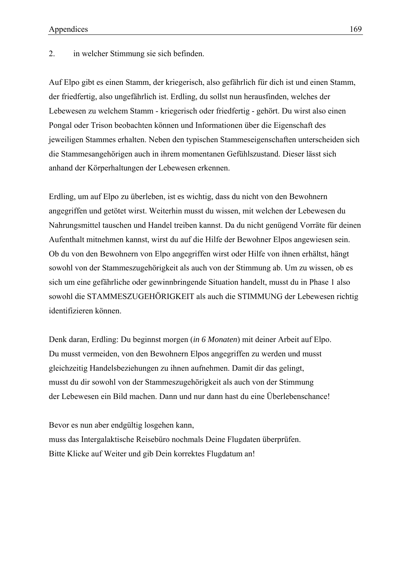2. in welcher Stimmung sie sich befinden.

Auf Elpo gibt es einen Stamm, der kriegerisch, also gefährlich für dich ist und einen Stamm, der friedfertig, also ungefährlich ist. Erdling, du sollst nun herausfinden, welches der Lebewesen zu welchem Stamm - kriegerisch oder friedfertig - gehört. Du wirst also einen Pongal oder Trison beobachten können und Informationen über die Eigenschaft des jeweiligen Stammes erhalten. Neben den typischen Stammeseigenschaften unterscheiden sich die Stammesangehörigen auch in ihrem momentanen Gefühlszustand. Dieser lässt sich anhand der Körperhaltungen der Lebewesen erkennen.

Erdling, um auf Elpo zu überleben, ist es wichtig, dass du nicht von den Bewohnern angegriffen und getötet wirst. Weiterhin musst du wissen, mit welchen der Lebewesen du Nahrungsmittel tauschen und Handel treiben kannst. Da du nicht genügend Vorräte für deinen Aufenthalt mitnehmen kannst, wirst du auf die Hilfe der Bewohner Elpos angewiesen sein. Ob du von den Bewohnern von Elpo angegriffen wirst oder Hilfe von ihnen erhältst, hängt sowohl von der Stammeszugehörigkeit als auch von der Stimmung ab. Um zu wissen, ob es sich um eine gefährliche oder gewinnbringende Situation handelt, musst du in Phase 1 also sowohl die STAMMESZUGEHÖRIGKEIT als auch die STIMMUNG der Lebewesen richtig identifizieren können.

Denk daran, Erdling: Du beginnst morgen (*in 6 Monaten*) mit deiner Arbeit auf Elpo. Du musst vermeiden, von den Bewohnern Elpos angegriffen zu werden und musst gleichzeitig Handelsbeziehungen zu ihnen aufnehmen. Damit dir das gelingt, musst du dir sowohl von der Stammeszugehörigkeit als auch von der Stimmung der Lebewesen ein Bild machen. Dann und nur dann hast du eine Überlebenschance!

Bevor es nun aber endgültig losgehen kann, muss das Intergalaktische Reisebüro nochmals Deine Flugdaten überprüfen. Bitte Klicke auf Weiter und gib Dein korrektes Flugdatum an!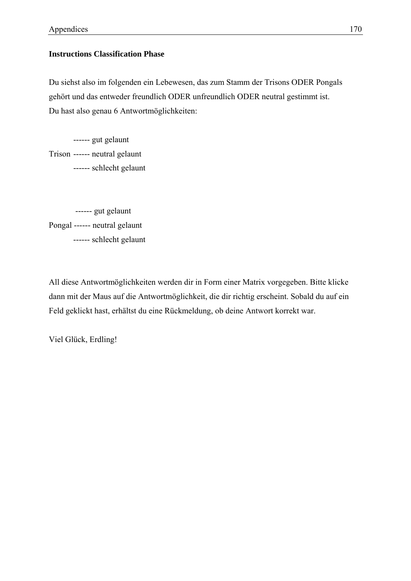### **Instructions Classification Phase**

Du siehst also im folgenden ein Lebewesen, das zum Stamm der Trisons ODER Pongals gehört und das entweder freundlich ODER unfreundlich ODER neutral gestimmt ist. Du hast also genau 6 Antwortmöglichkeiten:

------ gut gelaunt Trison ------ neutral gelaunt ------ schlecht gelaunt

------ gut gelaunt Pongal ------ neutral gelaunt ------ schlecht gelaunt

All diese Antwortmöglichkeiten werden dir in Form einer Matrix vorgegeben. Bitte klicke dann mit der Maus auf die Antwortmöglichkeit, die dir richtig erscheint. Sobald du auf ein Feld geklickt hast, erhältst du eine Rückmeldung, ob deine Antwort korrekt war.

Viel Glück, Erdling!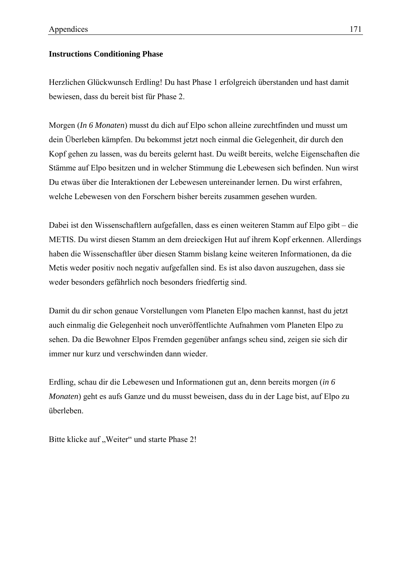#### **Instructions Conditioning Phase**

Herzlichen Glückwunsch Erdling! Du hast Phase 1 erfolgreich überstanden und hast damit bewiesen, dass du bereit bist für Phase 2.

Morgen (*In 6 Monaten*) musst du dich auf Elpo schon alleine zurechtfinden und musst um dein Überleben kämpfen. Du bekommst jetzt noch einmal die Gelegenheit, dir durch den Kopf gehen zu lassen, was du bereits gelernt hast. Du weißt bereits, welche Eigenschaften die Stämme auf Elpo besitzen und in welcher Stimmung die Lebewesen sich befinden. Nun wirst Du etwas über die Interaktionen der Lebewesen untereinander lernen. Du wirst erfahren, welche Lebewesen von den Forschern bisher bereits zusammen gesehen wurden.

Dabei ist den Wissenschaftlern aufgefallen, dass es einen weiteren Stamm auf Elpo gibt – die METIS. Du wirst diesen Stamm an dem dreieckigen Hut auf ihrem Kopf erkennen. Allerdings haben die Wissenschaftler über diesen Stamm bislang keine weiteren Informationen, da die Metis weder positiv noch negativ aufgefallen sind. Es ist also davon auszugehen, dass sie weder besonders gefährlich noch besonders friedfertig sind.

Damit du dir schon genaue Vorstellungen vom Planeten Elpo machen kannst, hast du jetzt auch einmalig die Gelegenheit noch unveröffentlichte Aufnahmen vom Planeten Elpo zu sehen. Da die Bewohner Elpos Fremden gegenüber anfangs scheu sind, zeigen sie sich dir immer nur kurz und verschwinden dann wieder.

Erdling, schau dir die Lebewesen und Informationen gut an, denn bereits morgen (*in 6 Monaten*) geht es aufs Ganze und du musst beweisen, dass du in der Lage bist, auf Elpo zu überleben.

Bitte klicke auf "Weiter" und starte Phase 2!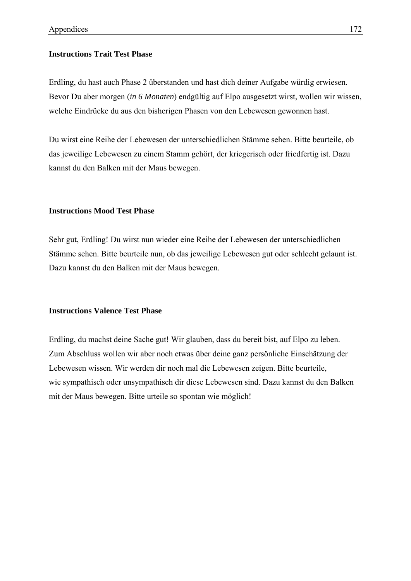#### **Instructions Trait Test Phase**

Erdling, du hast auch Phase 2 überstanden und hast dich deiner Aufgabe würdig erwiesen. Bevor Du aber morgen (*in 6 Monaten*) endgültig auf Elpo ausgesetzt wirst, wollen wir wissen, welche Eindrücke du aus den bisherigen Phasen von den Lebewesen gewonnen hast.

Du wirst eine Reihe der Lebewesen der unterschiedlichen Stämme sehen. Bitte beurteile, ob das jeweilige Lebewesen zu einem Stamm gehört, der kriegerisch oder friedfertig ist. Dazu kannst du den Balken mit der Maus bewegen.

#### **Instructions Mood Test Phase**

Sehr gut, Erdling! Du wirst nun wieder eine Reihe der Lebewesen der unterschiedlichen Stämme sehen. Bitte beurteile nun, ob das jeweilige Lebewesen gut oder schlecht gelaunt ist. Dazu kannst du den Balken mit der Maus bewegen.

#### **Instructions Valence Test Phase**

Erdling, du machst deine Sache gut! Wir glauben, dass du bereit bist, auf Elpo zu leben. Zum Abschluss wollen wir aber noch etwas über deine ganz persönliche Einschätzung der Lebewesen wissen. Wir werden dir noch mal die Lebewesen zeigen. Bitte beurteile, wie sympathisch oder unsympathisch dir diese Lebewesen sind. Dazu kannst du den Balken mit der Maus bewegen. Bitte urteile so spontan wie möglich!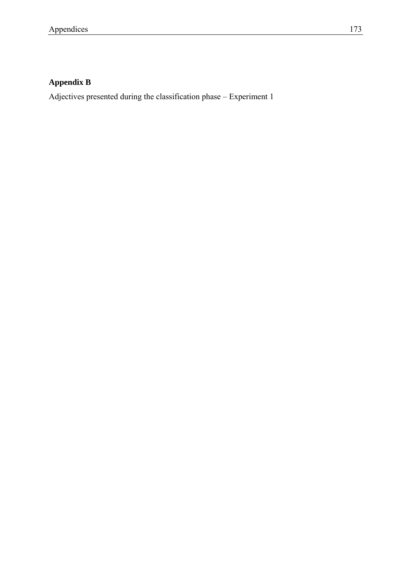# **Appendix B**

Adjectives presented during the classification phase – Experiment 1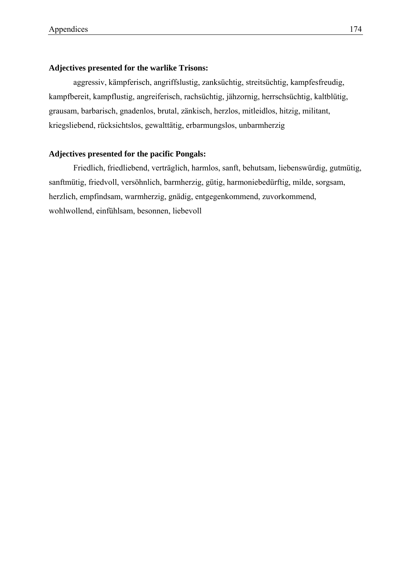#### **Adjectives presented for the warlike Trisons:**

aggressiv, kämpferisch, angriffslustig, zanksüchtig, streitsüchtig, kampfesfreudig, kampfbereit, kampflustig, angreiferisch, rachsüchtig, jähzornig, herrschsüchtig, kaltblütig, grausam, barbarisch, gnadenlos, brutal, zänkisch, herzlos, mitleidlos, hitzig, militant, kriegsliebend, rücksichtslos, gewalttätig, erbarmungslos, unbarmherzig

#### **Adjectives presented for the pacific Pongals:**

 Friedlich, friedliebend, verträglich, harmlos, sanft, behutsam, liebenswürdig, gutmütig, sanftmütig, friedvoll, versöhnlich, barmherzig, gütig, harmoniebedürftig, milde, sorgsam, herzlich, empfindsam, warmherzig, gnädig, entgegenkommend, zuvorkommend, wohlwollend, einfühlsam, besonnen, liebevoll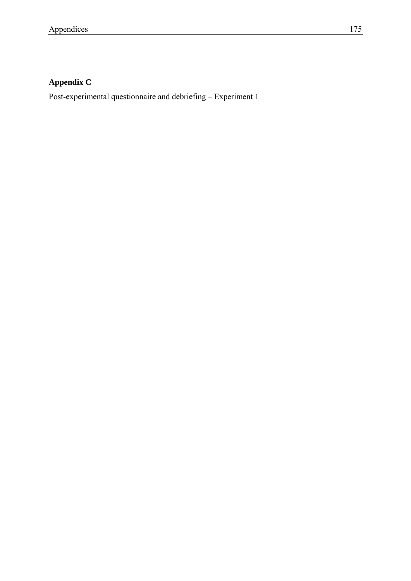# **Appendix C**

Post-experimental questionnaire and debriefing – Experiment 1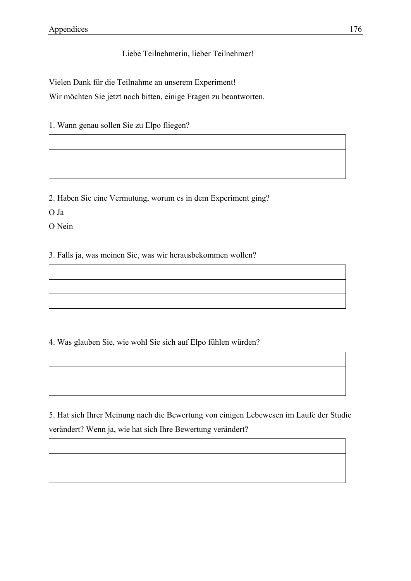### Liebe Teilnehmerin, lieber Teilnehmer!

Vielen Dank für die Teilnahme an unserem Experiment!

Wir möchten Sie jetzt noch bitten, einige Fragen zu beantworten.

1. Wann genau sollen Sie zu Elpo fliegen?

2. Haben Sie eine Vermutung, worum es in dem Experiment ging?

O Ja

O Nein

3. Falls ja, was meinen Sie, was wir herausbekommen wollen?

4. Was glauben Sie, wie wohl Sie sich auf Elpo fühlen würden?

5. Hat sich Ihrer Meinung nach die Bewertung von einigen Lebewesen im Laufe der Studie verändert? Wenn ja, wie hat sich Ihre Bewertung verändert?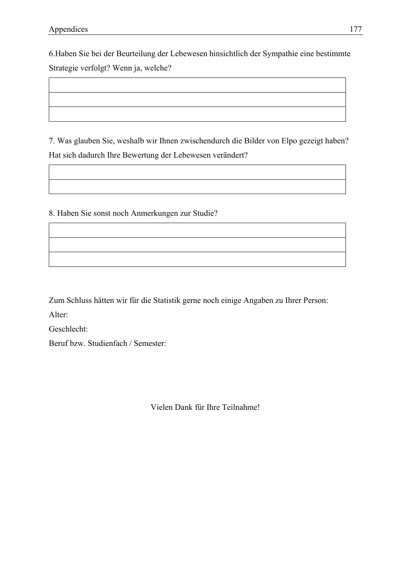6.Haben Sie bei der Beurteilung der Lebewesen hinsichtlich der Sympathie eine bestimmte Strategie verfolgt? Wenn ja, welche?

7. Was glauben Sie, weshalb wir Ihnen zwischendurch die Bilder von Elpo gezeigt haben? Hat sich dadurch Ihre Bewertung der Lebewesen verändert?

8. Haben Sie sonst noch Anmerkungen zur Studie?

Zum Schluss hätten wir für die Statistik gerne noch einige Angaben zu Ihrer Person:

Alter:

Geschlecht:

Beruf bzw. Studienfach / Semester:

Vielen Dank für Ihre Teilnahme!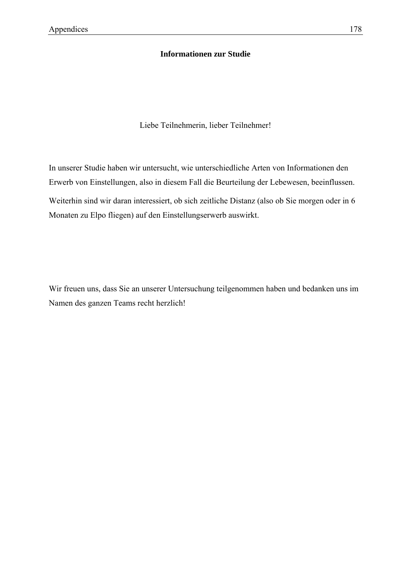### **Informationen zur Studie**

Liebe Teilnehmerin, lieber Teilnehmer!

In unserer Studie haben wir untersucht, wie unterschiedliche Arten von Informationen den Erwerb von Einstellungen, also in diesem Fall die Beurteilung der Lebewesen, beeinflussen. Weiterhin sind wir daran interessiert, ob sich zeitliche Distanz (also ob Sie morgen oder in 6 Monaten zu Elpo fliegen) auf den Einstellungserwerb auswirkt.

Wir freuen uns, dass Sie an unserer Untersuchung teilgenommen haben und bedanken uns im Namen des ganzen Teams recht herzlich!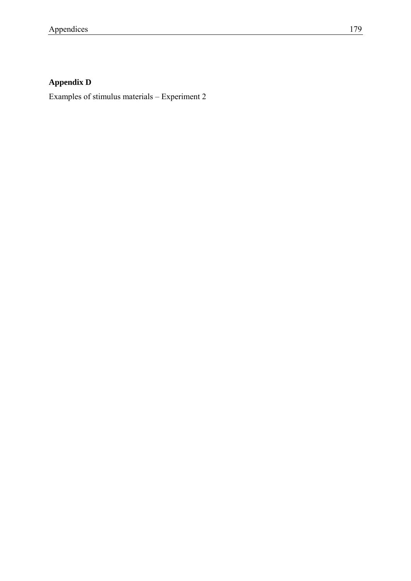# **Appendix D**

Examples of stimulus materials – Experiment 2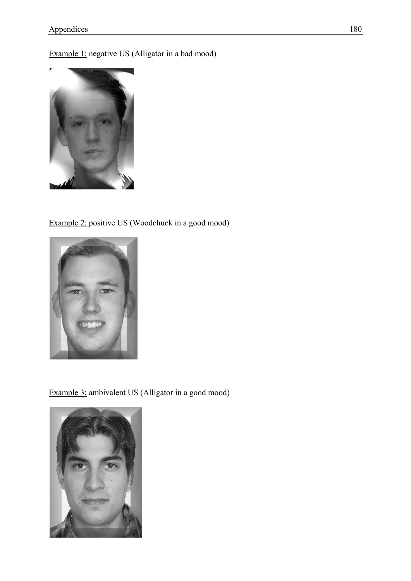Example 1: negative US (Alligator in a bad mood)



### Example 2: positive US (Woodchuck in a good mood)



Example 3: ambivalent US (Alligator in a good mood)

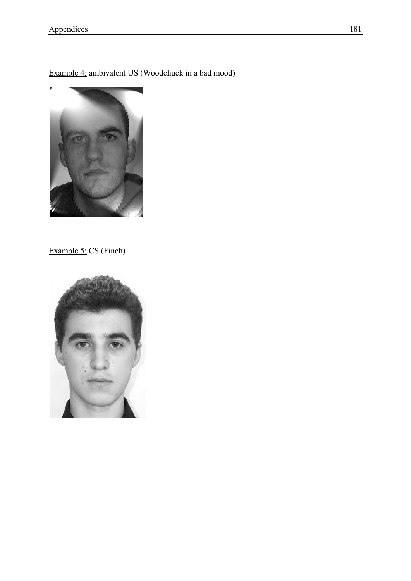Example 4: ambivalent US (Woodchuck in a bad mood)



Example 5: CS (Finch)

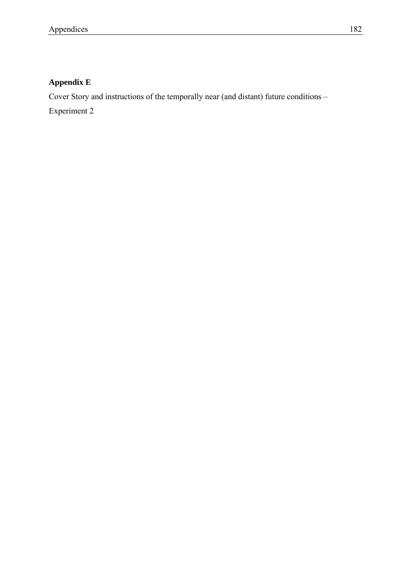# **Appendix E**

Cover Story and instructions of the temporally near (and distant) future conditions –

Experiment 2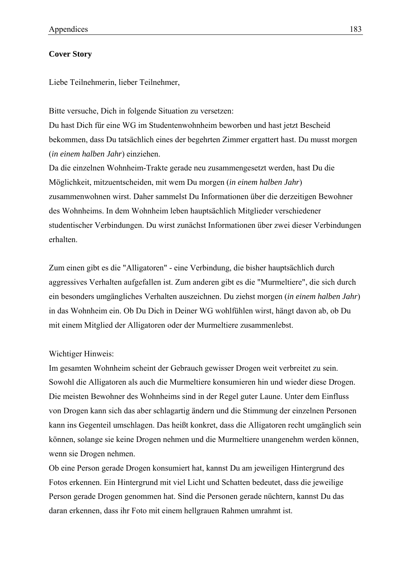#### **Cover Story**

Liebe Teilnehmerin, lieber Teilnehmer,

Bitte versuche, Dich in folgende Situation zu versetzen:

Du hast Dich für eine WG im Studentenwohnheim beworben und hast jetzt Bescheid bekommen, dass Du tatsächlich eines der begehrten Zimmer ergattert hast. Du musst morgen (*in einem halben Jahr*) einziehen.

Da die einzelnen Wohnheim-Trakte gerade neu zusammengesetzt werden, hast Du die Möglichkeit, mitzuentscheiden, mit wem Du morgen (*in einem halben Jahr*) zusammenwohnen wirst. Daher sammelst Du Informationen über die derzeitigen Bewohner des Wohnheims. In dem Wohnheim leben hauptsächlich Mitglieder verschiedener studentischer Verbindungen. Du wirst zunächst Informationen über zwei dieser Verbindungen erhalten.

Zum einen gibt es die "Alligatoren" - eine Verbindung, die bisher hauptsächlich durch aggressives Verhalten aufgefallen ist. Zum anderen gibt es die "Murmeltiere", die sich durch ein besonders umgängliches Verhalten auszeichnen. Du ziehst morgen (*in einem halben Jahr*) in das Wohnheim ein. Ob Du Dich in Deiner WG wohlfühlen wirst, hängt davon ab, ob Du mit einem Mitglied der Alligatoren oder der Murmeltiere zusammenlebst.

### Wichtiger Hinweis:

Im gesamten Wohnheim scheint der Gebrauch gewisser Drogen weit verbreitet zu sein. Sowohl die Alligatoren als auch die Murmeltiere konsumieren hin und wieder diese Drogen. Die meisten Bewohner des Wohnheims sind in der Regel guter Laune. Unter dem Einfluss von Drogen kann sich das aber schlagartig ändern und die Stimmung der einzelnen Personen kann ins Gegenteil umschlagen. Das heißt konkret, dass die Alligatoren recht umgänglich sein können, solange sie keine Drogen nehmen und die Murmeltiere unangenehm werden können, wenn sie Drogen nehmen.

Ob eine Person gerade Drogen konsumiert hat, kannst Du am jeweiligen Hintergrund des Fotos erkennen. Ein Hintergrund mit viel Licht und Schatten bedeutet, dass die jeweilige Person gerade Drogen genommen hat. Sind die Personen gerade nüchtern, kannst Du das daran erkennen, dass ihr Foto mit einem hellgrauen Rahmen umrahmt ist.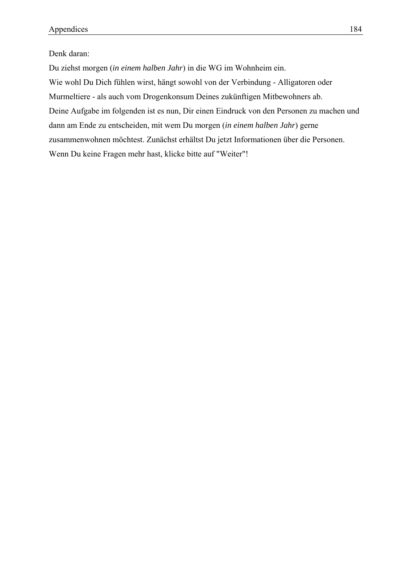#### Denk daran:

Du ziehst morgen (*in einem halben Jahr*) in die WG im Wohnheim ein. Wie wohl Du Dich fühlen wirst, hängt sowohl von der Verbindung - Alligatoren oder Murmeltiere - als auch vom Drogenkonsum Deines zukünftigen Mitbewohners ab. Deine Aufgabe im folgenden ist es nun, Dir einen Eindruck von den Personen zu machen und dann am Ende zu entscheiden, mit wem Du morgen (*in einem halben Jahr*) gerne zusammenwohnen möchtest. Zunächst erhältst Du jetzt Informationen über die Personen. Wenn Du keine Fragen mehr hast, klicke bitte auf "Weiter"!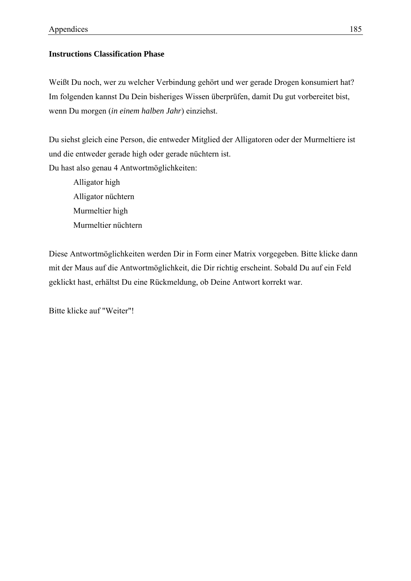## **Instructions Classification Phase**

Weißt Du noch, wer zu welcher Verbindung gehört und wer gerade Drogen konsumiert hat? Im folgenden kannst Du Dein bisheriges Wissen überprüfen, damit Du gut vorbereitet bist, wenn Du morgen (*in einem halben Jahr*) einziehst.

Du siehst gleich eine Person, die entweder Mitglied der Alligatoren oder der Murmeltiere ist und die entweder gerade high oder gerade nüchtern ist. Du hast also genau 4 Antwortmöglichkeiten:

 Alligator high Alligator nüchtern Murmeltier high Murmeltier nüchtern

Diese Antwortmöglichkeiten werden Dir in Form einer Matrix vorgegeben. Bitte klicke dann mit der Maus auf die Antwortmöglichkeit, die Dir richtig erscheint. Sobald Du auf ein Feld geklickt hast, erhältst Du eine Rückmeldung, ob Deine Antwort korrekt war.

Bitte klicke auf "Weiter"!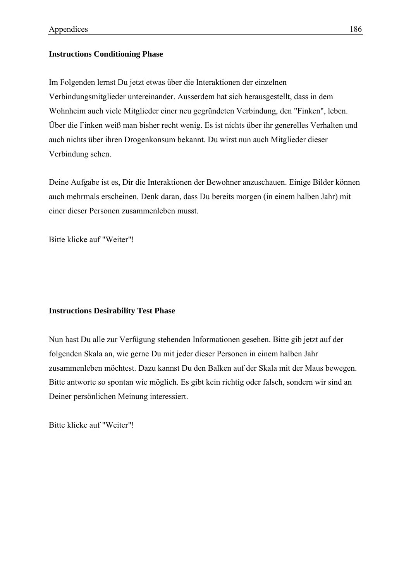#### **Instructions Conditioning Phase**

Im Folgenden lernst Du jetzt etwas über die Interaktionen der einzelnen Verbindungsmitglieder untereinander. Ausserdem hat sich herausgestellt, dass in dem Wohnheim auch viele Mitglieder einer neu gegründeten Verbindung, den "Finken", leben. Über die Finken weiß man bisher recht wenig. Es ist nichts über ihr generelles Verhalten und auch nichts über ihren Drogenkonsum bekannt. Du wirst nun auch Mitglieder dieser Verbindung sehen.

Deine Aufgabe ist es, Dir die Interaktionen der Bewohner anzuschauen. Einige Bilder können auch mehrmals erscheinen. Denk daran, dass Du bereits morgen (in einem halben Jahr) mit einer dieser Personen zusammenleben musst.

Bitte klicke auf "Weiter"!

#### **Instructions Desirability Test Phase**

Nun hast Du alle zur Verfügung stehenden Informationen gesehen. Bitte gib jetzt auf der folgenden Skala an, wie gerne Du mit jeder dieser Personen in einem halben Jahr zusammenleben möchtest. Dazu kannst Du den Balken auf der Skala mit der Maus bewegen. Bitte antworte so spontan wie möglich. Es gibt kein richtig oder falsch, sondern wir sind an Deiner persönlichen Meinung interessiert.

Bitte klicke auf "Weiter"!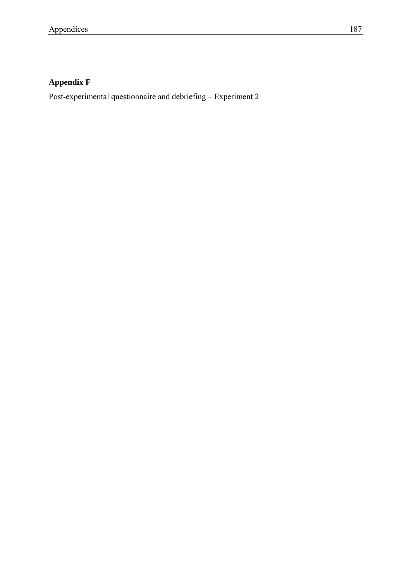# **Appendix F**

Post-experimental questionnaire and debriefing – Experiment 2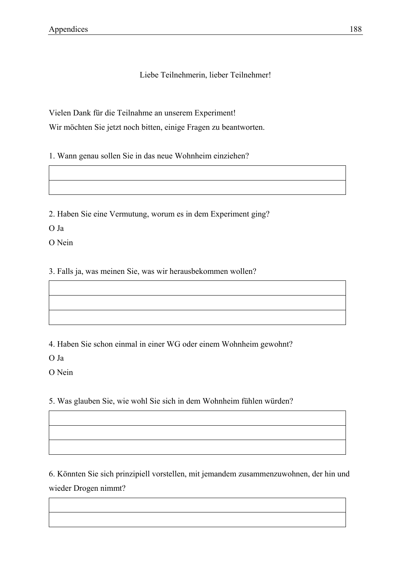Liebe Teilnehmerin, lieber Teilnehmer!

Vielen Dank für die Teilnahme an unserem Experiment!

Wir möchten Sie jetzt noch bitten, einige Fragen zu beantworten.

1. Wann genau sollen Sie in das neue Wohnheim einziehen?

2. Haben Sie eine Vermutung, worum es in dem Experiment ging?

O Ja

O Nein

3. Falls ja, was meinen Sie, was wir herausbekommen wollen?

4. Haben Sie schon einmal in einer WG oder einem Wohnheim gewohnt?

O Ja

O Nein

5. Was glauben Sie, wie wohl Sie sich in dem Wohnheim fühlen würden?

6. Könnten Sie sich prinzipiell vorstellen, mit jemandem zusammenzuwohnen, der hin und wieder Drogen nimmt?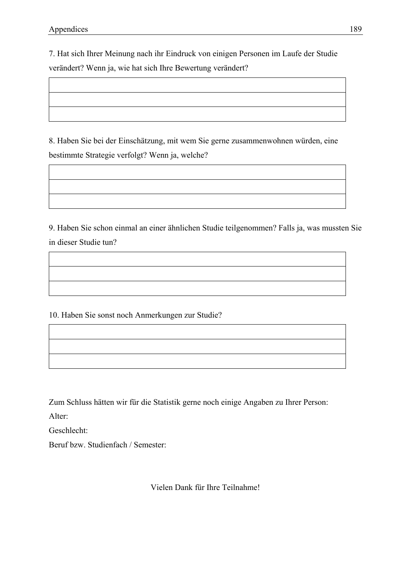7. Hat sich Ihrer Meinung nach ihr Eindruck von einigen Personen im Laufe der Studie verändert? Wenn ja, wie hat sich Ihre Bewertung verändert?

8. Haben Sie bei der Einschätzung, mit wem Sie gerne zusammenwohnen würden, eine bestimmte Strategie verfolgt? Wenn ja, welche?

9. Haben Sie schon einmal an einer ähnlichen Studie teilgenommen? Falls ja, was mussten Sie in dieser Studie tun?

10. Haben Sie sonst noch Anmerkungen zur Studie?

Zum Schluss hätten wir für die Statistik gerne noch einige Angaben zu Ihrer Person:

Alter:

Geschlecht:

Beruf bzw. Studienfach / Semester:

Vielen Dank für Ihre Teilnahme!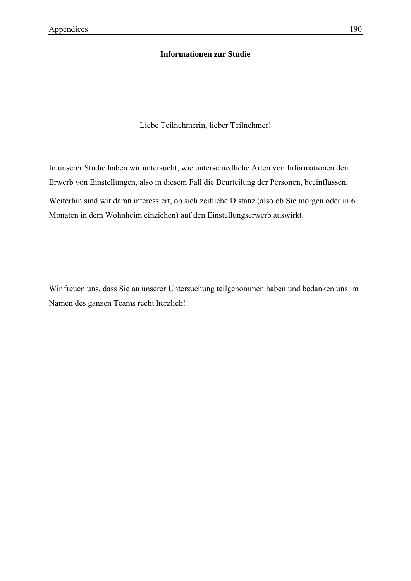## **Informationen zur Studie**

Liebe Teilnehmerin, lieber Teilnehmer!

In unserer Studie haben wir untersucht, wie unterschiedliche Arten von Informationen den Erwerb von Einstellungen, also in diesem Fall die Beurteilung der Personen, beeinflussen. Weiterhin sind wir daran interessiert, ob sich zeitliche Distanz (also ob Sie morgen oder in 6 Monaten in dem Wohnheim einziehen) auf den Einstellungserwerb auswirkt.

Wir freuen uns, dass Sie an unserer Untersuchung teilgenommen haben und bedanken uns im Namen des ganzen Teams recht herzlich!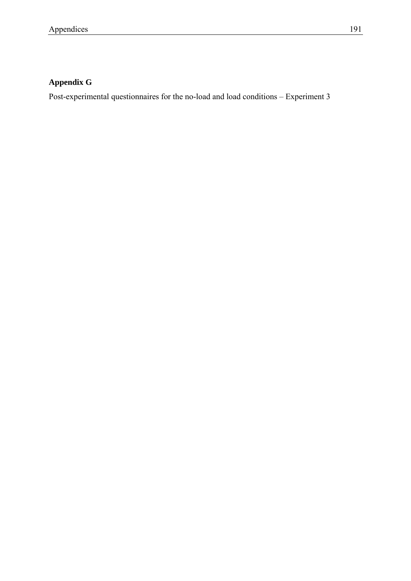# **Appendix G**

Post-experimental questionnaires for the no-load and load conditions – Experiment 3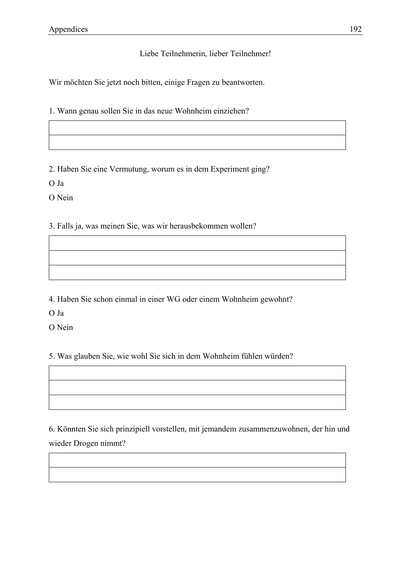## Liebe Teilnehmerin, lieber Teilnehmer!

Wir möchten Sie jetzt noch bitten, einige Fragen zu beantworten.

1. Wann genau sollen Sie in das neue Wohnheim einziehen?

2. Haben Sie eine Vermutung, worum es in dem Experiment ging?

O Ja

O Nein

3. Falls ja, was meinen Sie, was wir herausbekommen wollen?

4. Haben Sie schon einmal in einer WG oder einem Wohnheim gewohnt?

O Ja

O Nein

5. Was glauben Sie, wie wohl Sie sich in dem Wohnheim fühlen würden?

6. Könnten Sie sich prinzipiell vorstellen, mit jemandem zusammenzuwohnen, der hin und wieder Drogen nimmt?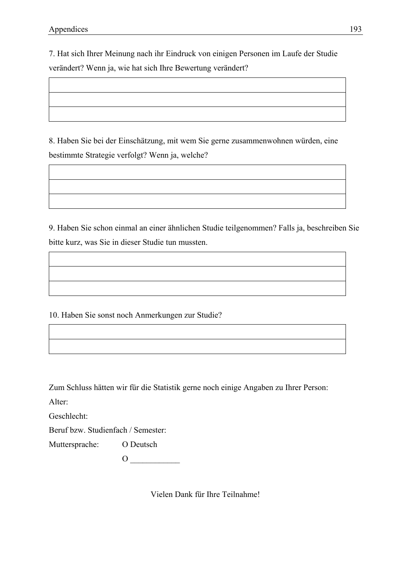7. Hat sich Ihrer Meinung nach ihr Eindruck von einigen Personen im Laufe der Studie verändert? Wenn ja, wie hat sich Ihre Bewertung verändert?

8. Haben Sie bei der Einschätzung, mit wem Sie gerne zusammenwohnen würden, eine bestimmte Strategie verfolgt? Wenn ja, welche?

9. Haben Sie schon einmal an einer ähnlichen Studie teilgenommen? Falls ja, beschreiben Sie bitte kurz, was Sie in dieser Studie tun mussten.

10. Haben Sie sonst noch Anmerkungen zur Studie?

Zum Schluss hätten wir für die Statistik gerne noch einige Angaben zu Ihrer Person:

Alter:

Geschlecht:

Beruf bzw. Studienfach / Semester:

Muttersprache: O Deutsch

 $\overline{O}$ 

Vielen Dank für Ihre Teilnahme!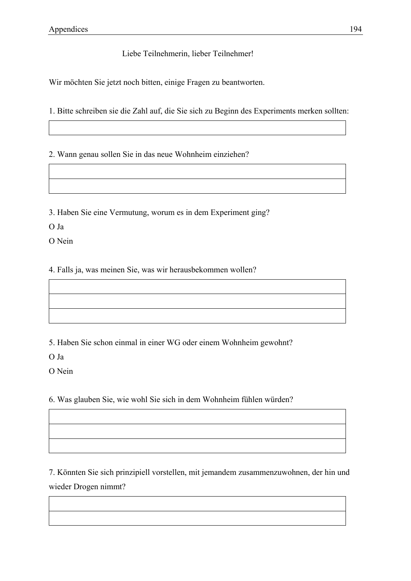# Liebe Teilnehmerin, lieber Teilnehmer!

Wir möchten Sie jetzt noch bitten, einige Fragen zu beantworten.

1. Bitte schreiben sie die Zahl auf, die Sie sich zu Beginn des Experiments merken sollten:

2. Wann genau sollen Sie in das neue Wohnheim einziehen?

3. Haben Sie eine Vermutung, worum es in dem Experiment ging?

O Ja

O Nein

4. Falls ja, was meinen Sie, was wir herausbekommen wollen?

5. Haben Sie schon einmal in einer WG oder einem Wohnheim gewohnt?

O Ja

O Nein

6. Was glauben Sie, wie wohl Sie sich in dem Wohnheim fühlen würden?

7. Könnten Sie sich prinzipiell vorstellen, mit jemandem zusammenzuwohnen, der hin und wieder Drogen nimmt?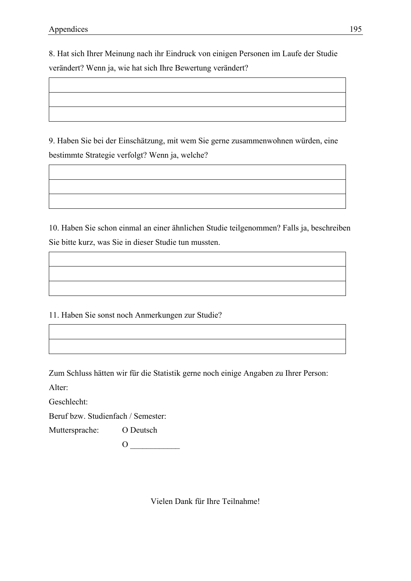8. Hat sich Ihrer Meinung nach ihr Eindruck von einigen Personen im Laufe der Studie verändert? Wenn ja, wie hat sich Ihre Bewertung verändert?

9. Haben Sie bei der Einschätzung, mit wem Sie gerne zusammenwohnen würden, eine bestimmte Strategie verfolgt? Wenn ja, welche?

10. Haben Sie schon einmal an einer ähnlichen Studie teilgenommen? Falls ja, beschreiben Sie bitte kurz, was Sie in dieser Studie tun mussten.

11. Haben Sie sonst noch Anmerkungen zur Studie?

Zum Schluss hätten wir für die Statistik gerne noch einige Angaben zu Ihrer Person:

Alter:

Geschlecht:

Beruf bzw. Studienfach / Semester:

Muttersprache: O Deutsch

 $\overline{O}$ 

Vielen Dank für Ihre Teilnahme!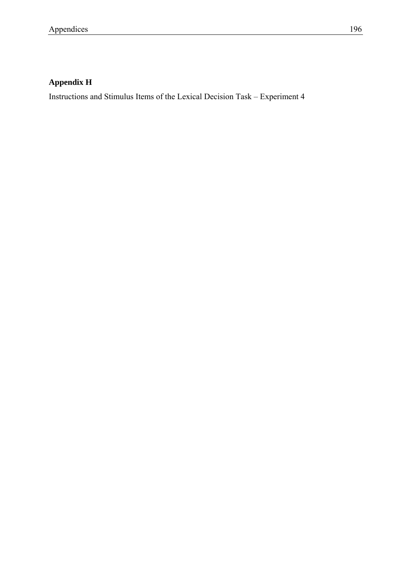# **Appendix H**

Instructions and Stimulus Items of the Lexical Decision Task – Experiment 4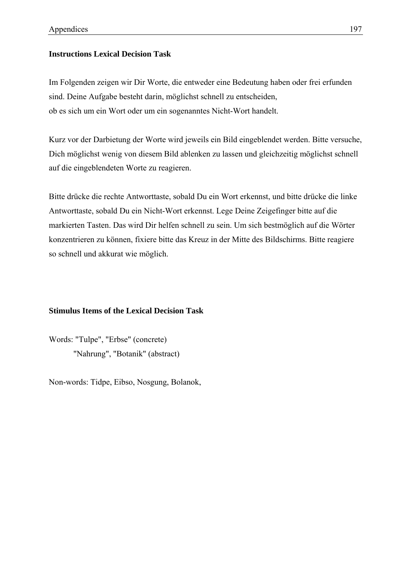### **Instructions Lexical Decision Task**

Im Folgenden zeigen wir Dir Worte, die entweder eine Bedeutung haben oder frei erfunden sind. Deine Aufgabe besteht darin, möglichst schnell zu entscheiden, ob es sich um ein Wort oder um ein sogenanntes Nicht-Wort handelt.

Kurz vor der Darbietung der Worte wird jeweils ein Bild eingeblendet werden. Bitte versuche, Dich möglichst wenig von diesem Bild ablenken zu lassen und gleichzeitig möglichst schnell auf die eingeblendeten Worte zu reagieren.

Bitte drücke die rechte Antworttaste, sobald Du ein Wort erkennst, und bitte drücke die linke Antworttaste, sobald Du ein Nicht-Wort erkennst. Lege Deine Zeigefinger bitte auf die markierten Tasten. Das wird Dir helfen schnell zu sein. Um sich bestmöglich auf die Wörter konzentrieren zu können, fixiere bitte das Kreuz in der Mitte des Bildschirms. Bitte reagiere so schnell und akkurat wie möglich.

### **Stimulus Items of the Lexical Decision Task**

Words: "Tulpe", "Erbse" (concrete) "Nahrung", "Botanik" (abstract)

Non-words: Tidpe, Eibso, Nosgung, Bolanok,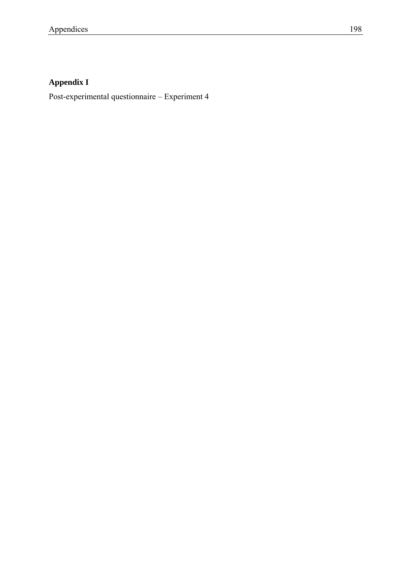# **Appendix I**

Post-experimental questionnaire – Experiment 4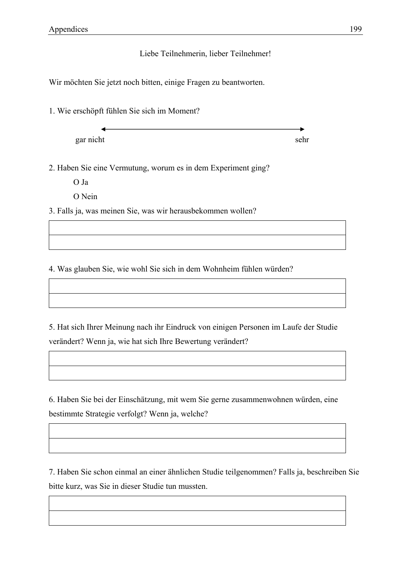## Liebe Teilnehmerin, lieber Teilnehmer!

Wir möchten Sie jetzt noch bitten, einige Fragen zu beantworten.

1. Wie erschöpft fühlen Sie sich im Moment?

gar nicht sehr

2. Haben Sie eine Vermutung, worum es in dem Experiment ging?

O Ja

O Nein

3. Falls ja, was meinen Sie, was wir herausbekommen wollen?

4. Was glauben Sie, wie wohl Sie sich in dem Wohnheim fühlen würden?

5. Hat sich Ihrer Meinung nach ihr Eindruck von einigen Personen im Laufe der Studie verändert? Wenn ja, wie hat sich Ihre Bewertung verändert?

6. Haben Sie bei der Einschätzung, mit wem Sie gerne zusammenwohnen würden, eine bestimmte Strategie verfolgt? Wenn ja, welche?

7. Haben Sie schon einmal an einer ähnlichen Studie teilgenommen? Falls ja, beschreiben Sie bitte kurz, was Sie in dieser Studie tun mussten.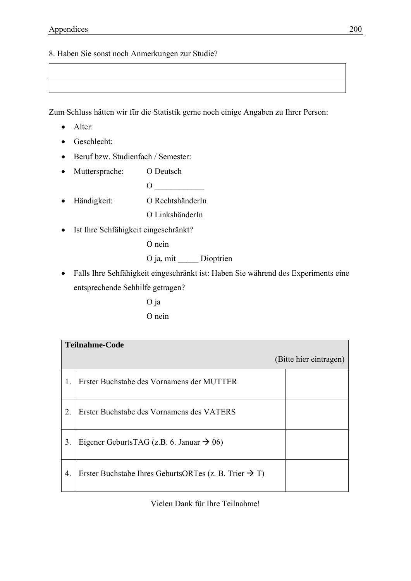8. Haben Sie sonst noch Anmerkungen zur Studie?

Zum Schluss hätten wir für die Statistik gerne noch einige Angaben zu Ihrer Person:

- Alter:
- Geschlecht:
- Beruf bzw. Studienfach / Semester:
- Muttersprache: O Deutsch
- Händigkeit: O RechtshänderIn

O LinkshänderIn

 $\overline{O}$ 

• Ist Ihre Sehfähigkeit eingeschränkt?

O nein

O ja, mit \_\_\_\_\_ Dioptrien

• Falls Ihre Sehfähigkeit eingeschränkt ist: Haben Sie während des Experiments eine entsprechende Sehhilfe getragen?

> O ja O nein

| <b>Teilnahme-Code</b> |                                                                   |  |  |
|-----------------------|-------------------------------------------------------------------|--|--|
|                       | (Bitte hier eintragen)                                            |  |  |
| 1.                    | Erster Buchstabe des Vornamens der MUTTER                         |  |  |
| 2.                    | Erster Buchstabe des Vornamens des VATERS                         |  |  |
| 3.                    | Eigener GeburtsTAG (z.B. 6. Januar $\rightarrow$ 06)              |  |  |
| 4.                    | Erster Buchstabe Ihres GeburtsORTes (z. B. Trier $\rightarrow$ T) |  |  |

Vielen Dank für Ihre Teilnahme!